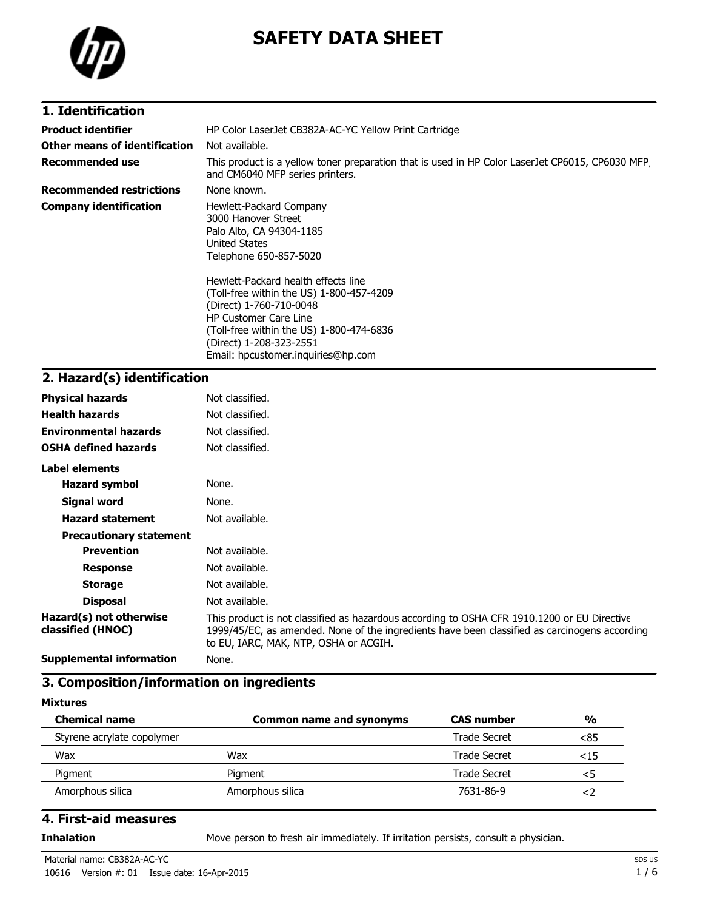

# **SAFETY DATA SHEET**

### **1. Identification**

| <b>Product identifier</b>       |                                                                                                                                                                                                                                                                                                                                                                                  |  |
|---------------------------------|----------------------------------------------------------------------------------------------------------------------------------------------------------------------------------------------------------------------------------------------------------------------------------------------------------------------------------------------------------------------------------|--|
|                                 | HP Color LaserJet CB382A-AC-YC Yellow Print Cartridge                                                                                                                                                                                                                                                                                                                            |  |
| Other means of identification   | Not available.                                                                                                                                                                                                                                                                                                                                                                   |  |
| <b>Recommended use</b>          | This product is a yellow toner preparation that is used in HP Color LaserJet CP6015, CP6030 MFP,<br>and CM6040 MFP series printers.                                                                                                                                                                                                                                              |  |
| <b>Recommended restrictions</b> | None known.                                                                                                                                                                                                                                                                                                                                                                      |  |
| <b>Company identification</b>   | Hewlett-Packard Company<br>3000 Hanover Street<br>Palo Alto, CA 94304-1185<br>United States<br>Telephone 650-857-5020<br>Hewlett-Packard health effects line<br>(Toll-free within the US) 1-800-457-4209<br>(Direct) 1-760-710-0048<br><b>HP Customer Care Line</b><br>(Toll-free within the US) 1-800-474-6836<br>(Direct) 1-208-323-2551<br>Email: hpcustomer.inguiries@hp.com |  |

## **2. Hazard(s) identification**

| <b>Physical hazards</b>                      | Not classified.                                                                                                                                                                                                                       |
|----------------------------------------------|---------------------------------------------------------------------------------------------------------------------------------------------------------------------------------------------------------------------------------------|
| <b>Health hazards</b>                        | Not classified.                                                                                                                                                                                                                       |
| <b>Environmental hazards</b>                 | Not classified.                                                                                                                                                                                                                       |
| <b>OSHA defined hazards</b>                  | Not classified.                                                                                                                                                                                                                       |
| Label elements                               |                                                                                                                                                                                                                                       |
| <b>Hazard symbol</b>                         | None.                                                                                                                                                                                                                                 |
| Signal word                                  | None.                                                                                                                                                                                                                                 |
| <b>Hazard statement</b>                      | Not available.                                                                                                                                                                                                                        |
| <b>Precautionary statement</b>               |                                                                                                                                                                                                                                       |
| <b>Prevention</b>                            | Not available.                                                                                                                                                                                                                        |
| <b>Response</b>                              | Not available.                                                                                                                                                                                                                        |
| <b>Storage</b>                               | Not available.                                                                                                                                                                                                                        |
| <b>Disposal</b>                              | Not available.                                                                                                                                                                                                                        |
| Hazard(s) not otherwise<br>classified (HNOC) | This product is not classified as hazardous according to OSHA CFR 1910.1200 or EU Directive<br>1999/45/EC, as amended. None of the ingredients have been classified as carcinogens according<br>to EU, IARC, MAK, NTP, OSHA or ACGIH. |
| <b>Supplemental information</b>              | None.                                                                                                                                                                                                                                 |

### **3. Composition/information on ingredients**

#### **Mixtures**

| <b>Chemical name</b>       | <b>Common name and synonyms</b> | <b>CAS number</b>   | $\frac{0}{0}$ |
|----------------------------|---------------------------------|---------------------|---------------|
| Styrene acrylate copolymer |                                 | Trade Secret        | < 85          |
| Wax                        | Wax                             | Trade Secret        | $15$          |
| Pigment                    | Pigment                         | <b>Trade Secret</b> | <5            |
| Amorphous silica           | Amorphous silica                | 7631-86-9           | < /           |

#### **4. First-aid measures**

**Inhalation** Move person to fresh air immediately. If irritation persists, consult a physician.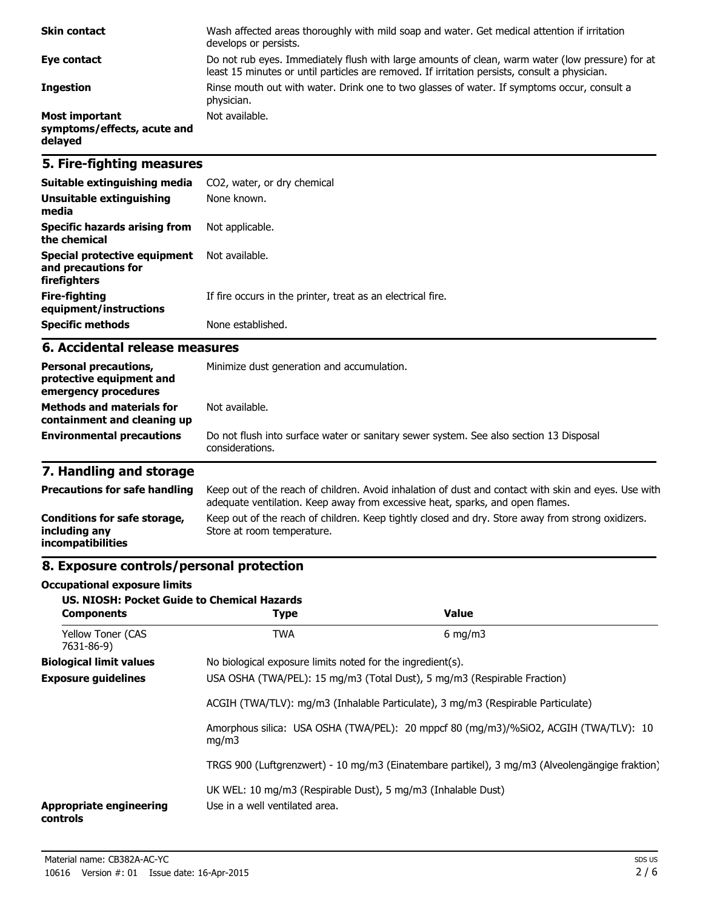| <b>Skin contact</b>                                             | Wash affected areas thoroughly with mild soap and water. Get medical attention if irritation<br>develops or persists.                                                                             |
|-----------------------------------------------------------------|---------------------------------------------------------------------------------------------------------------------------------------------------------------------------------------------------|
| Eye contact                                                     | Do not rub eyes. Immediately flush with large amounts of clean, warm water (low pressure) for at<br>least 15 minutes or until particles are removed. If irritation persists, consult a physician. |
| <b>Ingestion</b>                                                | Rinse mouth out with water. Drink one to two glasses of water. If symptoms occur, consult a<br>physician.                                                                                         |
| <b>Most important</b><br>symptoms/effects, acute and<br>delayed | Not available.                                                                                                                                                                                    |

### **5. Fire-fighting measures**

| Suitable extinguishing media                                        | CO2, water, or dry chemical                                 |
|---------------------------------------------------------------------|-------------------------------------------------------------|
| Unsuitable extinguishing<br>media                                   | None known.                                                 |
| Specific hazards arising from<br>the chemical                       | Not applicable.                                             |
| Special protective equipment<br>and precautions for<br>firefighters | Not available.                                              |
| Fire-fighting<br>equipment/instructions                             | If fire occurs in the printer, treat as an electrical fire. |
| <b>Specific methods</b>                                             | None established.                                           |

#### **6. Accidental release measures**

| <b>Personal precautions,</b><br>protective equipment and<br>emergency procedures | Minimize dust generation and accumulation.                                                                |  |
|----------------------------------------------------------------------------------|-----------------------------------------------------------------------------------------------------------|--|
| <b>Methods and materials for</b><br>containment and cleaning up                  | Not available.                                                                                            |  |
| <b>Environmental precautions</b>                                                 | Do not flush into surface water or sanitary sewer system. See also section 13 Disposal<br>considerations. |  |

## **7. Handling and storage**

| <b>Precautions for safe handling</b>                                      | Keep out of the reach of children. Avoid inhalation of dust and contact with skin and eyes. Use with<br>adequate ventilation. Keep away from excessive heat, sparks, and open flames. |
|---------------------------------------------------------------------------|---------------------------------------------------------------------------------------------------------------------------------------------------------------------------------------|
| Conditions for safe storage,<br>including any<br><i>incompatibilities</i> | Keep out of the reach of children. Keep tightly closed and dry. Store away from strong oxidizers.<br>Store at room temperature.                                                       |

## **8. Exposure controls/personal protection**

#### **Occupational exposure limits**

| <b>US. NIOSH: Pocket Guide to Chemical Hazards</b><br><b>Components</b> | <b>Type</b>                                                                                                                                                  | Value            |
|-------------------------------------------------------------------------|--------------------------------------------------------------------------------------------------------------------------------------------------------------|------------------|
| <b>Yellow Toner (CAS</b><br>7631-86-9)                                  | <b>TWA</b>                                                                                                                                                   | $6 \text{ mg/m}$ |
| <b>Biological limit values</b>                                          | No biological exposure limits noted for the ingredient(s).                                                                                                   |                  |
| <b>Exposure guidelines</b>                                              | USA OSHA (TWA/PEL): 15 mg/m3 (Total Dust), 5 mg/m3 (Respirable Fraction)<br>ACGIH (TWA/TLV): mg/m3 (Inhalable Particulate), 3 mg/m3 (Respirable Particulate) |                  |
|                                                                         |                                                                                                                                                              |                  |
| mq/m3                                                                   | Amorphous silica: USA OSHA (TWA/PEL): 20 mppcf 80 (mg/m3)/%SiO2, ACGIH (TWA/TLV): 10                                                                         |                  |
|                                                                         | TRGS 900 (Luftgrenzwert) - 10 mg/m3 (Einatembare partikel), 3 mg/m3 (Alveolengängige fraktion)                                                               |                  |
| <b>Appropriate engineering</b><br>controls                              | UK WEL: 10 mg/m3 (Respirable Dust), 5 mg/m3 (Inhalable Dust)<br>Use in a well ventilated area.                                                               |                  |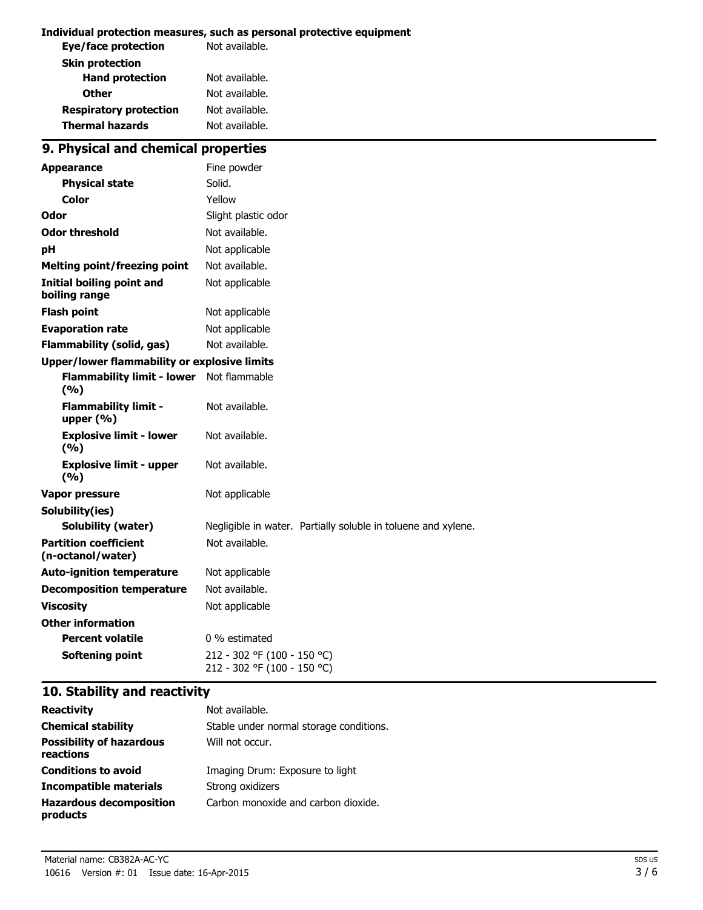#### **Individual protection measures, such as personal protective equipment**

| Not available. |
|----------------|
|                |
| Not available. |
| Not available. |
| Not available. |
| Not available. |
|                |

## **9. Physical and chemical properties**

| <b>Appearance</b>                                 | Fine powder                                                   |
|---------------------------------------------------|---------------------------------------------------------------|
| <b>Physical state</b>                             | Solid.                                                        |
| Color                                             | Yellow                                                        |
| Odor                                              | Slight plastic odor                                           |
| <b>Odor threshold</b>                             | Not available.                                                |
| рH                                                | Not applicable                                                |
| <b>Melting point/freezing point</b>               | Not available.                                                |
| Initial boiling point and<br>boiling range        | Not applicable                                                |
| <b>Flash point</b>                                | Not applicable                                                |
| <b>Evaporation rate</b>                           | Not applicable                                                |
| <b>Flammability (solid, gas)</b>                  | Not available.                                                |
| Upper/lower flammability or explosive limits      |                                                               |
| <b>Flammability limit - lower</b><br>(9/6)        | Not flammable                                                 |
| <b>Flammability limit -</b><br>upper (%)          | Not available.                                                |
| <b>Explosive limit - lower</b><br>(%)             | Not available.                                                |
| <b>Explosive limit - upper</b><br>(9/6)           | Not available.                                                |
| <b>Vapor pressure</b>                             | Not applicable                                                |
| Solubility(ies)                                   |                                                               |
| <b>Solubility (water)</b>                         | Negligible in water. Partially soluble in toluene and xylene. |
| <b>Partition coefficient</b><br>(n-octanol/water) | Not available.                                                |
| <b>Auto-ignition temperature</b>                  | Not applicable                                                |
| <b>Decomposition temperature</b>                  | Not available.                                                |
| <b>Viscosity</b>                                  | Not applicable                                                |
| <b>Other information</b>                          |                                                               |
| <b>Percent volatile</b>                           | 0 % estimated                                                 |
| <b>Softening point</b>                            | 212 - 302 °F (100 - 150 °C)<br>212 - 302 °F (100 - 150 °C)    |

### **10. Stability and reactivity**

| <b>Reactivity</b>                            | Not available.                          |
|----------------------------------------------|-----------------------------------------|
| <b>Chemical stability</b>                    | Stable under normal storage conditions. |
| <b>Possibility of hazardous</b><br>reactions | Will not occur.                         |
| <b>Conditions to avoid</b>                   | Imaging Drum: Exposure to light         |
| Incompatible materials                       | Strong oxidizers                        |
| <b>Hazardous decomposition</b><br>products   | Carbon monoxide and carbon dioxide.     |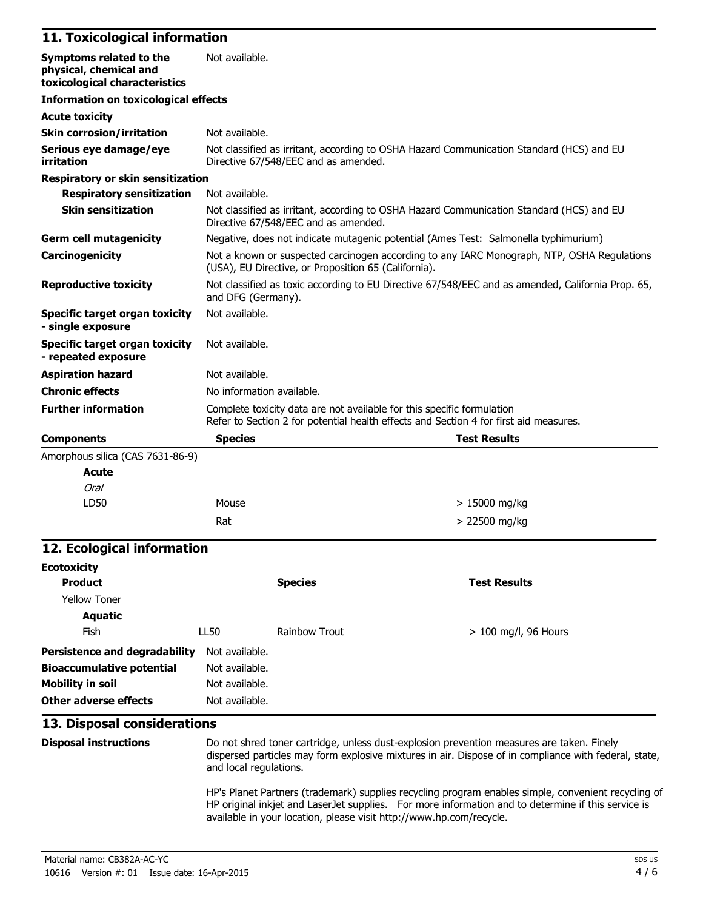#### **11. Toxicological information**

| Symptoms related to the<br>physical, chemical and<br>toxicological characteristics | Not available.                                                                                                                                                  |  |  |
|------------------------------------------------------------------------------------|-----------------------------------------------------------------------------------------------------------------------------------------------------------------|--|--|
| <b>Information on toxicological effects</b>                                        |                                                                                                                                                                 |  |  |
| <b>Acute toxicity</b>                                                              |                                                                                                                                                                 |  |  |
| <b>Skin corrosion/irritation</b>                                                   | Not available.                                                                                                                                                  |  |  |
| Serious eye damage/eye<br>irritation                                               | Not classified as irritant, according to OSHA Hazard Communication Standard (HCS) and EU<br>Directive 67/548/EEC and as amended.                                |  |  |
| <b>Respiratory or skin sensitization</b>                                           |                                                                                                                                                                 |  |  |
| <b>Respiratory sensitization</b>                                                   | Not available.                                                                                                                                                  |  |  |
| <b>Skin sensitization</b>                                                          | Not classified as irritant, according to OSHA Hazard Communication Standard (HCS) and EU<br>Directive 67/548/EEC and as amended.                                |  |  |
| <b>Germ cell mutagenicity</b>                                                      | Negative, does not indicate mutagenic potential (Ames Test: Salmonella typhimurium)                                                                             |  |  |
| <b>Carcinogenicity</b>                                                             | Not a known or suspected carcinogen according to any IARC Monograph, NTP, OSHA Regulations<br>(USA), EU Directive, or Proposition 65 (California).              |  |  |
| <b>Reproductive toxicity</b>                                                       | Not classified as toxic according to EU Directive 67/548/EEC and as amended, California Prop. 65,<br>and DFG (Germany).                                         |  |  |
| Specific target organ toxicity<br>- single exposure                                | Not available.                                                                                                                                                  |  |  |
| Specific target organ toxicity<br>- repeated exposure                              | Not available.                                                                                                                                                  |  |  |
| <b>Aspiration hazard</b>                                                           | Not available.                                                                                                                                                  |  |  |
| <b>Chronic effects</b>                                                             | No information available.                                                                                                                                       |  |  |
| <b>Further information</b>                                                         | Complete toxicity data are not available for this specific formulation<br>Refer to Section 2 for potential health effects and Section 4 for first aid measures. |  |  |
| <b>Components</b>                                                                  | <b>Species</b><br><b>Test Results</b>                                                                                                                           |  |  |
| Amorphous silica (CAS 7631-86-9)                                                   |                                                                                                                                                                 |  |  |
| <b>Acute</b>                                                                       |                                                                                                                                                                 |  |  |
| Oral                                                                               |                                                                                                                                                                 |  |  |

# **12. Ecological information**

LD50 Mouse

| <b>Ecotoxicity</b>                   |                |                |                        |  |
|--------------------------------------|----------------|----------------|------------------------|--|
| <b>Product</b>                       |                | <b>Species</b> | <b>Test Results</b>    |  |
| <b>Yellow Toner</b>                  |                |                |                        |  |
| <b>Aquatic</b>                       |                |                |                        |  |
| Fish                                 | LL50           | Rainbow Trout  | $> 100$ mg/l, 96 Hours |  |
| <b>Persistence and degradability</b> | Not available. |                |                        |  |
| <b>Bioaccumulative potential</b>     | Not available. |                |                        |  |
| <b>Mobility in soil</b>              | Not available. |                |                        |  |
| Other adverse effects                | Not available. |                |                        |  |

 $Rat$   $> 22500$  mg/kg

#### **13. Disposal considerations**

**Disposal instructions** Do not shred toner cartridge, unless dust-explosion prevention measures are taken. Finely dispersed particles may form explosive mixtures in air. Dispose of in compliance with federal, state, and local regulations.

> 15000 mg/kg

HP's Planet Partners (trademark) supplies recycling program enables simple, convenient recycling of HP original inkjet and LaserJet supplies. For more information and to determine if this service is available in your location, please visit http://www.hp.com/recycle.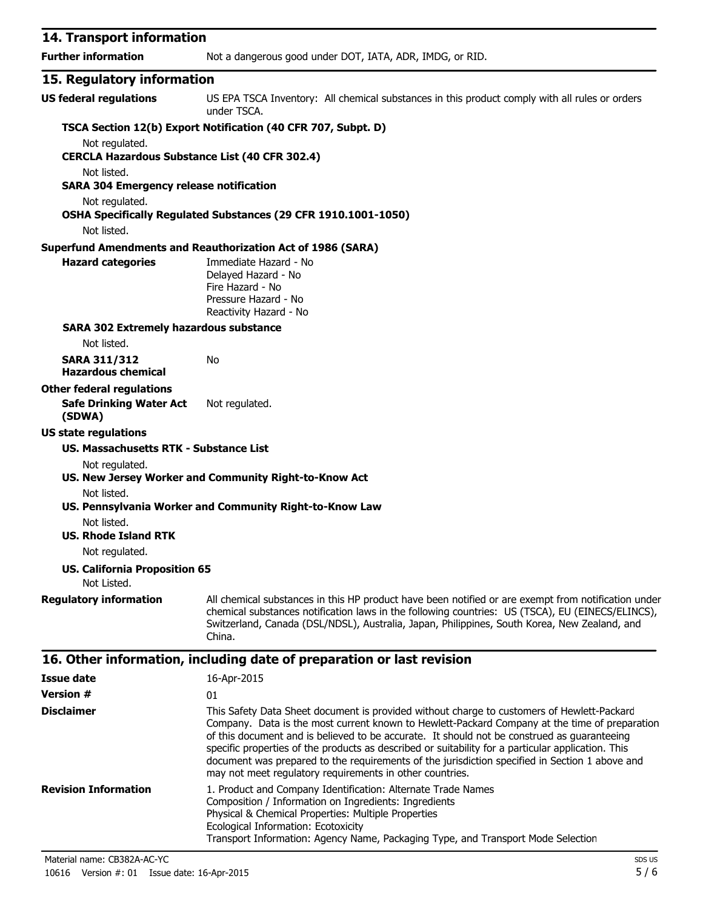| 14. Transport information                                     |                                                                                                                                                                                                                                                                                                                                                                                                  |
|---------------------------------------------------------------|--------------------------------------------------------------------------------------------------------------------------------------------------------------------------------------------------------------------------------------------------------------------------------------------------------------------------------------------------------------------------------------------------|
| <b>Further information</b>                                    | Not a dangerous good under DOT, IATA, ADR, IMDG, or RID.                                                                                                                                                                                                                                                                                                                                         |
| 15. Regulatory information                                    |                                                                                                                                                                                                                                                                                                                                                                                                  |
| <b>US federal regulations</b>                                 | US EPA TSCA Inventory: All chemical substances in this product comply with all rules or orders<br>under TSCA.                                                                                                                                                                                                                                                                                    |
|                                                               | TSCA Section 12(b) Export Notification (40 CFR 707, Subpt. D)                                                                                                                                                                                                                                                                                                                                    |
| Not regulated.                                                |                                                                                                                                                                                                                                                                                                                                                                                                  |
| <b>CERCLA Hazardous Substance List (40 CFR 302.4)</b>         |                                                                                                                                                                                                                                                                                                                                                                                                  |
| Not listed.<br><b>SARA 304 Emergency release notification</b> |                                                                                                                                                                                                                                                                                                                                                                                                  |
| Not regulated.                                                |                                                                                                                                                                                                                                                                                                                                                                                                  |
| Not listed.                                                   | OSHA Specifically Regulated Substances (29 CFR 1910.1001-1050)                                                                                                                                                                                                                                                                                                                                   |
|                                                               | <b>Superfund Amendments and Reauthorization Act of 1986 (SARA)</b>                                                                                                                                                                                                                                                                                                                               |
| <b>Hazard categories</b>                                      | Immediate Hazard - No<br>Delayed Hazard - No<br>Fire Hazard - No<br>Pressure Hazard - No<br>Reactivity Hazard - No                                                                                                                                                                                                                                                                               |
| <b>SARA 302 Extremely hazardous substance</b>                 |                                                                                                                                                                                                                                                                                                                                                                                                  |
| Not listed.                                                   |                                                                                                                                                                                                                                                                                                                                                                                                  |
| <b>SARA 311/312</b><br><b>Hazardous chemical</b>              | No                                                                                                                                                                                                                                                                                                                                                                                               |
| <b>Other federal regulations</b>                              |                                                                                                                                                                                                                                                                                                                                                                                                  |
| <b>Safe Drinking Water Act</b><br>(SDWA)                      | Not regulated.                                                                                                                                                                                                                                                                                                                                                                                   |
| <b>US state regulations</b>                                   |                                                                                                                                                                                                                                                                                                                                                                                                  |
| US. Massachusetts RTK - Substance List                        |                                                                                                                                                                                                                                                                                                                                                                                                  |
| Not regulated.                                                | US. New Jersey Worker and Community Right-to-Know Act                                                                                                                                                                                                                                                                                                                                            |
| Not listed.                                                   | US. Pennsylvania Worker and Community Right-to-Know Law                                                                                                                                                                                                                                                                                                                                          |
| Not listed.<br><b>US. Rhode Island RTK</b>                    |                                                                                                                                                                                                                                                                                                                                                                                                  |
| Not regulated.                                                |                                                                                                                                                                                                                                                                                                                                                                                                  |
| <b>US. California Proposition 65</b><br>Not Listed.           |                                                                                                                                                                                                                                                                                                                                                                                                  |
| <b>Regulatory information</b>                                 | All chemical substances in this HP product have been notified or are exempt from notification under                                                                                                                                                                                                                                                                                              |
|                                                               | chemical substances notification laws in the following countries: US (TSCA), EU (EINECS/ELINCS),<br>Switzerland, Canada (DSL/NDSL), Australia, Japan, Philippines, South Korea, New Zealand, and<br>China.                                                                                                                                                                                       |
|                                                               | 16. Other information, including date of preparation or last revision                                                                                                                                                                                                                                                                                                                            |
| <b>Issue date</b>                                             | 16-Apr-2015                                                                                                                                                                                                                                                                                                                                                                                      |
| <b>Version #</b>                                              | 01                                                                                                                                                                                                                                                                                                                                                                                               |
| <b>Disclaimer</b>                                             | This Safety Data Sheet document is provided without charge to customers of Hewlett-Packard<br>Company. Data is the most current known to Hewlett-Packard Company at the time of preparation<br>of this document and is believed to be accurate. It should not be construed as guaranteeing<br>specific properties of the products as described or suitability for a particular application. This |

|                             | opeenic properties of the products as acsembed or suitability for a particular application. This<br>document was prepared to the requirements of the jurisdiction specified in Section 1 above and<br>may not meet regulatory requirements in other countries. |
|-----------------------------|----------------------------------------------------------------------------------------------------------------------------------------------------------------------------------------------------------------------------------------------------------------|
| <b>Revision Information</b> | 1. Product and Company Identification: Alternate Trade Names<br>Composition / Information on Ingredients: Ingredients                                                                                                                                          |
|                             | Physical & Chemical Properties: Multiple Properties                                                                                                                                                                                                            |
|                             | Ecological Information: Ecotoxicity                                                                                                                                                                                                                            |

Transport Information: Agency Name, Packaging Type, and Transport Mode Selection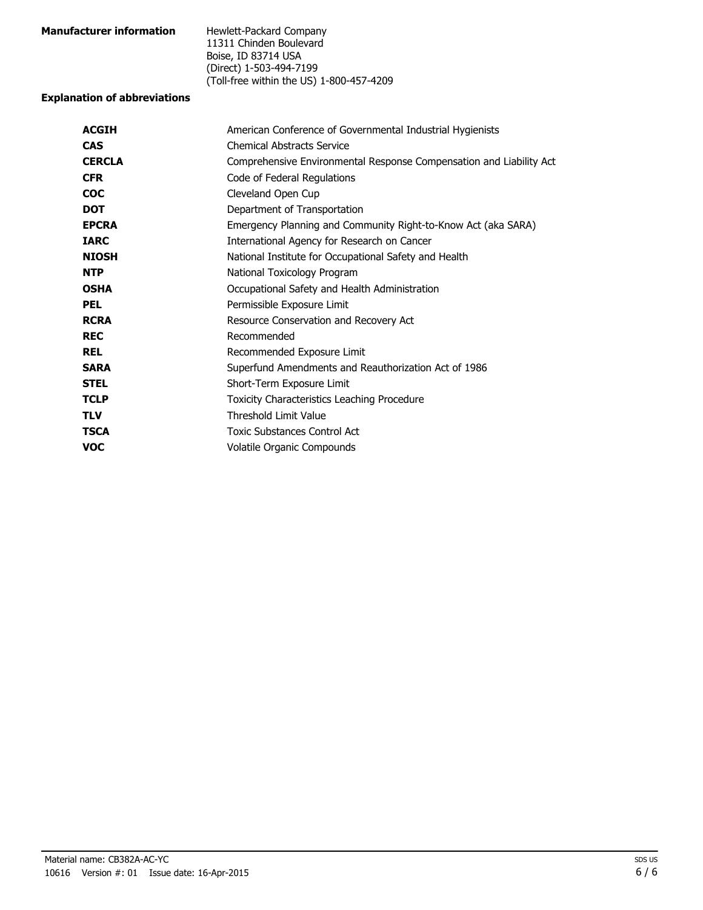| <b>Manufacturer information</b> | Hewlett-Packard Company                  |
|---------------------------------|------------------------------------------|
|                                 | 11311 Chinden Boulevard                  |
|                                 | Boise, ID 83714 USA                      |
|                                 | (Direct) 1-503-494-7199                  |
|                                 | (Toll-free within the US) 1-800-457-4209 |

#### **Explanation of abbreviations**

| American Conference of Governmental Industrial Hygienists           |
|---------------------------------------------------------------------|
| <b>Chemical Abstracts Service</b>                                   |
| Comprehensive Environmental Response Compensation and Liability Act |
| Code of Federal Regulations                                         |
| Cleveland Open Cup                                                  |
| Department of Transportation                                        |
| Emergency Planning and Community Right-to-Know Act (aka SARA)       |
| International Agency for Research on Cancer                         |
| National Institute for Occupational Safety and Health               |
| National Toxicology Program                                         |
| Occupational Safety and Health Administration                       |
| Permissible Exposure Limit                                          |
| Resource Conservation and Recovery Act                              |
| Recommended                                                         |
| Recommended Exposure Limit                                          |
| Superfund Amendments and Reauthorization Act of 1986                |
| Short-Term Exposure Limit                                           |
| Toxicity Characteristics Leaching Procedure                         |
| <b>Threshold Limit Value</b>                                        |
| Toxic Substances Control Act                                        |
| Volatile Organic Compounds                                          |
|                                                                     |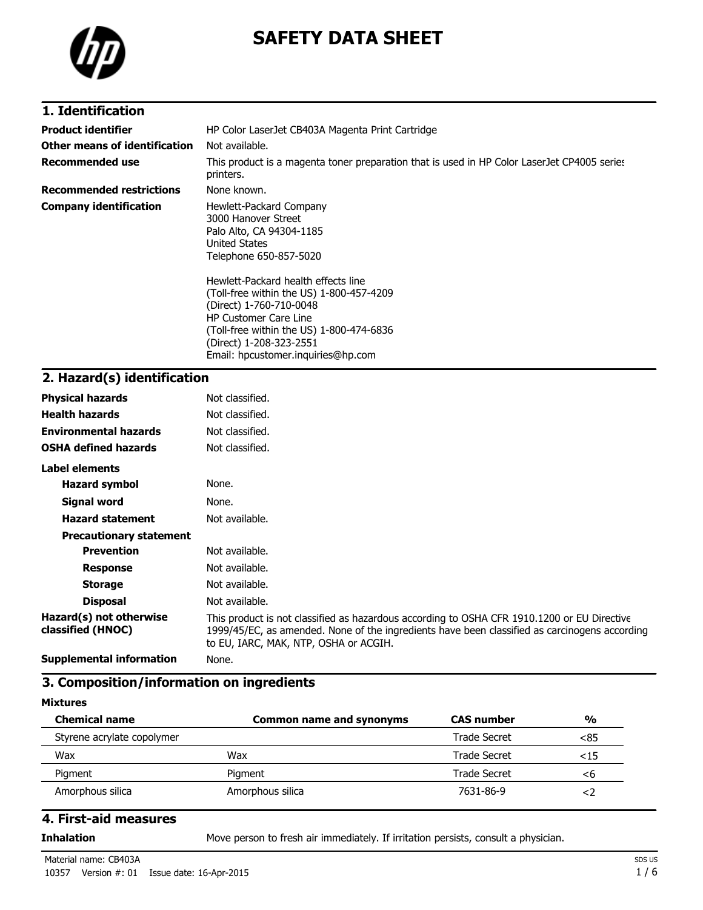

# **SAFETY DATA SHEET**

### **1. Identification**

| <b>Product identifier</b>       | HP Color LaserJet CB403A Magenta Print Cartridge                                                                                                                                                                                                                                                                                                                                 |
|---------------------------------|----------------------------------------------------------------------------------------------------------------------------------------------------------------------------------------------------------------------------------------------------------------------------------------------------------------------------------------------------------------------------------|
| Other means of identification   | Not available.                                                                                                                                                                                                                                                                                                                                                                   |
| <b>Recommended use</b>          | This product is a magenta toner preparation that is used in HP Color LaserJet CP4005 series<br>printers.                                                                                                                                                                                                                                                                         |
| <b>Recommended restrictions</b> | None known.                                                                                                                                                                                                                                                                                                                                                                      |
| <b>Company identification</b>   | Hewlett-Packard Company<br>3000 Hanover Street<br>Palo Alto, CA 94304-1185<br>United States<br>Telephone 650-857-5020<br>Hewlett-Packard health effects line<br>(Toll-free within the US) 1-800-457-4209<br>(Direct) 1-760-710-0048<br><b>HP Customer Care Line</b><br>(Toll-free within the US) 1-800-474-6836<br>(Direct) 1-208-323-2551<br>Email: hpcustomer.inguiries@hp.com |

## **2. Hazard(s) identification**

| <b>Physical hazards</b>                      | Not classified.                                                                                                                                                                                                                       |
|----------------------------------------------|---------------------------------------------------------------------------------------------------------------------------------------------------------------------------------------------------------------------------------------|
| <b>Health hazards</b>                        | Not classified.                                                                                                                                                                                                                       |
| <b>Environmental hazards</b>                 | Not classified.                                                                                                                                                                                                                       |
| <b>OSHA defined hazards</b>                  | Not classified.                                                                                                                                                                                                                       |
| Label elements                               |                                                                                                                                                                                                                                       |
| <b>Hazard symbol</b>                         | None.                                                                                                                                                                                                                                 |
| Signal word                                  | None.                                                                                                                                                                                                                                 |
| <b>Hazard statement</b>                      | Not available.                                                                                                                                                                                                                        |
| <b>Precautionary statement</b>               |                                                                                                                                                                                                                                       |
| <b>Prevention</b>                            | Not available.                                                                                                                                                                                                                        |
| <b>Response</b>                              | Not available.                                                                                                                                                                                                                        |
| <b>Storage</b>                               | Not available.                                                                                                                                                                                                                        |
| <b>Disposal</b>                              | Not available.                                                                                                                                                                                                                        |
| Hazard(s) not otherwise<br>classified (HNOC) | This product is not classified as hazardous according to OSHA CFR 1910.1200 or EU Directive<br>1999/45/EC, as amended. None of the ingredients have been classified as carcinogens according<br>to EU, IARC, MAK, NTP, OSHA or ACGIH. |
| <b>Supplemental information</b>              | None.                                                                                                                                                                                                                                 |

### **3. Composition/information on ingredients**

#### **Mixtures**

| <b>Chemical name</b>       | <b>Common name and synonyms</b> | <b>CAS number</b> | $\frac{0}{0}$ |
|----------------------------|---------------------------------|-------------------|---------------|
| Styrene acrylate copolymer |                                 | Trade Secret      | <85           |
| Wax                        | Wax                             | Trade Secret      | ${<}15$       |
| Pigment                    | Pigment                         | Trade Secret      | <6            |
| Amorphous silica           | Amorphous silica                | 7631-86-9         |               |

#### **4. First-aid measures**

**Inhalation** Move person to fresh air immediately. If irritation persists, consult a physician.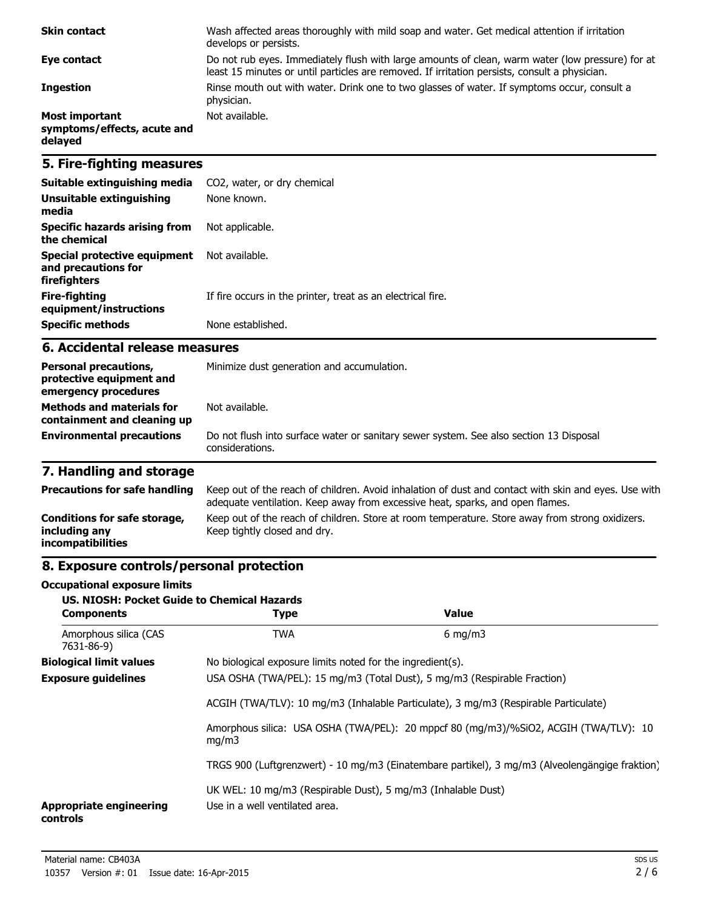| <b>Skin contact</b>                                             | Wash affected areas thoroughly with mild soap and water. Get medical attention if irritation<br>develops or persists.                                                                             |
|-----------------------------------------------------------------|---------------------------------------------------------------------------------------------------------------------------------------------------------------------------------------------------|
| Eye contact                                                     | Do not rub eyes. Immediately flush with large amounts of clean, warm water (low pressure) for at<br>least 15 minutes or until particles are removed. If irritation persists, consult a physician. |
| <b>Ingestion</b>                                                | Rinse mouth out with water. Drink one to two glasses of water. If symptoms occur, consult a<br>physician.                                                                                         |
| <b>Most important</b><br>symptoms/effects, acute and<br>delayed | Not available.                                                                                                                                                                                    |

### **5. Fire-fighting measures**

| Suitable extinguishing media                                        | CO2, water, or dry chemical                                 |
|---------------------------------------------------------------------|-------------------------------------------------------------|
| Unsuitable extinguishing<br>media                                   | None known.                                                 |
| Specific hazards arising from<br>the chemical                       | Not applicable.                                             |
| Special protective equipment<br>and precautions for<br>firefighters | Not available.                                              |
| Fire-fighting<br>equipment/instructions                             | If fire occurs in the printer, treat as an electrical fire. |
| <b>Specific methods</b>                                             | None established.                                           |

#### **6. Accidental release measures**

| <b>Personal precautions,</b><br>protective equipment and<br>emergency procedures | Minimize dust generation and accumulation.                                                                |
|----------------------------------------------------------------------------------|-----------------------------------------------------------------------------------------------------------|
| <b>Methods and materials for</b><br>containment and cleaning up                  | Not available.                                                                                            |
| <b>Environmental precautions</b>                                                 | Do not flush into surface water or sanitary sewer system. See also section 13 Disposal<br>considerations. |

## **7. Handling and storage**

| <b>Precautions for safe handling</b>                                      | Keep out of the reach of children. Avoid inhalation of dust and contact with skin and eyes. Use with<br>adequate ventilation. Keep away from excessive heat, sparks, and open flames. |
|---------------------------------------------------------------------------|---------------------------------------------------------------------------------------------------------------------------------------------------------------------------------------|
| Conditions for safe storage,<br>including any<br><i>incompatibilities</i> | Keep out of the reach of children. Store at room temperature. Store away from strong oxidizers.<br>Keep tightly closed and dry.                                                       |

## **8. Exposure controls/personal protection**

#### **Occupational exposure limits**

| US. NIOSH: Pocket Guide to Chemical Hazards<br><b>Components</b>         | <b>Type</b>                                                                                    | <b>Value</b>                                                                                   |  |
|--------------------------------------------------------------------------|------------------------------------------------------------------------------------------------|------------------------------------------------------------------------------------------------|--|
| Amorphous silica (CAS<br>7631-86-9)                                      | <b>TWA</b>                                                                                     | $6 \text{ mg/m}$                                                                               |  |
| <b>Biological limit values</b>                                           | No biological exposure limits noted for the ingredient(s).                                     |                                                                                                |  |
| <b>Exposure guidelines</b><br><b>Appropriate engineering</b><br>controls | USA OSHA (TWA/PEL): 15 mg/m3 (Total Dust), 5 mg/m3 (Respirable Fraction)                       |                                                                                                |  |
|                                                                          |                                                                                                | ACGIH (TWA/TLV): 10 mg/m3 (Inhalable Particulate), 3 mg/m3 (Respirable Particulate)            |  |
|                                                                          | mq/m3                                                                                          | Amorphous silica: USA OSHA (TWA/PEL): 20 mppcf 80 (mg/m3)/%SiO2, ACGIH (TWA/TLV): 10           |  |
|                                                                          |                                                                                                | TRGS 900 (Luftgrenzwert) - 10 mg/m3 (Einatembare partikel), 3 mg/m3 (Alveolengängige fraktion) |  |
|                                                                          | UK WEL: 10 mg/m3 (Respirable Dust), 5 mg/m3 (Inhalable Dust)<br>Use in a well ventilated area. |                                                                                                |  |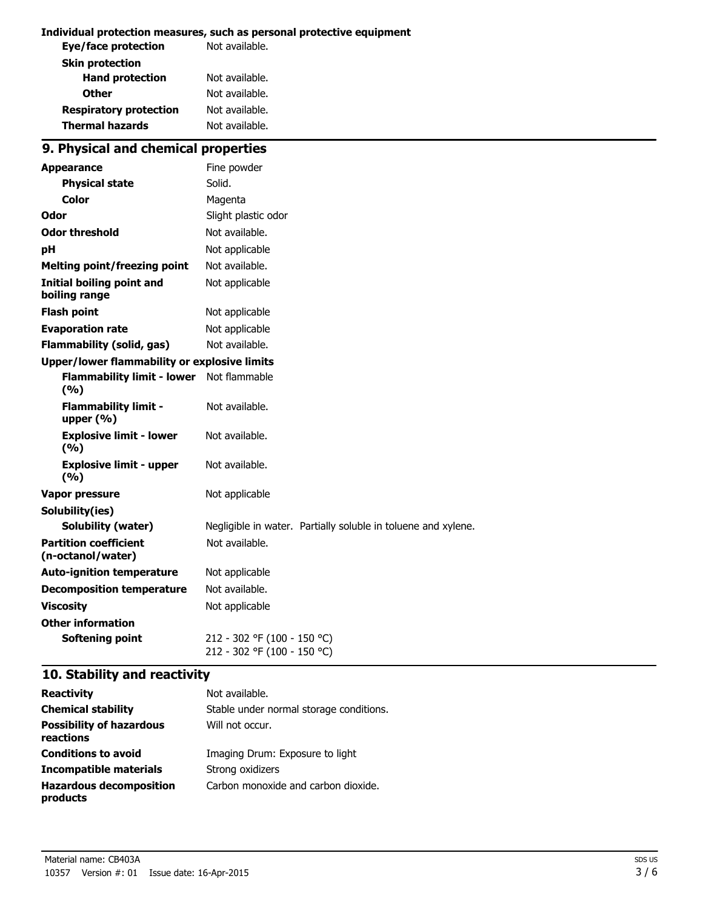#### **Individual protection measures, such as personal protective equipment**

| Not available. |
|----------------|
|                |
| Not available. |
| Not available. |
| Not available. |
| Not available. |
|                |

## **9. Physical and chemical properties**

| <b>Appearance</b>                                   | Fine powder                                                   |
|-----------------------------------------------------|---------------------------------------------------------------|
| <b>Physical state</b>                               | Solid.                                                        |
| Color                                               | Magenta                                                       |
| Odor                                                | Slight plastic odor                                           |
| <b>Odor threshold</b>                               | Not available.                                                |
| рH                                                  | Not applicable                                                |
| <b>Melting point/freezing point</b>                 | Not available.                                                |
| Initial boiling point and<br>boiling range          | Not applicable                                                |
| <b>Flash point</b>                                  | Not applicable                                                |
| <b>Evaporation rate</b>                             | Not applicable                                                |
| <b>Flammability (solid, gas)</b>                    | Not available.                                                |
| <b>Upper/lower flammability or explosive limits</b> |                                                               |
| <b>Flammability limit - lower</b><br>(%)            | Not flammable                                                 |
| <b>Flammability limit -</b><br>upper $(% )$         | Not available.                                                |
| <b>Explosive limit - lower</b><br>(%)               | Not available.                                                |
| <b>Explosive limit - upper</b><br>(9/6)             | Not available.                                                |
| <b>Vapor pressure</b>                               | Not applicable                                                |
| Solubility(ies)                                     |                                                               |
| <b>Solubility (water)</b>                           | Negligible in water. Partially soluble in toluene and xylene. |
| <b>Partition coefficient</b><br>(n-octanol/water)   | Not available.                                                |
| <b>Auto-ignition temperature</b>                    | Not applicable                                                |
| <b>Decomposition temperature</b>                    | Not available.                                                |
| <b>Viscosity</b>                                    | Not applicable                                                |
| <b>Other information</b>                            |                                                               |
| <b>Softening point</b>                              | 212 - 302 °F (100 - 150 °C)<br>212 - 302 °F (100 - 150 °C)    |

## **10. Stability and reactivity**

| <b>Reactivity</b>                            | Not available.                          |
|----------------------------------------------|-----------------------------------------|
| <b>Chemical stability</b>                    | Stable under normal storage conditions. |
| <b>Possibility of hazardous</b><br>reactions | Will not occur.                         |
| <b>Conditions to avoid</b>                   | Imaging Drum: Exposure to light         |
| <b>Incompatible materials</b>                | Strong oxidizers                        |
| <b>Hazardous decomposition</b><br>products   | Carbon monoxide and carbon dioxide.     |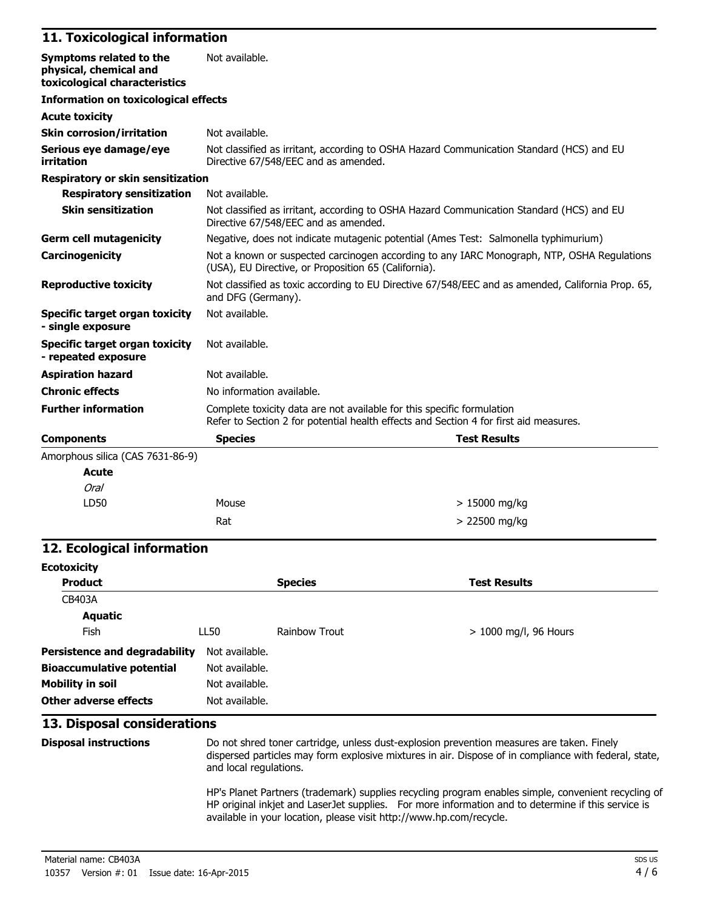#### **11. Toxicological information**

| Symptoms related to the<br>physical, chemical and<br>toxicological characteristics | Not available.                                                                                                                                                  |  |  |
|------------------------------------------------------------------------------------|-----------------------------------------------------------------------------------------------------------------------------------------------------------------|--|--|
| <b>Information on toxicological effects</b>                                        |                                                                                                                                                                 |  |  |
| <b>Acute toxicity</b>                                                              |                                                                                                                                                                 |  |  |
| <b>Skin corrosion/irritation</b>                                                   | Not available.                                                                                                                                                  |  |  |
| Serious eye damage/eye<br>irritation                                               | Not classified as irritant, according to OSHA Hazard Communication Standard (HCS) and EU<br>Directive 67/548/EEC and as amended.                                |  |  |
| <b>Respiratory or skin sensitization</b>                                           |                                                                                                                                                                 |  |  |
| <b>Respiratory sensitization</b>                                                   | Not available.                                                                                                                                                  |  |  |
| <b>Skin sensitization</b>                                                          | Not classified as irritant, according to OSHA Hazard Communication Standard (HCS) and EU<br>Directive 67/548/EEC and as amended.                                |  |  |
| <b>Germ cell mutagenicity</b>                                                      | Negative, does not indicate mutagenic potential (Ames Test: Salmonella typhimurium)                                                                             |  |  |
| Carcinogenicity                                                                    | Not a known or suspected carcinogen according to any IARC Monograph, NTP, OSHA Regulations<br>(USA), EU Directive, or Proposition 65 (California).              |  |  |
| <b>Reproductive toxicity</b>                                                       | Not classified as toxic according to EU Directive 67/548/EEC and as amended, California Prop. 65,<br>and DFG (Germany).                                         |  |  |
| Specific target organ toxicity<br>- single exposure                                | Not available.                                                                                                                                                  |  |  |
| <b>Specific target organ toxicity</b><br>- repeated exposure                       | Not available.                                                                                                                                                  |  |  |
| <b>Aspiration hazard</b>                                                           | Not available.                                                                                                                                                  |  |  |
| <b>Chronic effects</b>                                                             | No information available.                                                                                                                                       |  |  |
| <b>Further information</b>                                                         | Complete toxicity data are not available for this specific formulation<br>Refer to Section 2 for potential health effects and Section 4 for first aid measures. |  |  |
| <b>Components</b>                                                                  | <b>Species</b><br><b>Test Results</b>                                                                                                                           |  |  |
| Amorphous silica (CAS 7631-86-9)                                                   |                                                                                                                                                                 |  |  |
| <b>Acute</b>                                                                       |                                                                                                                                                                 |  |  |
| Oral                                                                               |                                                                                                                                                                 |  |  |

| viai<br>LD50 | Mouse | > 15000 mg/kg |
|--------------|-------|---------------|
|              | Rat   | > 22500 mg/kg |

### **12. Ecological information**

| <b>Ecotoxicity</b>                   |                |                |                         |
|--------------------------------------|----------------|----------------|-------------------------|
| <b>Product</b>                       |                | <b>Species</b> | <b>Test Results</b>     |
| <b>CB403A</b>                        |                |                |                         |
| Aquatic                              |                |                |                         |
| <b>Fish</b>                          | LL50           | Rainbow Trout  | $> 1000$ mg/l, 96 Hours |
| <b>Persistence and degradability</b> | Not available. |                |                         |
| <b>Bioaccumulative potential</b>     | Not available. |                |                         |
| <b>Mobility in soil</b>              | Not available. |                |                         |
| Other adverse effects                | Not available. |                |                         |

#### **13. Disposal considerations**

**Disposal instructions** Do not shred toner cartridge, unless dust-explosion prevention measures are taken. Finely dispersed particles may form explosive mixtures in air. Dispose of in compliance with federal, state, and local regulations.

> HP's Planet Partners (trademark) supplies recycling program enables simple, convenient recycling of HP original inkjet and LaserJet supplies. For more information and to determine if this service is available in your location, please visit http://www.hp.com/recycle.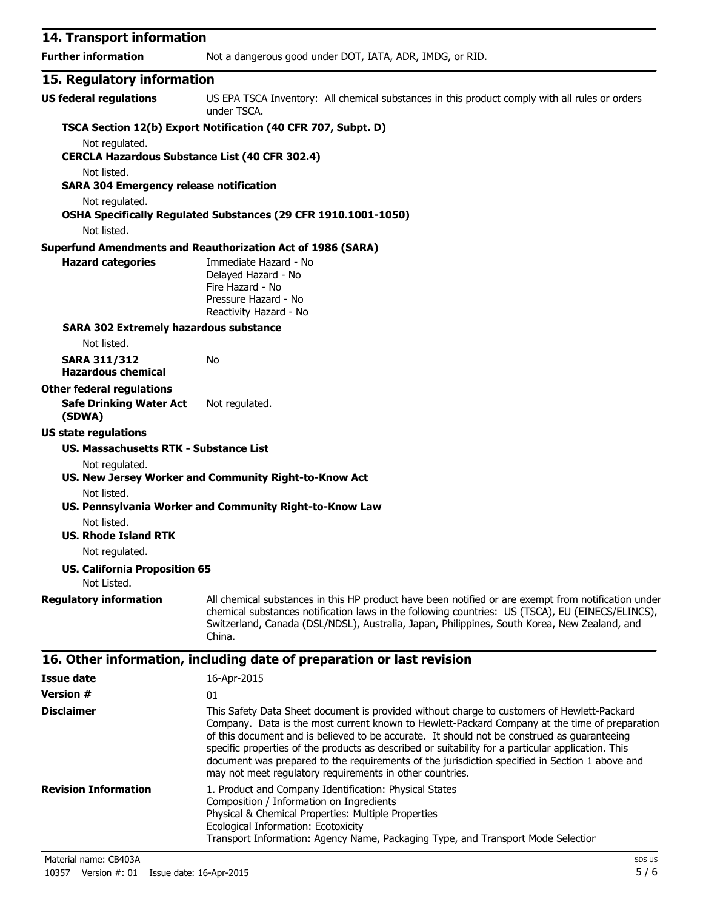| 14. Transport information                                     |                                                                                                                                                                                                                                                                                                                                                                                                  |  |
|---------------------------------------------------------------|--------------------------------------------------------------------------------------------------------------------------------------------------------------------------------------------------------------------------------------------------------------------------------------------------------------------------------------------------------------------------------------------------|--|
| <b>Further information</b>                                    | Not a dangerous good under DOT, IATA, ADR, IMDG, or RID.                                                                                                                                                                                                                                                                                                                                         |  |
| 15. Regulatory information                                    |                                                                                                                                                                                                                                                                                                                                                                                                  |  |
| <b>US federal regulations</b>                                 | US EPA TSCA Inventory: All chemical substances in this product comply with all rules or orders<br>under TSCA.                                                                                                                                                                                                                                                                                    |  |
|                                                               | TSCA Section 12(b) Export Notification (40 CFR 707, Subpt. D)                                                                                                                                                                                                                                                                                                                                    |  |
| Not regulated.                                                |                                                                                                                                                                                                                                                                                                                                                                                                  |  |
| <b>CERCLA Hazardous Substance List (40 CFR 302.4)</b>         |                                                                                                                                                                                                                                                                                                                                                                                                  |  |
| Not listed.<br><b>SARA 304 Emergency release notification</b> |                                                                                                                                                                                                                                                                                                                                                                                                  |  |
| Not regulated.                                                |                                                                                                                                                                                                                                                                                                                                                                                                  |  |
|                                                               | OSHA Specifically Regulated Substances (29 CFR 1910.1001-1050)                                                                                                                                                                                                                                                                                                                                   |  |
| Not listed.                                                   |                                                                                                                                                                                                                                                                                                                                                                                                  |  |
|                                                               | <b>Superfund Amendments and Reauthorization Act of 1986 (SARA)</b>                                                                                                                                                                                                                                                                                                                               |  |
| <b>Hazard categories</b>                                      | Immediate Hazard - No<br>Delayed Hazard - No<br>Fire Hazard - No<br>Pressure Hazard - No<br>Reactivity Hazard - No                                                                                                                                                                                                                                                                               |  |
| <b>SARA 302 Extremely hazardous substance</b>                 |                                                                                                                                                                                                                                                                                                                                                                                                  |  |
| Not listed.                                                   |                                                                                                                                                                                                                                                                                                                                                                                                  |  |
| <b>SARA 311/312</b><br><b>Hazardous chemical</b>              | No                                                                                                                                                                                                                                                                                                                                                                                               |  |
| <b>Other federal regulations</b>                              |                                                                                                                                                                                                                                                                                                                                                                                                  |  |
| <b>Safe Drinking Water Act</b><br>(SDWA)                      | Not regulated.                                                                                                                                                                                                                                                                                                                                                                                   |  |
| <b>US state regulations</b>                                   |                                                                                                                                                                                                                                                                                                                                                                                                  |  |
| US. Massachusetts RTK - Substance List                        |                                                                                                                                                                                                                                                                                                                                                                                                  |  |
| Not regulated.                                                | US. New Jersey Worker and Community Right-to-Know Act                                                                                                                                                                                                                                                                                                                                            |  |
| Not listed.<br>Not listed.                                    | US. Pennsylvania Worker and Community Right-to-Know Law                                                                                                                                                                                                                                                                                                                                          |  |
| <b>US. Rhode Island RTK</b>                                   |                                                                                                                                                                                                                                                                                                                                                                                                  |  |
| Not regulated.                                                |                                                                                                                                                                                                                                                                                                                                                                                                  |  |
| <b>US. California Proposition 65</b><br>Not Listed.           |                                                                                                                                                                                                                                                                                                                                                                                                  |  |
| <b>Regulatory information</b>                                 | All chemical substances in this HP product have been notified or are exempt from notification under<br>chemical substances notification laws in the following countries: US (TSCA), EU (EINECS/ELINCS),<br>Switzerland, Canada (DSL/NDSL), Australia, Japan, Philippines, South Korea, New Zealand, and<br>China.                                                                                |  |
|                                                               | 16. Other information, including date of preparation or last revision                                                                                                                                                                                                                                                                                                                            |  |
| <b>Issue date</b>                                             | 16-Apr-2015                                                                                                                                                                                                                                                                                                                                                                                      |  |
| <b>Version #</b>                                              | 01                                                                                                                                                                                                                                                                                                                                                                                               |  |
| <b>Disclaimer</b>                                             | This Safety Data Sheet document is provided without charge to customers of Hewlett-Packard<br>Company. Data is the most current known to Hewlett-Packard Company at the time of preparation<br>of this document and is believed to be accurate. It should not be construed as guaranteeing<br>specific properties of the products as described or suitability for a particular application. This |  |

|                      | spectric properties of the products as described of suitability for a particular application. This<br>document was prepared to the requirements of the jurisdiction specified in Section 1 above and<br>may not meet regulatory requirements in other countries. |
|----------------------|------------------------------------------------------------------------------------------------------------------------------------------------------------------------------------------------------------------------------------------------------------------|
| Revision Information | 1. Product and Company Identification: Physical States                                                                                                                                                                                                           |
|                      | Composition / Information on Ingredients                                                                                                                                                                                                                         |
|                      | <b>Physical &amp; Chemical Properties: Multiple Properties</b>                                                                                                                                                                                                   |

Transport Information: Agency Name, Packaging Type, and Transport Mode Selection

Ecological Information: Ecotoxicity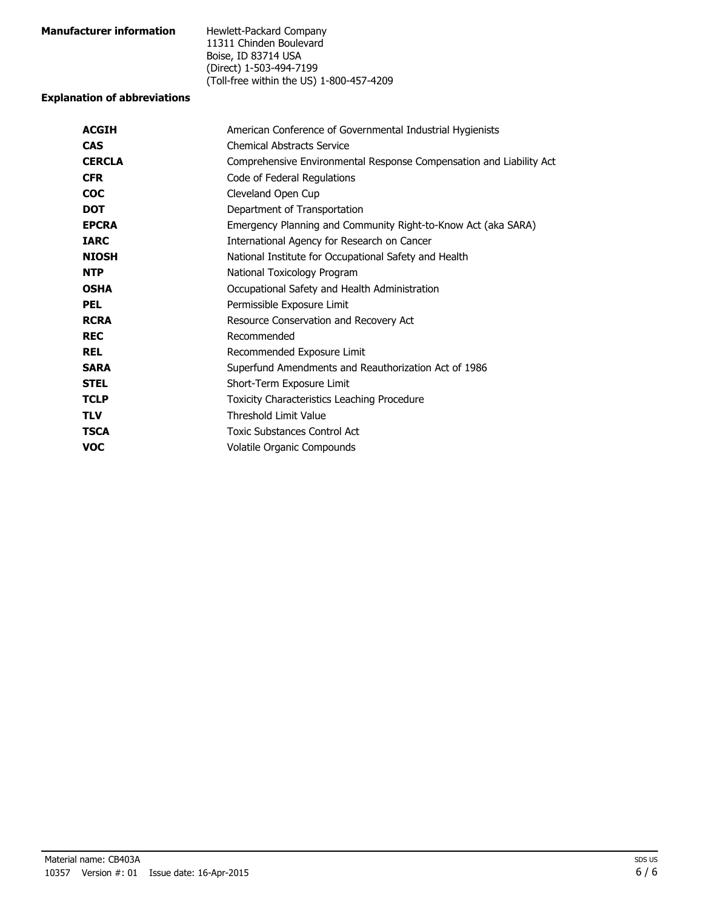| <b>Manufacturer information</b> | Hewlett-Packard Company                  |
|---------------------------------|------------------------------------------|
|                                 | 11311 Chinden Boulevard                  |
|                                 | Boise, ID 83714 USA                      |
|                                 | (Direct) 1-503-494-7199                  |
|                                 | (Toll-free within the US) 1-800-457-4209 |

#### **Explanation of abbreviations**

| American Conference of Governmental Industrial Hygienists           |
|---------------------------------------------------------------------|
| <b>Chemical Abstracts Service</b>                                   |
| Comprehensive Environmental Response Compensation and Liability Act |
| Code of Federal Regulations                                         |
| Cleveland Open Cup                                                  |
| Department of Transportation                                        |
| Emergency Planning and Community Right-to-Know Act (aka SARA)       |
| International Agency for Research on Cancer                         |
| National Institute for Occupational Safety and Health               |
| National Toxicology Program                                         |
| Occupational Safety and Health Administration                       |
| Permissible Exposure Limit                                          |
| Resource Conservation and Recovery Act                              |
| Recommended                                                         |
| Recommended Exposure Limit                                          |
| Superfund Amendments and Reauthorization Act of 1986                |
| Short-Term Exposure Limit                                           |
| Toxicity Characteristics Leaching Procedure                         |
| <b>Threshold Limit Value</b>                                        |
| Toxic Substances Control Act                                        |
| Volatile Organic Compounds                                          |
|                                                                     |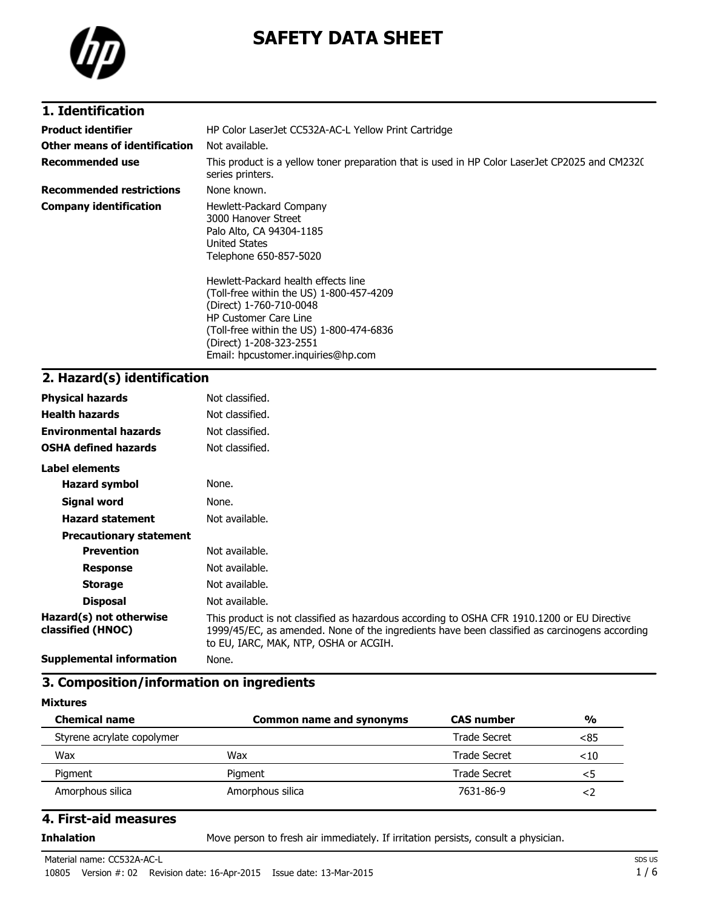

# **SAFETY DATA SHEET**

### **1. Identification**

| <b>Product identifier</b>       | HP Color LaserJet CC532A-AC-L Yellow Print Cartridge                                                                                                                                                                                                                                                                                                                             |  |
|---------------------------------|----------------------------------------------------------------------------------------------------------------------------------------------------------------------------------------------------------------------------------------------------------------------------------------------------------------------------------------------------------------------------------|--|
| Other means of identification   | Not available.                                                                                                                                                                                                                                                                                                                                                                   |  |
| <b>Recommended use</b>          | This product is a yellow toner preparation that is used in HP Color LaserJet CP2025 and CM232C<br>series printers.                                                                                                                                                                                                                                                               |  |
| <b>Recommended restrictions</b> | None known.                                                                                                                                                                                                                                                                                                                                                                      |  |
| <b>Company identification</b>   | Hewlett-Packard Company<br>3000 Hanover Street<br>Palo Alto, CA 94304-1185<br>United States<br>Telephone 650-857-5020<br>Hewlett-Packard health effects line<br>(Toll-free within the US) 1-800-457-4209<br>(Direct) 1-760-710-0048<br><b>HP Customer Care Line</b><br>(Toll-free within the US) 1-800-474-6836<br>(Direct) 1-208-323-2551<br>Email: hpcustomer.inquiries@hp.com |  |

## **2. Hazard(s) identification**

| <b>Physical hazards</b>                      | Not classified.                                                                                                                                                                                                                       |
|----------------------------------------------|---------------------------------------------------------------------------------------------------------------------------------------------------------------------------------------------------------------------------------------|
| <b>Health hazards</b>                        | Not classified.                                                                                                                                                                                                                       |
| <b>Environmental hazards</b>                 | Not classified.                                                                                                                                                                                                                       |
| <b>OSHA defined hazards</b>                  | Not classified.                                                                                                                                                                                                                       |
| Label elements                               |                                                                                                                                                                                                                                       |
| <b>Hazard symbol</b>                         | None.                                                                                                                                                                                                                                 |
| Signal word                                  | None.                                                                                                                                                                                                                                 |
| <b>Hazard statement</b>                      | Not available.                                                                                                                                                                                                                        |
| <b>Precautionary statement</b>               |                                                                                                                                                                                                                                       |
| <b>Prevention</b>                            | Not available.                                                                                                                                                                                                                        |
| <b>Response</b>                              | Not available.                                                                                                                                                                                                                        |
| <b>Storage</b>                               | Not available.                                                                                                                                                                                                                        |
| <b>Disposal</b>                              | Not available.                                                                                                                                                                                                                        |
| Hazard(s) not otherwise<br>classified (HNOC) | This product is not classified as hazardous according to OSHA CFR 1910.1200 or EU Directive<br>1999/45/EC, as amended. None of the ingredients have been classified as carcinogens according<br>to EU, IARC, MAK, NTP, OSHA or ACGIH. |
| <b>Supplemental information</b>              | None.                                                                                                                                                                                                                                 |

#### **3. Composition/information on ingredients**

#### **Mixtures**

| <b>Chemical name</b>       | Common name and synonyms | <b>CAS</b> number | $\frac{0}{0}$ |
|----------------------------|--------------------------|-------------------|---------------|
| Styrene acrylate copolymer |                          | Trade Secret      | <85           |
| Wax                        | Wax                      | Trade Secret      | $<$ 10        |
| Pigment                    | Pigment                  | Trade Secret      | <5            |
| Amorphous silica           | Amorphous silica         | 7631-86-9         | ≺ ∕           |

### **4. First-aid measures**

**Inhalation** Move person to fresh air immediately. If irritation persists, consult a physician.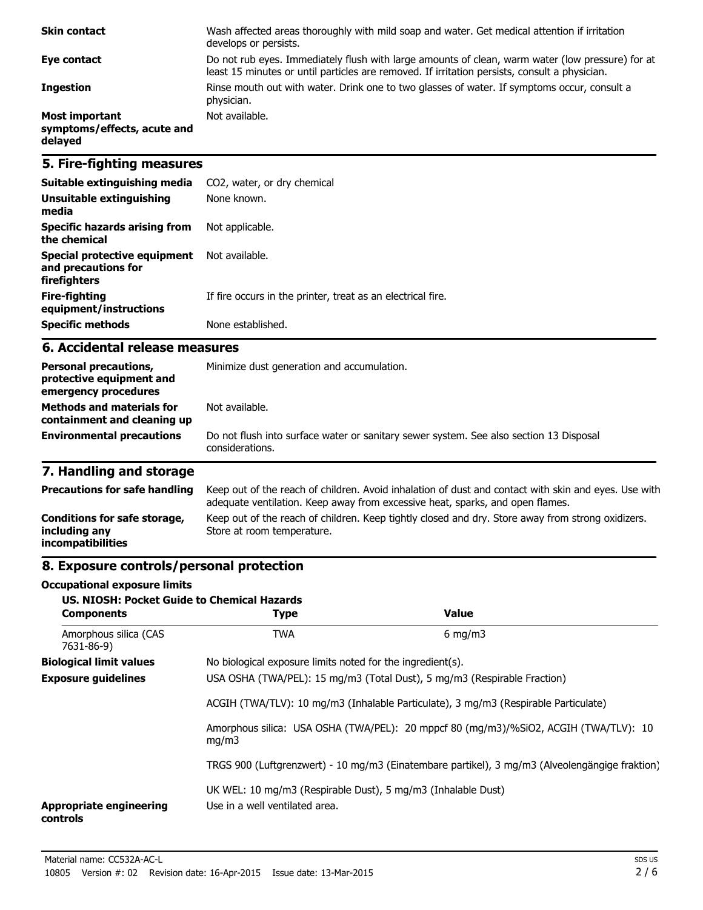| <b>Skin contact</b>                                      | Wash affected areas thoroughly with mild soap and water. Get medical attention if irritation<br>develops or persists.                                                                             |
|----------------------------------------------------------|---------------------------------------------------------------------------------------------------------------------------------------------------------------------------------------------------|
| Eye contact                                              | Do not rub eyes. Immediately flush with large amounts of clean, warm water (low pressure) for at<br>least 15 minutes or until particles are removed. If irritation persists, consult a physician. |
| <b>Ingestion</b>                                         | Rinse mouth out with water. Drink one to two glasses of water. If symptoms occur, consult a<br>physician.                                                                                         |
| Most important<br>symptoms/effects, acute and<br>delayed | Not available.                                                                                                                                                                                    |

### **5. Fire-fighting measures**

| Suitable extinguishing media                                        | CO2, water, or dry chemical                                 |
|---------------------------------------------------------------------|-------------------------------------------------------------|
| Unsuitable extinguishing<br>media                                   | None known.                                                 |
| Specific hazards arising from<br>the chemical                       | Not applicable.                                             |
| Special protective equipment<br>and precautions for<br>firefighters | Not available.                                              |
| Fire-fighting<br>equipment/instructions                             | If fire occurs in the printer, treat as an electrical fire. |
| <b>Specific methods</b>                                             | None established.                                           |

#### **6. Accidental release measures**

| <b>Personal precautions,</b><br>protective equipment and<br>emergency procedures<br><b>Methods and materials for</b> | Minimize dust generation and accumulation.<br>Not available.                                              |  |
|----------------------------------------------------------------------------------------------------------------------|-----------------------------------------------------------------------------------------------------------|--|
| containment and cleaning up                                                                                          |                                                                                                           |  |
| <b>Environmental precautions</b>                                                                                     | Do not flush into surface water or sanitary sewer system. See also section 13 Disposal<br>considerations. |  |

## **7. Handling and storage**

| <b>Precautions for safe handling</b>                                      | Keep out of the reach of children. Avoid inhalation of dust and contact with skin and eyes. Use with<br>adequate ventilation. Keep away from excessive heat, sparks, and open flames. |
|---------------------------------------------------------------------------|---------------------------------------------------------------------------------------------------------------------------------------------------------------------------------------|
| Conditions for safe storage,<br>including any<br><i>incompatibilities</i> | Keep out of the reach of children. Keep tightly closed and dry. Store away from strong oxidizers.<br>Store at room temperature.                                                       |

## **8. Exposure controls/personal protection**

#### **Occupational exposure limits**

| <b>US. NIOSH: Pocket Guide to Chemical Hazards</b><br><b>Components</b> | <b>Type</b>                                                                                    | Value                                                                                          |
|-------------------------------------------------------------------------|------------------------------------------------------------------------------------------------|------------------------------------------------------------------------------------------------|
| Amorphous silica (CAS<br>7631-86-9)                                     | <b>TWA</b>                                                                                     | $6 \text{ mg/m}$                                                                               |
| <b>Biological limit values</b>                                          | No biological exposure limits noted for the ingredient(s).                                     |                                                                                                |
| <b>Exposure guidelines</b>                                              | USA OSHA (TWA/PEL): 15 mg/m3 (Total Dust), 5 mg/m3 (Respirable Fraction)                       |                                                                                                |
| mq/m3                                                                   | ACGIH (TWA/TLV): 10 mg/m3 (Inhalable Particulate), 3 mg/m3 (Respirable Particulate)            |                                                                                                |
|                                                                         |                                                                                                | Amorphous silica: USA OSHA (TWA/PEL): 20 mppcf 80 (mg/m3)/%SiO2, ACGIH (TWA/TLV): 10           |
|                                                                         |                                                                                                | TRGS 900 (Luftgrenzwert) - 10 mg/m3 (Einatembare partikel), 3 mg/m3 (Alveolengängige fraktion) |
| <b>Appropriate engineering</b><br>controls                              | UK WEL: 10 mg/m3 (Respirable Dust), 5 mg/m3 (Inhalable Dust)<br>Use in a well ventilated area. |                                                                                                |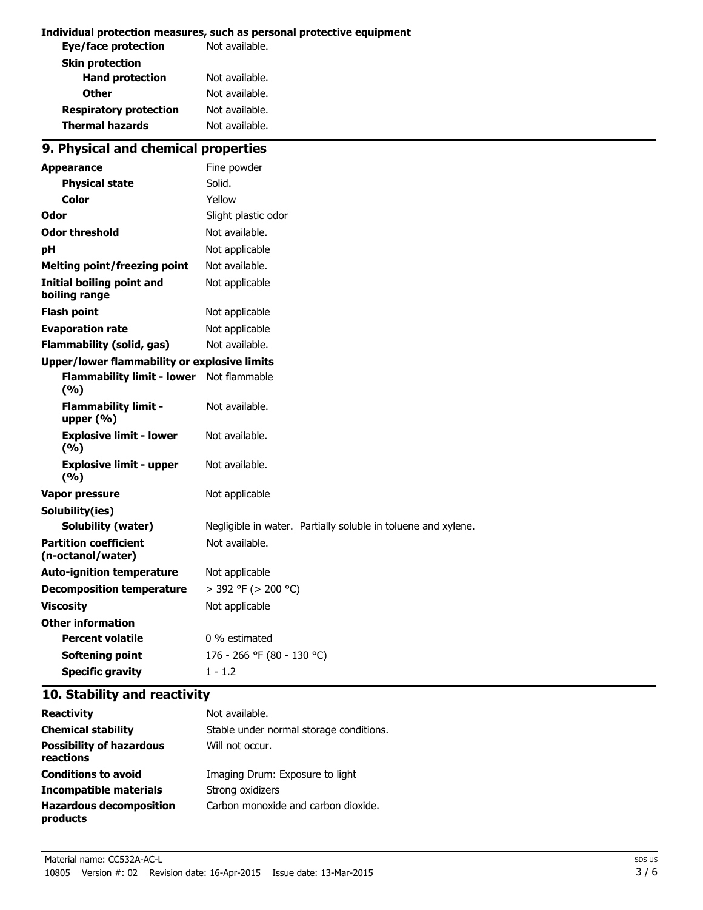#### **Individual protection measures, such as personal protective equipment**

| Not available. |
|----------------|
|                |
| Not available. |
| Not available. |
| Not available. |
| Not available. |
|                |

## **9. Physical and chemical properties**

| <b>Appearance</b>                                   | Fine powder                                                   |
|-----------------------------------------------------|---------------------------------------------------------------|
| <b>Physical state</b>                               | Solid.                                                        |
| <b>Color</b>                                        | Yellow                                                        |
| Odor                                                | Slight plastic odor                                           |
| <b>Odor threshold</b>                               | Not available.                                                |
| рH                                                  | Not applicable                                                |
| <b>Melting point/freezing point</b>                 | Not available.                                                |
| <b>Initial boiling point and</b><br>boiling range   | Not applicable                                                |
| <b>Flash point</b>                                  | Not applicable                                                |
| <b>Evaporation rate</b>                             | Not applicable                                                |
| <b>Flammability (solid, gas)</b>                    | Not available.                                                |
| <b>Upper/lower flammability or explosive limits</b> |                                                               |
| <b>Flammability limit - lower</b><br>(9/6)          | Not flammable                                                 |
| <b>Flammability limit -</b><br>upper $(% )$         | Not available.                                                |
| <b>Explosive limit - lower</b><br>(%)               | Not available.                                                |
| <b>Explosive limit - upper</b><br>(9/6)             | Not available.                                                |
| <b>Vapor pressure</b>                               | Not applicable                                                |
| Solubility(ies)                                     |                                                               |
| <b>Solubility (water)</b>                           | Negligible in water. Partially soluble in toluene and xylene. |
| <b>Partition coefficient</b><br>(n-octanol/water)   | Not available.                                                |
| <b>Auto-ignition temperature</b>                    | Not applicable                                                |
| <b>Decomposition temperature</b>                    | > 392 °F (> 200 °C)                                           |
| <b>Viscosity</b>                                    | Not applicable                                                |
| <b>Other information</b>                            |                                                               |
| <b>Percent volatile</b>                             | 0 % estimated                                                 |
| <b>Softening point</b>                              | 176 - 266 °F (80 - 130 °C)                                    |
| <b>Specific gravity</b>                             | $1 - 1.2$                                                     |

### **10. Stability and reactivity**

| <b>Reactivity</b>                            | Not available.                          |
|----------------------------------------------|-----------------------------------------|
| <b>Chemical stability</b>                    | Stable under normal storage conditions. |
| <b>Possibility of hazardous</b><br>reactions | Will not occur.                         |
| <b>Conditions to avoid</b>                   | Imaging Drum: Exposure to light         |
| Incompatible materials                       | Strong oxidizers                        |
| <b>Hazardous decomposition</b><br>products   | Carbon monoxide and carbon dioxide.     |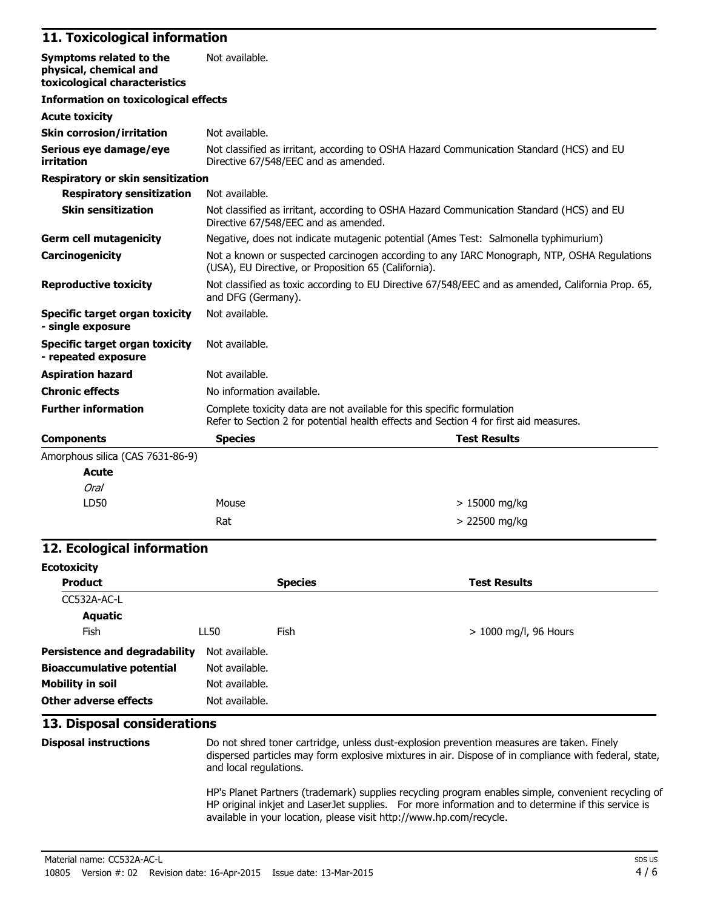#### **11. Toxicological information**

| Symptoms related to the<br>physical, chemical and<br>toxicological characteristics | Not available.                                                                                                                                                  |  |
|------------------------------------------------------------------------------------|-----------------------------------------------------------------------------------------------------------------------------------------------------------------|--|
| <b>Information on toxicological effects</b>                                        |                                                                                                                                                                 |  |
| <b>Acute toxicity</b>                                                              |                                                                                                                                                                 |  |
| <b>Skin corrosion/irritation</b>                                                   | Not available.                                                                                                                                                  |  |
| Serious eye damage/eye<br>irritation                                               | Not classified as irritant, according to OSHA Hazard Communication Standard (HCS) and EU<br>Directive 67/548/EEC and as amended.                                |  |
| <b>Respiratory or skin sensitization</b>                                           |                                                                                                                                                                 |  |
| <b>Respiratory sensitization</b>                                                   | Not available.                                                                                                                                                  |  |
| <b>Skin sensitization</b>                                                          | Not classified as irritant, according to OSHA Hazard Communication Standard (HCS) and EU<br>Directive 67/548/EEC and as amended.                                |  |
| <b>Germ cell mutagenicity</b>                                                      | Negative, does not indicate mutagenic potential (Ames Test: Salmonella typhimurium)                                                                             |  |
| Carcinogenicity                                                                    | Not a known or suspected carcinogen according to any IARC Monograph, NTP, OSHA Regulations<br>(USA), EU Directive, or Proposition 65 (California).              |  |
| <b>Reproductive toxicity</b>                                                       | Not classified as toxic according to EU Directive 67/548/EEC and as amended, California Prop. 65,<br>and DFG (Germany).                                         |  |
| Specific target organ toxicity<br>- single exposure                                | Not available.                                                                                                                                                  |  |
| <b>Specific target organ toxicity</b><br>- repeated exposure                       | Not available.                                                                                                                                                  |  |
| <b>Aspiration hazard</b>                                                           | Not available.                                                                                                                                                  |  |
| <b>Chronic effects</b>                                                             | No information available.                                                                                                                                       |  |
| <b>Further information</b>                                                         | Complete toxicity data are not available for this specific formulation<br>Refer to Section 2 for potential health effects and Section 4 for first aid measures. |  |
| <b>Components</b>                                                                  | <b>Species</b><br><b>Test Results</b>                                                                                                                           |  |
| Amorphous silica (CAS 7631-86-9)                                                   |                                                                                                                                                                 |  |
| <b>Acute</b>                                                                       |                                                                                                                                                                 |  |
| Oral                                                                               |                                                                                                                                                                 |  |

| ∟D50 | Mouse | > 15000 mg/kg |
|------|-------|---------------|
|      | Rat   | > 22500 mg/kg |

### **12. Ecological information**

| <b>Ecotoxicity</b>               |                |                |                       |
|----------------------------------|----------------|----------------|-----------------------|
| <b>Product</b>                   |                | <b>Species</b> | <b>Test Results</b>   |
| CC532A-AC-L                      |                |                |                       |
| Aquatic                          |                |                |                       |
| Fish                             | LL50           | Fish           | > 1000 mg/l, 96 Hours |
| Persistence and degradability    | Not available. |                |                       |
| <b>Bioaccumulative potential</b> | Not available. |                |                       |
| <b>Mobility in soil</b>          | Not available. |                |                       |
| Other adverse effects            | Not available. |                |                       |

#### **13. Disposal considerations**

**Disposal instructions** Do not shred toner cartridge, unless dust-explosion prevention measures are taken. Finely dispersed particles may form explosive mixtures in air. Dispose of in compliance with federal, state, and local regulations.

HP's Planet Partners (trademark) supplies recycling program enables simple, convenient recycling of HP original inkjet and LaserJet supplies. For more information and to determine if this service is available in your location, please visit http://www.hp.com/recycle.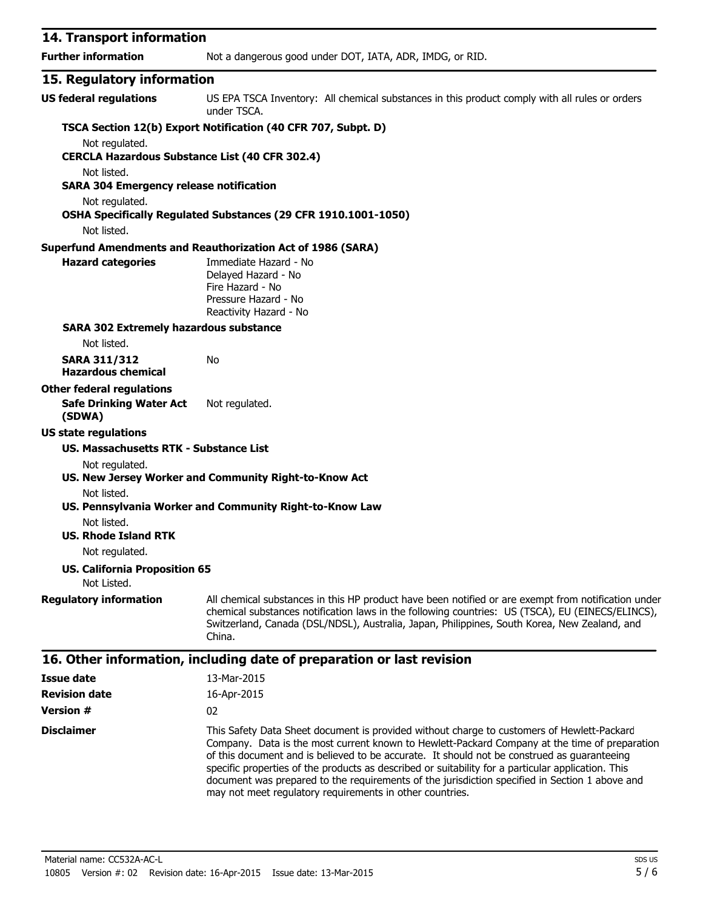| 14. Transport information                                     |                                                                                                                                                                                                                                                                                                                   |
|---------------------------------------------------------------|-------------------------------------------------------------------------------------------------------------------------------------------------------------------------------------------------------------------------------------------------------------------------------------------------------------------|
| <b>Further information</b>                                    | Not a dangerous good under DOT, IATA, ADR, IMDG, or RID.                                                                                                                                                                                                                                                          |
| 15. Regulatory information                                    |                                                                                                                                                                                                                                                                                                                   |
| <b>US federal regulations</b>                                 | US EPA TSCA Inventory: All chemical substances in this product comply with all rules or orders<br>under TSCA.                                                                                                                                                                                                     |
| Not regulated.                                                | TSCA Section 12(b) Export Notification (40 CFR 707, Subpt. D)                                                                                                                                                                                                                                                     |
| <b>CERCLA Hazardous Substance List (40 CFR 302.4)</b>         |                                                                                                                                                                                                                                                                                                                   |
| Not listed.<br><b>SARA 304 Emergency release notification</b> |                                                                                                                                                                                                                                                                                                                   |
| Not regulated.<br>Not listed.                                 | OSHA Specifically Regulated Substances (29 CFR 1910.1001-1050)                                                                                                                                                                                                                                                    |
|                                                               | <b>Superfund Amendments and Reauthorization Act of 1986 (SARA)</b>                                                                                                                                                                                                                                                |
| <b>Hazard categories</b>                                      | Immediate Hazard - No<br>Delayed Hazard - No<br>Fire Hazard - No<br>Pressure Hazard - No<br>Reactivity Hazard - No                                                                                                                                                                                                |
| <b>SARA 302 Extremely hazardous substance</b>                 |                                                                                                                                                                                                                                                                                                                   |
| Not listed.                                                   |                                                                                                                                                                                                                                                                                                                   |
| <b>SARA 311/312</b><br><b>Hazardous chemical</b>              | No                                                                                                                                                                                                                                                                                                                |
| <b>Other federal regulations</b>                              |                                                                                                                                                                                                                                                                                                                   |
| <b>Safe Drinking Water Act</b><br>(SDWA)                      | Not regulated.                                                                                                                                                                                                                                                                                                    |
| <b>US state regulations</b>                                   |                                                                                                                                                                                                                                                                                                                   |
| US. Massachusetts RTK - Substance List                        |                                                                                                                                                                                                                                                                                                                   |
| Not regulated.                                                | US. New Jersey Worker and Community Right-to-Know Act                                                                                                                                                                                                                                                             |
| Not listed.                                                   | US. Pennsylvania Worker and Community Right-to-Know Law                                                                                                                                                                                                                                                           |
| Not listed.<br><b>US. Rhode Island RTK</b>                    |                                                                                                                                                                                                                                                                                                                   |
| Not regulated.                                                |                                                                                                                                                                                                                                                                                                                   |
| <b>US. California Proposition 65</b><br>Not Listed.           |                                                                                                                                                                                                                                                                                                                   |
| <b>Regulatory information</b>                                 | All chemical substances in this HP product have been notified or are exempt from notification under<br>chemical substances notification laws in the following countries: US (TSCA), EU (EINECS/ELINCS),<br>Switzerland, Canada (DSL/NDSL), Australia, Japan, Philippines, South Korea, New Zealand, and<br>China. |
|                                                               | 16. Other information, including date of preparation or last revision                                                                                                                                                                                                                                             |
| Issue date                                                    | 13-Mar-2015                                                                                                                                                                                                                                                                                                       |
| <b>Revision date</b>                                          | 16-Apr-2015                                                                                                                                                                                                                                                                                                       |

**Version #** 02 **Disclaimer** This Safety Data Sheet document is provided without charge to customers of Hewlett-Packard Company. Data is the most current known to Hewlett-Packard Company at the time of preparation of this document and is believed to be accurate. It should not be construed as guaranteeing specific properties of the products as described or suitability for a particular application. This document was prepared to the requirements of the jurisdiction specified in Section 1 above and may not meet regulatory requirements in other countries.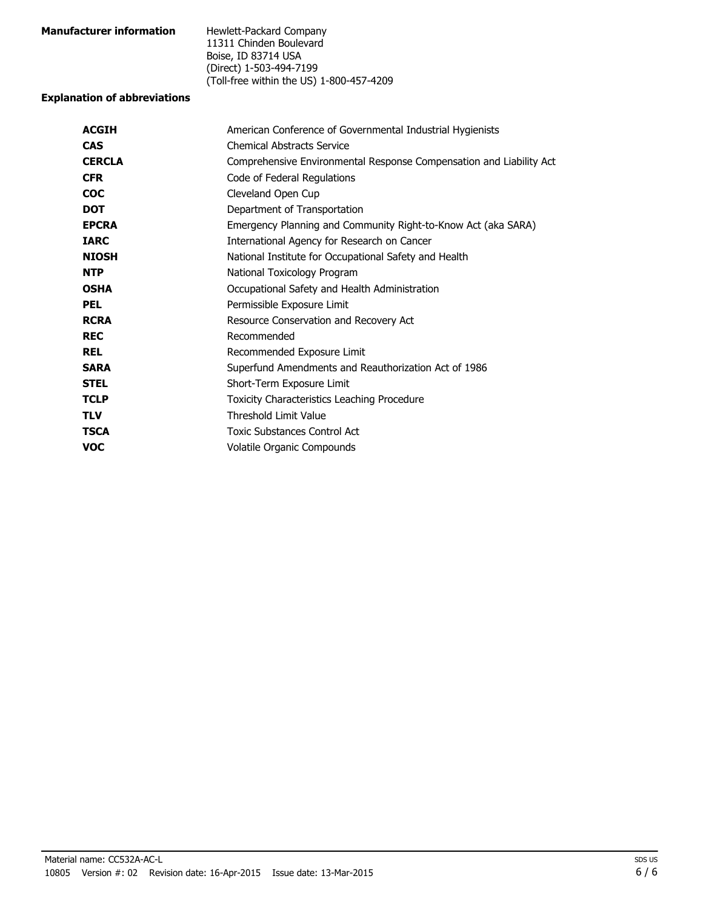| <b>Manufacturer information</b> | Hewlett-Packard Company                  |
|---------------------------------|------------------------------------------|
|                                 | 11311 Chinden Boulevard                  |
|                                 | Boise, ID 83714 USA                      |
|                                 | (Direct) 1-503-494-7199                  |
|                                 | (Toll-free within the US) 1-800-457-4209 |

#### **Explanation of abbreviations**

| <b>ACGIH</b>  | American Conference of Governmental Industrial Hygienists           |  |  |
|---------------|---------------------------------------------------------------------|--|--|
| <b>CAS</b>    | <b>Chemical Abstracts Service</b>                                   |  |  |
| <b>CERCLA</b> | Comprehensive Environmental Response Compensation and Liability Act |  |  |
| <b>CFR</b>    | Code of Federal Regulations                                         |  |  |
| <b>COC</b>    | Cleveland Open Cup                                                  |  |  |
| <b>DOT</b>    | Department of Transportation                                        |  |  |
| <b>EPCRA</b>  | Emergency Planning and Community Right-to-Know Act (aka SARA)       |  |  |
| <b>IARC</b>   | International Agency for Research on Cancer                         |  |  |
| <b>NIOSH</b>  | National Institute for Occupational Safety and Health               |  |  |
| <b>NTP</b>    | National Toxicology Program                                         |  |  |
| <b>OSHA</b>   | Occupational Safety and Health Administration                       |  |  |
| <b>PEL</b>    | Permissible Exposure Limit                                          |  |  |
| <b>RCRA</b>   | Resource Conservation and Recovery Act                              |  |  |
| <b>REC</b>    | Recommended                                                         |  |  |
| <b>REL</b>    | Recommended Exposure Limit                                          |  |  |
| <b>SARA</b>   | Superfund Amendments and Reauthorization Act of 1986                |  |  |
| <b>STEL</b>   | Short-Term Exposure Limit                                           |  |  |
| <b>TCLP</b>   | <b>Toxicity Characteristics Leaching Procedure</b>                  |  |  |
| <b>TLV</b>    | <b>Threshold Limit Value</b>                                        |  |  |
| <b>TSCA</b>   | Toxic Substances Control Act                                        |  |  |
| <b>VOC</b>    | Volatile Organic Compounds                                          |  |  |
|               |                                                                     |  |  |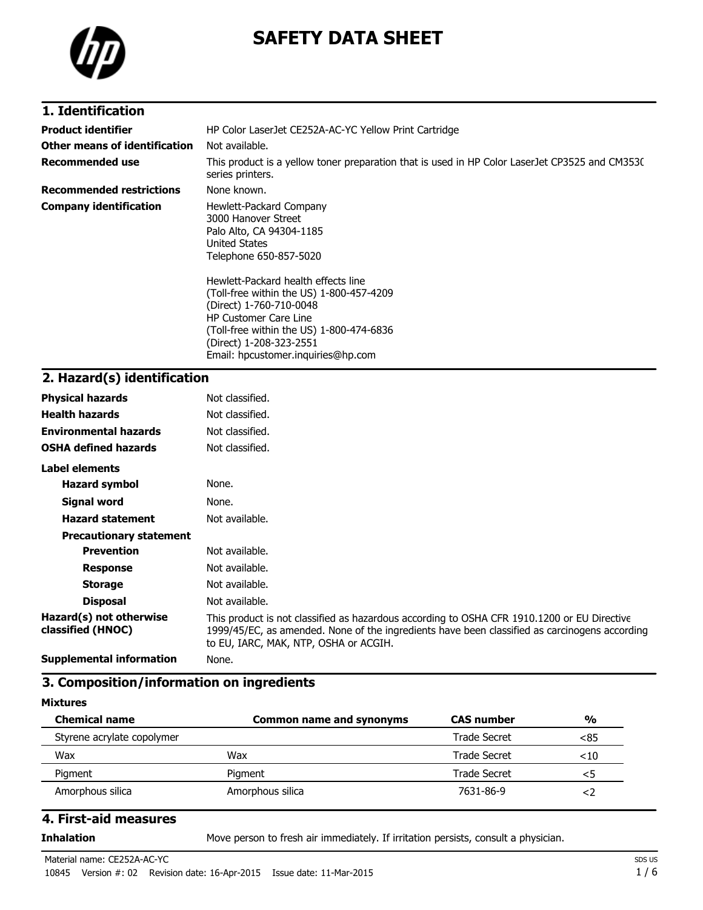

# **SAFETY DATA SHEET**

### **1. Identification**

| <b>Product identifier</b>       | HP Color LaserJet CE252A-AC-YC Yellow Print Cartridge                                                                                                                                                                                                                                                                                                                            |  |  |
|---------------------------------|----------------------------------------------------------------------------------------------------------------------------------------------------------------------------------------------------------------------------------------------------------------------------------------------------------------------------------------------------------------------------------|--|--|
| Other means of identification   | Not available.                                                                                                                                                                                                                                                                                                                                                                   |  |  |
| Recommended use                 | This product is a yellow toner preparation that is used in HP Color LaserJet CP3525 and CM353C<br>series printers.                                                                                                                                                                                                                                                               |  |  |
| <b>Recommended restrictions</b> | None known.                                                                                                                                                                                                                                                                                                                                                                      |  |  |
| <b>Company identification</b>   | Hewlett-Packard Company<br>3000 Hanover Street<br>Palo Alto, CA 94304-1185<br>United States<br>Telephone 650-857-5020<br>Hewlett-Packard health effects line<br>(Toll-free within the US) 1-800-457-4209<br>(Direct) 1-760-710-0048<br><b>HP Customer Care Line</b><br>(Toll-free within the US) 1-800-474-6836<br>(Direct) 1-208-323-2551<br>Email: hpcustomer.inquiries@hp.com |  |  |

## **2. Hazard(s) identification**

| <b>Physical hazards</b>                      | Not classified.                                                                                                                                                                                                                       |
|----------------------------------------------|---------------------------------------------------------------------------------------------------------------------------------------------------------------------------------------------------------------------------------------|
| <b>Health hazards</b>                        | Not classified.                                                                                                                                                                                                                       |
| <b>Environmental hazards</b>                 | Not classified.                                                                                                                                                                                                                       |
| <b>OSHA defined hazards</b>                  | Not classified.                                                                                                                                                                                                                       |
| Label elements                               |                                                                                                                                                                                                                                       |
| <b>Hazard symbol</b>                         | None.                                                                                                                                                                                                                                 |
| <b>Signal word</b>                           | None.                                                                                                                                                                                                                                 |
| <b>Hazard statement</b>                      | Not available.                                                                                                                                                                                                                        |
| <b>Precautionary statement</b>               |                                                                                                                                                                                                                                       |
| <b>Prevention</b>                            | Not available.                                                                                                                                                                                                                        |
| <b>Response</b>                              | Not available.                                                                                                                                                                                                                        |
| <b>Storage</b>                               | Not available.                                                                                                                                                                                                                        |
| <b>Disposal</b>                              | Not available.                                                                                                                                                                                                                        |
| Hazard(s) not otherwise<br>classified (HNOC) | This product is not classified as hazardous according to OSHA CFR 1910.1200 or EU Directive<br>1999/45/EC, as amended. None of the ingredients have been classified as carcinogens according<br>to EU, IARC, MAK, NTP, OSHA or ACGIH. |
| <b>Supplemental information</b>              | None.                                                                                                                                                                                                                                 |

#### **3. Composition/information on ingredients**

#### **Mixtures**

| <b>Chemical name</b>       | Common name and synonyms | <b>CAS</b> number | $\frac{0}{0}$ |
|----------------------------|--------------------------|-------------------|---------------|
| Styrene acrylate copolymer |                          | Trade Secret      | <85           |
| Wax                        | Wax                      | Trade Secret      | $<$ 10        |
| Pigment                    | Pigment                  | Trade Secret      | <5            |
| Amorphous silica           | Amorphous silica         | 7631-86-9         | ≺ ∕           |

#### **4. First-aid measures**

**Inhalation** Move person to fresh air immediately. If irritation persists, consult a physician.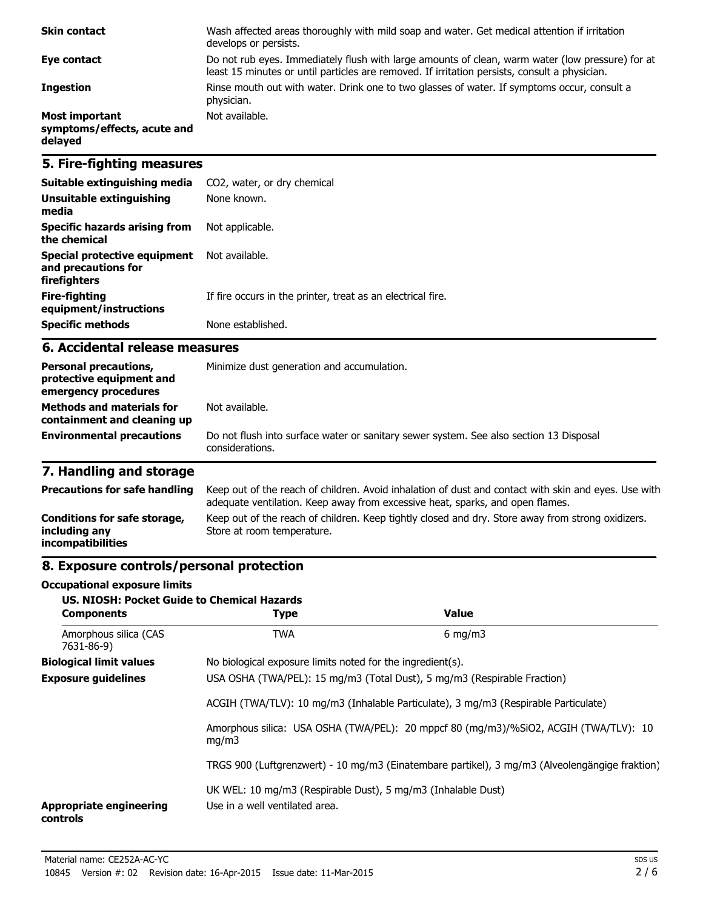| <b>Skin contact</b>                                             | Wash affected areas thoroughly with mild soap and water. Get medical attention if irritation<br>develops or persists.                                                                             |
|-----------------------------------------------------------------|---------------------------------------------------------------------------------------------------------------------------------------------------------------------------------------------------|
| Eye contact                                                     | Do not rub eyes. Immediately flush with large amounts of clean, warm water (low pressure) for at<br>least 15 minutes or until particles are removed. If irritation persists, consult a physician. |
| <b>Ingestion</b>                                                | Rinse mouth out with water. Drink one to two glasses of water. If symptoms occur, consult a<br>physician.                                                                                         |
| <b>Most important</b><br>symptoms/effects, acute and<br>delayed | Not available.                                                                                                                                                                                    |

### **5. Fire-fighting measures**

| Suitable extinguishing media                                        | CO2, water, or dry chemical                                 |
|---------------------------------------------------------------------|-------------------------------------------------------------|
| Unsuitable extinguishing<br>media                                   | None known.                                                 |
| Specific hazards arising from<br>the chemical                       | Not applicable.                                             |
| Special protective equipment<br>and precautions for<br>firefighters | Not available.                                              |
| Fire-fighting<br>equipment/instructions                             | If fire occurs in the printer, treat as an electrical fire. |
| <b>Specific methods</b>                                             | None established.                                           |

#### **6. Accidental release measures**

| <b>Personal precautions,</b><br>protective equipment and<br>emergency procedures | Minimize dust generation and accumulation.                                                                |  |
|----------------------------------------------------------------------------------|-----------------------------------------------------------------------------------------------------------|--|
| <b>Methods and materials for</b><br>containment and cleaning up                  | Not available.                                                                                            |  |
| <b>Environmental precautions</b>                                                 | Do not flush into surface water or sanitary sewer system. See also section 13 Disposal<br>considerations. |  |

## **7. Handling and storage**

| <b>Precautions for safe handling</b>                                      | Keep out of the reach of children. Avoid inhalation of dust and contact with skin and eyes. Use with<br>adequate ventilation. Keep away from excessive heat, sparks, and open flames. |
|---------------------------------------------------------------------------|---------------------------------------------------------------------------------------------------------------------------------------------------------------------------------------|
| Conditions for safe storage,<br>including any<br><i>incompatibilities</i> | Keep out of the reach of children. Keep tightly closed and dry. Store away from strong oxidizers.<br>Store at room temperature.                                                       |

## **8. Exposure controls/personal protection**

#### **Occupational exposure limits**

| <b>US. NIOSH: Pocket Guide to Chemical Hazards</b><br><b>Components</b> | <b>Type</b>                                                                                    | Value            |  |
|-------------------------------------------------------------------------|------------------------------------------------------------------------------------------------|------------------|--|
| Amorphous silica (CAS<br>7631-86-9)                                     | <b>TWA</b>                                                                                     | $6 \text{ mg/m}$ |  |
| <b>Biological limit values</b>                                          | No biological exposure limits noted for the ingredient(s).                                     |                  |  |
| <b>Exposure guidelines</b>                                              | USA OSHA (TWA/PEL): 15 mg/m3 (Total Dust), 5 mg/m3 (Respirable Fraction)                       |                  |  |
|                                                                         | ACGIH (TWA/TLV): 10 mg/m3 (Inhalable Particulate), 3 mg/m3 (Respirable Particulate)            |                  |  |
|                                                                         | Amorphous silica: USA OSHA (TWA/PEL): 20 mppcf 80 (mg/m3)/%SiO2, ACGIH (TWA/TLV): 10<br>mq/m3  |                  |  |
|                                                                         | TRGS 900 (Luftgrenzwert) - 10 mg/m3 (Einatembare partikel), 3 mg/m3 (Alveolengängige fraktion) |                  |  |
| <b>Appropriate engineering</b><br>controls                              | UK WEL: 10 mg/m3 (Respirable Dust), 5 mg/m3 (Inhalable Dust)<br>Use in a well ventilated area. |                  |  |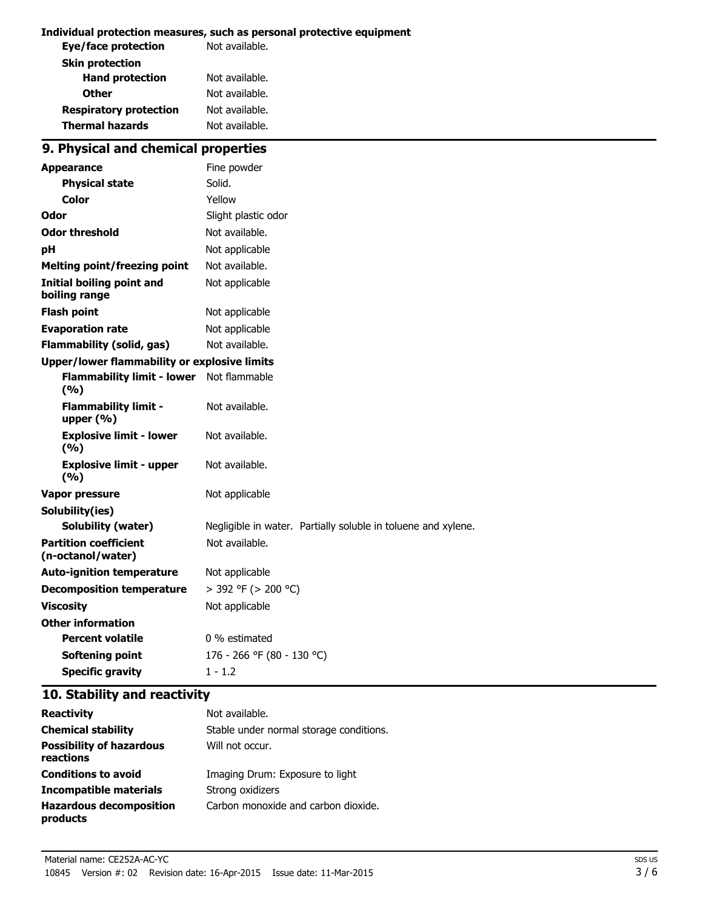#### **Individual protection measures, such as personal protective equipment**

| Not available. |
|----------------|
|                |
| Not available. |
| Not available. |
| Not available. |
| Not available. |
|                |

## **9. Physical and chemical properties**

| <b>Appearance</b>                                   | Fine powder                                                   |
|-----------------------------------------------------|---------------------------------------------------------------|
| <b>Physical state</b>                               | Solid.                                                        |
| <b>Color</b>                                        | Yellow                                                        |
| Odor                                                | Slight plastic odor                                           |
| <b>Odor threshold</b>                               | Not available.                                                |
| рH                                                  | Not applicable                                                |
| <b>Melting point/freezing point</b>                 | Not available.                                                |
| <b>Initial boiling point and</b><br>boiling range   | Not applicable                                                |
| <b>Flash point</b>                                  | Not applicable                                                |
| <b>Evaporation rate</b>                             | Not applicable                                                |
| <b>Flammability (solid, gas)</b>                    | Not available.                                                |
| <b>Upper/lower flammability or explosive limits</b> |                                                               |
| <b>Flammability limit - lower</b><br>(9/6)          | Not flammable                                                 |
| <b>Flammability limit -</b><br>upper $(% )$         | Not available.                                                |
| <b>Explosive limit - lower</b><br>(%)               | Not available.                                                |
| <b>Explosive limit - upper</b><br>(9/6)             | Not available.                                                |
| <b>Vapor pressure</b>                               | Not applicable                                                |
| Solubility(ies)                                     |                                                               |
| <b>Solubility (water)</b>                           | Negligible in water. Partially soluble in toluene and xylene. |
| <b>Partition coefficient</b><br>(n-octanol/water)   | Not available.                                                |
| <b>Auto-ignition temperature</b>                    | Not applicable                                                |
| <b>Decomposition temperature</b>                    | > 392 °F (> 200 °C)                                           |
| <b>Viscosity</b>                                    | Not applicable                                                |
| <b>Other information</b>                            |                                                               |
| <b>Percent volatile</b>                             | 0 % estimated                                                 |
| <b>Softening point</b>                              | 176 - 266 °F (80 - 130 °C)                                    |
| <b>Specific gravity</b>                             | $1 - 1.2$                                                     |

### **10. Stability and reactivity**

| <b>Reactivity</b>                            | Not available.                          |
|----------------------------------------------|-----------------------------------------|
| <b>Chemical stability</b>                    | Stable under normal storage conditions. |
| <b>Possibility of hazardous</b><br>reactions | Will not occur.                         |
| <b>Conditions to avoid</b>                   | Imaging Drum: Exposure to light         |
| Incompatible materials                       | Strong oxidizers                        |
| <b>Hazardous decomposition</b><br>products   | Carbon monoxide and carbon dioxide.     |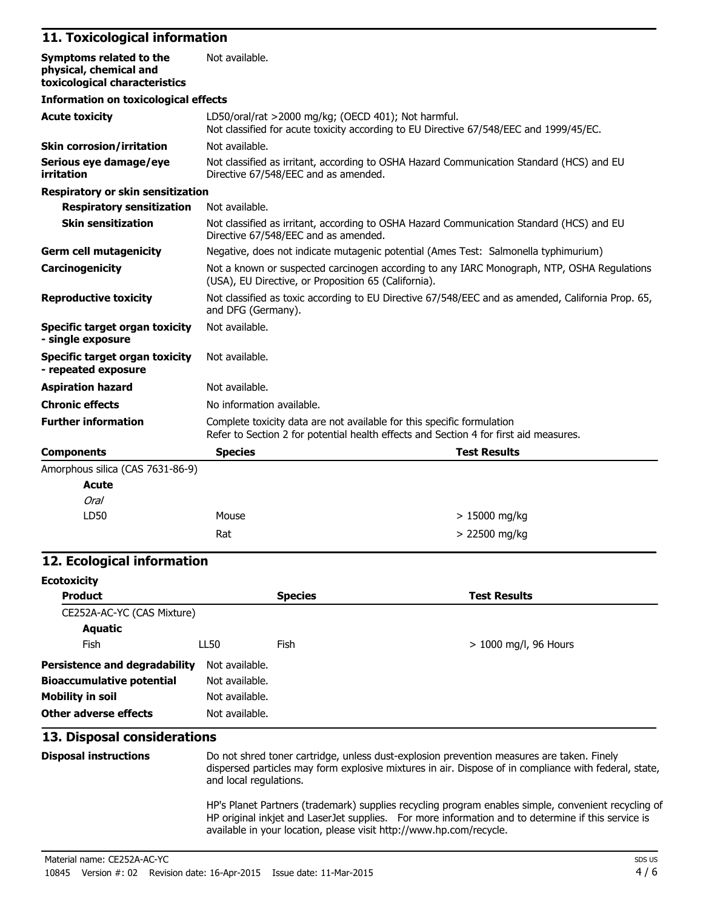### **11. Toxicological information**

| Symptoms related to the<br>physical, chemical and<br>toxicological characteristics | Not available.                                                                                                                                                  |                                                                                          |  |
|------------------------------------------------------------------------------------|-----------------------------------------------------------------------------------------------------------------------------------------------------------------|------------------------------------------------------------------------------------------|--|
| <b>Information on toxicological effects</b>                                        |                                                                                                                                                                 |                                                                                          |  |
| <b>Acute toxicity</b>                                                              | LD50/oral/rat >2000 mg/kg; (OECD 401); Not harmful.<br>Not classified for acute toxicity according to EU Directive 67/548/EEC and 1999/45/EC.                   |                                                                                          |  |
| <b>Skin corrosion/irritation</b>                                                   | Not available.                                                                                                                                                  |                                                                                          |  |
| Serious eye damage/eye<br>irritation                                               | Directive 67/548/EEC and as amended.                                                                                                                            | Not classified as irritant, according to OSHA Hazard Communication Standard (HCS) and EU |  |
| <b>Respiratory or skin sensitization</b>                                           |                                                                                                                                                                 |                                                                                          |  |
| <b>Respiratory sensitization</b>                                                   | Not available.                                                                                                                                                  |                                                                                          |  |
| <b>Skin sensitization</b>                                                          | Not classified as irritant, according to OSHA Hazard Communication Standard (HCS) and EU<br>Directive 67/548/EEC and as amended.                                |                                                                                          |  |
| <b>Germ cell mutagenicity</b>                                                      | Negative, does not indicate mutagenic potential (Ames Test: Salmonella typhimurium)                                                                             |                                                                                          |  |
| Carcinogenicity                                                                    | Not a known or suspected carcinogen according to any IARC Monograph, NTP, OSHA Regulations<br>(USA), EU Directive, or Proposition 65 (California).              |                                                                                          |  |
| <b>Reproductive toxicity</b>                                                       | Not classified as toxic according to EU Directive 67/548/EEC and as amended, California Prop. 65,<br>and DFG (Germany).                                         |                                                                                          |  |
| <b>Specific target organ toxicity</b><br>- single exposure                         | Not available.                                                                                                                                                  |                                                                                          |  |
| Specific target organ toxicity<br>- repeated exposure                              | Not available.                                                                                                                                                  |                                                                                          |  |
| <b>Aspiration hazard</b>                                                           | Not available.                                                                                                                                                  |                                                                                          |  |
| <b>Chronic effects</b>                                                             | No information available.                                                                                                                                       |                                                                                          |  |
| <b>Further information</b>                                                         | Complete toxicity data are not available for this specific formulation<br>Refer to Section 2 for potential health effects and Section 4 for first aid measures. |                                                                                          |  |
| <b>Components</b>                                                                  | <b>Species</b>                                                                                                                                                  | <b>Test Results</b>                                                                      |  |
| Amorphous silica (CAS 7631-86-9)                                                   |                                                                                                                                                                 |                                                                                          |  |
| <b>Acute</b>                                                                       |                                                                                                                                                                 |                                                                                          |  |
| Oral                                                                               |                                                                                                                                                                 |                                                                                          |  |
| LD50                                                                               | Mouse                                                                                                                                                           | $>15000$ mg/kg                                                                           |  |
|                                                                                    | Rat                                                                                                                                                             | > 22500 mg/kg                                                                            |  |

#### **12. Ecological information**

| <b>Ecotoxicity</b>               |                |                |                         |
|----------------------------------|----------------|----------------|-------------------------|
| <b>Product</b>                   |                | <b>Species</b> | <b>Test Results</b>     |
| CE252A-AC-YC (CAS Mixture)       |                |                |                         |
| <b>Aquatic</b>                   |                |                |                         |
| Fish                             | LL50           | Fish           | $> 1000$ mg/l, 96 Hours |
| Persistence and degradability    | Not available. |                |                         |
| <b>Bioaccumulative potential</b> | Not available. |                |                         |
| <b>Mobility in soil</b>          | Not available. |                |                         |
| Other adverse effects            | Not available. |                |                         |

## **13. Disposal considerations**

| <b>Disposal instructions</b> | Do not shred toner cartridge, unless dust-explosion prevention measures are taken. Finely<br>dispersed particles may form explosive mixtures in air. Dispose of in compliance with federal, state,<br>and local regulations.                                                     |
|------------------------------|----------------------------------------------------------------------------------------------------------------------------------------------------------------------------------------------------------------------------------------------------------------------------------|
|                              | HP's Planet Partners (trademark) supplies recycling program enables simple, convenient recycling of<br>HP original inkjet and LaserJet supplies. For more information and to determine if this service is<br>available in your location, please visit http://www.hp.com/recycle. |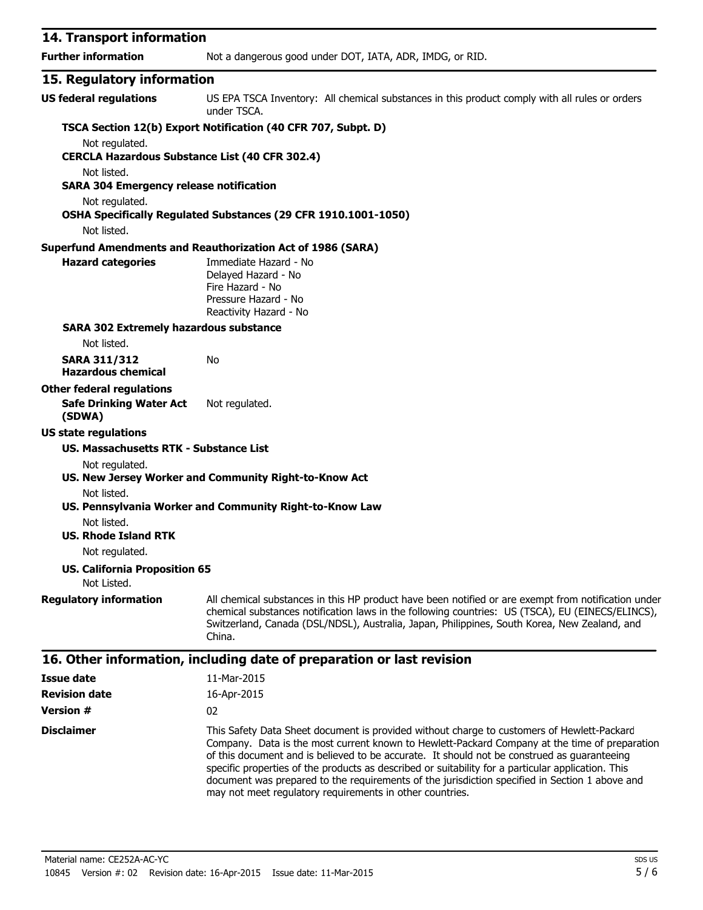| 14. Transport information                                     |                                                                                                                                                                                                                                                                                                                   |
|---------------------------------------------------------------|-------------------------------------------------------------------------------------------------------------------------------------------------------------------------------------------------------------------------------------------------------------------------------------------------------------------|
| <b>Further information</b>                                    | Not a dangerous good under DOT, IATA, ADR, IMDG, or RID.                                                                                                                                                                                                                                                          |
| 15. Regulatory information                                    |                                                                                                                                                                                                                                                                                                                   |
| <b>US federal regulations</b>                                 | US EPA TSCA Inventory: All chemical substances in this product comply with all rules or orders<br>under TSCA.                                                                                                                                                                                                     |
|                                                               | TSCA Section 12(b) Export Notification (40 CFR 707, Subpt. D)                                                                                                                                                                                                                                                     |
| Not regulated.                                                |                                                                                                                                                                                                                                                                                                                   |
| <b>CERCLA Hazardous Substance List (40 CFR 302.4)</b>         |                                                                                                                                                                                                                                                                                                                   |
| Not listed.<br><b>SARA 304 Emergency release notification</b> |                                                                                                                                                                                                                                                                                                                   |
| Not regulated.                                                |                                                                                                                                                                                                                                                                                                                   |
|                                                               | OSHA Specifically Regulated Substances (29 CFR 1910.1001-1050)                                                                                                                                                                                                                                                    |
| Not listed.                                                   |                                                                                                                                                                                                                                                                                                                   |
|                                                               | <b>Superfund Amendments and Reauthorization Act of 1986 (SARA)</b>                                                                                                                                                                                                                                                |
| <b>Hazard categories</b>                                      | Immediate Hazard - No<br>Delayed Hazard - No<br>Fire Hazard - No<br>Pressure Hazard - No                                                                                                                                                                                                                          |
|                                                               | Reactivity Hazard - No                                                                                                                                                                                                                                                                                            |
| <b>SARA 302 Extremely hazardous substance</b>                 |                                                                                                                                                                                                                                                                                                                   |
| Not listed.                                                   |                                                                                                                                                                                                                                                                                                                   |
| <b>SARA 311/312</b><br><b>Hazardous chemical</b>              | No                                                                                                                                                                                                                                                                                                                |
| <b>Other federal regulations</b>                              |                                                                                                                                                                                                                                                                                                                   |
| <b>Safe Drinking Water Act</b><br>(SDWA)                      | Not regulated.                                                                                                                                                                                                                                                                                                    |
| <b>US state regulations</b>                                   |                                                                                                                                                                                                                                                                                                                   |
| US. Massachusetts RTK - Substance List                        |                                                                                                                                                                                                                                                                                                                   |
| Not regulated.                                                | US. New Jersey Worker and Community Right-to-Know Act                                                                                                                                                                                                                                                             |
| Not listed.                                                   |                                                                                                                                                                                                                                                                                                                   |
|                                                               | US. Pennsylvania Worker and Community Right-to-Know Law                                                                                                                                                                                                                                                           |
| Not listed.                                                   |                                                                                                                                                                                                                                                                                                                   |
| <b>US. Rhode Island RTK</b>                                   |                                                                                                                                                                                                                                                                                                                   |
| Not regulated.                                                |                                                                                                                                                                                                                                                                                                                   |
| <b>US. California Proposition 65</b>                          |                                                                                                                                                                                                                                                                                                                   |
| Not Listed.                                                   |                                                                                                                                                                                                                                                                                                                   |
| <b>Regulatory information</b>                                 | All chemical substances in this HP product have been notified or are exempt from notification under<br>chemical substances notification laws in the following countries: US (TSCA), EU (EINECS/ELINCS),<br>Switzerland, Canada (DSL/NDSL), Australia, Japan, Philippines, South Korea, New Zealand, and<br>China. |
|                                                               | 16. Other information, including date of preparation or last revision                                                                                                                                                                                                                                             |
| <b>Issue date</b>                                             | 11-Mar-2015                                                                                                                                                                                                                                                                                                       |
| <b>Revision date</b>                                          | 16-Apr-2015                                                                                                                                                                                                                                                                                                       |

**Version #** 02

**Disclaimer** This Safety Data Sheet document is provided without charge to customers of Hewlett-Packard Company. Data is the most current known to Hewlett-Packard Company at the time of preparation of this document and is believed to be accurate. It should not be construed as guaranteeing specific properties of the products as described or suitability for a particular application. This document was prepared to the requirements of the jurisdiction specified in Section 1 above and may not meet regulatory requirements in other countries.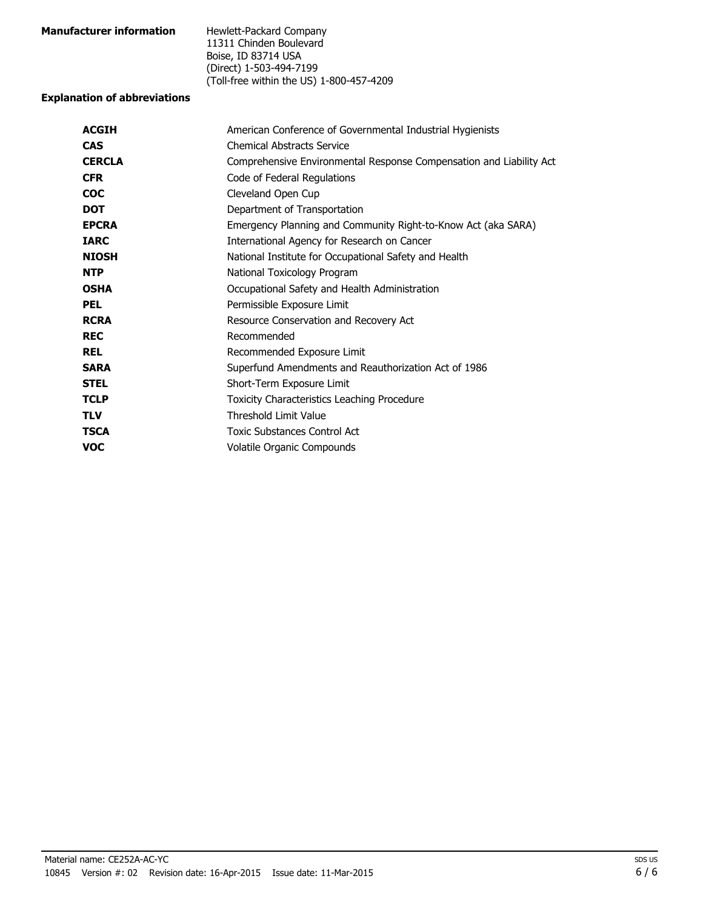| <b>Manufacturer information</b> | Hewlett-Packard Company                  |
|---------------------------------|------------------------------------------|
|                                 | 11311 Chinden Boulevard                  |
|                                 | Boise, ID 83714 USA                      |
|                                 | (Direct) 1-503-494-7199                  |
|                                 | (Toll-free within the US) 1-800-457-4209 |
|                                 |                                          |

#### **Explanation of abbreviations**

| <b>ACGIH</b>  | American Conference of Governmental Industrial Hygienists           |
|---------------|---------------------------------------------------------------------|
| <b>CAS</b>    | <b>Chemical Abstracts Service</b>                                   |
| <b>CERCLA</b> | Comprehensive Environmental Response Compensation and Liability Act |
| <b>CFR</b>    | Code of Federal Regulations                                         |
| <b>COC</b>    | Cleveland Open Cup                                                  |
| <b>DOT</b>    | Department of Transportation                                        |
| <b>EPCRA</b>  | Emergency Planning and Community Right-to-Know Act (aka SARA)       |
| <b>IARC</b>   | International Agency for Research on Cancer                         |
| <b>NIOSH</b>  | National Institute for Occupational Safety and Health               |
| <b>NTP</b>    | National Toxicology Program                                         |
| <b>OSHA</b>   | Occupational Safety and Health Administration                       |
| <b>PEL</b>    | Permissible Exposure Limit                                          |
| <b>RCRA</b>   | Resource Conservation and Recovery Act                              |
| <b>REC</b>    | Recommended                                                         |
| <b>REL</b>    | Recommended Exposure Limit                                          |
| <b>SARA</b>   | Superfund Amendments and Reauthorization Act of 1986                |
| <b>STEL</b>   | Short-Term Exposure Limit                                           |
| <b>TCLP</b>   | <b>Toxicity Characteristics Leaching Procedure</b>                  |
| <b>TLV</b>    | <b>Threshold Limit Value</b>                                        |
| <b>TSCA</b>   | Toxic Substances Control Act                                        |
| <b>VOC</b>    | Volatile Organic Compounds                                          |
|               |                                                                     |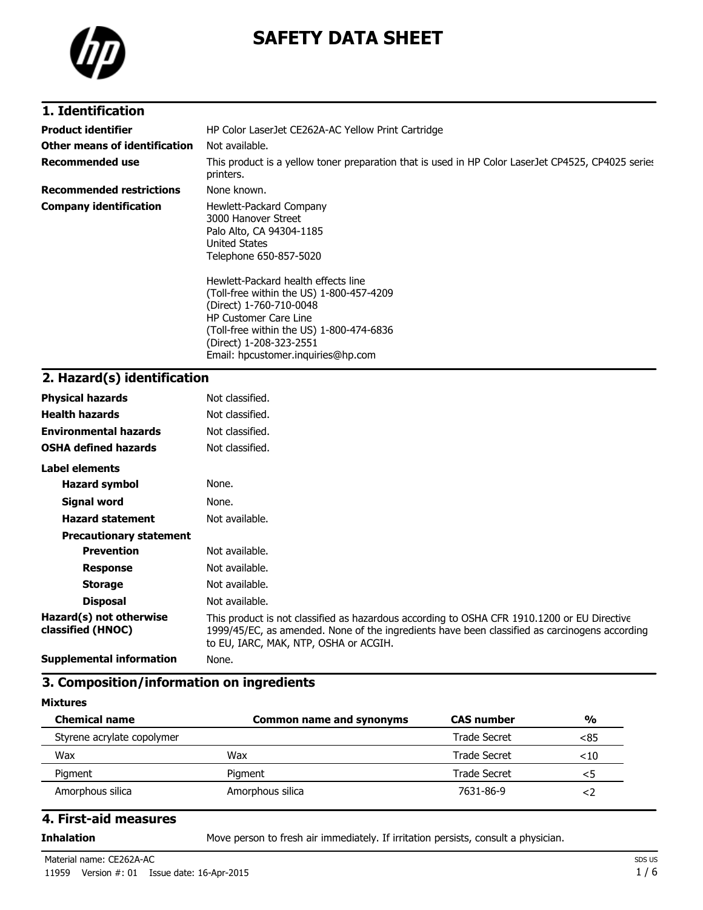

# **SAFETY DATA SHEET**

### **1. Identification**

| <b>Product identifier</b>       | HP Color LaserJet CE262A-AC Yellow Print Cartridge                                                                                                                                                                                                                                                                                                                               |
|---------------------------------|----------------------------------------------------------------------------------------------------------------------------------------------------------------------------------------------------------------------------------------------------------------------------------------------------------------------------------------------------------------------------------|
| Other means of identification   | Not available.                                                                                                                                                                                                                                                                                                                                                                   |
| Recommended use                 | This product is a yellow toner preparation that is used in HP Color LaserJet CP4525, CP4025 series<br>printers.                                                                                                                                                                                                                                                                  |
| <b>Recommended restrictions</b> | None known.                                                                                                                                                                                                                                                                                                                                                                      |
| <b>Company identification</b>   | Hewlett-Packard Company<br>3000 Hanover Street<br>Palo Alto, CA 94304-1185<br>United States<br>Telephone 650-857-5020<br>Hewlett-Packard health effects line<br>(Toll-free within the US) 1-800-457-4209<br>(Direct) 1-760-710-0048<br><b>HP Customer Care Line</b><br>(Toll-free within the US) 1-800-474-6836<br>(Direct) 1-208-323-2551<br>Email: hpcustomer.inguiries@hp.com |

## **2. Hazard(s) identification**

| <b>Physical hazards</b>                      | Not classified.                                                                                                                                                                                                                       |
|----------------------------------------------|---------------------------------------------------------------------------------------------------------------------------------------------------------------------------------------------------------------------------------------|
| <b>Health hazards</b>                        | Not classified.                                                                                                                                                                                                                       |
| <b>Environmental hazards</b>                 | Not classified.                                                                                                                                                                                                                       |
| <b>OSHA defined hazards</b>                  | Not classified.                                                                                                                                                                                                                       |
| Label elements                               |                                                                                                                                                                                                                                       |
| <b>Hazard symbol</b>                         | None.                                                                                                                                                                                                                                 |
| Signal word                                  | None.                                                                                                                                                                                                                                 |
| <b>Hazard statement</b>                      | Not available.                                                                                                                                                                                                                        |
| <b>Precautionary statement</b>               |                                                                                                                                                                                                                                       |
| <b>Prevention</b>                            | Not available.                                                                                                                                                                                                                        |
| <b>Response</b>                              | Not available.                                                                                                                                                                                                                        |
| <b>Storage</b>                               | Not available.                                                                                                                                                                                                                        |
| <b>Disposal</b>                              | Not available.                                                                                                                                                                                                                        |
| Hazard(s) not otherwise<br>classified (HNOC) | This product is not classified as hazardous according to OSHA CFR 1910.1200 or EU Directive<br>1999/45/EC, as amended. None of the ingredients have been classified as carcinogens according<br>to EU, IARC, MAK, NTP, OSHA or ACGIH. |
| <b>Supplemental information</b>              | None.                                                                                                                                                                                                                                 |

### **3. Composition/information on ingredients**

#### **Mixtures**

| <b>Chemical name</b>       | <b>Common name and synonyms</b> | <b>CAS number</b>   | $\frac{0}{0}$ |
|----------------------------|---------------------------------|---------------------|---------------|
| Styrene acrylate copolymer |                                 | Trade Secret        | <85           |
| Wax                        | Wax                             | Trade Secret        | $<$ 10        |
| Pigment                    | Pigment                         | <b>Trade Secret</b> | <5            |
| Amorphous silica           | Amorphous silica                | 7631-86-9           | < /           |

#### **4. First-aid measures**

**Inhalation** Move person to fresh air immediately. If irritation persists, consult a physician.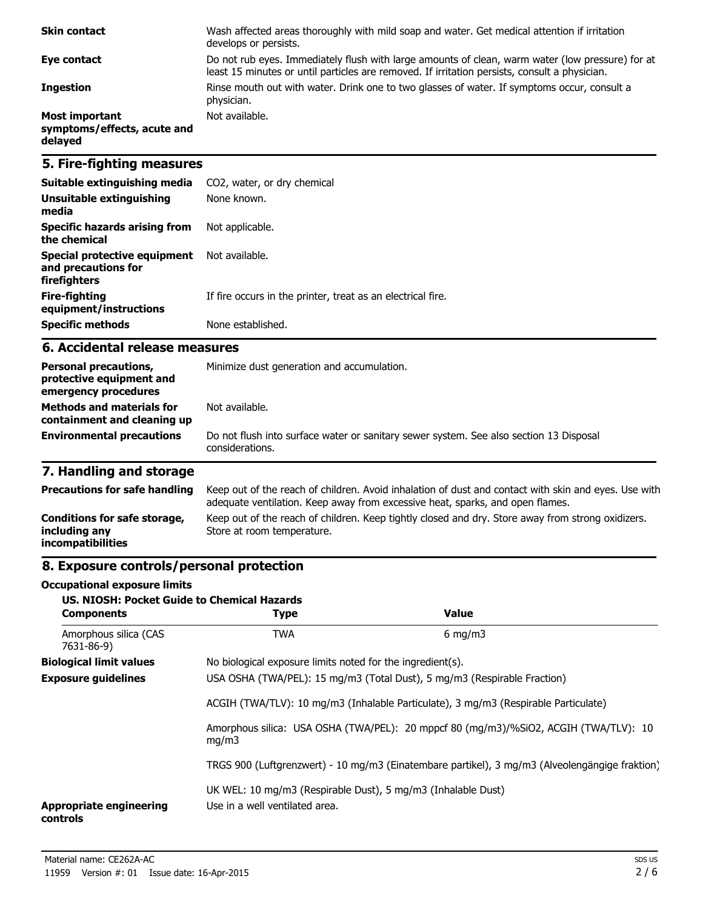| <b>Skin contact</b>                                             | Wash affected areas thoroughly with mild soap and water. Get medical attention if irritation<br>develops or persists.                                                                             |
|-----------------------------------------------------------------|---------------------------------------------------------------------------------------------------------------------------------------------------------------------------------------------------|
| Eye contact                                                     | Do not rub eyes. Immediately flush with large amounts of clean, warm water (low pressure) for at<br>least 15 minutes or until particles are removed. If irritation persists, consult a physician. |
| <b>Ingestion</b>                                                | Rinse mouth out with water. Drink one to two glasses of water. If symptoms occur, consult a<br>physician.                                                                                         |
| <b>Most important</b><br>symptoms/effects, acute and<br>delayed | Not available.                                                                                                                                                                                    |

### **5. Fire-fighting measures**

| Suitable extinguishing media                                        | CO2, water, or dry chemical                                 |
|---------------------------------------------------------------------|-------------------------------------------------------------|
| Unsuitable extinguishing<br>media                                   | None known.                                                 |
| Specific hazards arising from<br>the chemical                       | Not applicable.                                             |
| Special protective equipment<br>and precautions for<br>firefighters | Not available.                                              |
| Fire-fighting<br>equipment/instructions                             | If fire occurs in the printer, treat as an electrical fire. |
| <b>Specific methods</b>                                             | None established.                                           |

#### **6. Accidental release measures**

| <b>Personal precautions,</b><br>protective equipment and<br>emergency procedures | Minimize dust generation and accumulation.                                                                |  |
|----------------------------------------------------------------------------------|-----------------------------------------------------------------------------------------------------------|--|
| <b>Methods and materials for</b><br>containment and cleaning up                  | Not available.                                                                                            |  |
| <b>Environmental precautions</b>                                                 | Do not flush into surface water or sanitary sewer system. See also section 13 Disposal<br>considerations. |  |

## **7. Handling and storage**

| <b>Precautions for safe handling</b>                                      | Keep out of the reach of children. Avoid inhalation of dust and contact with skin and eyes. Use with<br>adequate ventilation. Keep away from excessive heat, sparks, and open flames. |
|---------------------------------------------------------------------------|---------------------------------------------------------------------------------------------------------------------------------------------------------------------------------------|
| Conditions for safe storage,<br>including any<br><i>incompatibilities</i> | Keep out of the reach of children. Keep tightly closed and dry. Store away from strong oxidizers.<br>Store at room temperature.                                                       |

## **8. Exposure controls/personal protection**

#### **Occupational exposure limits**

| <b>US. NIOSH: Pocket Guide to Chemical Hazards</b><br><b>Components</b> | <b>Type</b>                                                                                    | <b>Value</b>                                                                                   |  |  |
|-------------------------------------------------------------------------|------------------------------------------------------------------------------------------------|------------------------------------------------------------------------------------------------|--|--|
| Amorphous silica (CAS<br>7631-86-9)                                     | <b>TWA</b>                                                                                     | $6 \text{ mg/m}$                                                                               |  |  |
| <b>Biological limit values</b>                                          | No biological exposure limits noted for the ingredient(s).                                     |                                                                                                |  |  |
| <b>Exposure guidelines</b>                                              |                                                                                                | USA OSHA (TWA/PEL): 15 mg/m3 (Total Dust), 5 mg/m3 (Respirable Fraction)                       |  |  |
|                                                                         | ACGIH (TWA/TLV): 10 mg/m3 (Inhalable Particulate), 3 mg/m3 (Respirable Particulate)            |                                                                                                |  |  |
|                                                                         | mq/m3                                                                                          | Amorphous silica: USA OSHA (TWA/PEL): 20 mppcf 80 (mg/m3)/%SiO2, ACGIH (TWA/TLV): 10           |  |  |
|                                                                         |                                                                                                | TRGS 900 (Luftgrenzwert) - 10 mg/m3 (Einatembare partikel), 3 mg/m3 (Alveolengängige fraktion) |  |  |
| <b>Appropriate engineering</b><br>controls                              | UK WEL: 10 mg/m3 (Respirable Dust), 5 mg/m3 (Inhalable Dust)<br>Use in a well ventilated area. |                                                                                                |  |  |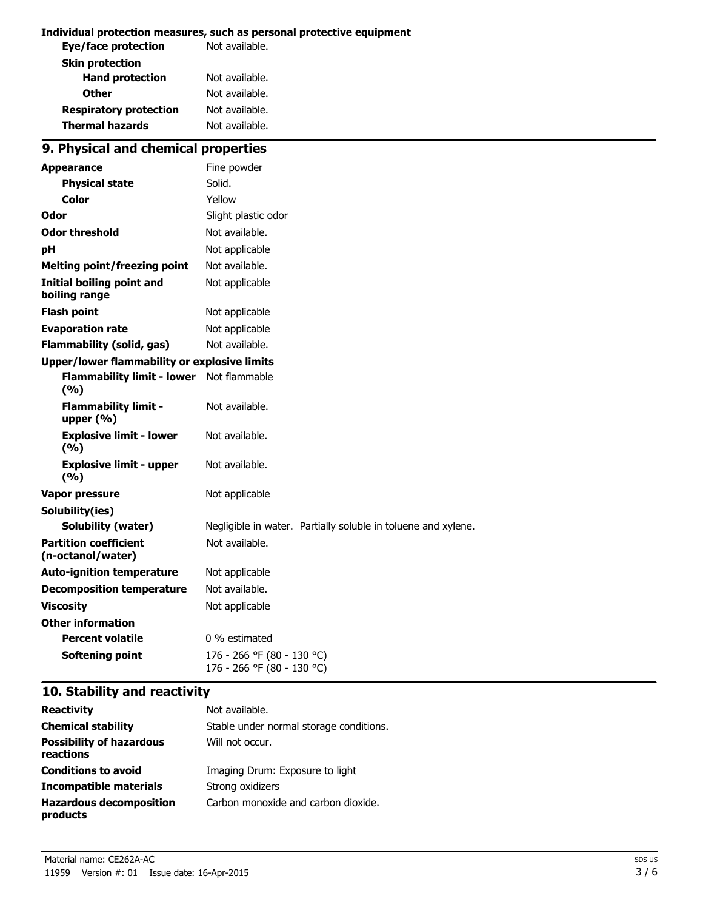#### **Individual protection measures, such as personal protective equipment**

| Eye/face protection           | Not available. |
|-------------------------------|----------------|
| <b>Skin protection</b>        |                |
| <b>Hand protection</b>        | Not available. |
| <b>Other</b>                  | Not available. |
| <b>Respiratory protection</b> | Not available. |
| <b>Thermal hazards</b>        | Not available. |
|                               |                |

## **9. Physical and chemical properties**

| <b>Appearance</b>                                   | Fine powder                                                   |
|-----------------------------------------------------|---------------------------------------------------------------|
| <b>Physical state</b>                               | Solid.                                                        |
| Color                                               | Yellow                                                        |
| Odor                                                | Slight plastic odor                                           |
| <b>Odor threshold</b>                               | Not available.                                                |
| рH                                                  | Not applicable                                                |
| <b>Melting point/freezing point</b>                 | Not available.                                                |
| <b>Initial boiling point and</b><br>boiling range   | Not applicable                                                |
| <b>Flash point</b>                                  | Not applicable                                                |
| <b>Evaporation rate</b>                             | Not applicable                                                |
| <b>Flammability (solid, gas)</b>                    | Not available.                                                |
| <b>Upper/lower flammability or explosive limits</b> |                                                               |
| <b>Flammability limit - lower</b><br>(9/6)          | Not flammable                                                 |
| <b>Flammability limit -</b><br>upper $(% )$         | Not available.                                                |
| <b>Explosive limit - lower</b><br>(9/6)             | Not available.                                                |
| <b>Explosive limit - upper</b><br>(%)               | Not available.                                                |
| Vapor pressure                                      | Not applicable                                                |
| Solubility(ies)                                     |                                                               |
| <b>Solubility (water)</b>                           | Negligible in water. Partially soluble in toluene and xylene. |
| <b>Partition coefficient</b><br>(n-octanol/water)   | Not available.                                                |
| <b>Auto-ignition temperature</b>                    | Not applicable                                                |
| <b>Decomposition temperature</b>                    | Not available.                                                |
| <b>Viscosity</b>                                    | Not applicable                                                |
| <b>Other information</b>                            |                                                               |
| <b>Percent volatile</b>                             | 0 % estimated                                                 |
| <b>Softening point</b>                              | 176 - 266 °F (80 - 130 °C)<br>176 - 266 °F (80 - 130 °C)      |

## **10. Stability and reactivity**

| <b>Reactivity</b>                            | Not available.                          |
|----------------------------------------------|-----------------------------------------|
| <b>Chemical stability</b>                    | Stable under normal storage conditions. |
| <b>Possibility of hazardous</b><br>reactions | Will not occur.                         |
| <b>Conditions to avoid</b>                   | Imaging Drum: Exposure to light         |
| Incompatible materials                       | Strong oxidizers                        |
| <b>Hazardous decomposition</b><br>products   | Carbon monoxide and carbon dioxide.     |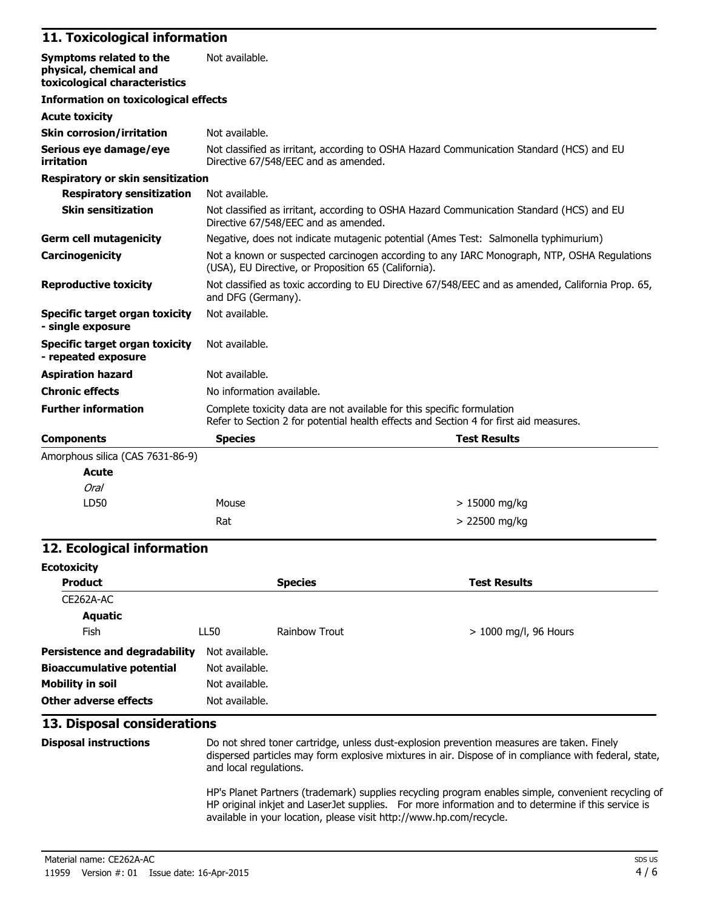#### **11. Toxicological information**

| Symptoms related to the<br>physical, chemical and            | Not available.                                                                                                                                                  |                                                                                     |  |
|--------------------------------------------------------------|-----------------------------------------------------------------------------------------------------------------------------------------------------------------|-------------------------------------------------------------------------------------|--|
| toxicological characteristics                                |                                                                                                                                                                 |                                                                                     |  |
| <b>Information on toxicological effects</b>                  |                                                                                                                                                                 |                                                                                     |  |
| <b>Acute toxicity</b>                                        |                                                                                                                                                                 |                                                                                     |  |
| <b>Skin corrosion/irritation</b>                             | Not available.                                                                                                                                                  |                                                                                     |  |
| Serious eye damage/eye<br>irritation                         | Not classified as irritant, according to OSHA Hazard Communication Standard (HCS) and EU<br>Directive 67/548/EEC and as amended.                                |                                                                                     |  |
| Respiratory or skin sensitization                            |                                                                                                                                                                 |                                                                                     |  |
| <b>Respiratory sensitization</b>                             | Not available.                                                                                                                                                  |                                                                                     |  |
| <b>Skin sensitization</b>                                    | Not classified as irritant, according to OSHA Hazard Communication Standard (HCS) and EU<br>Directive 67/548/EEC and as amended.                                |                                                                                     |  |
| <b>Germ cell mutagenicity</b>                                |                                                                                                                                                                 | Negative, does not indicate mutagenic potential (Ames Test: Salmonella typhimurium) |  |
| Carcinogenicity                                              | Not a known or suspected carcinogen according to any IARC Monograph, NTP, OSHA Regulations<br>(USA), EU Directive, or Proposition 65 (California).              |                                                                                     |  |
| <b>Reproductive toxicity</b>                                 | Not classified as toxic according to EU Directive 67/548/EEC and as amended, California Prop. 65,<br>and DFG (Germany).                                         |                                                                                     |  |
| Specific target organ toxicity<br>- single exposure          | Not available.                                                                                                                                                  |                                                                                     |  |
| <b>Specific target organ toxicity</b><br>- repeated exposure | Not available.                                                                                                                                                  |                                                                                     |  |
| <b>Aspiration hazard</b>                                     | Not available.                                                                                                                                                  |                                                                                     |  |
| <b>Chronic effects</b>                                       | No information available.                                                                                                                                       |                                                                                     |  |
| <b>Further information</b>                                   | Complete toxicity data are not available for this specific formulation<br>Refer to Section 2 for potential health effects and Section 4 for first aid measures. |                                                                                     |  |
| <b>Components</b>                                            | <b>Species</b>                                                                                                                                                  | <b>Test Results</b>                                                                 |  |
| Amorphous silica (CAS 7631-86-9)                             |                                                                                                                                                                 |                                                                                     |  |
| <b>Acute</b>                                                 |                                                                                                                                                                 |                                                                                     |  |
| Oral                                                         |                                                                                                                                                                 |                                                                                     |  |
| LD50                                                         | Mouse                                                                                                                                                           | $> 15000$ mg/kg                                                                     |  |

## $Rat$   $> 22500$  mg/kg **12. Ecological information**

| <b>Ecotoxicity</b>                   |                |                      |                         |
|--------------------------------------|----------------|----------------------|-------------------------|
| <b>Product</b>                       |                | <b>Species</b>       | <b>Test Results</b>     |
| CE262A-AC                            |                |                      |                         |
| <b>Aquatic</b>                       |                |                      |                         |
| Fish                                 | LL50           | <b>Rainbow Trout</b> | $> 1000$ mg/l, 96 Hours |
| <b>Persistence and degradability</b> | Not available. |                      |                         |
| <b>Bioaccumulative potential</b>     | Not available. |                      |                         |
| <b>Mobility in soil</b>              | Not available. |                      |                         |
| Other adverse effects                | Not available. |                      |                         |

### **13. Disposal considerations**

**Disposal instructions** Do not shred toner cartridge, unless dust-explosion prevention measures are taken. Finely dispersed particles may form explosive mixtures in air. Dispose of in compliance with federal, state, and local regulations.

> 15000 mg/kg

HP's Planet Partners (trademark) supplies recycling program enables simple, convenient recycling of HP original inkjet and LaserJet supplies. For more information and to determine if this service is available in your location, please visit http://www.hp.com/recycle.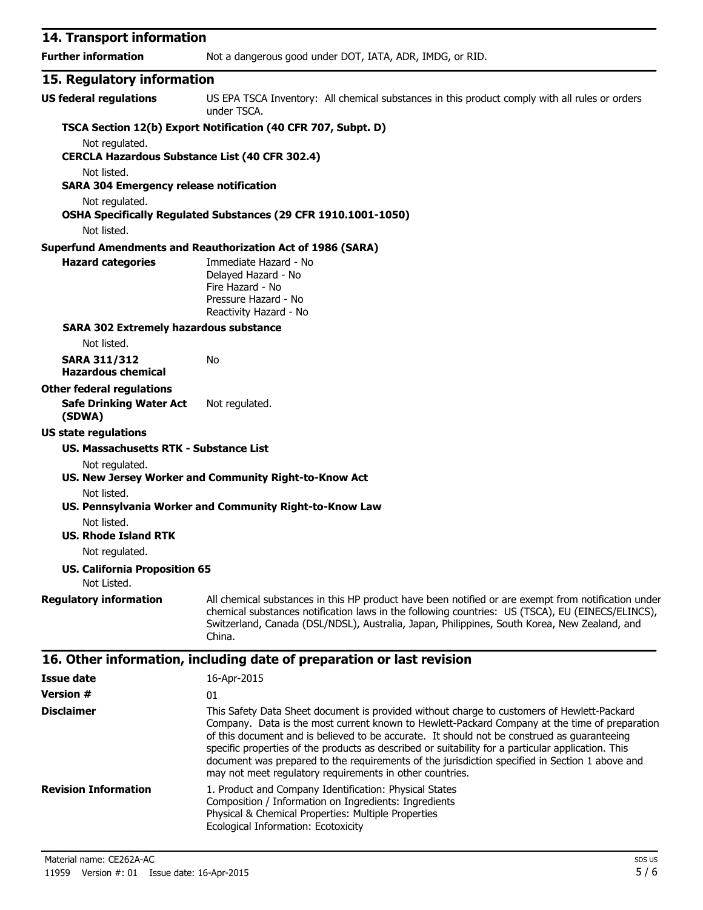| 14. Transport information                                               |                                                                                                                                                                                                                                                                                                                   |  |
|-------------------------------------------------------------------------|-------------------------------------------------------------------------------------------------------------------------------------------------------------------------------------------------------------------------------------------------------------------------------------------------------------------|--|
| <b>Further information</b>                                              | Not a dangerous good under DOT, IATA, ADR, IMDG, or RID.                                                                                                                                                                                                                                                          |  |
| 15. Regulatory information                                              |                                                                                                                                                                                                                                                                                                                   |  |
| <b>US federal regulations</b>                                           | US EPA TSCA Inventory: All chemical substances in this product comply with all rules or orders<br>under TSCA.                                                                                                                                                                                                     |  |
|                                                                         | TSCA Section 12(b) Export Notification (40 CFR 707, Subpt. D)                                                                                                                                                                                                                                                     |  |
| Not regulated.<br><b>CERCLA Hazardous Substance List (40 CFR 302.4)</b> |                                                                                                                                                                                                                                                                                                                   |  |
| Not listed.<br><b>SARA 304 Emergency release notification</b>           |                                                                                                                                                                                                                                                                                                                   |  |
| Not regulated.<br>Not listed.                                           | OSHA Specifically Regulated Substances (29 CFR 1910.1001-1050)                                                                                                                                                                                                                                                    |  |
|                                                                         | <b>Superfund Amendments and Reauthorization Act of 1986 (SARA)</b>                                                                                                                                                                                                                                                |  |
| <b>Hazard categories</b>                                                | Immediate Hazard - No<br>Delayed Hazard - No<br>Fire Hazard - No<br>Pressure Hazard - No<br>Reactivity Hazard - No                                                                                                                                                                                                |  |
| <b>SARA 302 Extremely hazardous substance</b>                           |                                                                                                                                                                                                                                                                                                                   |  |
| Not listed.                                                             |                                                                                                                                                                                                                                                                                                                   |  |
| <b>SARA 311/312</b><br><b>Hazardous chemical</b>                        | No                                                                                                                                                                                                                                                                                                                |  |
| <b>Other federal regulations</b>                                        |                                                                                                                                                                                                                                                                                                                   |  |
| <b>Safe Drinking Water Act</b><br>(SDWA)                                | Not regulated.                                                                                                                                                                                                                                                                                                    |  |
| <b>US state regulations</b>                                             |                                                                                                                                                                                                                                                                                                                   |  |
| US. Massachusetts RTK - Substance List                                  |                                                                                                                                                                                                                                                                                                                   |  |
| Not regulated.                                                          |                                                                                                                                                                                                                                                                                                                   |  |
|                                                                         | US. New Jersey Worker and Community Right-to-Know Act                                                                                                                                                                                                                                                             |  |
| Not listed.                                                             | US. Pennsylvania Worker and Community Right-to-Know Law                                                                                                                                                                                                                                                           |  |
| Not listed.                                                             |                                                                                                                                                                                                                                                                                                                   |  |
| <b>US. Rhode Island RTK</b>                                             |                                                                                                                                                                                                                                                                                                                   |  |
| Not regulated.                                                          |                                                                                                                                                                                                                                                                                                                   |  |
| <b>US. California Proposition 65</b><br>Not Listed.                     |                                                                                                                                                                                                                                                                                                                   |  |
| <b>Regulatory information</b>                                           | All chemical substances in this HP product have been notified or are exempt from notification under<br>chemical substances notification laws in the following countries: US (TSCA), EU (EINECS/ELINCS),<br>Switzerland, Canada (DSL/NDSL), Australia, Japan, Philippines, South Korea, New Zealand, and<br>China. |  |
|                                                                         | 16. Other information, including date of preparation or last revision                                                                                                                                                                                                                                             |  |
| <b>Issue date</b>                                                       | 16-Apr-2015                                                                                                                                                                                                                                                                                                       |  |
| <b>Version #</b>                                                        | 01                                                                                                                                                                                                                                                                                                                |  |
| <b>Disclaimer</b>                                                       | This Safety Data Sheet document is provided without charge to customers of Hewlett-Packard<br>Company. Data is the most current known to Hewlett-Packard Company at the time of preparation<br>of this document and is believed to be accurate. It should not be construed as guaranteeing                        |  |

specific properties of the products as described or suitability for a particular application. This

document was prepared to the requirements of the jurisdiction specified in Section 1 above and may not meet regulatory requirements in other countries. **Revision Information** 1. Product and Company Identification: Physical States Composition / Information on Ingredients: Ingredients Physical & Chemical Properties: Multiple Properties Ecological Information: Ecotoxicity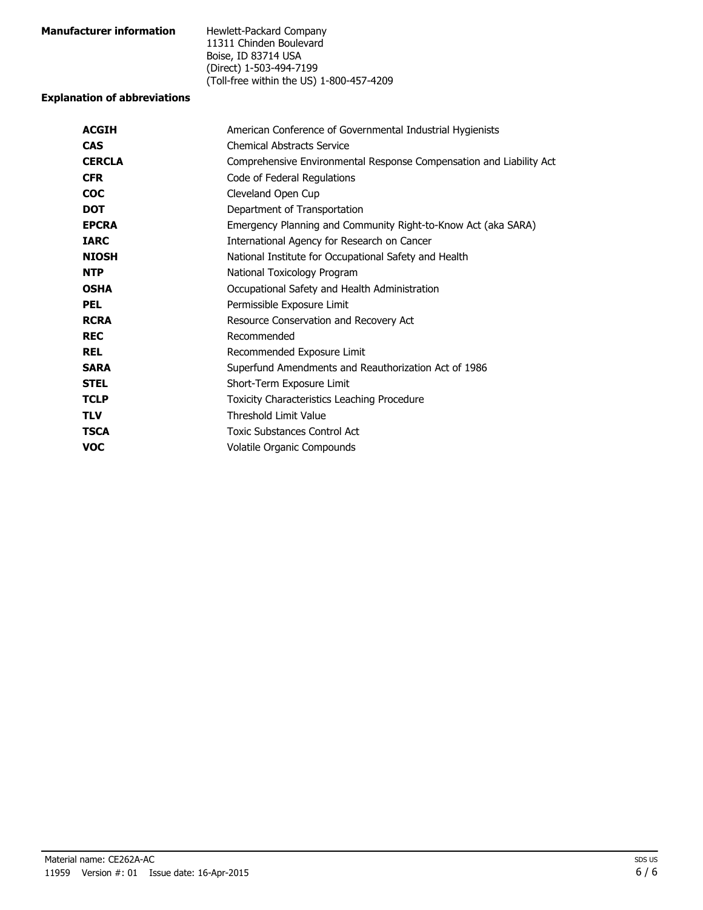| <b>Manufacturer information</b> | Hewlett-Packard Company                  |
|---------------------------------|------------------------------------------|
|                                 | 11311 Chinden Boulevard                  |
|                                 | Boise, ID 83714 USA                      |
|                                 | (Direct) 1-503-494-7199                  |
|                                 | (Toll-free within the US) 1-800-457-4209 |

#### **Explanation of abbreviations**

| American Conference of Governmental Industrial Hygienists           |  |
|---------------------------------------------------------------------|--|
| <b>Chemical Abstracts Service</b>                                   |  |
| Comprehensive Environmental Response Compensation and Liability Act |  |
| Code of Federal Regulations                                         |  |
| Cleveland Open Cup                                                  |  |
| Department of Transportation                                        |  |
| Emergency Planning and Community Right-to-Know Act (aka SARA)       |  |
| International Agency for Research on Cancer                         |  |
| National Institute for Occupational Safety and Health               |  |
| National Toxicology Program                                         |  |
| Occupational Safety and Health Administration                       |  |
| Permissible Exposure Limit                                          |  |
| Resource Conservation and Recovery Act                              |  |
| Recommended                                                         |  |
| Recommended Exposure Limit                                          |  |
| Superfund Amendments and Reauthorization Act of 1986                |  |
| Short-Term Exposure Limit                                           |  |
| Toxicity Characteristics Leaching Procedure                         |  |
| <b>Threshold Limit Value</b>                                        |  |
| Toxic Substances Control Act                                        |  |
| Volatile Organic Compounds                                          |  |
|                                                                     |  |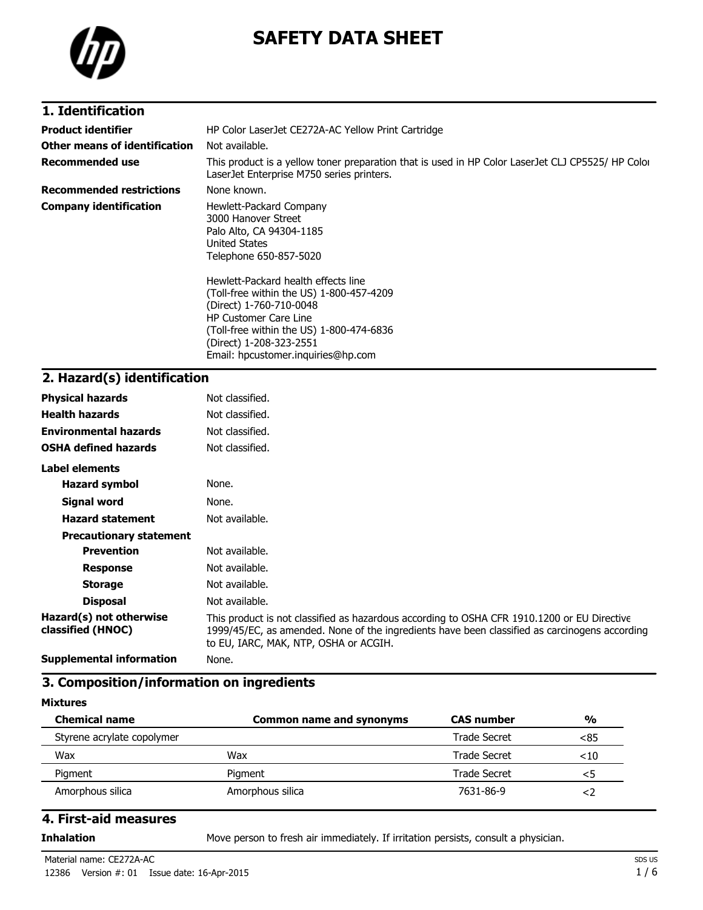

# **SAFETY DATA SHEET**

| 1. Identification               |                                                                                                                                                                                                                   |  |
|---------------------------------|-------------------------------------------------------------------------------------------------------------------------------------------------------------------------------------------------------------------|--|
| <b>Product identifier</b>       | HP Color LaserJet CE272A-AC Yellow Print Cartridge                                                                                                                                                                |  |
| Other means of identification   | Not available.                                                                                                                                                                                                    |  |
| <b>Recommended use</b>          | This product is a yellow toner preparation that is used in HP Color LaserJet CLJ CP5525/ HP Color<br>LaserJet Enterprise M750 series printers.                                                                    |  |
| <b>Recommended restrictions</b> | None known.                                                                                                                                                                                                       |  |
| <b>Company identification</b>   | Hewlett-Packard Company<br>3000 Hanover Street<br>Palo Alto, CA 94304-1185<br>United States<br>Telephone 650-857-5020                                                                                             |  |
|                                 | Hewlett-Packard health effects line<br>(Toll-free within the US) 1-800-457-4209<br>(Direct) 1-760-710-0048<br><b>HP Customer Care Line</b><br>(Toll-free within the US) 1-800-474-6836<br>(Direct) 1-208-323-2551 |  |

Email: hpcustomer.inquiries@hp.com

### **2. Hazard(s) identification**

| <b>Physical hazards</b>                      | Not classified.                                                                                                                                                                                                                       |
|----------------------------------------------|---------------------------------------------------------------------------------------------------------------------------------------------------------------------------------------------------------------------------------------|
| <b>Health hazards</b>                        | Not classified.                                                                                                                                                                                                                       |
| <b>Environmental hazards</b>                 | Not classified.                                                                                                                                                                                                                       |
| <b>OSHA defined hazards</b>                  | Not classified.                                                                                                                                                                                                                       |
| Label elements                               |                                                                                                                                                                                                                                       |
| <b>Hazard symbol</b>                         | None.                                                                                                                                                                                                                                 |
| Signal word                                  | None.                                                                                                                                                                                                                                 |
| <b>Hazard statement</b>                      | Not available.                                                                                                                                                                                                                        |
| <b>Precautionary statement</b>               |                                                                                                                                                                                                                                       |
| <b>Prevention</b>                            | Not available.                                                                                                                                                                                                                        |
| <b>Response</b>                              | Not available.                                                                                                                                                                                                                        |
| <b>Storage</b>                               | Not available.                                                                                                                                                                                                                        |
| <b>Disposal</b>                              | Not available.                                                                                                                                                                                                                        |
| Hazard(s) not otherwise<br>classified (HNOC) | This product is not classified as hazardous according to OSHA CFR 1910.1200 or EU Directive<br>1999/45/EC, as amended. None of the ingredients have been classified as carcinogens according<br>to EU, IARC, MAK, NTP, OSHA or ACGIH. |
| <b>Supplemental information</b>              | None.                                                                                                                                                                                                                                 |

### **3. Composition/information on ingredients**

#### **Mixtures**

| <b>Chemical name</b>       | <b>Common name and synonyms</b> | <b>CAS number</b> | $\frac{0}{0}$ |
|----------------------------|---------------------------------|-------------------|---------------|
| Styrene acrylate copolymer |                                 | Trade Secret      | <85           |
| Wax                        | Wax                             | Trade Secret      | $<$ 10        |
| Pigment                    | Piament                         | Trade Secret      | <5            |
| Amorphous silica           | Amorphous silica                | 7631-86-9         |               |

#### **4. First-aid measures**

**Inhalation** Move person to fresh air immediately. If irritation persists, consult a physician.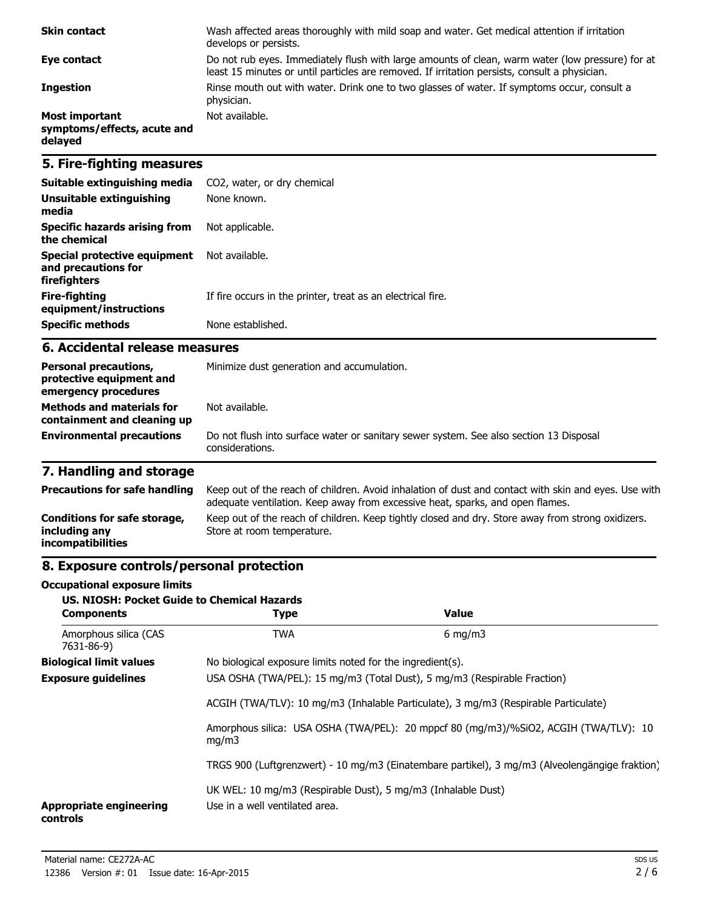| <b>Skin contact</b>                                      | Wash affected areas thoroughly with mild soap and water. Get medical attention if irritation<br>develops or persists.                                                                             |
|----------------------------------------------------------|---------------------------------------------------------------------------------------------------------------------------------------------------------------------------------------------------|
| Eye contact                                              | Do not rub eyes. Immediately flush with large amounts of clean, warm water (low pressure) for at<br>least 15 minutes or until particles are removed. If irritation persists, consult a physician. |
| <b>Ingestion</b>                                         | Rinse mouth out with water. Drink one to two glasses of water. If symptoms occur, consult a<br>physician.                                                                                         |
| Most important<br>symptoms/effects, acute and<br>delayed | Not available.                                                                                                                                                                                    |

### **5. Fire-fighting measures**

| Suitable extinguishing media                                        | CO2, water, or dry chemical                                 |
|---------------------------------------------------------------------|-------------------------------------------------------------|
| Unsuitable extinguishing<br>media                                   | None known.                                                 |
| Specific hazards arising from<br>the chemical                       | Not applicable.                                             |
| Special protective equipment<br>and precautions for<br>firefighters | Not available.                                              |
| Fire-fighting<br>equipment/instructions                             | If fire occurs in the printer, treat as an electrical fire. |
| <b>Specific methods</b>                                             | None established.                                           |

#### **6. Accidental release measures**

| <b>Personal precautions,</b><br>protective equipment and<br>emergency procedures | Minimize dust generation and accumulation.                                                                |  |
|----------------------------------------------------------------------------------|-----------------------------------------------------------------------------------------------------------|--|
| <b>Methods and materials for</b><br>containment and cleaning up                  | Not available.                                                                                            |  |
| <b>Environmental precautions</b>                                                 | Do not flush into surface water or sanitary sewer system. See also section 13 Disposal<br>considerations. |  |

## **7. Handling and storage**

| <b>Precautions for safe handling</b>                                      | Keep out of the reach of children. Avoid inhalation of dust and contact with skin and eyes. Use with<br>adequate ventilation. Keep away from excessive heat, sparks, and open flames. |
|---------------------------------------------------------------------------|---------------------------------------------------------------------------------------------------------------------------------------------------------------------------------------|
| Conditions for safe storage,<br>including any<br><i>incompatibilities</i> | Keep out of the reach of children. Keep tightly closed and dry. Store away from strong oxidizers.<br>Store at room temperature.                                                       |

## **8. Exposure controls/personal protection**

#### **Occupational exposure limits**

| <b>US. NIOSH: Pocket Guide to Chemical Hazards</b><br><b>Components</b>             | <b>Type</b>                                                                                    | Value            |
|-------------------------------------------------------------------------------------|------------------------------------------------------------------------------------------------|------------------|
| Amorphous silica (CAS<br>7631-86-9)                                                 | <b>TWA</b>                                                                                     | $6 \text{ mg/m}$ |
| <b>Biological limit values</b>                                                      | No biological exposure limits noted for the ingredient(s).                                     |                  |
| <b>Exposure guidelines</b>                                                          | USA OSHA (TWA/PEL): 15 mg/m3 (Total Dust), 5 mg/m3 (Respirable Fraction)                       |                  |
| ACGIH (TWA/TLV): 10 mg/m3 (Inhalable Particulate), 3 mg/m3 (Respirable Particulate) |                                                                                                |                  |
| mq/m3                                                                               | Amorphous silica: USA OSHA (TWA/PEL): 20 mppcf 80 (mg/m3)/%SiO2, ACGIH (TWA/TLV): 10           |                  |
|                                                                                     | TRGS 900 (Luftgrenzwert) - 10 mg/m3 (Einatembare partikel), 3 mg/m3 (Alveolengängige fraktion) |                  |
| <b>Appropriate engineering</b><br>controls                                          | UK WEL: 10 mg/m3 (Respirable Dust), 5 mg/m3 (Inhalable Dust)<br>Use in a well ventilated area. |                  |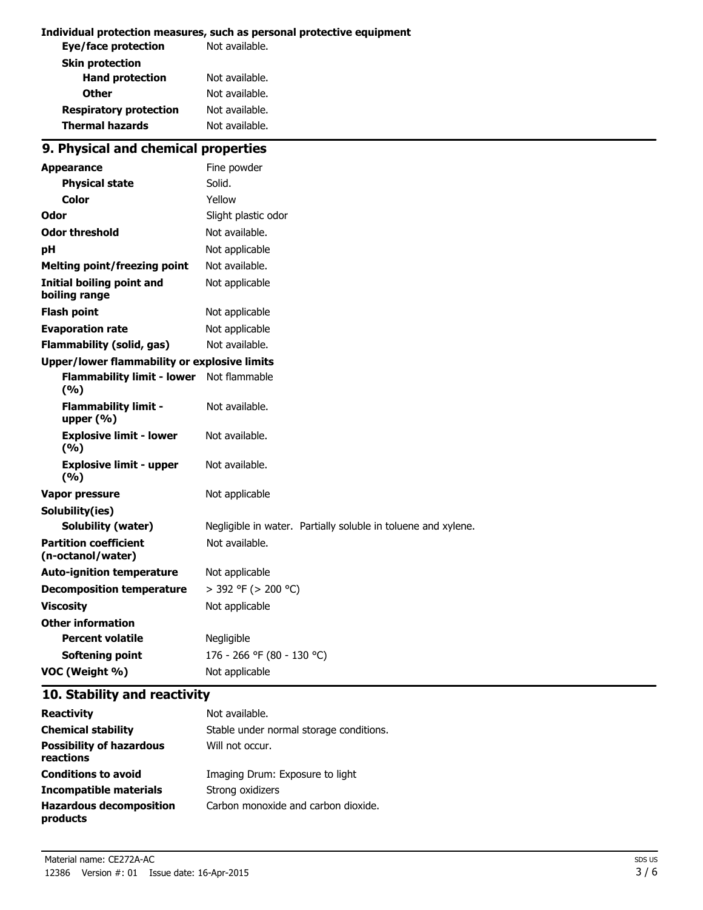#### **Individual protection measures, such as personal protective equipment**

| Not available. |
|----------------|
|                |
| Not available. |
| Not available. |
| Not available. |
| Not available. |
|                |

## **9. Physical and chemical properties**

| <b>Appearance</b>                                   | Fine powder                                                   |  |
|-----------------------------------------------------|---------------------------------------------------------------|--|
| <b>Physical state</b>                               | Solid.                                                        |  |
| Color                                               | Yellow                                                        |  |
| Odor                                                | Slight plastic odor                                           |  |
| <b>Odor threshold</b>                               | Not available.                                                |  |
| рH                                                  | Not applicable                                                |  |
| <b>Melting point/freezing point</b>                 | Not available.                                                |  |
| <b>Initial boiling point and</b><br>boiling range   | Not applicable                                                |  |
| <b>Flash point</b>                                  | Not applicable                                                |  |
| <b>Evaporation rate</b>                             | Not applicable                                                |  |
| <b>Flammability (solid, gas)</b>                    | Not available.                                                |  |
| <b>Upper/lower flammability or explosive limits</b> |                                                               |  |
| <b>Flammability limit - lower</b><br>(9/6)          | Not flammable                                                 |  |
| <b>Flammability limit -</b><br>upper $(% )$         | Not available.                                                |  |
| <b>Explosive limit - lower</b><br>(9/6)             | Not available.                                                |  |
| <b>Explosive limit - upper</b><br>(9/6)             | Not available.                                                |  |
| <b>Vapor pressure</b>                               | Not applicable                                                |  |
| Solubility(ies)                                     |                                                               |  |
| <b>Solubility (water)</b>                           | Negligible in water. Partially soluble in toluene and xylene. |  |
| <b>Partition coefficient</b><br>(n-octanol/water)   | Not available.                                                |  |
| <b>Auto-ignition temperature</b>                    | Not applicable                                                |  |
| <b>Decomposition temperature</b>                    | > 392 °F (> 200 °C)                                           |  |
| <b>Viscosity</b>                                    | Not applicable                                                |  |
| <b>Other information</b>                            |                                                               |  |
| <b>Percent volatile</b>                             | Negligible                                                    |  |
| <b>Softening point</b>                              | 176 - 266 °F (80 - 130 °C)                                    |  |
| VOC (Weight %)                                      | Not applicable                                                |  |

### **10. Stability and reactivity**

| <b>Reactivity</b>                            | Not available.                          |
|----------------------------------------------|-----------------------------------------|
| <b>Chemical stability</b>                    | Stable under normal storage conditions. |
| <b>Possibility of hazardous</b><br>reactions | Will not occur.                         |
| <b>Conditions to avoid</b>                   | Imaging Drum: Exposure to light         |
| Incompatible materials                       | Strong oxidizers                        |
| <b>Hazardous decomposition</b><br>products   | Carbon monoxide and carbon dioxide.     |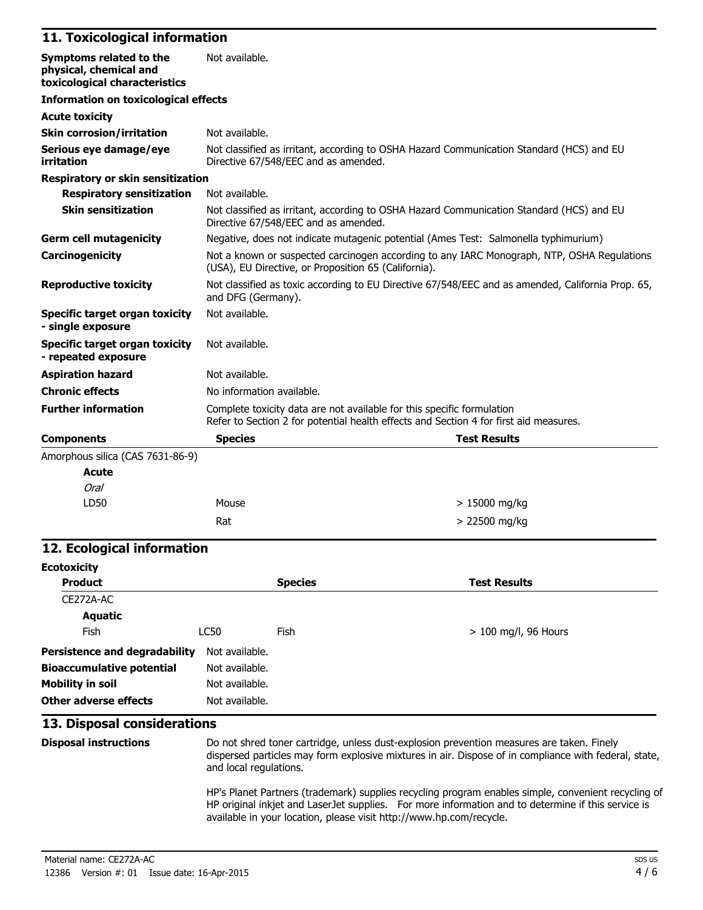#### **11. Toxicological information**

| Symptoms related to the<br>physical, chemical and<br>toxicological characteristics | Not available.                                                                                                                                                  |  |  |
|------------------------------------------------------------------------------------|-----------------------------------------------------------------------------------------------------------------------------------------------------------------|--|--|
| <b>Information on toxicological effects</b>                                        |                                                                                                                                                                 |  |  |
| <b>Acute toxicity</b>                                                              |                                                                                                                                                                 |  |  |
| <b>Skin corrosion/irritation</b>                                                   | Not available.                                                                                                                                                  |  |  |
| Serious eye damage/eye<br>irritation                                               | Not classified as irritant, according to OSHA Hazard Communication Standard (HCS) and EU<br>Directive 67/548/EEC and as amended.                                |  |  |
| <b>Respiratory or skin sensitization</b>                                           |                                                                                                                                                                 |  |  |
| <b>Respiratory sensitization</b>                                                   | Not available.                                                                                                                                                  |  |  |
| <b>Skin sensitization</b>                                                          | Not classified as irritant, according to OSHA Hazard Communication Standard (HCS) and EU<br>Directive 67/548/EEC and as amended.                                |  |  |
| <b>Germ cell mutagenicity</b>                                                      | Negative, does not indicate mutagenic potential (Ames Test: Salmonella typhimurium)                                                                             |  |  |
| Carcinogenicity                                                                    | Not a known or suspected carcinogen according to any IARC Monograph, NTP, OSHA Regulations<br>(USA), EU Directive, or Proposition 65 (California).              |  |  |
| <b>Reproductive toxicity</b>                                                       | Not classified as toxic according to EU Directive 67/548/EEC and as amended, California Prop. 65,<br>and DFG (Germany).                                         |  |  |
| Specific target organ toxicity<br>- single exposure                                | Not available.                                                                                                                                                  |  |  |
| <b>Specific target organ toxicity</b><br>- repeated exposure                       | Not available.                                                                                                                                                  |  |  |
| <b>Aspiration hazard</b>                                                           | Not available.                                                                                                                                                  |  |  |
| <b>Chronic effects</b>                                                             | No information available.                                                                                                                                       |  |  |
| <b>Further information</b>                                                         | Complete toxicity data are not available for this specific formulation<br>Refer to Section 2 for potential health effects and Section 4 for first aid measures. |  |  |
| <b>Components</b>                                                                  | <b>Species</b><br><b>Test Results</b>                                                                                                                           |  |  |
| Amorphous silica (CAS 7631-86-9)                                                   |                                                                                                                                                                 |  |  |
| <b>Acute</b>                                                                       |                                                                                                                                                                 |  |  |
| Oral                                                                               |                                                                                                                                                                 |  |  |

#### **12. Ecological information**

LD50 Mouse

| <b>Ecotoxicity</b>                   |                |                |                        |  |  |
|--------------------------------------|----------------|----------------|------------------------|--|--|
| <b>Product</b>                       |                | <b>Species</b> | <b>Test Results</b>    |  |  |
| CE272A-AC                            |                |                |                        |  |  |
| <b>Aquatic</b>                       |                |                |                        |  |  |
| <b>Fish</b>                          | LC50           | Fish           | $> 100$ mg/l, 96 Hours |  |  |
| <b>Persistence and degradability</b> | Not available. |                |                        |  |  |
| <b>Bioaccumulative potential</b>     | Not available. |                |                        |  |  |
| <b>Mobility in soil</b>              | Not available. |                |                        |  |  |
| Other adverse effects                | Not available. |                |                        |  |  |

 $Rat$   $> 22500$  mg/kg

#### **13. Disposal considerations**

**Disposal instructions** Do not shred toner cartridge, unless dust-explosion prevention measures are taken. Finely dispersed particles may form explosive mixtures in air. Dispose of in compliance with federal, state, and local regulations.

> 15000 mg/kg

HP's Planet Partners (trademark) supplies recycling program enables simple, convenient recycling of HP original inkjet and LaserJet supplies. For more information and to determine if this service is available in your location, please visit http://www.hp.com/recycle.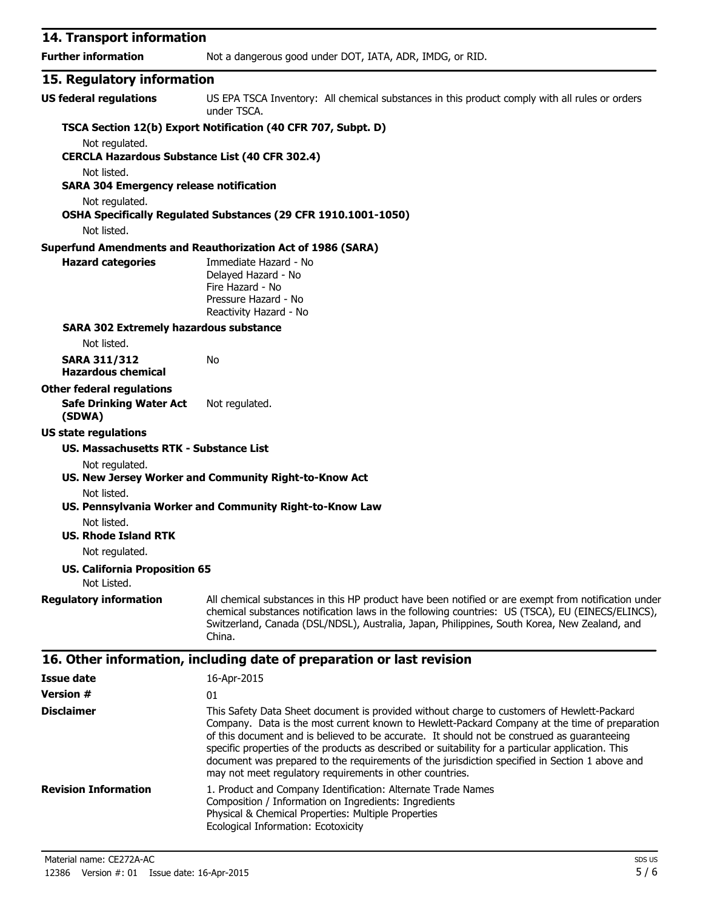| 14. Transport information                                                                                                                                                                                                                                                                                       |                                                                                                                                                                                                                                                                                                                   |  |  |
|-----------------------------------------------------------------------------------------------------------------------------------------------------------------------------------------------------------------------------------------------------------------------------------------------------------------|-------------------------------------------------------------------------------------------------------------------------------------------------------------------------------------------------------------------------------------------------------------------------------------------------------------------|--|--|
| <b>Further information</b>                                                                                                                                                                                                                                                                                      | Not a dangerous good under DOT, IATA, ADR, IMDG, or RID.                                                                                                                                                                                                                                                          |  |  |
| 15. Regulatory information                                                                                                                                                                                                                                                                                      |                                                                                                                                                                                                                                                                                                                   |  |  |
| <b>US federal regulations</b>                                                                                                                                                                                                                                                                                   | US EPA TSCA Inventory: All chemical substances in this product comply with all rules or orders<br>under TSCA.                                                                                                                                                                                                     |  |  |
|                                                                                                                                                                                                                                                                                                                 | TSCA Section 12(b) Export Notification (40 CFR 707, Subpt. D)                                                                                                                                                                                                                                                     |  |  |
| Not regulated.<br><b>CERCLA Hazardous Substance List (40 CFR 302.4)</b>                                                                                                                                                                                                                                         |                                                                                                                                                                                                                                                                                                                   |  |  |
| Not listed.<br><b>SARA 304 Emergency release notification</b>                                                                                                                                                                                                                                                   |                                                                                                                                                                                                                                                                                                                   |  |  |
| Not regulated.<br>Not listed.                                                                                                                                                                                                                                                                                   | OSHA Specifically Regulated Substances (29 CFR 1910.1001-1050)                                                                                                                                                                                                                                                    |  |  |
|                                                                                                                                                                                                                                                                                                                 | <b>Superfund Amendments and Reauthorization Act of 1986 (SARA)</b>                                                                                                                                                                                                                                                |  |  |
| <b>Hazard categories</b>                                                                                                                                                                                                                                                                                        | Immediate Hazard - No<br>Delayed Hazard - No<br>Fire Hazard - No<br>Pressure Hazard - No<br>Reactivity Hazard - No                                                                                                                                                                                                |  |  |
| <b>SARA 302 Extremely hazardous substance</b>                                                                                                                                                                                                                                                                   |                                                                                                                                                                                                                                                                                                                   |  |  |
| Not listed.                                                                                                                                                                                                                                                                                                     |                                                                                                                                                                                                                                                                                                                   |  |  |
| <b>SARA 311/312</b><br><b>Hazardous chemical</b>                                                                                                                                                                                                                                                                | No                                                                                                                                                                                                                                                                                                                |  |  |
| <b>Other federal regulations</b>                                                                                                                                                                                                                                                                                |                                                                                                                                                                                                                                                                                                                   |  |  |
| <b>Safe Drinking Water Act</b><br>(SDWA)                                                                                                                                                                                                                                                                        | Not regulated.                                                                                                                                                                                                                                                                                                    |  |  |
| <b>US state regulations</b>                                                                                                                                                                                                                                                                                     |                                                                                                                                                                                                                                                                                                                   |  |  |
| US. Massachusetts RTK - Substance List                                                                                                                                                                                                                                                                          |                                                                                                                                                                                                                                                                                                                   |  |  |
| Not regulated.                                                                                                                                                                                                                                                                                                  |                                                                                                                                                                                                                                                                                                                   |  |  |
|                                                                                                                                                                                                                                                                                                                 | US. New Jersey Worker and Community Right-to-Know Act                                                                                                                                                                                                                                                             |  |  |
| Not listed.                                                                                                                                                                                                                                                                                                     | US. Pennsylvania Worker and Community Right-to-Know Law                                                                                                                                                                                                                                                           |  |  |
| Not listed.                                                                                                                                                                                                                                                                                                     |                                                                                                                                                                                                                                                                                                                   |  |  |
| <b>US. Rhode Island RTK</b>                                                                                                                                                                                                                                                                                     |                                                                                                                                                                                                                                                                                                                   |  |  |
| Not regulated.                                                                                                                                                                                                                                                                                                  |                                                                                                                                                                                                                                                                                                                   |  |  |
| <b>US. California Proposition 65</b><br>Not Listed.                                                                                                                                                                                                                                                             |                                                                                                                                                                                                                                                                                                                   |  |  |
| <b>Regulatory information</b>                                                                                                                                                                                                                                                                                   | All chemical substances in this HP product have been notified or are exempt from notification under<br>chemical substances notification laws in the following countries: US (TSCA), EU (EINECS/ELINCS),<br>Switzerland, Canada (DSL/NDSL), Australia, Japan, Philippines, South Korea, New Zealand, and<br>China. |  |  |
|                                                                                                                                                                                                                                                                                                                 | 16. Other information, including date of preparation or last revision                                                                                                                                                                                                                                             |  |  |
| <b>Issue date</b>                                                                                                                                                                                                                                                                                               | 16-Apr-2015                                                                                                                                                                                                                                                                                                       |  |  |
| <b>Version #</b>                                                                                                                                                                                                                                                                                                | 01                                                                                                                                                                                                                                                                                                                |  |  |
| <b>Disclaimer</b><br>This Safety Data Sheet document is provided without charge to customers of Hewlett-Packard<br>Company. Data is the most current known to Hewlett-Packard Company at the time of preparation<br>of this document and is believed to be accurate. It should not be construed as guaranteeing |                                                                                                                                                                                                                                                                                                                   |  |  |

#### document was prepared to the requirements of the jurisdiction specified in Section 1 above and may not meet regulatory requirements in other countries. **Revision Information** 1. Product and Company Identification: Alternate Trade Names Composition / Information on Ingredients: Ingredients Physical & Chemical Properties: Multiple Properties Ecological Information: Ecotoxicity

specific properties of the products as described or suitability for a particular application. This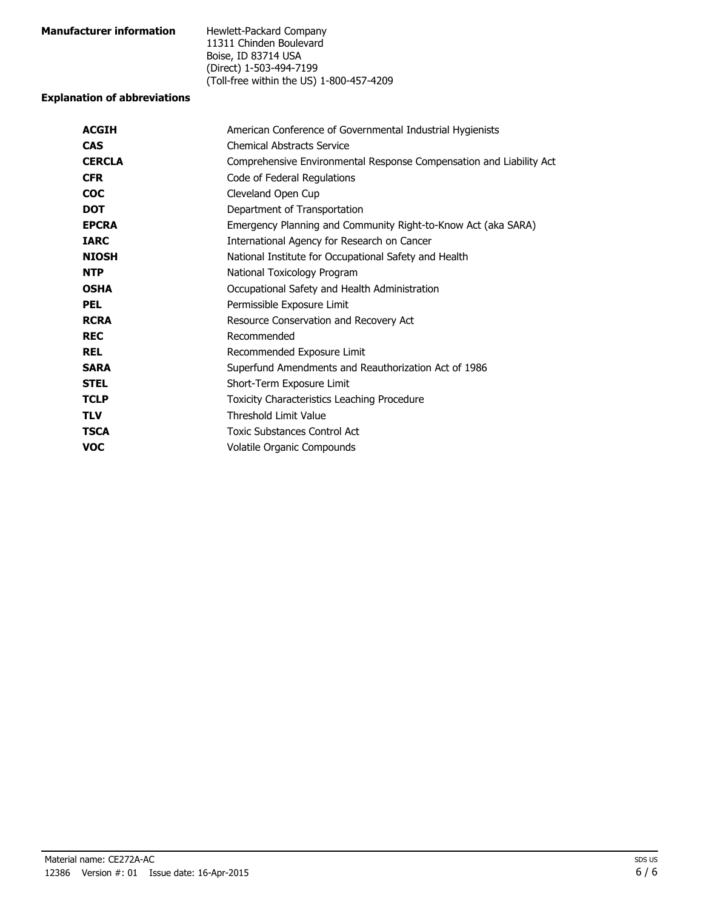| <b>Manufacturer information</b> | Hewlett-Packard Company                  |
|---------------------------------|------------------------------------------|
|                                 | 11311 Chinden Boulevard                  |
|                                 | Boise, ID 83714 USA                      |
|                                 | (Direct) 1-503-494-7199                  |
|                                 | (Toll-free within the US) 1-800-457-4209 |

#### **Explanation of abbreviations**

| American Conference of Governmental Industrial Hygienists           |
|---------------------------------------------------------------------|
| <b>Chemical Abstracts Service</b>                                   |
| Comprehensive Environmental Response Compensation and Liability Act |
| Code of Federal Regulations                                         |
| Cleveland Open Cup                                                  |
| Department of Transportation                                        |
| Emergency Planning and Community Right-to-Know Act (aka SARA)       |
| International Agency for Research on Cancer                         |
| National Institute for Occupational Safety and Health               |
| National Toxicology Program                                         |
| Occupational Safety and Health Administration                       |
| Permissible Exposure Limit                                          |
| Resource Conservation and Recovery Act                              |
| Recommended                                                         |
| Recommended Exposure Limit                                          |
| Superfund Amendments and Reauthorization Act of 1986                |
| Short-Term Exposure Limit                                           |
| Toxicity Characteristics Leaching Procedure                         |
| <b>Threshold Limit Value</b>                                        |
| Toxic Substances Control Act                                        |
| Volatile Organic Compounds                                          |
|                                                                     |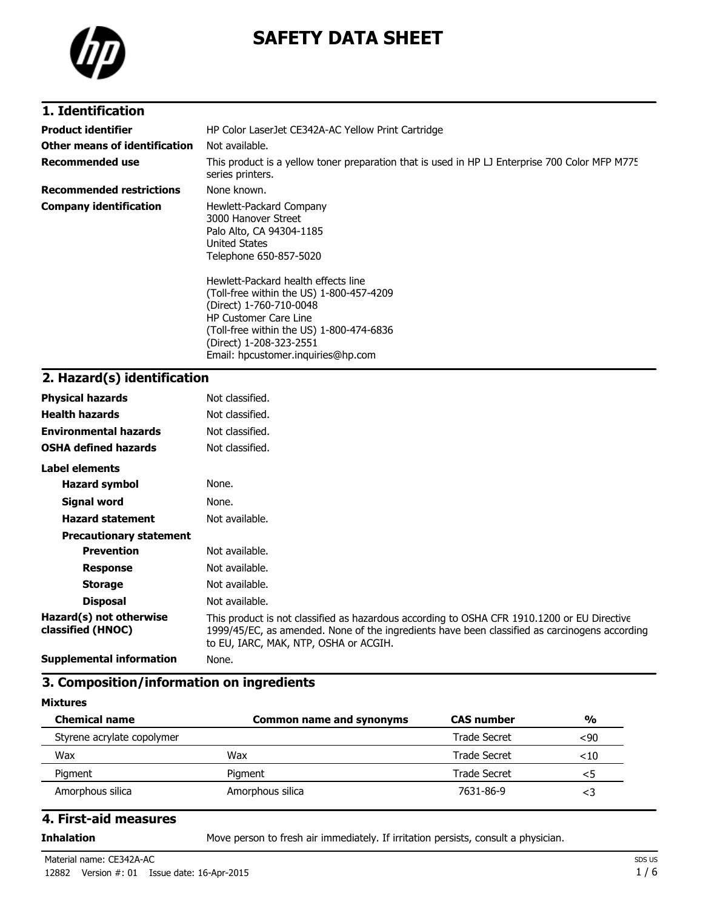

# **SAFETY DATA SHEET**

### **1. Identification**

| <b>Product identifier</b><br>Other means of identification | HP Color LaserJet CE342A-AC Yellow Print Cartridge<br>Not available.                                                                                                                                                                                                                                                                                                                    |
|------------------------------------------------------------|-----------------------------------------------------------------------------------------------------------------------------------------------------------------------------------------------------------------------------------------------------------------------------------------------------------------------------------------------------------------------------------------|
| <b>Recommended use</b>                                     | This product is a yellow toner preparation that is used in HP LJ Enterprise 700 Color MFP M775<br>series printers.                                                                                                                                                                                                                                                                      |
| <b>Recommended restrictions</b>                            | None known.                                                                                                                                                                                                                                                                                                                                                                             |
| <b>Company identification</b>                              | Hewlett-Packard Company<br>3000 Hanover Street<br>Palo Alto, CA 94304-1185<br><b>United States</b><br>Telephone 650-857-5020<br>Hewlett-Packard health effects line<br>(Toll-free within the US) 1-800-457-4209<br>(Direct) 1-760-710-0048<br><b>HP Customer Care Line</b><br>(Toll-free within the US) 1-800-474-6836<br>(Direct) 1-208-323-2551<br>Email: hpcustomer.inquiries@hp.com |

# **2. Hazard(s) identification**

| <b>Physical hazards</b>                      | Not classified.                                                                                                                                                                                                                       |
|----------------------------------------------|---------------------------------------------------------------------------------------------------------------------------------------------------------------------------------------------------------------------------------------|
| <b>Health hazards</b>                        | Not classified.                                                                                                                                                                                                                       |
| <b>Environmental hazards</b>                 | Not classified.                                                                                                                                                                                                                       |
| <b>OSHA defined hazards</b>                  | Not classified.                                                                                                                                                                                                                       |
| Label elements                               |                                                                                                                                                                                                                                       |
| <b>Hazard symbol</b>                         | None.                                                                                                                                                                                                                                 |
| Signal word                                  | None.                                                                                                                                                                                                                                 |
| <b>Hazard statement</b>                      | Not available.                                                                                                                                                                                                                        |
| <b>Precautionary statement</b>               |                                                                                                                                                                                                                                       |
| <b>Prevention</b>                            | Not available.                                                                                                                                                                                                                        |
| <b>Response</b>                              | Not available.                                                                                                                                                                                                                        |
| <b>Storage</b>                               | Not available.                                                                                                                                                                                                                        |
| <b>Disposal</b>                              | Not available.                                                                                                                                                                                                                        |
| Hazard(s) not otherwise<br>classified (HNOC) | This product is not classified as hazardous according to OSHA CFR 1910.1200 or EU Directive<br>1999/45/EC, as amended. None of the ingredients have been classified as carcinogens according<br>to EU, IARC, MAK, NTP, OSHA or ACGIH. |
| <b>Supplemental information</b>              | None.                                                                                                                                                                                                                                 |

### **3. Composition/information on ingredients**

#### **Mixtures**

| <b>Chemical name</b>       | Common name and synonyms | <b>CAS number</b>   | $\frac{0}{0}$ |
|----------------------------|--------------------------|---------------------|---------------|
| Styrene acrylate copolymer |                          | Trade Secret        | $90$          |
| Wax                        | Wax                      | Trade Secret        | $<$ 10        |
| Pigment                    | Pigment                  | <b>Trade Secret</b> | <5            |
| Amorphous silica           | Amorphous silica         | 7631-86-9           | <3            |

### **4. First-aid measures**

**Inhalation** Move person to fresh air immediately. If irritation persists, consult a physician.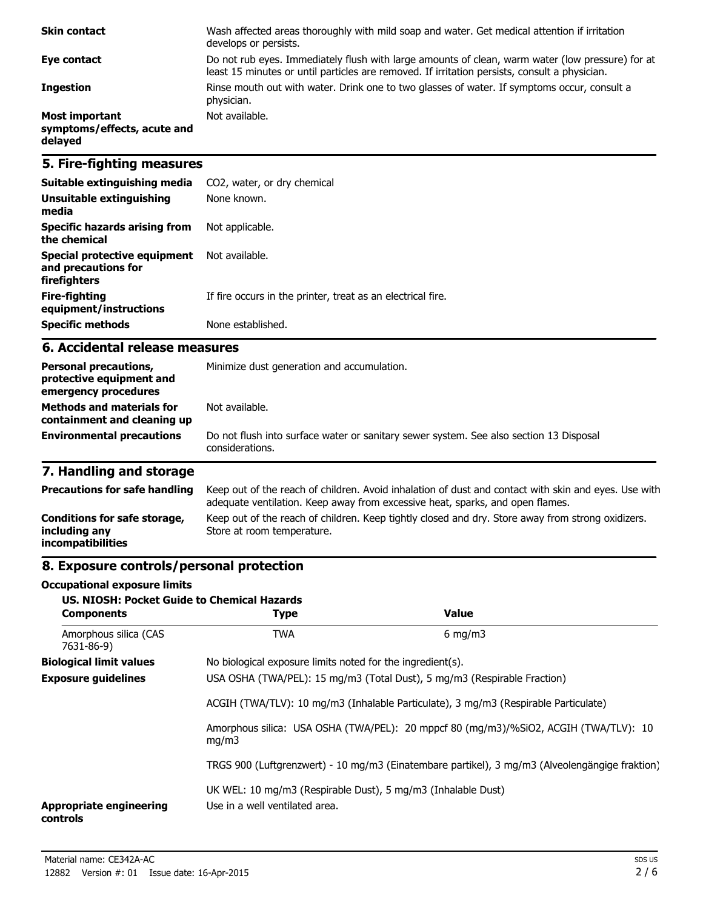| <b>Skin contact</b>                                             | Wash affected areas thoroughly with mild soap and water. Get medical attention if irritation<br>develops or persists.                                                                             |
|-----------------------------------------------------------------|---------------------------------------------------------------------------------------------------------------------------------------------------------------------------------------------------|
| Eye contact                                                     | Do not rub eyes. Immediately flush with large amounts of clean, warm water (low pressure) for at<br>least 15 minutes or until particles are removed. If irritation persists, consult a physician. |
| <b>Ingestion</b>                                                | Rinse mouth out with water. Drink one to two glasses of water. If symptoms occur, consult a<br>physician.                                                                                         |
| <b>Most important</b><br>symptoms/effects, acute and<br>delayed | Not available.                                                                                                                                                                                    |

### **5. Fire-fighting measures**

| Suitable extinguishing media                                        | CO2, water, or dry chemical                                 |
|---------------------------------------------------------------------|-------------------------------------------------------------|
| Unsuitable extinguishing<br>media                                   | None known.                                                 |
| Specific hazards arising from<br>the chemical                       | Not applicable.                                             |
| Special protective equipment<br>and precautions for<br>firefighters | Not available.                                              |
| Fire-fighting<br>equipment/instructions                             | If fire occurs in the printer, treat as an electrical fire. |
| <b>Specific methods</b>                                             | None established.                                           |

### **6. Accidental release measures**

| <b>Personal precautions,</b><br>protective equipment and<br>emergency procedures | Minimize dust generation and accumulation.                                                                |
|----------------------------------------------------------------------------------|-----------------------------------------------------------------------------------------------------------|
| <b>Methods and materials for</b><br>containment and cleaning up                  | Not available.                                                                                            |
| <b>Environmental precautions</b>                                                 | Do not flush into surface water or sanitary sewer system. See also section 13 Disposal<br>considerations. |

# **7. Handling and storage**

| <b>Precautions for safe handling</b>                                      | Keep out of the reach of children. Avoid inhalation of dust and contact with skin and eyes. Use with<br>adequate ventilation. Keep away from excessive heat, sparks, and open flames. |
|---------------------------------------------------------------------------|---------------------------------------------------------------------------------------------------------------------------------------------------------------------------------------|
| Conditions for safe storage,<br>including any<br><i>incompatibilities</i> | Keep out of the reach of children. Keep tightly closed and dry. Store away from strong oxidizers.<br>Store at room temperature.                                                       |

# **8. Exposure controls/personal protection**

#### **Occupational exposure limits**

| <b>US. NIOSH: Pocket Guide to Chemical Hazards</b><br><b>Components</b> | <b>Type</b>                                                                                                                                                     | <b>Value</b>                                                                         |
|-------------------------------------------------------------------------|-----------------------------------------------------------------------------------------------------------------------------------------------------------------|--------------------------------------------------------------------------------------|
| Amorphous silica (CAS<br>7631-86-9)                                     | <b>TWA</b>                                                                                                                                                      | $6 \text{ mg/m}$                                                                     |
| <b>Biological limit values</b>                                          | No biological exposure limits noted for the ingredient(s).                                                                                                      |                                                                                      |
| <b>Exposure guidelines</b>                                              | USA OSHA (TWA/PEL): 15 mg/m3 (Total Dust), 5 mg/m3 (Respirable Fraction)<br>ACGIH (TWA/TLV): 10 mg/m3 (Inhalable Particulate), 3 mg/m3 (Respirable Particulate) |                                                                                      |
|                                                                         |                                                                                                                                                                 |                                                                                      |
| mq/m3                                                                   |                                                                                                                                                                 | Amorphous silica: USA OSHA (TWA/PEL): 20 mppcf 80 (mg/m3)/%SiO2, ACGIH (TWA/TLV): 10 |
|                                                                         | TRGS 900 (Luftgrenzwert) - 10 mg/m3 (Einatembare partikel), 3 mg/m3 (Alveolengängige fraktion)                                                                  |                                                                                      |
| <b>Appropriate engineering</b><br>controls                              | UK WEL: 10 mg/m3 (Respirable Dust), 5 mg/m3 (Inhalable Dust)<br>Use in a well ventilated area.                                                                  |                                                                                      |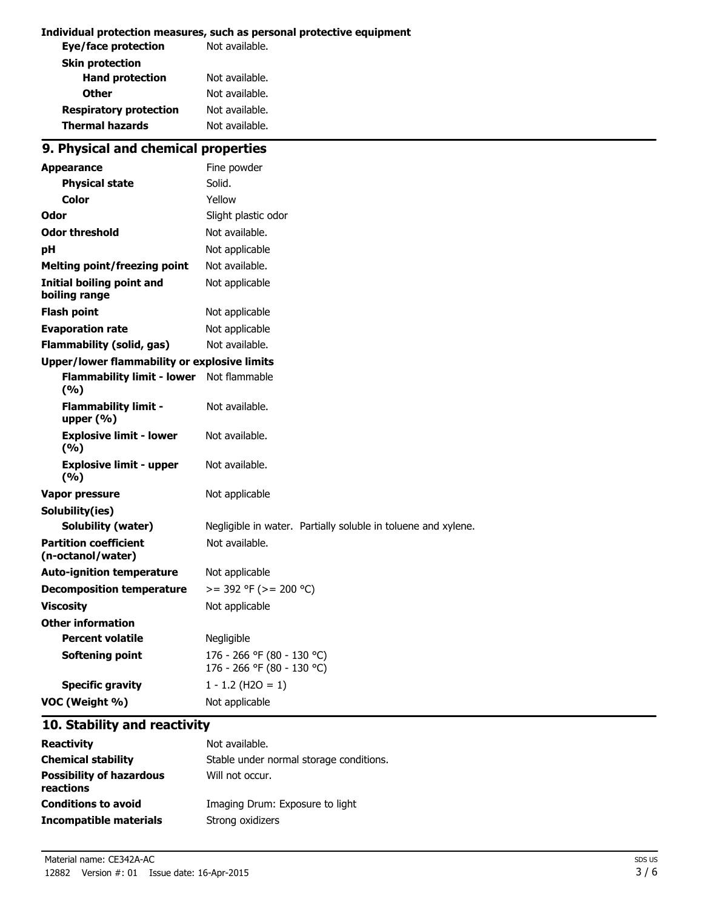#### **Individual protection measures, such as personal protective equipment**

| Not available. |
|----------------|
|                |
| Not available. |
| Not available. |
| Not available. |
| Not available. |
|                |

# **9. Physical and chemical properties**

| <b>Appearance</b>                                   | Fine powder                                                   |  |
|-----------------------------------------------------|---------------------------------------------------------------|--|
| <b>Physical state</b>                               | Solid.                                                        |  |
| Color                                               | Yellow                                                        |  |
| Odor                                                | Slight plastic odor                                           |  |
| <b>Odor threshold</b>                               | Not available.                                                |  |
| pH                                                  | Not applicable                                                |  |
| <b>Melting point/freezing point</b>                 | Not available.                                                |  |
| <b>Initial boiling point and</b><br>boiling range   | Not applicable                                                |  |
| <b>Flash point</b>                                  | Not applicable                                                |  |
| <b>Evaporation rate</b>                             | Not applicable                                                |  |
| <b>Flammability (solid, gas)</b>                    | Not available.                                                |  |
| <b>Upper/lower flammability or explosive limits</b> |                                                               |  |
| <b>Flammability limit - lower</b><br>(9/6)          | Not flammable                                                 |  |
| <b>Flammability limit -</b><br>upper $(\% )$        | Not available.                                                |  |
| <b>Explosive limit - lower</b><br>(9/6)             | Not available.                                                |  |
| <b>Explosive limit - upper</b><br>(9/6)             | Not available.                                                |  |
| <b>Vapor pressure</b>                               | Not applicable                                                |  |
| Solubility(ies)                                     |                                                               |  |
| <b>Solubility (water)</b>                           | Negligible in water. Partially soluble in toluene and xylene. |  |
| <b>Partition coefficient</b><br>(n-octanol/water)   | Not available.                                                |  |
| <b>Auto-ignition temperature</b>                    | Not applicable                                                |  |
| <b>Decomposition temperature</b>                    | $>=$ 392 °F ( $>=$ 200 °C)                                    |  |
| <b>Viscosity</b>                                    | Not applicable                                                |  |
| <b>Other information</b>                            |                                                               |  |
| <b>Percent volatile</b>                             | Negligible                                                    |  |
| <b>Softening point</b>                              | 176 - 266 °F (80 - 130 °C)<br>176 - 266 °F (80 - 130 °C)      |  |
| <b>Specific gravity</b>                             | $1 - 1.2$ (H2O = 1)                                           |  |
| VOC (Weight %)                                      | Not applicable                                                |  |

### **10. Stability and reactivity**

| <b>Reactivity</b>                            | Not available.                          |
|----------------------------------------------|-----------------------------------------|
| <b>Chemical stability</b>                    | Stable under normal storage conditions. |
| <b>Possibility of hazardous</b><br>reactions | Will not occur.                         |
| <b>Conditions to avoid</b>                   | Imaging Drum: Exposure to light         |
| Incompatible materials                       | Strong oxidizers                        |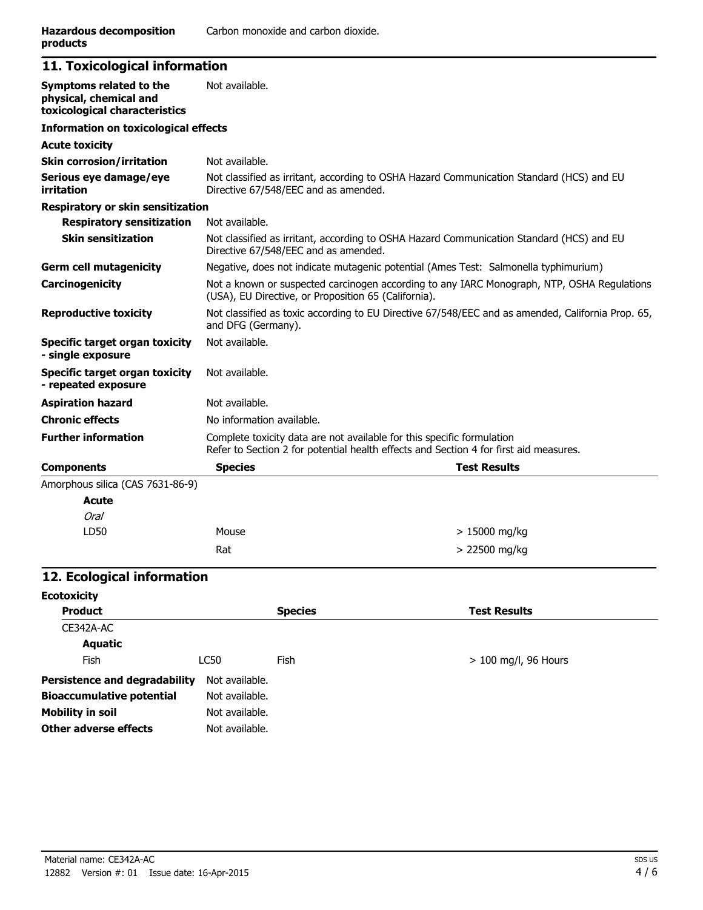### **11. Toxicological information**

| Symptoms related to the<br>physical, chemical and<br>toxicological characteristics | Not available.                                                                                                                                                  |                     |
|------------------------------------------------------------------------------------|-----------------------------------------------------------------------------------------------------------------------------------------------------------------|---------------------|
| <b>Information on toxicological effects</b>                                        |                                                                                                                                                                 |                     |
| <b>Acute toxicity</b>                                                              |                                                                                                                                                                 |                     |
| <b>Skin corrosion/irritation</b>                                                   | Not available.                                                                                                                                                  |                     |
| Serious eye damage/eye<br>irritation                                               | Not classified as irritant, according to OSHA Hazard Communication Standard (HCS) and EU<br>Directive 67/548/EEC and as amended.                                |                     |
| <b>Respiratory or skin sensitization</b>                                           |                                                                                                                                                                 |                     |
| <b>Respiratory sensitization</b>                                                   | Not available.                                                                                                                                                  |                     |
| <b>Skin sensitization</b>                                                          | Not classified as irritant, according to OSHA Hazard Communication Standard (HCS) and EU<br>Directive 67/548/EEC and as amended.                                |                     |
| <b>Germ cell mutagenicity</b>                                                      | Negative, does not indicate mutagenic potential (Ames Test: Salmonella typhimurium)                                                                             |                     |
| Carcinogenicity                                                                    | Not a known or suspected carcinogen according to any IARC Monograph, NTP, OSHA Regulations<br>(USA), EU Directive, or Proposition 65 (California).              |                     |
| <b>Reproductive toxicity</b>                                                       | Not classified as toxic according to EU Directive 67/548/EEC and as amended, California Prop. 65,<br>and DFG (Germany).                                         |                     |
| Specific target organ toxicity<br>- single exposure                                | Not available.                                                                                                                                                  |                     |
| Specific target organ toxicity<br>- repeated exposure                              | Not available.                                                                                                                                                  |                     |
| <b>Aspiration hazard</b>                                                           | Not available.                                                                                                                                                  |                     |
| <b>Chronic effects</b>                                                             | No information available.                                                                                                                                       |                     |
| <b>Further information</b>                                                         | Complete toxicity data are not available for this specific formulation<br>Refer to Section 2 for potential health effects and Section 4 for first aid measures. |                     |
| <b>Components</b>                                                                  | <b>Species</b>                                                                                                                                                  | <b>Test Results</b> |
| Amorphous silica (CAS 7631-86-9)                                                   |                                                                                                                                                                 |                     |
| <b>Acute</b>                                                                       |                                                                                                                                                                 |                     |
| Oral                                                                               |                                                                                                                                                                 |                     |
| LD50                                                                               | Mouse                                                                                                                                                           | $>15000$ mg/kg      |
|                                                                                    | Rat                                                                                                                                                             | $> 22500$ mg/kg     |

### **12. Ecological information**

| <b>Ecotoxicity</b>                   |                |                |                        |
|--------------------------------------|----------------|----------------|------------------------|
| <b>Product</b>                       |                | <b>Species</b> | <b>Test Results</b>    |
| CE342A-AC                            |                |                |                        |
| Aquatic                              |                |                |                        |
| <b>Fish</b>                          | LC50           | Fish           | $> 100$ mg/l, 96 Hours |
| <b>Persistence and degradability</b> | Not available. |                |                        |
| <b>Bioaccumulative potential</b>     | Not available. |                |                        |
| <b>Mobility in soil</b>              | Not available. |                |                        |
| Other adverse effects                | Not available. |                |                        |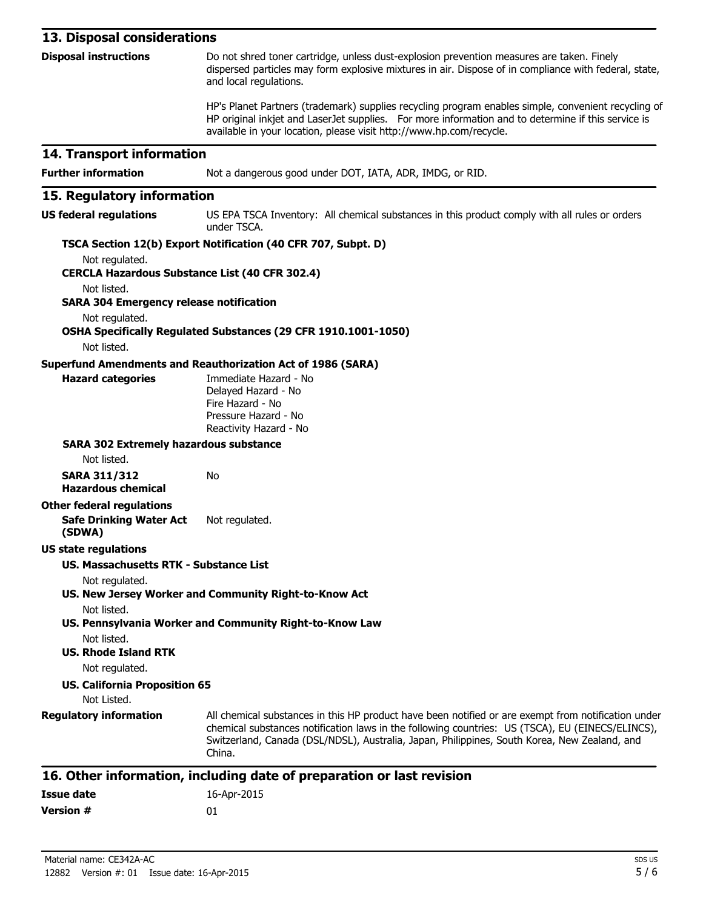| 13. Disposal considerations                                                                                            |                                                                                                                                                                                                                                                                                                                   |
|------------------------------------------------------------------------------------------------------------------------|-------------------------------------------------------------------------------------------------------------------------------------------------------------------------------------------------------------------------------------------------------------------------------------------------------------------|
| <b>Disposal instructions</b>                                                                                           | Do not shred toner cartridge, unless dust-explosion prevention measures are taken. Finely<br>dispersed particles may form explosive mixtures in air. Dispose of in compliance with federal, state,<br>and local regulations.                                                                                      |
|                                                                                                                        | HP's Planet Partners (trademark) supplies recycling program enables simple, convenient recycling of<br>HP original inkjet and LaserJet supplies. For more information and to determine if this service is<br>available in your location, please visit http://www.hp.com/recycle.                                  |
| 14. Transport information                                                                                              |                                                                                                                                                                                                                                                                                                                   |
| <b>Further information</b>                                                                                             | Not a dangerous good under DOT, IATA, ADR, IMDG, or RID.                                                                                                                                                                                                                                                          |
| 15. Regulatory information                                                                                             |                                                                                                                                                                                                                                                                                                                   |
| <b>US federal regulations</b>                                                                                          | US EPA TSCA Inventory: All chemical substances in this product comply with all rules or orders<br>under TSCA.                                                                                                                                                                                                     |
|                                                                                                                        | TSCA Section 12(b) Export Notification (40 CFR 707, Subpt. D)                                                                                                                                                                                                                                                     |
| Not regulated.                                                                                                         |                                                                                                                                                                                                                                                                                                                   |
| <b>CERCLA Hazardous Substance List (40 CFR 302.4)</b><br>Not listed.<br><b>SARA 304 Emergency release notification</b> |                                                                                                                                                                                                                                                                                                                   |
| Not regulated.                                                                                                         | OSHA Specifically Regulated Substances (29 CFR 1910.1001-1050)                                                                                                                                                                                                                                                    |
| Not listed.                                                                                                            |                                                                                                                                                                                                                                                                                                                   |
|                                                                                                                        | <b>Superfund Amendments and Reauthorization Act of 1986 (SARA)</b>                                                                                                                                                                                                                                                |
| <b>Hazard categories</b>                                                                                               | Immediate Hazard - No<br>Delayed Hazard - No<br>Fire Hazard - No<br>Pressure Hazard - No<br>Reactivity Hazard - No                                                                                                                                                                                                |
| <b>SARA 302 Extremely hazardous substance</b>                                                                          |                                                                                                                                                                                                                                                                                                                   |
| Not listed.                                                                                                            |                                                                                                                                                                                                                                                                                                                   |
| <b>SARA 311/312</b><br><b>Hazardous chemical</b>                                                                       | No                                                                                                                                                                                                                                                                                                                |
| <b>Other federal regulations</b><br><b>Safe Drinking Water Act</b><br>(SDWA)                                           | Not regulated.                                                                                                                                                                                                                                                                                                    |
| <b>US state regulations</b>                                                                                            |                                                                                                                                                                                                                                                                                                                   |
| <b>US. Massachusetts RTK - Substance List</b>                                                                          |                                                                                                                                                                                                                                                                                                                   |
| Not regulated.                                                                                                         | US. New Jersey Worker and Community Right-to-Know Act                                                                                                                                                                                                                                                             |
| Not listed.                                                                                                            | US. Pennsylvania Worker and Community Right-to-Know Law                                                                                                                                                                                                                                                           |
| Not listed.<br><b>US. Rhode Island RTK</b><br>Not regulated.                                                           |                                                                                                                                                                                                                                                                                                                   |
| <b>US. California Proposition 65</b><br>Not Listed.                                                                    |                                                                                                                                                                                                                                                                                                                   |
| <b>Regulatory information</b>                                                                                          | All chemical substances in this HP product have been notified or are exempt from notification under<br>chemical substances notification laws in the following countries: US (TSCA), EU (EINECS/ELINCS),<br>Switzerland, Canada (DSL/NDSL), Australia, Japan, Philippines, South Korea, New Zealand, and<br>China. |
|                                                                                                                        | 16. Other information, including date of preparation or last revision                                                                                                                                                                                                                                             |

#### **16. Other information, including date of preparation or last revision**

| Issue date | 16-Apr-2015 |
|------------|-------------|
| Version #  | 01          |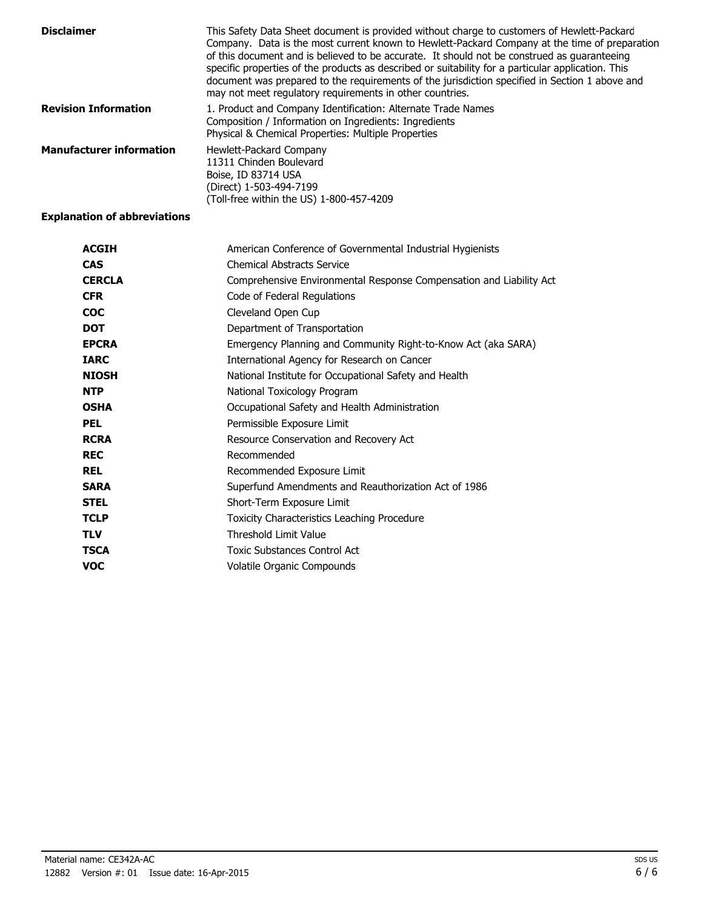| <b>Disclaimer</b>               | This Safety Data Sheet document is provided without charge to customers of Hewlett-Packard<br>Company. Data is the most current known to Hewlett-Packard Company at the time of preparation<br>of this document and is believed to be accurate. It should not be construed as guaranteeing<br>specific properties of the products as described or suitability for a particular application. This<br>document was prepared to the requirements of the jurisdiction specified in Section 1 above and<br>may not meet regulatory requirements in other countries. |
|---------------------------------|----------------------------------------------------------------------------------------------------------------------------------------------------------------------------------------------------------------------------------------------------------------------------------------------------------------------------------------------------------------------------------------------------------------------------------------------------------------------------------------------------------------------------------------------------------------|
| <b>Revision Information</b>     | 1. Product and Company Identification: Alternate Trade Names<br>Composition / Information on Ingredients: Ingredients<br>Physical & Chemical Properties: Multiple Properties                                                                                                                                                                                                                                                                                                                                                                                   |
| <b>Manufacturer information</b> | Hewlett-Packard Company<br>11311 Chinden Boulevard<br>Boise, ID 83714 USA<br>(Direct) 1-503-494-7199<br>(Toll-free within the US) 1-800-457-4209                                                                                                                                                                                                                                                                                                                                                                                                               |

### **Explanation of abbreviations**

| <b>ACGIH</b>  | American Conference of Governmental Industrial Hygienists           |
|---------------|---------------------------------------------------------------------|
| <b>CAS</b>    | <b>Chemical Abstracts Service</b>                                   |
| <b>CERCLA</b> | Comprehensive Environmental Response Compensation and Liability Act |
| <b>CFR</b>    | Code of Federal Regulations                                         |
| <b>COC</b>    | Cleveland Open Cup                                                  |
| <b>DOT</b>    | Department of Transportation                                        |
| <b>EPCRA</b>  | Emergency Planning and Community Right-to-Know Act (aka SARA)       |
| <b>IARC</b>   | International Agency for Research on Cancer                         |
| <b>NIOSH</b>  | National Institute for Occupational Safety and Health               |
| <b>NTP</b>    | National Toxicology Program                                         |
| <b>OSHA</b>   | Occupational Safety and Health Administration                       |
| PEL           | Permissible Exposure Limit                                          |
| <b>RCRA</b>   | Resource Conservation and Recovery Act                              |
| <b>REC</b>    | Recommended                                                         |
| <b>REL</b>    | Recommended Exposure Limit                                          |
| <b>SARA</b>   | Superfund Amendments and Reauthorization Act of 1986                |
| <b>STEL</b>   | Short-Term Exposure Limit                                           |
| <b>TCLP</b>   | Toxicity Characteristics Leaching Procedure                         |
| <b>TLV</b>    | <b>Threshold Limit Value</b>                                        |
| <b>TSCA</b>   | <b>Toxic Substances Control Act</b>                                 |
| <b>VOC</b>    | Volatile Organic Compounds                                          |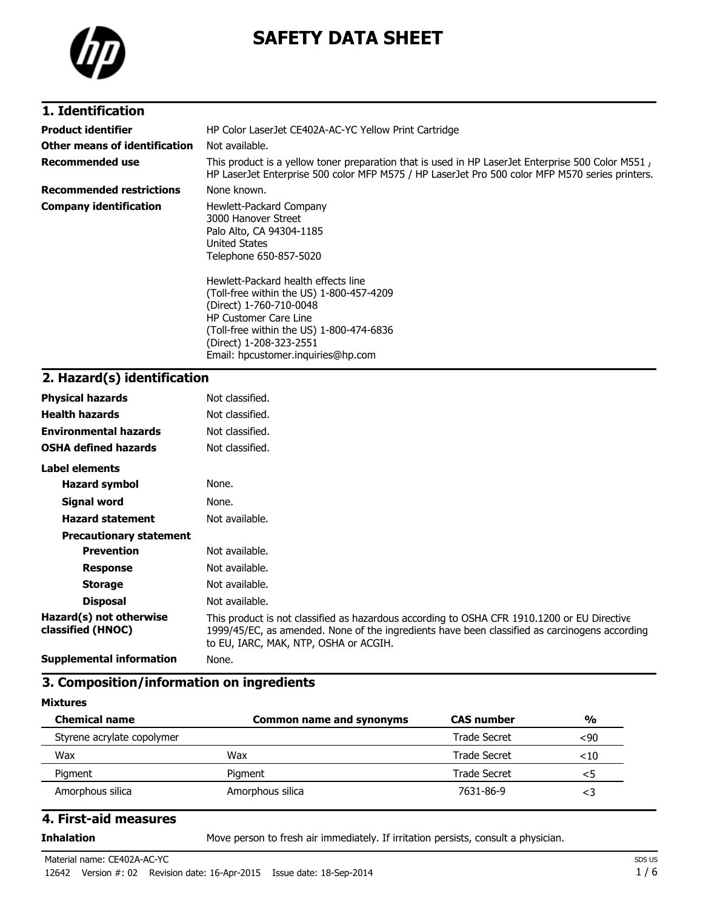

# **SAFETY DATA SHEET**

| 1. Identification |  |
|-------------------|--|
|                   |  |

| Product identifier            | HP Color LaserJet CE402A-AC-YC Yellow Print Cartridge                                                                                                                                                                                                   |
|-------------------------------|---------------------------------------------------------------------------------------------------------------------------------------------------------------------------------------------------------------------------------------------------------|
| Other means of identification | Not available.                                                                                                                                                                                                                                          |
| Recommended use               | This product is a yellow toner preparation that is used in HP LaserJet Enterprise 500 Color M551,<br>HP LaserJet Enterprise 500 color MFP M575 / HP LaserJet Pro 500 color MFP M570 series printers.                                                    |
| Recommended restrictions      | None known.                                                                                                                                                                                                                                             |
| Company identification        | Hewlett-Packard Company<br>3000 Hanover Street<br>Palo Alto, CA 94304-1185<br><b>United States</b><br>Telephone 650-857-5020                                                                                                                            |
|                               | Hewlett-Packard health effects line<br>(Toll-free within the US) 1-800-457-4209<br>(Direct) 1-760-710-0048<br><b>HP Customer Care Line</b><br>(Toll-free within the US) 1-800-474-6836<br>(Direct) 1-208-323-2551<br>Email: hpcustomer.inguiries@hp.com |

## **2. Hazard(s) identification**

| <b>Physical hazards</b>                      | Not classified.                                                                                                                                                                                                                       |
|----------------------------------------------|---------------------------------------------------------------------------------------------------------------------------------------------------------------------------------------------------------------------------------------|
| <b>Health hazards</b>                        | Not classified.                                                                                                                                                                                                                       |
| <b>Environmental hazards</b>                 | Not classified.                                                                                                                                                                                                                       |
| <b>OSHA defined hazards</b>                  | Not classified.                                                                                                                                                                                                                       |
| Label elements                               |                                                                                                                                                                                                                                       |
| <b>Hazard symbol</b>                         | None.                                                                                                                                                                                                                                 |
| Signal word                                  | None.                                                                                                                                                                                                                                 |
| <b>Hazard statement</b>                      | Not available.                                                                                                                                                                                                                        |
| <b>Precautionary statement</b>               |                                                                                                                                                                                                                                       |
| <b>Prevention</b>                            | Not available.                                                                                                                                                                                                                        |
| <b>Response</b>                              | Not available.                                                                                                                                                                                                                        |
| <b>Storage</b>                               | Not available.                                                                                                                                                                                                                        |
| <b>Disposal</b>                              | Not available.                                                                                                                                                                                                                        |
| Hazard(s) not otherwise<br>classified (HNOC) | This product is not classified as hazardous according to OSHA CFR 1910.1200 or EU Directive<br>1999/45/EC, as amended. None of the ingredients have been classified as carcinogens according<br>to EU, IARC, MAK, NTP, OSHA or ACGIH. |
| <b>Supplemental information</b>              | None.                                                                                                                                                                                                                                 |

### **3. Composition/information on ingredients**

#### **Mixtures**

| <b>Chemical name</b>       | Common name and synonyms | <b>CAS</b> number | $\frac{0}{0}$ |
|----------------------------|--------------------------|-------------------|---------------|
| Styrene acrylate copolymer |                          | Trade Secret      | $90$          |
| Wax                        | Wax                      | Trade Secret      | $<$ 10        |
| Pigment                    | Pigment                  | Trade Secret      | <5            |
| Amorphous silica           | Amorphous silica         | 7631-86-9         | <3            |

### **4. First-aid measures**

**Inhalation** Move person to fresh air immediately. If irritation persists, consult a physician.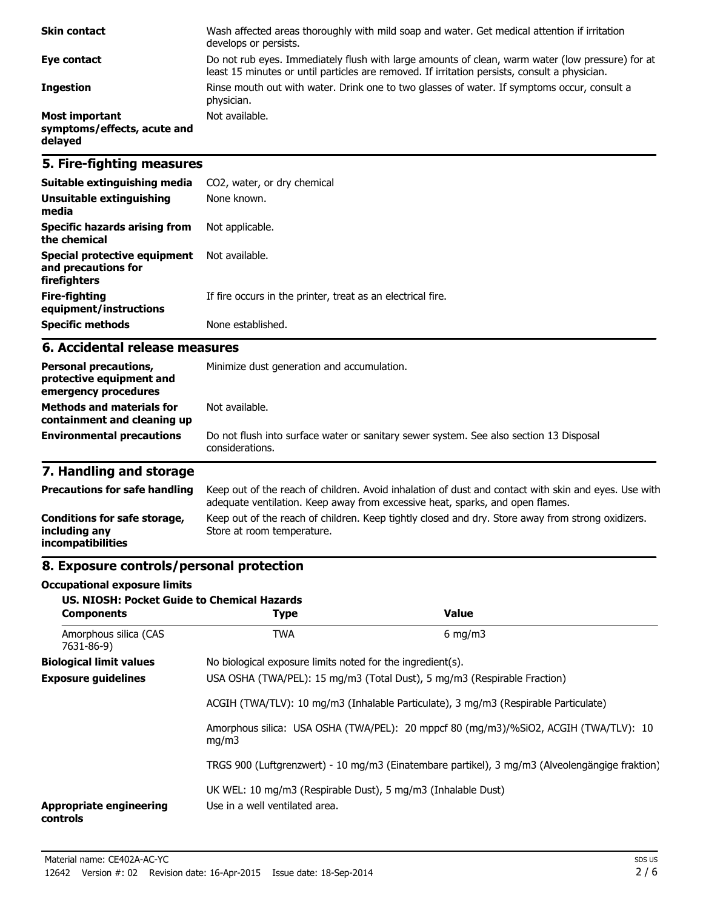| <b>Skin contact</b>                                             | Wash affected areas thoroughly with mild soap and water. Get medical attention if irritation<br>develops or persists.                                                                             |
|-----------------------------------------------------------------|---------------------------------------------------------------------------------------------------------------------------------------------------------------------------------------------------|
| Eye contact                                                     | Do not rub eyes. Immediately flush with large amounts of clean, warm water (low pressure) for at<br>least 15 minutes or until particles are removed. If irritation persists, consult a physician. |
| <b>Ingestion</b>                                                | Rinse mouth out with water. Drink one to two glasses of water. If symptoms occur, consult a<br>physician.                                                                                         |
| <b>Most important</b><br>symptoms/effects, acute and<br>delayed | Not available.                                                                                                                                                                                    |

### **5. Fire-fighting measures**

| Suitable extinguishing media                                        | CO2, water, or dry chemical                                 |
|---------------------------------------------------------------------|-------------------------------------------------------------|
| Unsuitable extinguishing<br>media                                   | None known.                                                 |
| Specific hazards arising from<br>the chemical                       | Not applicable.                                             |
| Special protective equipment<br>and precautions for<br>firefighters | Not available.                                              |
| Fire-fighting<br>equipment/instructions                             | If fire occurs in the printer, treat as an electrical fire. |
| <b>Specific methods</b>                                             | None established.                                           |

### **6. Accidental release measures**

| <b>Personal precautions,</b><br>protective equipment and<br>emergency procedures | Minimize dust generation and accumulation.                                                                |  |
|----------------------------------------------------------------------------------|-----------------------------------------------------------------------------------------------------------|--|
| <b>Methods and materials for</b><br>containment and cleaning up                  | Not available.                                                                                            |  |
| <b>Environmental precautions</b>                                                 | Do not flush into surface water or sanitary sewer system. See also section 13 Disposal<br>considerations. |  |

# **7. Handling and storage**

| <b>Precautions for safe handling</b>                                      | Keep out of the reach of children. Avoid inhalation of dust and contact with skin and eyes. Use with<br>adequate ventilation. Keep away from excessive heat, sparks, and open flames. |
|---------------------------------------------------------------------------|---------------------------------------------------------------------------------------------------------------------------------------------------------------------------------------|
| Conditions for safe storage,<br>including any<br><i>incompatibilities</i> | Keep out of the reach of children. Keep tightly closed and dry. Store away from strong oxidizers.<br>Store at room temperature.                                                       |

# **8. Exposure controls/personal protection**

#### **Occupational exposure limits**

| US. NIOSH: Pocket Guide to Chemical Hazards<br><b>Components</b>                    | <b>Type</b>                                                                                    | <b>Value</b>                                                                                   |  |  |
|-------------------------------------------------------------------------------------|------------------------------------------------------------------------------------------------|------------------------------------------------------------------------------------------------|--|--|
| Amorphous silica (CAS<br>7631-86-9)                                                 | <b>TWA</b>                                                                                     | $6 \text{ mg/m}$                                                                               |  |  |
| <b>Biological limit values</b>                                                      | No biological exposure limits noted for the ingredient(s).                                     |                                                                                                |  |  |
| <b>Exposure guidelines</b>                                                          |                                                                                                | USA OSHA (TWA/PEL): 15 mg/m3 (Total Dust), 5 mg/m3 (Respirable Fraction)                       |  |  |
| ACGIH (TWA/TLV): 10 mg/m3 (Inhalable Particulate), 3 mg/m3 (Respirable Particulate) |                                                                                                |                                                                                                |  |  |
|                                                                                     | mq/m3                                                                                          | Amorphous silica: USA OSHA (TWA/PEL): 20 mppcf 80 (mq/m3)/%SiO2, ACGIH (TWA/TLV): 10           |  |  |
|                                                                                     |                                                                                                | TRGS 900 (Luftgrenzwert) - 10 mg/m3 (Einatembare partikel), 3 mg/m3 (Alveolengängige fraktion) |  |  |
| <b>Appropriate engineering</b><br>controls                                          | UK WEL: 10 mg/m3 (Respirable Dust), 5 mg/m3 (Inhalable Dust)<br>Use in a well ventilated area. |                                                                                                |  |  |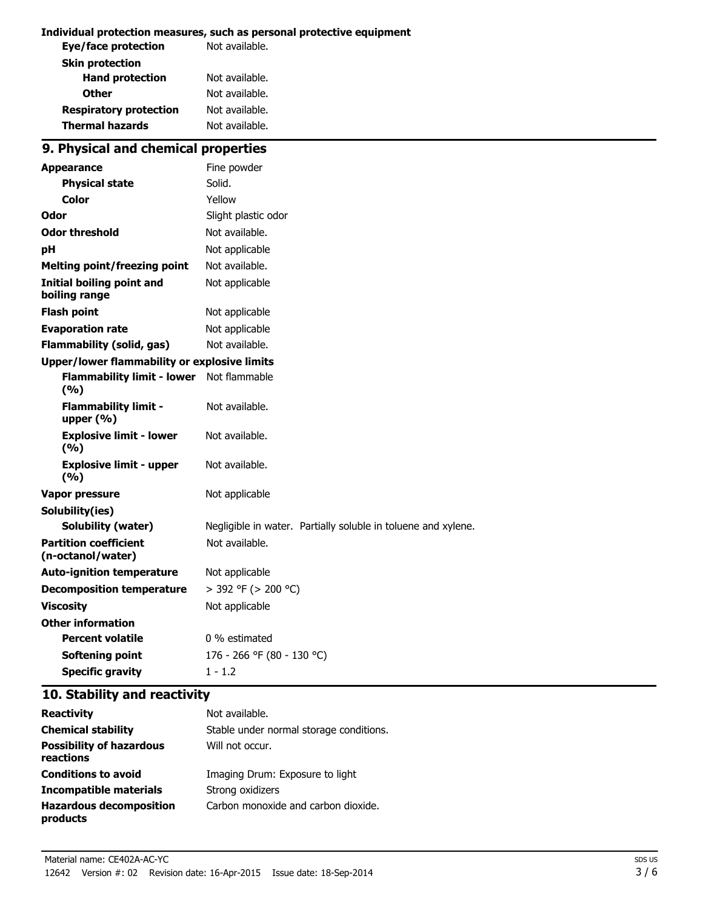#### **Individual protection measures, such as personal protective equipment**

| Not available. |
|----------------|
|                |
| Not available. |
| Not available. |
| Not available. |
| Not available. |
|                |

# **9. Physical and chemical properties**

| <b>Appearance</b>                                   | Fine powder                                                   |  |
|-----------------------------------------------------|---------------------------------------------------------------|--|
| <b>Physical state</b>                               | Solid.                                                        |  |
| Color                                               | Yellow                                                        |  |
| Odor                                                | Slight plastic odor                                           |  |
| <b>Odor threshold</b>                               | Not available.                                                |  |
| рH                                                  | Not applicable                                                |  |
| <b>Melting point/freezing point</b>                 | Not available.                                                |  |
| <b>Initial boiling point and</b><br>boiling range   | Not applicable                                                |  |
| <b>Flash point</b>                                  | Not applicable                                                |  |
| <b>Evaporation rate</b>                             | Not applicable                                                |  |
| <b>Flammability (solid, gas)</b>                    | Not available.                                                |  |
| <b>Upper/lower flammability or explosive limits</b> |                                                               |  |
| <b>Flammability limit - lower</b><br>(9/6)          | Not flammable                                                 |  |
| <b>Flammability limit -</b><br>upper $(% )$         | Not available.                                                |  |
| <b>Explosive limit - lower</b><br>(9/6)             | Not available.                                                |  |
| <b>Explosive limit - upper</b><br>(9/6)             | Not available.                                                |  |
| <b>Vapor pressure</b>                               | Not applicable                                                |  |
| Solubility(ies)                                     |                                                               |  |
| Solubility (water)                                  | Negligible in water. Partially soluble in toluene and xylene. |  |
| <b>Partition coefficient</b><br>(n-octanol/water)   | Not available.                                                |  |
| <b>Auto-ignition temperature</b>                    | Not applicable                                                |  |
| <b>Decomposition temperature</b>                    | $>$ 392 °F ( $>$ 200 °C)                                      |  |
| <b>Viscosity</b>                                    | Not applicable                                                |  |
| <b>Other information</b>                            |                                                               |  |
| <b>Percent volatile</b>                             | 0 % estimated                                                 |  |
| <b>Softening point</b>                              | 176 - 266 °F (80 - 130 °C)                                    |  |
| <b>Specific gravity</b>                             | $1 - 1.2$                                                     |  |

### **10. Stability and reactivity**

| <b>Reactivity</b>                            | Not available.                          |
|----------------------------------------------|-----------------------------------------|
| <b>Chemical stability</b>                    | Stable under normal storage conditions. |
| <b>Possibility of hazardous</b><br>reactions | Will not occur.                         |
| <b>Conditions to avoid</b>                   | Imaging Drum: Exposure to light         |
| Incompatible materials                       | Strong oxidizers                        |
| <b>Hazardous decomposition</b><br>products   | Carbon monoxide and carbon dioxide.     |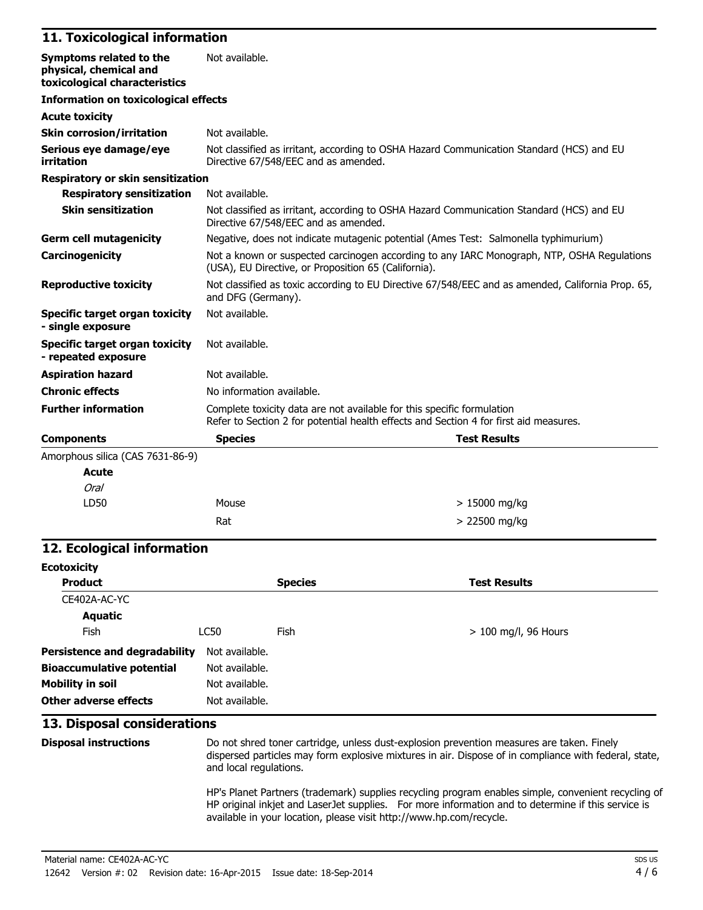### **11. Toxicological information**

| Symptoms related to the<br>physical, chemical and<br>toxicological characteristics | Not available.                                                                                                                                     |                                                                                                                                                                 |  |
|------------------------------------------------------------------------------------|----------------------------------------------------------------------------------------------------------------------------------------------------|-----------------------------------------------------------------------------------------------------------------------------------------------------------------|--|
| <b>Information on toxicological effects</b>                                        |                                                                                                                                                    |                                                                                                                                                                 |  |
| <b>Acute toxicity</b>                                                              |                                                                                                                                                    |                                                                                                                                                                 |  |
| <b>Skin corrosion/irritation</b>                                                   | Not available.                                                                                                                                     |                                                                                                                                                                 |  |
| Serious eye damage/eye<br>irritation                                               | Directive 67/548/EEC and as amended.                                                                                                               | Not classified as irritant, according to OSHA Hazard Communication Standard (HCS) and EU                                                                        |  |
| <b>Respiratory or skin sensitization</b>                                           |                                                                                                                                                    |                                                                                                                                                                 |  |
| <b>Respiratory sensitization</b>                                                   | Not available.                                                                                                                                     |                                                                                                                                                                 |  |
| <b>Skin sensitization</b>                                                          | Not classified as irritant, according to OSHA Hazard Communication Standard (HCS) and EU<br>Directive 67/548/EEC and as amended.                   |                                                                                                                                                                 |  |
| <b>Germ cell mutagenicity</b>                                                      |                                                                                                                                                    | Negative, does not indicate mutagenic potential (Ames Test: Salmonella typhimurium)                                                                             |  |
| Carcinogenicity                                                                    | Not a known or suspected carcinogen according to any IARC Monograph, NTP, OSHA Requlations<br>(USA), EU Directive, or Proposition 65 (California). |                                                                                                                                                                 |  |
| <b>Reproductive toxicity</b>                                                       | Not classified as toxic according to EU Directive 67/548/EEC and as amended, California Prop. 65,<br>and DFG (Germany).                            |                                                                                                                                                                 |  |
| <b>Specific target organ toxicity</b><br>- single exposure                         | Not available.                                                                                                                                     |                                                                                                                                                                 |  |
| Specific target organ toxicity<br>- repeated exposure                              | Not available.                                                                                                                                     |                                                                                                                                                                 |  |
| <b>Aspiration hazard</b>                                                           | Not available.                                                                                                                                     |                                                                                                                                                                 |  |
| <b>Chronic effects</b>                                                             | No information available.                                                                                                                          |                                                                                                                                                                 |  |
| <b>Further information</b>                                                         |                                                                                                                                                    | Complete toxicity data are not available for this specific formulation<br>Refer to Section 2 for potential health effects and Section 4 for first aid measures. |  |
| <b>Components</b>                                                                  | <b>Species</b>                                                                                                                                     | <b>Test Results</b>                                                                                                                                             |  |
| Amorphous silica (CAS 7631-86-9)                                                   |                                                                                                                                                    |                                                                                                                                                                 |  |
| <b>Acute</b>                                                                       |                                                                                                                                                    |                                                                                                                                                                 |  |
| Oral                                                                               |                                                                                                                                                    |                                                                                                                                                                 |  |
| LD50                                                                               | Mouse                                                                                                                                              | $> 15000$ mg/kg                                                                                                                                                 |  |

### **12. Ecological information**

| <b>Ecotoxicity</b>                   |                |                |                        |
|--------------------------------------|----------------|----------------|------------------------|
| <b>Product</b>                       |                | <b>Species</b> | <b>Test Results</b>    |
| CE402A-AC-YC                         |                |                |                        |
| <b>Aquatic</b>                       |                |                |                        |
| <b>Fish</b>                          | LC50           | <b>Fish</b>    | $> 100$ mg/l, 96 Hours |
| <b>Persistence and degradability</b> | Not available. |                |                        |
| <b>Bioaccumulative potential</b>     | Not available. |                |                        |
| <b>Mobility in soil</b>              | Not available. |                |                        |
| Other adverse effects                | Not available. |                |                        |

 $Rat$   $> 22500$  mg/kg

#### **13. Disposal considerations**

**Disposal instructions** Do not shred toner cartridge, unless dust-explosion prevention measures are taken. Finely

dispersed particles may form explosive mixtures in air. Dispose of in compliance with federal, state, and local regulations.

> 15000 mg/kg

HP's Planet Partners (trademark) supplies recycling program enables simple, convenient recycling of HP original inkjet and LaserJet supplies. For more information and to determine if this service is available in your location, please visit http://www.hp.com/recycle.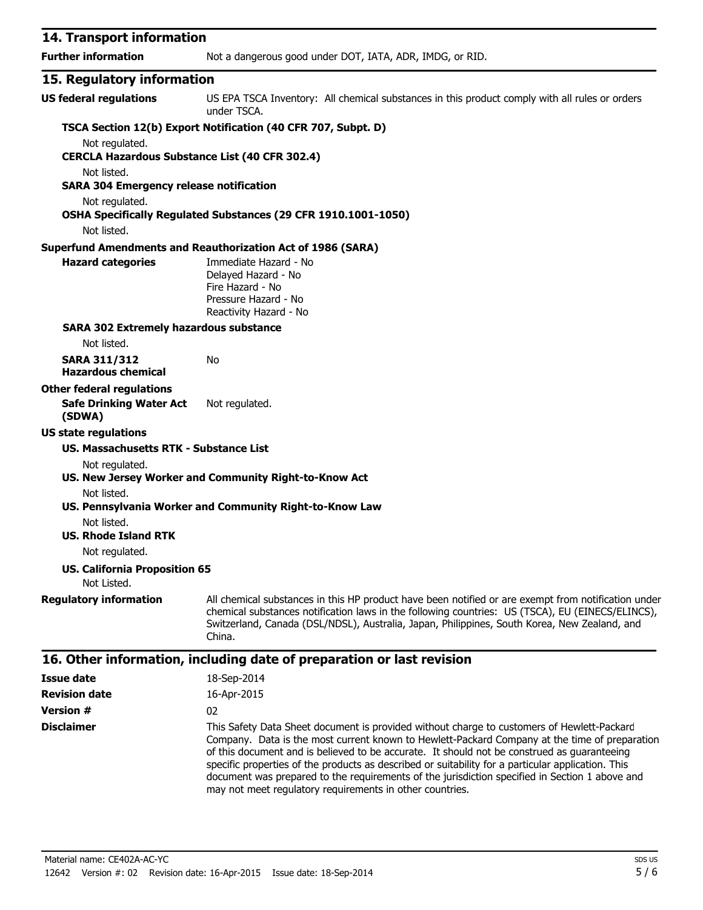| 14. Transport information                                               |                                                                                                                                                                                                                                                                                                                   |
|-------------------------------------------------------------------------|-------------------------------------------------------------------------------------------------------------------------------------------------------------------------------------------------------------------------------------------------------------------------------------------------------------------|
| <b>Further information</b>                                              | Not a dangerous good under DOT, IATA, ADR, IMDG, or RID.                                                                                                                                                                                                                                                          |
| 15. Regulatory information                                              |                                                                                                                                                                                                                                                                                                                   |
| <b>US federal regulations</b>                                           | US EPA TSCA Inventory: All chemical substances in this product comply with all rules or orders<br>under TSCA.                                                                                                                                                                                                     |
|                                                                         | TSCA Section 12(b) Export Notification (40 CFR 707, Subpt. D)                                                                                                                                                                                                                                                     |
| Not regulated.<br><b>CERCLA Hazardous Substance List (40 CFR 302.4)</b> |                                                                                                                                                                                                                                                                                                                   |
| Not listed.<br><b>SARA 304 Emergency release notification</b>           |                                                                                                                                                                                                                                                                                                                   |
| Not regulated.                                                          | OSHA Specifically Regulated Substances (29 CFR 1910.1001-1050)                                                                                                                                                                                                                                                    |
| Not listed.                                                             |                                                                                                                                                                                                                                                                                                                   |
|                                                                         | <b>Superfund Amendments and Reauthorization Act of 1986 (SARA)</b>                                                                                                                                                                                                                                                |
| <b>Hazard categories</b>                                                | Immediate Hazard - No<br>Delayed Hazard - No<br>Fire Hazard - No<br>Pressure Hazard - No<br>Reactivity Hazard - No                                                                                                                                                                                                |
| <b>SARA 302 Extremely hazardous substance</b>                           |                                                                                                                                                                                                                                                                                                                   |
| Not listed.                                                             |                                                                                                                                                                                                                                                                                                                   |
| <b>SARA 311/312</b><br><b>Hazardous chemical</b>                        | No                                                                                                                                                                                                                                                                                                                |
| <b>Other federal regulations</b>                                        |                                                                                                                                                                                                                                                                                                                   |
| <b>Safe Drinking Water Act</b><br>(SDWA)                                | Not regulated.                                                                                                                                                                                                                                                                                                    |
| <b>US state regulations</b>                                             |                                                                                                                                                                                                                                                                                                                   |
| US. Massachusetts RTK - Substance List                                  |                                                                                                                                                                                                                                                                                                                   |
| Not regulated.                                                          | US. New Jersey Worker and Community Right-to-Know Act                                                                                                                                                                                                                                                             |
| Not listed.                                                             | US. Pennsylvania Worker and Community Right-to-Know Law                                                                                                                                                                                                                                                           |
| Not listed.<br><b>US. Rhode Island RTK</b>                              |                                                                                                                                                                                                                                                                                                                   |
| Not regulated.                                                          |                                                                                                                                                                                                                                                                                                                   |
| <b>US. California Proposition 65</b><br>Not Listed.                     |                                                                                                                                                                                                                                                                                                                   |
| <b>Regulatory information</b>                                           | All chemical substances in this HP product have been notified or are exempt from notification under<br>chemical substances notification laws in the following countries: US (TSCA), EU (EINECS/ELINCS),<br>Switzerland, Canada (DSL/NDSL), Australia, Japan, Philippines, South Korea, New Zealand, and<br>China. |

| Issue date           | 18-Sep-2014                                                                                                                                                                                                                                                                                                                                                                                                                                                                                                                                                    |
|----------------------|----------------------------------------------------------------------------------------------------------------------------------------------------------------------------------------------------------------------------------------------------------------------------------------------------------------------------------------------------------------------------------------------------------------------------------------------------------------------------------------------------------------------------------------------------------------|
| <b>Revision date</b> | 16-Apr-2015                                                                                                                                                                                                                                                                                                                                                                                                                                                                                                                                                    |
| <b>Version #</b>     | 02                                                                                                                                                                                                                                                                                                                                                                                                                                                                                                                                                             |
| <b>Disclaimer</b>    | This Safety Data Sheet document is provided without charge to customers of Hewlett-Packard<br>Company. Data is the most current known to Hewlett-Packard Company at the time of preparation<br>of this document and is believed to be accurate. It should not be construed as quaranteeing<br>specific properties of the products as described or suitability for a particular application. This<br>document was prepared to the requirements of the jurisdiction specified in Section 1 above and<br>may not meet regulatory requirements in other countries. |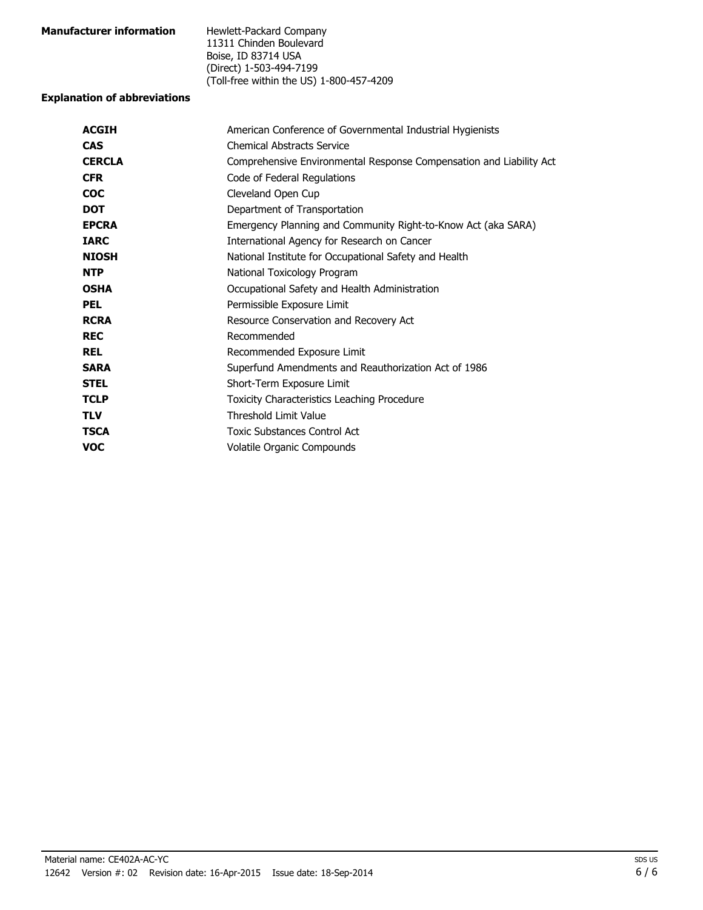| <b>Manufacturer information</b> | Hewlett-Packard Company                  |
|---------------------------------|------------------------------------------|
|                                 | 11311 Chinden Boulevard                  |
|                                 | Boise, ID 83714 USA                      |
|                                 | (Direct) 1-503-494-7199                  |
|                                 | (Toll-free within the US) 1-800-457-4209 |

### **Explanation of abbreviations**

| <b>ACGIH</b>  | American Conference of Governmental Industrial Hygienists           |
|---------------|---------------------------------------------------------------------|
| <b>CAS</b>    | <b>Chemical Abstracts Service</b>                                   |
| <b>CERCLA</b> | Comprehensive Environmental Response Compensation and Liability Act |
| <b>CFR</b>    | Code of Federal Regulations                                         |
| <b>COC</b>    | Cleveland Open Cup                                                  |
| <b>DOT</b>    | Department of Transportation                                        |
| <b>EPCRA</b>  | Emergency Planning and Community Right-to-Know Act (aka SARA)       |
| <b>IARC</b>   | International Agency for Research on Cancer                         |
| <b>NIOSH</b>  | National Institute for Occupational Safety and Health               |
| <b>NTP</b>    | National Toxicology Program                                         |
| <b>OSHA</b>   | Occupational Safety and Health Administration                       |
| <b>PEL</b>    | Permissible Exposure Limit                                          |
| <b>RCRA</b>   | Resource Conservation and Recovery Act                              |
| <b>REC</b>    | Recommended                                                         |
| <b>REL</b>    | Recommended Exposure Limit                                          |
| <b>SARA</b>   | Superfund Amendments and Reauthorization Act of 1986                |
| <b>STEL</b>   | Short-Term Exposure Limit                                           |
| <b>TCLP</b>   | <b>Toxicity Characteristics Leaching Procedure</b>                  |
| <b>TLV</b>    | <b>Threshold Limit Value</b>                                        |
| <b>TSCA</b>   | Toxic Substances Control Act                                        |
| <b>VOC</b>    | Volatile Organic Compounds                                          |
|               |                                                                     |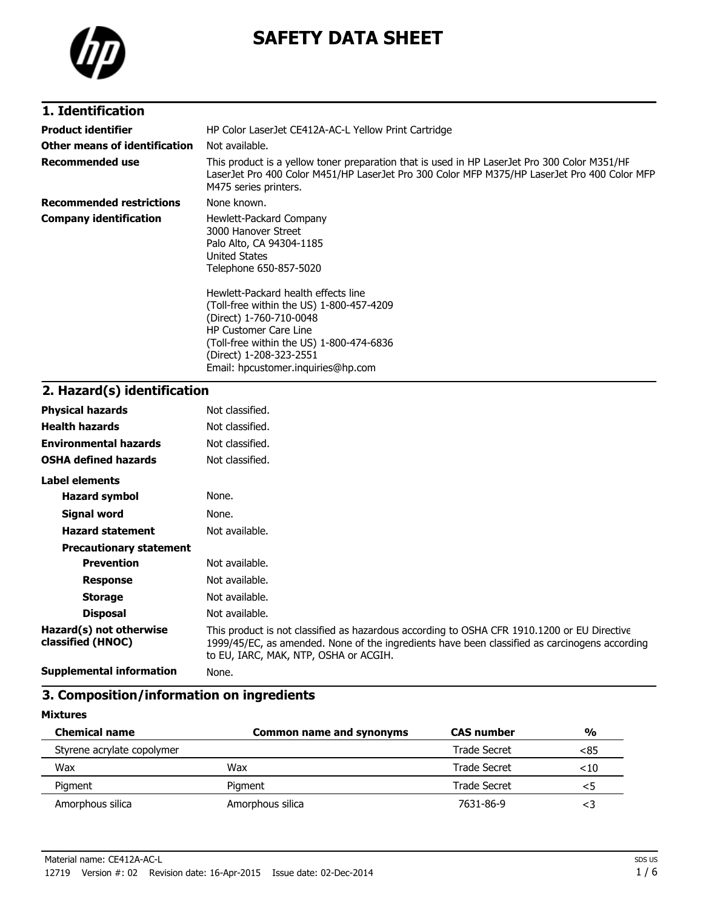

# **SAFETY DATA SHEET**

| 1. Identification               |                                                                                                                                                                                                                                                         |
|---------------------------------|---------------------------------------------------------------------------------------------------------------------------------------------------------------------------------------------------------------------------------------------------------|
| <b>Product identifier</b>       | HP Color LaserJet CE412A-AC-L Yellow Print Cartridge                                                                                                                                                                                                    |
| Other means of identification   | Not available.                                                                                                                                                                                                                                          |
| <b>Recommended use</b>          | This product is a yellow toner preparation that is used in HP LaserJet Pro 300 Color M351/HF<br>LaserJet Pro 400 Color M451/HP LaserJet Pro 300 Color MFP M375/HP LaserJet Pro 400 Color MFP<br>M475 series printers.                                   |
| <b>Recommended restrictions</b> | None known.                                                                                                                                                                                                                                             |
| <b>Company identification</b>   | Hewlett-Packard Company<br>3000 Hanover Street<br>Palo Alto, CA 94304-1185<br><b>United States</b><br>Telephone 650-857-5020                                                                                                                            |
|                                 | Hewlett-Packard health effects line<br>(Toll-free within the US) 1-800-457-4209<br>(Direct) 1-760-710-0048<br><b>HP Customer Care Line</b><br>(Toll-free within the US) 1-800-474-6836<br>(Direct) 1-208-323-2551<br>Email: hpcustomer.inguiries@hp.com |

### **2. Hazard(s) identification**

| <b>Physical hazards</b>                      | Not classified.                                                                                                                                                                                                                       |
|----------------------------------------------|---------------------------------------------------------------------------------------------------------------------------------------------------------------------------------------------------------------------------------------|
| <b>Health hazards</b>                        | Not classified.                                                                                                                                                                                                                       |
| <b>Environmental hazards</b>                 | Not classified.                                                                                                                                                                                                                       |
| <b>OSHA defined hazards</b>                  | Not classified.                                                                                                                                                                                                                       |
| Label elements                               |                                                                                                                                                                                                                                       |
| <b>Hazard symbol</b>                         | None.                                                                                                                                                                                                                                 |
| Signal word                                  | None.                                                                                                                                                                                                                                 |
| <b>Hazard statement</b>                      | Not available.                                                                                                                                                                                                                        |
| <b>Precautionary statement</b>               |                                                                                                                                                                                                                                       |
| <b>Prevention</b>                            | Not available.                                                                                                                                                                                                                        |
| <b>Response</b>                              | Not available.                                                                                                                                                                                                                        |
| <b>Storage</b>                               | Not available.                                                                                                                                                                                                                        |
| <b>Disposal</b>                              | Not available.                                                                                                                                                                                                                        |
| Hazard(s) not otherwise<br>classified (HNOC) | This product is not classified as hazardous according to OSHA CFR 1910.1200 or EU Directive<br>1999/45/EC, as amended. None of the ingredients have been classified as carcinogens according<br>to EU, IARC, MAK, NTP, OSHA or ACGIH. |
| <b>Supplemental information</b>              | None.                                                                                                                                                                                                                                 |

### **3. Composition/information on ingredients**

**Mixtures**

| <b>Chemical name</b>       | <b>Common name and synonyms</b> | <b>CAS number</b> | $\frac{0}{0}$ |
|----------------------------|---------------------------------|-------------------|---------------|
| Styrene acrylate copolymer |                                 | Trade Secret      | <85           |
| Wax                        | Wax                             | Trade Secret      | ${<}10$       |
| Pigment                    | Piament                         | Trade Secret      | <5            |
| Amorphous silica           | Amorphous silica                | 7631-86-9         |               |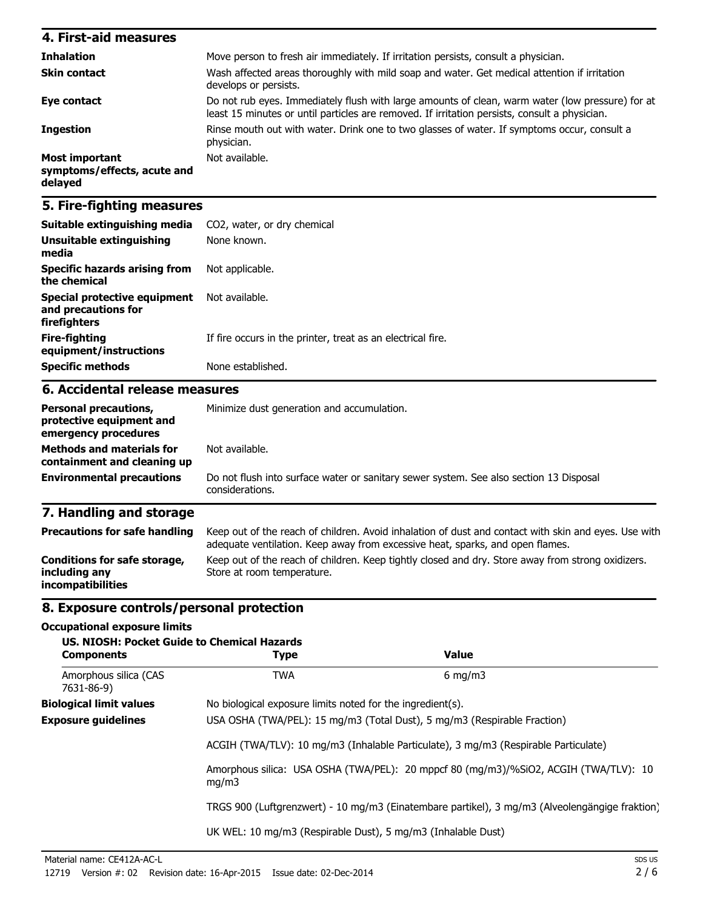| 4. First-aid measures                                    |                                                                                                                                                                                                   |
|----------------------------------------------------------|---------------------------------------------------------------------------------------------------------------------------------------------------------------------------------------------------|
| <b>Inhalation</b>                                        | Move person to fresh air immediately. If irritation persists, consult a physician.                                                                                                                |
| <b>Skin contact</b>                                      | Wash affected areas thoroughly with mild soap and water. Get medical attention if irritation<br>develops or persists.                                                                             |
| Eye contact                                              | Do not rub eyes. Immediately flush with large amounts of clean, warm water (low pressure) for at<br>least 15 minutes or until particles are removed. If irritation persists, consult a physician. |
| <b>Ingestion</b>                                         | Rinse mouth out with water. Drink one to two glasses of water. If symptoms occur, consult a<br>physician.                                                                                         |
| Most important<br>symptoms/effects, acute and<br>delayed | Not available.                                                                                                                                                                                    |

# **5. Fire-fighting measures**

| Suitable extinguishing media                                                     | CO2, water, or dry chemical                                                                                                                                                           |  |
|----------------------------------------------------------------------------------|---------------------------------------------------------------------------------------------------------------------------------------------------------------------------------------|--|
| <b>Unsuitable extinguishing</b><br>media                                         | None known.                                                                                                                                                                           |  |
| <b>Specific hazards arising from</b><br>the chemical                             | Not applicable.                                                                                                                                                                       |  |
| <b>Special protective equipment</b><br>and precautions for<br>firefighters       | Not available.                                                                                                                                                                        |  |
| <b>Fire-fighting</b><br>equipment/instructions                                   | If fire occurs in the printer, treat as an electrical fire.                                                                                                                           |  |
| <b>Specific methods</b>                                                          | None established.                                                                                                                                                                     |  |
| 6. Accidental release measures                                                   |                                                                                                                                                                                       |  |
| <b>Personal precautions,</b><br>protective equipment and<br>emergency procedures | Minimize dust generation and accumulation.                                                                                                                                            |  |
| <b>Methods and materials for</b><br>containment and cleaning up                  | Not available.                                                                                                                                                                        |  |
| <b>Environmental precautions</b>                                                 | Do not flush into surface water or sanitary sewer system. See also section 13 Disposal<br>considerations.                                                                             |  |
| 7. Handling and storage                                                          |                                                                                                                                                                                       |  |
| <b>Precautions for safe handling</b>                                             | Keep out of the reach of children. Avoid inhalation of dust and contact with skin and eyes. Use with<br>adequate ventilation. Keep away from excessive heat, sparks, and open flames. |  |
| Conditions for safe storage,<br>including any<br>incompatibilities               | Keep out of the reach of children. Keep tightly closed and dry. Store away from strong oxidizers.<br>Store at room temperature.                                                       |  |

### **8. Exposure controls/personal protection**

### **Occupational exposure limits**

| <b>Components</b>                                                                   | US, NIOSH: Pocket Guide to Chemical Hazards<br><b>Type</b>                                     | <b>Value</b>                                                                         |  |
|-------------------------------------------------------------------------------------|------------------------------------------------------------------------------------------------|--------------------------------------------------------------------------------------|--|
| Amorphous silica (CAS<br>7631-86-9)                                                 | <b>TWA</b>                                                                                     | $6 \text{ mg/m}$                                                                     |  |
| <b>Biological limit values</b>                                                      | No biological exposure limits noted for the ingredient(s).                                     |                                                                                      |  |
| <b>Exposure guidelines</b>                                                          | USA OSHA (TWA/PEL): 15 mg/m3 (Total Dust), 5 mg/m3 (Respirable Fraction)                       |                                                                                      |  |
| ACGIH (TWA/TLV): 10 mg/m3 (Inhalable Particulate), 3 mg/m3 (Respirable Particulate) |                                                                                                |                                                                                      |  |
|                                                                                     | mq/m3                                                                                          | Amorphous silica: USA OSHA (TWA/PEL): 20 mppcf 80 (mq/m3)/%SiO2, ACGIH (TWA/TLV): 10 |  |
|                                                                                     | TRGS 900 (Luftgrenzwert) - 10 mg/m3 (Einatembare partikel), 3 mg/m3 (Alveolengängige fraktion) |                                                                                      |  |
|                                                                                     | UK WEL: 10 mg/m3 (Respirable Dust), 5 mg/m3 (Inhalable Dust)                                   |                                                                                      |  |
|                                                                                     |                                                                                                |                                                                                      |  |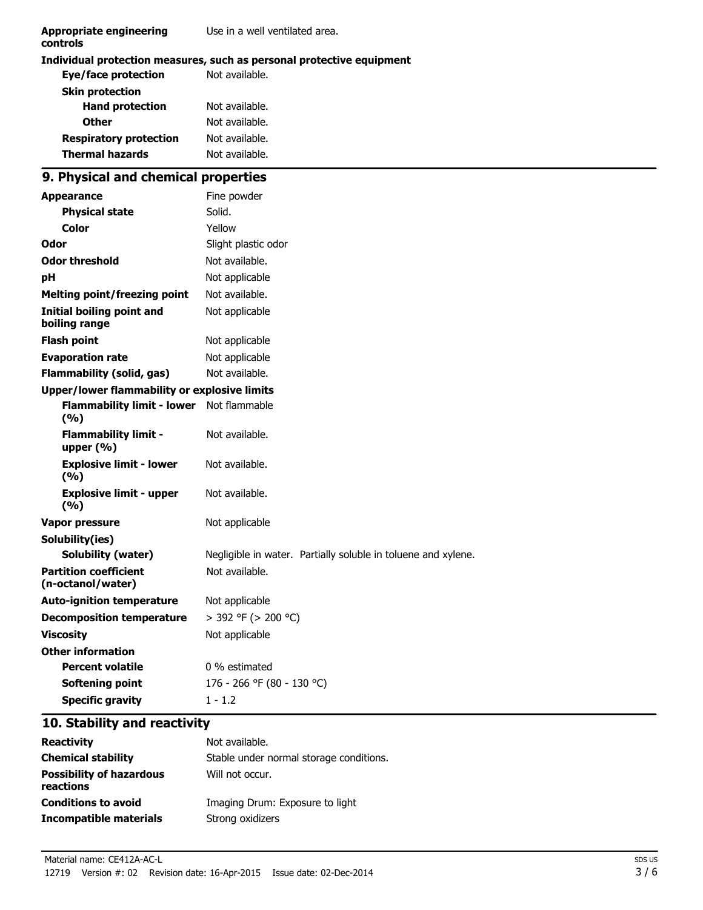| <b>Appropriate engineering</b><br>controls          | Use in a well ventilated area.                                        |  |  |
|-----------------------------------------------------|-----------------------------------------------------------------------|--|--|
|                                                     | Individual protection measures, such as personal protective equipment |  |  |
| <b>Eye/face protection</b>                          | Not available.                                                        |  |  |
| <b>Skin protection</b>                              |                                                                       |  |  |
| <b>Hand protection</b>                              | Not available.                                                        |  |  |
| <b>Other</b>                                        | Not available.                                                        |  |  |
| <b>Respiratory protection</b>                       | Not available.                                                        |  |  |
| <b>Thermal hazards</b>                              | Not available.                                                        |  |  |
| 9. Physical and chemical properties                 |                                                                       |  |  |
| <b>Appearance</b>                                   | Fine powder                                                           |  |  |
| <b>Physical state</b>                               | Solid.                                                                |  |  |
| Color                                               | Yellow                                                                |  |  |
| Odor                                                | Slight plastic odor                                                   |  |  |
| <b>Odor threshold</b>                               | Not available.                                                        |  |  |
| pH                                                  | Not applicable                                                        |  |  |
| <b>Melting point/freezing point</b>                 | Not available.                                                        |  |  |
| <b>Initial boiling point and</b><br>boiling range   | Not applicable                                                        |  |  |
| <b>Flash point</b>                                  | Not applicable                                                        |  |  |
| <b>Evaporation rate</b>                             | Not applicable                                                        |  |  |
| <b>Flammability (solid, gas)</b>                    | Not available.                                                        |  |  |
| <b>Upper/lower flammability or explosive limits</b> |                                                                       |  |  |
| <b>Flammability limit - lower</b><br>(%)            | Not flammable                                                         |  |  |
| <b>Flammability limit -</b><br>upper $(% )$         | Not available.                                                        |  |  |
| <b>Explosive limit - lower</b><br>(%)               | Not available.                                                        |  |  |
| <b>Explosive limit - upper</b><br>(%)               | Not available.                                                        |  |  |
| Vapor pressure                                      | Not applicable                                                        |  |  |
| Solubility(ies)                                     |                                                                       |  |  |
| <b>Solubility (water)</b>                           | Negligible in water. Partially soluble in toluene and xylene.         |  |  |
| <b>Partition coefficient</b><br>(n-octanol/water)   | Not available.                                                        |  |  |
| <b>Auto-ignition temperature</b>                    | Not applicable                                                        |  |  |
| <b>Decomposition temperature</b>                    | > 392 °F (> 200 °C)                                                   |  |  |
| <b>Viscosity</b>                                    | Not applicable                                                        |  |  |
| <b>Other information</b>                            |                                                                       |  |  |
| <b>Percent volatile</b>                             | 0 % estimated                                                         |  |  |
| <b>Softening point</b>                              | 176 - 266 °F (80 - 130 °C)                                            |  |  |
| <b>Specific gravity</b>                             | $1 - 1.2$                                                             |  |  |

# **10. Stability and reactivity**

| <b>Reactivity</b>                            | Not available.                          |
|----------------------------------------------|-----------------------------------------|
| <b>Chemical stability</b>                    | Stable under normal storage conditions. |
| <b>Possibility of hazardous</b><br>reactions | Will not occur.                         |
| <b>Conditions to avoid</b>                   | Imaging Drum: Exposure to light         |
| Incompatible materials                       | Strong oxidizers                        |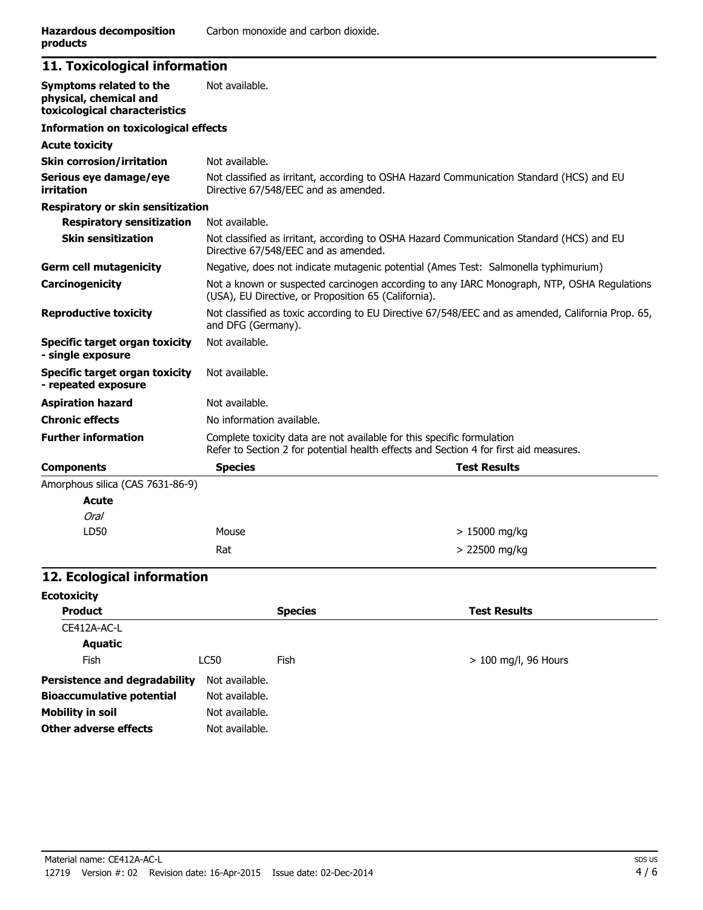### **11. Toxicological information**

| Symptoms related to the<br>physical, chemical and<br>toxicological characteristics | Not available.                                                                                                                                                  |                     |
|------------------------------------------------------------------------------------|-----------------------------------------------------------------------------------------------------------------------------------------------------------------|---------------------|
| <b>Information on toxicological effects</b>                                        |                                                                                                                                                                 |                     |
| <b>Acute toxicity</b>                                                              |                                                                                                                                                                 |                     |
| <b>Skin corrosion/irritation</b>                                                   | Not available.                                                                                                                                                  |                     |
| Serious eye damage/eye<br>irritation                                               | Not classified as irritant, according to OSHA Hazard Communication Standard (HCS) and EU<br>Directive 67/548/EEC and as amended.                                |                     |
| <b>Respiratory or skin sensitization</b>                                           |                                                                                                                                                                 |                     |
| <b>Respiratory sensitization</b>                                                   | Not available.                                                                                                                                                  |                     |
| <b>Skin sensitization</b>                                                          | Not classified as irritant, according to OSHA Hazard Communication Standard (HCS) and EU<br>Directive 67/548/EEC and as amended.                                |                     |
| <b>Germ cell mutagenicity</b>                                                      | Negative, does not indicate mutagenic potential (Ames Test: Salmonella typhimurium)                                                                             |                     |
| Carcinogenicity                                                                    | Not a known or suspected carcinogen according to any IARC Monograph, NTP, OSHA Regulations<br>(USA), EU Directive, or Proposition 65 (California).              |                     |
| <b>Reproductive toxicity</b>                                                       | Not classified as toxic according to EU Directive 67/548/EEC and as amended, California Prop. 65,<br>and DFG (Germany).                                         |                     |
| Specific target organ toxicity<br>- single exposure                                | Not available.                                                                                                                                                  |                     |
| Specific target organ toxicity<br>- repeated exposure                              | Not available.                                                                                                                                                  |                     |
| <b>Aspiration hazard</b>                                                           | Not available.                                                                                                                                                  |                     |
| <b>Chronic effects</b>                                                             | No information available.                                                                                                                                       |                     |
| <b>Further information</b>                                                         | Complete toxicity data are not available for this specific formulation<br>Refer to Section 2 for potential health effects and Section 4 for first aid measures. |                     |
| <b>Components</b>                                                                  | <b>Species</b>                                                                                                                                                  | <b>Test Results</b> |
| Amorphous silica (CAS 7631-86-9)                                                   |                                                                                                                                                                 |                     |
| <b>Acute</b>                                                                       |                                                                                                                                                                 |                     |
| Oral                                                                               |                                                                                                                                                                 |                     |
| LD50                                                                               | Mouse                                                                                                                                                           | $>15000$ mg/kg      |
|                                                                                    | Rat                                                                                                                                                             | $> 22500$ mg/kg     |

# **12. Ecological information**

| <b>Ecotoxicity</b>                   |                |                |                        |
|--------------------------------------|----------------|----------------|------------------------|
| <b>Product</b>                       |                | <b>Species</b> | <b>Test Results</b>    |
| CE412A-AC-L                          |                |                |                        |
| <b>Aquatic</b>                       |                |                |                        |
| Fish                                 | <b>LC50</b>    | Fish           | $> 100$ mg/l, 96 Hours |
| <b>Persistence and degradability</b> | Not available. |                |                        |
| <b>Bioaccumulative potential</b>     | Not available. |                |                        |
| <b>Mobility in soil</b>              | Not available. |                |                        |
| Other adverse effects                | Not available. |                |                        |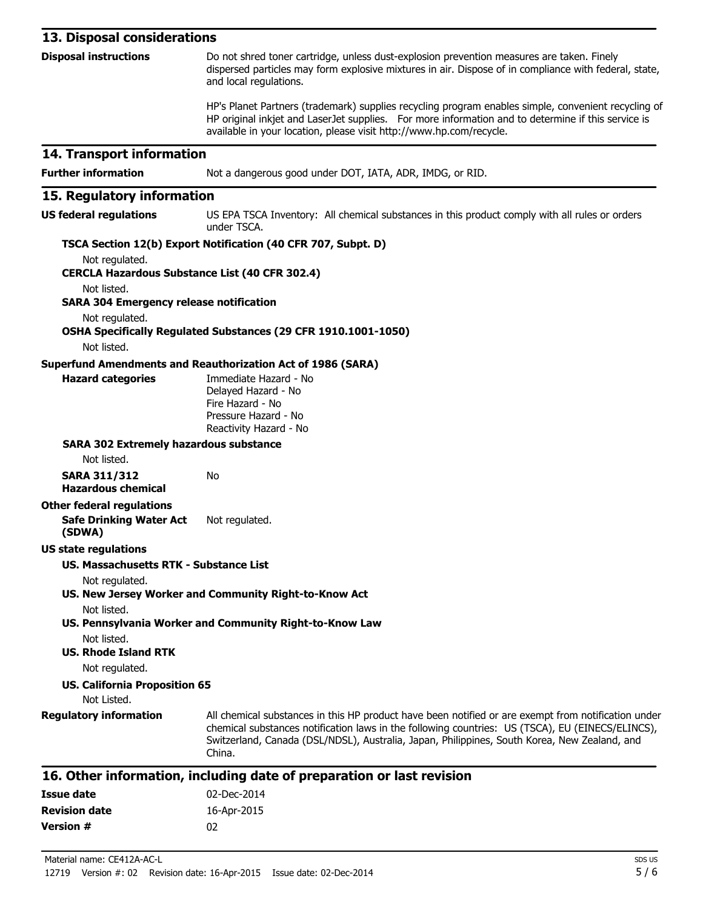| 13. Disposal considerations                                                  |                                                                                                                                                                                                                                                                                                                   |
|------------------------------------------------------------------------------|-------------------------------------------------------------------------------------------------------------------------------------------------------------------------------------------------------------------------------------------------------------------------------------------------------------------|
| <b>Disposal instructions</b>                                                 | Do not shred toner cartridge, unless dust-explosion prevention measures are taken. Finely<br>dispersed particles may form explosive mixtures in air. Dispose of in compliance with federal, state,<br>and local regulations.                                                                                      |
|                                                                              | HP's Planet Partners (trademark) supplies recycling program enables simple, convenient recycling of<br>HP original inkjet and LaserJet supplies. For more information and to determine if this service is<br>available in your location, please visit http://www.hp.com/recycle.                                  |
| 14. Transport information                                                    |                                                                                                                                                                                                                                                                                                                   |
| <b>Further information</b>                                                   | Not a dangerous good under DOT, IATA, ADR, IMDG, or RID.                                                                                                                                                                                                                                                          |
| 15. Regulatory information                                                   |                                                                                                                                                                                                                                                                                                                   |
| <b>US federal regulations</b>                                                | US EPA TSCA Inventory: All chemical substances in this product comply with all rules or orders<br>under TSCA.                                                                                                                                                                                                     |
|                                                                              | TSCA Section 12(b) Export Notification (40 CFR 707, Subpt. D)                                                                                                                                                                                                                                                     |
| Not regulated.                                                               |                                                                                                                                                                                                                                                                                                                   |
| <b>CERCLA Hazardous Substance List (40 CFR 302.4)</b><br>Not listed.         |                                                                                                                                                                                                                                                                                                                   |
| <b>SARA 304 Emergency release notification</b>                               |                                                                                                                                                                                                                                                                                                                   |
| Not regulated.                                                               |                                                                                                                                                                                                                                                                                                                   |
|                                                                              | OSHA Specifically Regulated Substances (29 CFR 1910.1001-1050)                                                                                                                                                                                                                                                    |
| Not listed.                                                                  |                                                                                                                                                                                                                                                                                                                   |
| <b>Hazard categories</b>                                                     | <b>Superfund Amendments and Reauthorization Act of 1986 (SARA)</b><br>Immediate Hazard - No<br>Delayed Hazard - No<br>Fire Hazard - No<br>Pressure Hazard - No<br>Reactivity Hazard - No                                                                                                                          |
| <b>SARA 302 Extremely hazardous substance</b>                                |                                                                                                                                                                                                                                                                                                                   |
| Not listed.                                                                  |                                                                                                                                                                                                                                                                                                                   |
| <b>SARA 311/312</b><br><b>Hazardous chemical</b>                             | No                                                                                                                                                                                                                                                                                                                |
| <b>Other federal regulations</b><br><b>Safe Drinking Water Act</b><br>(SDWA) | Not regulated.                                                                                                                                                                                                                                                                                                    |
| <b>US state regulations</b>                                                  |                                                                                                                                                                                                                                                                                                                   |
| <b>US. Massachusetts RTK - Substance List</b>                                |                                                                                                                                                                                                                                                                                                                   |
| Not regulated.                                                               |                                                                                                                                                                                                                                                                                                                   |
| Not listed.                                                                  | US. New Jersey Worker and Community Right-to-Know Act                                                                                                                                                                                                                                                             |
|                                                                              | US. Pennsylvania Worker and Community Right-to-Know Law                                                                                                                                                                                                                                                           |
| Not listed.                                                                  |                                                                                                                                                                                                                                                                                                                   |
| <b>US. Rhode Island RTK</b>                                                  |                                                                                                                                                                                                                                                                                                                   |
| Not regulated.                                                               |                                                                                                                                                                                                                                                                                                                   |
| <b>US. California Proposition 65</b>                                         |                                                                                                                                                                                                                                                                                                                   |
| Not Listed.                                                                  |                                                                                                                                                                                                                                                                                                                   |
| <b>Regulatory information</b>                                                | All chemical substances in this HP product have been notified or are exempt from notification under<br>chemical substances notification laws in the following countries: US (TSCA), EU (EINECS/ELINCS),<br>Switzerland, Canada (DSL/NDSL), Australia, Japan, Philippines, South Korea, New Zealand, and<br>China. |

#### **16. Other information, including date of preparation or last revision**

| Issue date           | 02-Dec-2014 |
|----------------------|-------------|
| <b>Revision date</b> | 16-Apr-2015 |
| Version #            | በ2          |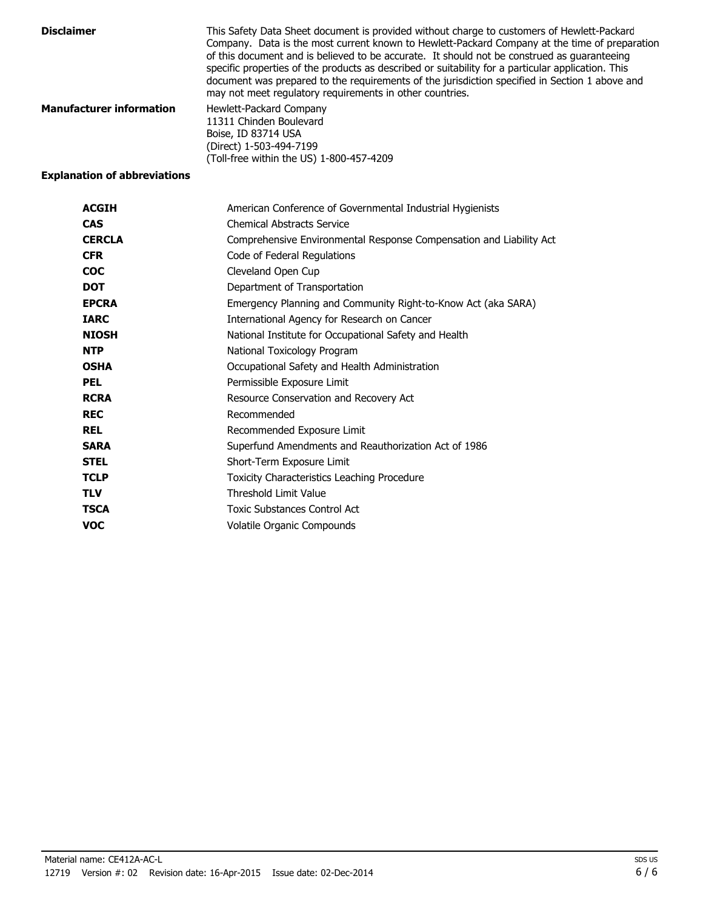| <b>Disclaimer</b>               | This Safety Data Sheet document is provided without charge to customers of Hewlett-Packard<br>Company. Data is the most current known to Hewlett-Packard Company at the time of preparation<br>of this document and is believed to be accurate. It should not be construed as quaranteeing<br>specific properties of the products as described or suitability for a particular application. This<br>document was prepared to the requirements of the jurisdiction specified in Section 1 above and<br>may not meet regulatory requirements in other countries. |
|---------------------------------|----------------------------------------------------------------------------------------------------------------------------------------------------------------------------------------------------------------------------------------------------------------------------------------------------------------------------------------------------------------------------------------------------------------------------------------------------------------------------------------------------------------------------------------------------------------|
| <b>Manufacturer information</b> | Hewlett-Packard Company<br>11311 Chinden Boulevard<br>Boise, ID 83714 USA<br>(Direct) 1-503-494-7199<br>(Toll-free within the US) 1-800-457-4209                                                                                                                                                                                                                                                                                                                                                                                                               |

### **Explanation of abbreviations**

| <b>ACGIH</b>  | American Conference of Governmental Industrial Hygienists           |
|---------------|---------------------------------------------------------------------|
| <b>CAS</b>    | <b>Chemical Abstracts Service</b>                                   |
| <b>CERCLA</b> | Comprehensive Environmental Response Compensation and Liability Act |
| <b>CFR</b>    | Code of Federal Regulations                                         |
| <b>COC</b>    | Cleveland Open Cup                                                  |
| <b>DOT</b>    | Department of Transportation                                        |
| <b>EPCRA</b>  | Emergency Planning and Community Right-to-Know Act (aka SARA)       |
| <b>IARC</b>   | International Agency for Research on Cancer                         |
| <b>NIOSH</b>  | National Institute for Occupational Safety and Health               |
| <b>NTP</b>    | National Toxicology Program                                         |
| <b>OSHA</b>   | Occupational Safety and Health Administration                       |
| <b>PEL</b>    | Permissible Exposure Limit                                          |
| <b>RCRA</b>   | Resource Conservation and Recovery Act                              |
| <b>REC</b>    | Recommended                                                         |
| <b>REL</b>    | Recommended Exposure Limit                                          |
| <b>SARA</b>   | Superfund Amendments and Reauthorization Act of 1986                |
| <b>STEL</b>   | Short-Term Exposure Limit                                           |
| <b>TCLP</b>   | Toxicity Characteristics Leaching Procedure                         |
| <b>TLV</b>    | <b>Threshold Limit Value</b>                                        |
| <b>TSCA</b>   | <b>Toxic Substances Control Act</b>                                 |
| <b>VOC</b>    | Volatile Organic Compounds                                          |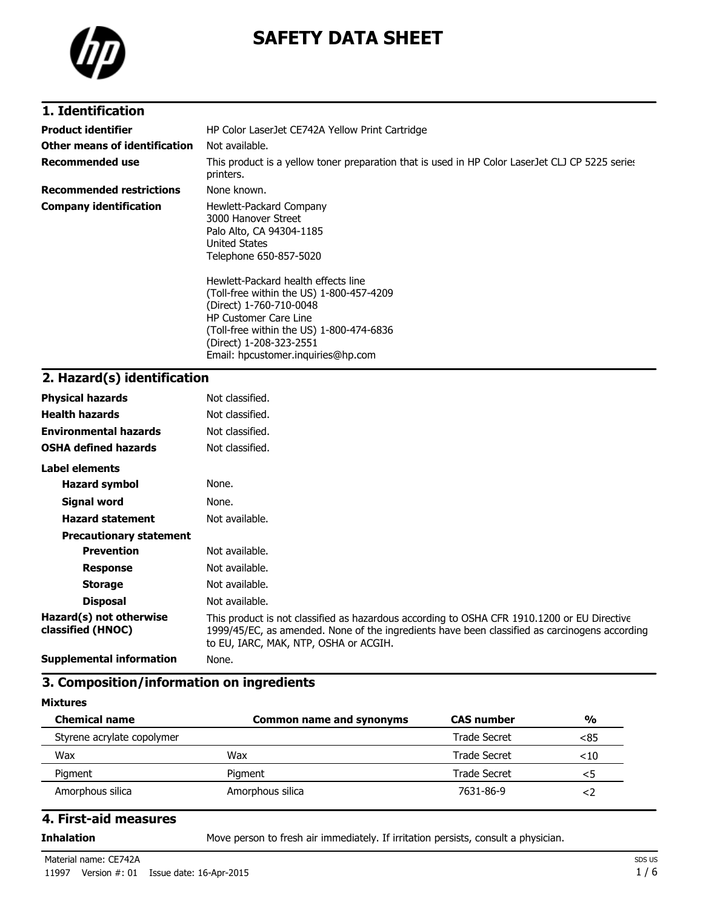

# **SAFETY DATA SHEET**

### **1. Identification**

| <b>Product identifier</b>       | HP Color LaserJet CE742A Yellow Print Cartridge                                                                                                                                                                                                                                                                                                                                         |  |
|---------------------------------|-----------------------------------------------------------------------------------------------------------------------------------------------------------------------------------------------------------------------------------------------------------------------------------------------------------------------------------------------------------------------------------------|--|
| Other means of identification   | Not available.                                                                                                                                                                                                                                                                                                                                                                          |  |
| <b>Recommended use</b>          | This product is a yellow toner preparation that is used in HP Color LaserJet CLJ CP 5225 series<br>printers.                                                                                                                                                                                                                                                                            |  |
| <b>Recommended restrictions</b> | None known.                                                                                                                                                                                                                                                                                                                                                                             |  |
| <b>Company identification</b>   | Hewlett-Packard Company<br>3000 Hanover Street<br>Palo Alto, CA 94304-1185<br><b>United States</b><br>Telephone 650-857-5020<br>Hewlett-Packard health effects line<br>(Toll-free within the US) 1-800-457-4209<br>(Direct) 1-760-710-0048<br><b>HP Customer Care Line</b><br>(Toll-free within the US) 1-800-474-6836<br>(Direct) 1-208-323-2551<br>Email: hpcustomer.inguiries@hp.com |  |

# **2. Hazard(s) identification**

| <b>Physical hazards</b>                      | Not classified.                                                                                                                                                                                                                       |
|----------------------------------------------|---------------------------------------------------------------------------------------------------------------------------------------------------------------------------------------------------------------------------------------|
| <b>Health hazards</b>                        | Not classified.                                                                                                                                                                                                                       |
| <b>Environmental hazards</b>                 | Not classified.                                                                                                                                                                                                                       |
| <b>OSHA defined hazards</b>                  | Not classified.                                                                                                                                                                                                                       |
| Label elements                               |                                                                                                                                                                                                                                       |
| <b>Hazard symbol</b>                         | None.                                                                                                                                                                                                                                 |
| Signal word                                  | None.                                                                                                                                                                                                                                 |
| <b>Hazard statement</b>                      | Not available.                                                                                                                                                                                                                        |
| <b>Precautionary statement</b>               |                                                                                                                                                                                                                                       |
| <b>Prevention</b>                            | Not available.                                                                                                                                                                                                                        |
| <b>Response</b>                              | Not available.                                                                                                                                                                                                                        |
| <b>Storage</b>                               | Not available.                                                                                                                                                                                                                        |
| <b>Disposal</b>                              | Not available.                                                                                                                                                                                                                        |
| Hazard(s) not otherwise<br>classified (HNOC) | This product is not classified as hazardous according to OSHA CFR 1910.1200 or EU Directive<br>1999/45/EC, as amended. None of the ingredients have been classified as carcinogens according<br>to EU, IARC, MAK, NTP, OSHA or ACGIH. |
| <b>Supplemental information</b>              | None.                                                                                                                                                                                                                                 |

### **3. Composition/information on ingredients**

#### **Mixtures**

| <b>Chemical name</b>       | Common name and synonyms | <b>CAS</b> number | $\frac{0}{0}$ |
|----------------------------|--------------------------|-------------------|---------------|
| Styrene acrylate copolymer |                          | Trade Secret      | <85           |
| Wax                        | Wax                      | Trade Secret      | $<$ 10        |
| Pigment                    | Pigment                  | Trade Secret      | <5            |
| Amorphous silica           | Amorphous silica         | 7631-86-9         | ≺ ∕           |

### **4. First-aid measures**

**Inhalation** Move person to fresh air immediately. If irritation persists, consult a physician.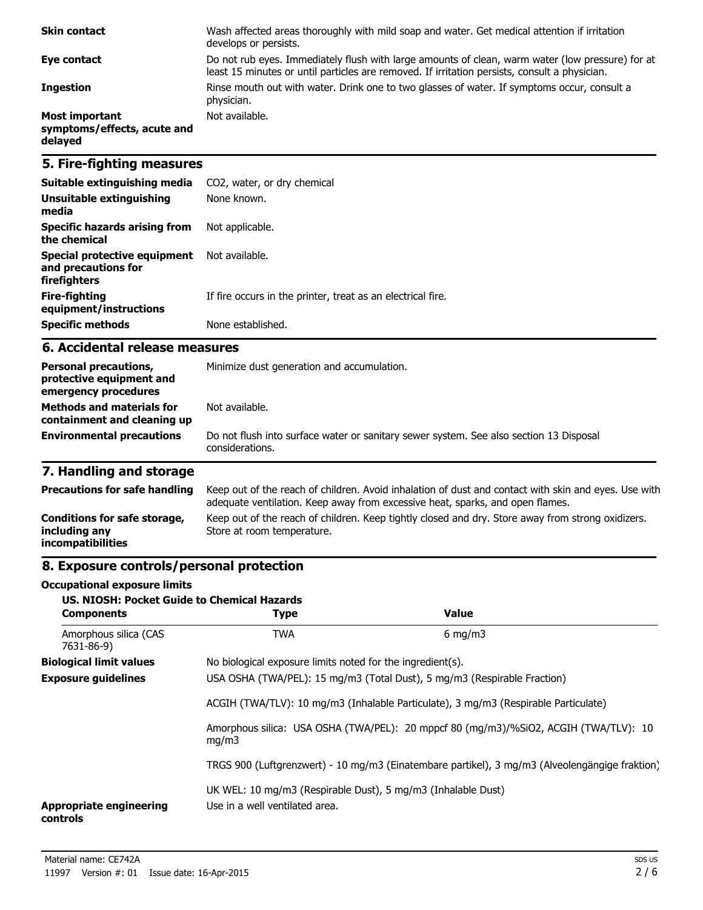| <b>Skin contact</b>                                             | Wash affected areas thoroughly with mild soap and water. Get medical attention if irritation<br>develops or persists.                                                                             |
|-----------------------------------------------------------------|---------------------------------------------------------------------------------------------------------------------------------------------------------------------------------------------------|
| Eye contact                                                     | Do not rub eyes. Immediately flush with large amounts of clean, warm water (low pressure) for at<br>least 15 minutes or until particles are removed. If irritation persists, consult a physician. |
| <b>Ingestion</b>                                                | Rinse mouth out with water. Drink one to two glasses of water. If symptoms occur, consult a<br>physician.                                                                                         |
| <b>Most important</b><br>symptoms/effects, acute and<br>delayed | Not available.                                                                                                                                                                                    |

### **5. Fire-fighting measures**

| Suitable extinguishing media                                        | CO2, water, or dry chemical                                 |
|---------------------------------------------------------------------|-------------------------------------------------------------|
| Unsuitable extinguishing<br>media                                   | None known.                                                 |
| Specific hazards arising from<br>the chemical                       | Not applicable.                                             |
| Special protective equipment<br>and precautions for<br>firefighters | Not available.                                              |
| Fire-fighting<br>equipment/instructions                             | If fire occurs in the printer, treat as an electrical fire. |
| <b>Specific methods</b>                                             | None established.                                           |

### **6. Accidental release measures**

| <b>Personal precautions,</b><br>protective equipment and<br>emergency procedures | Minimize dust generation and accumulation.                                                                |  |
|----------------------------------------------------------------------------------|-----------------------------------------------------------------------------------------------------------|--|
| <b>Methods and materials for</b><br>containment and cleaning up                  | Not available.                                                                                            |  |
| <b>Environmental precautions</b>                                                 | Do not flush into surface water or sanitary sewer system. See also section 13 Disposal<br>considerations. |  |

# **7. Handling and storage**

| <b>Precautions for safe handling</b>                                      | Keep out of the reach of children. Avoid inhalation of dust and contact with skin and eyes. Use with<br>adequate ventilation. Keep away from excessive heat, sparks, and open flames. |
|---------------------------------------------------------------------------|---------------------------------------------------------------------------------------------------------------------------------------------------------------------------------------|
| Conditions for safe storage,<br>including any<br><i>incompatibilities</i> | Keep out of the reach of children. Keep tightly closed and dry. Store away from strong oxidizers.<br>Store at room temperature.                                                       |

### **8. Exposure controls/personal protection**

#### **Occupational exposure limits**

| <b>US. NIOSH: Pocket Guide to Chemical Hazards</b><br><b>Components</b> | <b>Type</b>                                                                                    | <b>Value</b>                                                                                   |
|-------------------------------------------------------------------------|------------------------------------------------------------------------------------------------|------------------------------------------------------------------------------------------------|
| Amorphous silica (CAS<br>7631-86-9)                                     | <b>TWA</b>                                                                                     | $6 \text{ mg/m}$                                                                               |
| <b>Biological limit values</b>                                          | No biological exposure limits noted for the ingredient(s).                                     |                                                                                                |
| <b>Exposure guidelines</b>                                              |                                                                                                | USA OSHA (TWA/PEL): 15 mg/m3 (Total Dust), 5 mg/m3 (Respirable Fraction)                       |
|                                                                         |                                                                                                | ACGIH (TWA/TLV): 10 mg/m3 (Inhalable Particulate), 3 mg/m3 (Respirable Particulate)            |
|                                                                         | mq/m3                                                                                          | Amorphous silica: USA OSHA (TWA/PEL): 20 mppcf 80 (mg/m3)/%SiO2, ACGIH (TWA/TLV): 10           |
|                                                                         |                                                                                                | TRGS 900 (Luftgrenzwert) - 10 mg/m3 (Einatembare partikel), 3 mg/m3 (Alveolengängige fraktion) |
| <b>Appropriate engineering</b><br>controls                              | UK WEL: 10 mg/m3 (Respirable Dust), 5 mg/m3 (Inhalable Dust)<br>Use in a well ventilated area. |                                                                                                |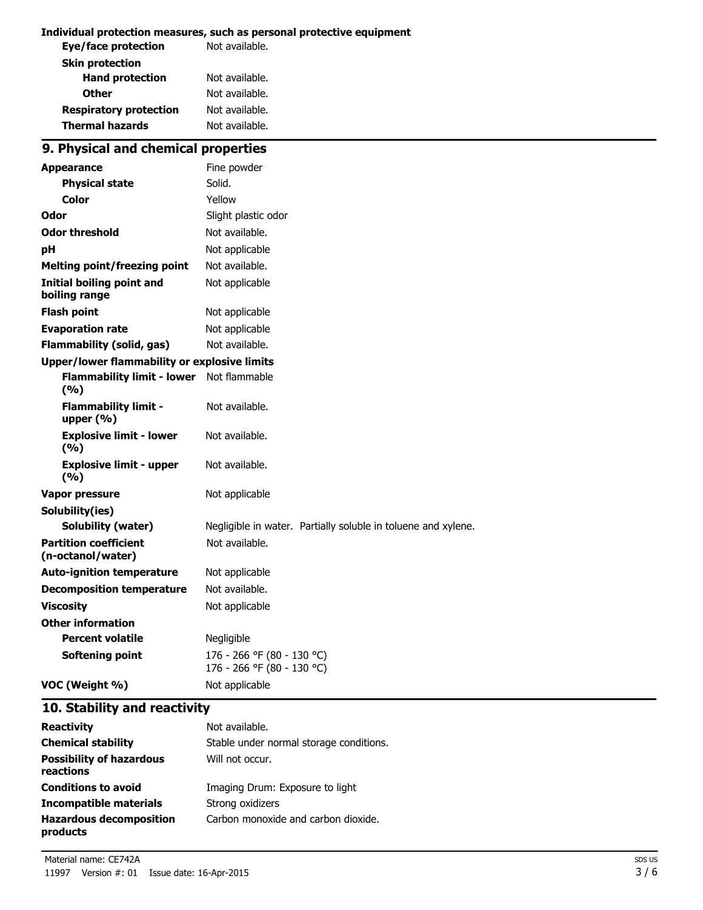#### **Individual protection measures, such as personal protective equipment**

| Not available. |
|----------------|
|                |
| Not available. |
| Not available. |
| Not available. |
| Not available. |
|                |

# **9. Physical and chemical properties**

| <b>Appearance</b>                                   | Fine powder                                                   |  |
|-----------------------------------------------------|---------------------------------------------------------------|--|
| <b>Physical state</b>                               | Solid.                                                        |  |
| Color                                               | Yellow                                                        |  |
| Odor                                                | Slight plastic odor                                           |  |
| <b>Odor threshold</b>                               | Not available.                                                |  |
| pH                                                  | Not applicable                                                |  |
| <b>Melting point/freezing point</b>                 | Not available.                                                |  |
| Initial boiling point and<br>boiling range          | Not applicable                                                |  |
| <b>Flash point</b>                                  | Not applicable                                                |  |
| <b>Evaporation rate</b>                             | Not applicable                                                |  |
| <b>Flammability (solid, gas)</b>                    | Not available.                                                |  |
| <b>Upper/lower flammability or explosive limits</b> |                                                               |  |
| <b>Flammability limit - lower</b><br>(9/6)          | Not flammable                                                 |  |
| <b>Flammability limit -</b><br>upper $(% )$         | Not available.                                                |  |
| <b>Explosive limit - lower</b><br>(%)               | Not available.                                                |  |
| <b>Explosive limit - upper</b><br>(9/6)             | Not available.                                                |  |
| <b>Vapor pressure</b>                               | Not applicable                                                |  |
| Solubility(ies)                                     |                                                               |  |
| <b>Solubility (water)</b>                           | Negligible in water. Partially soluble in toluene and xylene. |  |
| <b>Partition coefficient</b><br>(n-octanol/water)   | Not available.                                                |  |
| <b>Auto-ignition temperature</b>                    | Not applicable                                                |  |
| <b>Decomposition temperature</b>                    | Not available.                                                |  |
| <b>Viscosity</b>                                    | Not applicable                                                |  |
| <b>Other information</b>                            |                                                               |  |
| <b>Percent volatile</b>                             | Negligible                                                    |  |
| <b>Softening point</b>                              | 176 - 266 °F (80 - 130 °C)<br>176 - 266 °F (80 - 130 °C)      |  |
| VOC (Weight %)                                      | Not applicable                                                |  |

# **10. Stability and reactivity**

| <b>Reactivity</b>                            | Not available.                          |
|----------------------------------------------|-----------------------------------------|
| <b>Chemical stability</b>                    | Stable under normal storage conditions. |
| <b>Possibility of hazardous</b><br>reactions | Will not occur.                         |
| <b>Conditions to avoid</b>                   | Imaging Drum: Exposure to light         |
| <b>Incompatible materials</b>                | Strong oxidizers                        |
| <b>Hazardous decomposition</b><br>products   | Carbon monoxide and carbon dioxide.     |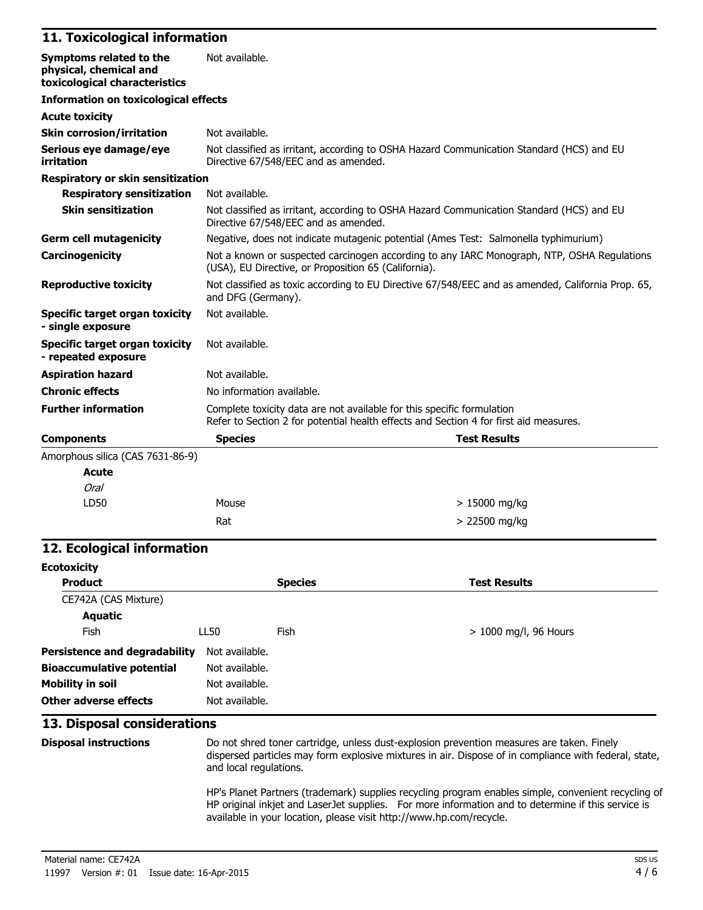### **11. Toxicological information**

| Symptoms related to the<br>physical, chemical and<br>toxicological characteristics | Not available.                                       |                                                                                                                                                                 |
|------------------------------------------------------------------------------------|------------------------------------------------------|-----------------------------------------------------------------------------------------------------------------------------------------------------------------|
| <b>Information on toxicological effects</b>                                        |                                                      |                                                                                                                                                                 |
| <b>Acute toxicity</b>                                                              |                                                      |                                                                                                                                                                 |
| <b>Skin corrosion/irritation</b>                                                   | Not available.                                       |                                                                                                                                                                 |
| Serious eye damage/eye<br>irritation                                               | Directive 67/548/EEC and as amended.                 | Not classified as irritant, according to OSHA Hazard Communication Standard (HCS) and EU                                                                        |
| Respiratory or skin sensitization                                                  |                                                      |                                                                                                                                                                 |
| <b>Respiratory sensitization</b>                                                   | Not available.                                       |                                                                                                                                                                 |
| <b>Skin sensitization</b>                                                          | Directive 67/548/EEC and as amended.                 | Not classified as irritant, according to OSHA Hazard Communication Standard (HCS) and EU                                                                        |
| <b>Germ cell mutagenicity</b>                                                      |                                                      | Negative, does not indicate mutagenic potential (Ames Test: Salmonella typhimurium)                                                                             |
| Carcinogenicity                                                                    | (USA), EU Directive, or Proposition 65 (California). | Not a known or suspected carcinogen according to any IARC Monograph, NTP, OSHA Regulations                                                                      |
| <b>Reproductive toxicity</b>                                                       | and DFG (Germany).                                   | Not classified as toxic according to EU Directive 67/548/EEC and as amended, California Prop. 65,                                                               |
| Specific target organ toxicity<br>- single exposure                                | Not available.                                       |                                                                                                                                                                 |
| <b>Specific target organ toxicity</b><br>- repeated exposure                       | Not available.                                       |                                                                                                                                                                 |
| <b>Aspiration hazard</b>                                                           | Not available.                                       |                                                                                                                                                                 |
| <b>Chronic effects</b>                                                             | No information available.                            |                                                                                                                                                                 |
| <b>Further information</b>                                                         |                                                      | Complete toxicity data are not available for this specific formulation<br>Refer to Section 2 for potential health effects and Section 4 for first aid measures. |
| <b>Components</b>                                                                  | <b>Species</b>                                       | <b>Test Results</b>                                                                                                                                             |
| Amorphous silica (CAS 7631-86-9)                                                   |                                                      |                                                                                                                                                                 |
| <b>Acute</b>                                                                       |                                                      |                                                                                                                                                                 |
| Oral                                                                               |                                                      |                                                                                                                                                                 |
| LD50                                                                               | Mouse                                                | $> 15000$ mg/kg                                                                                                                                                 |

### **12. Ecological information**

| <b>Ecotoxicity</b>                   |                |                |                         |
|--------------------------------------|----------------|----------------|-------------------------|
| <b>Product</b>                       |                | <b>Species</b> | <b>Test Results</b>     |
| CE742A (CAS Mixture)                 |                |                |                         |
| Aquatic                              |                |                |                         |
| <b>Fish</b>                          | LL50           | Fish           | $> 1000$ mg/l, 96 Hours |
| <b>Persistence and degradability</b> | Not available. |                |                         |
| <b>Bioaccumulative potential</b>     | Not available. |                |                         |
| <b>Mobility in soil</b>              | Not available. |                |                         |
| <b>Other adverse effects</b>         | Not available. |                |                         |

 $Rat$   $> 22500$  mg/kg

### **13. Disposal considerations**

**Disposal instructions** Do not shred toner cartridge, unless dust-explosion prevention measures are taken. Finely dispersed particles may form explosive mixtures in air. Dispose of in compliance with federal, state, and local regulations.

> HP's Planet Partners (trademark) supplies recycling program enables simple, convenient recycling of HP original inkjet and LaserJet supplies. For more information and to determine if this service is available in your location, please visit http://www.hp.com/recycle.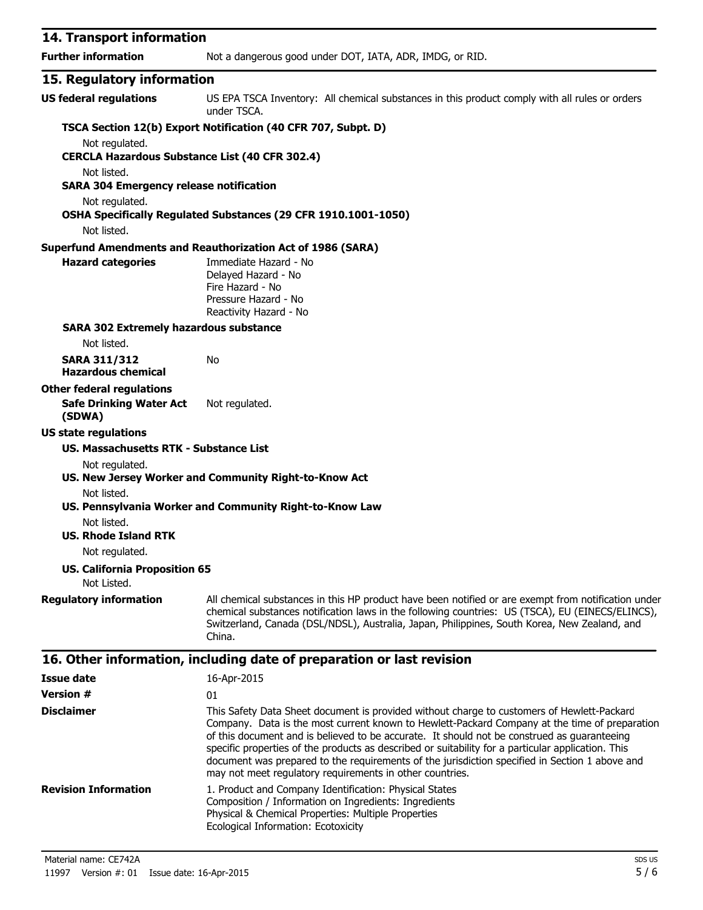| 14. Transport information                                     |                                                                                                                                                                                                                                                                                                                                                                                                  |
|---------------------------------------------------------------|--------------------------------------------------------------------------------------------------------------------------------------------------------------------------------------------------------------------------------------------------------------------------------------------------------------------------------------------------------------------------------------------------|
| <b>Further information</b>                                    | Not a dangerous good under DOT, IATA, ADR, IMDG, or RID.                                                                                                                                                                                                                                                                                                                                         |
| 15. Regulatory information                                    |                                                                                                                                                                                                                                                                                                                                                                                                  |
| <b>US federal regulations</b>                                 | US EPA TSCA Inventory: All chemical substances in this product comply with all rules or orders<br>under TSCA.                                                                                                                                                                                                                                                                                    |
|                                                               | TSCA Section 12(b) Export Notification (40 CFR 707, Subpt. D)                                                                                                                                                                                                                                                                                                                                    |
| Not regulated.                                                |                                                                                                                                                                                                                                                                                                                                                                                                  |
| <b>CERCLA Hazardous Substance List (40 CFR 302.4)</b>         |                                                                                                                                                                                                                                                                                                                                                                                                  |
| Not listed.<br><b>SARA 304 Emergency release notification</b> |                                                                                                                                                                                                                                                                                                                                                                                                  |
| Not regulated.                                                |                                                                                                                                                                                                                                                                                                                                                                                                  |
|                                                               | OSHA Specifically Regulated Substances (29 CFR 1910.1001-1050)                                                                                                                                                                                                                                                                                                                                   |
| Not listed.                                                   |                                                                                                                                                                                                                                                                                                                                                                                                  |
|                                                               | <b>Superfund Amendments and Reauthorization Act of 1986 (SARA)</b>                                                                                                                                                                                                                                                                                                                               |
| <b>Hazard categories</b>                                      | Immediate Hazard - No<br>Delayed Hazard - No<br>Fire Hazard - No<br>Pressure Hazard - No<br>Reactivity Hazard - No                                                                                                                                                                                                                                                                               |
| <b>SARA 302 Extremely hazardous substance</b>                 |                                                                                                                                                                                                                                                                                                                                                                                                  |
| Not listed.                                                   |                                                                                                                                                                                                                                                                                                                                                                                                  |
| <b>SARA 311/312</b><br><b>Hazardous chemical</b>              | No                                                                                                                                                                                                                                                                                                                                                                                               |
| <b>Other federal regulations</b>                              |                                                                                                                                                                                                                                                                                                                                                                                                  |
| <b>Safe Drinking Water Act</b><br>(SDWA)                      | Not regulated.                                                                                                                                                                                                                                                                                                                                                                                   |
| <b>US state regulations</b>                                   |                                                                                                                                                                                                                                                                                                                                                                                                  |
| US. Massachusetts RTK - Substance List                        |                                                                                                                                                                                                                                                                                                                                                                                                  |
| Not regulated.                                                | US. New Jersey Worker and Community Right-to-Know Act                                                                                                                                                                                                                                                                                                                                            |
| Not listed.                                                   | US. Pennsylvania Worker and Community Right-to-Know Law                                                                                                                                                                                                                                                                                                                                          |
| Not listed.<br><b>US. Rhode Island RTK</b>                    |                                                                                                                                                                                                                                                                                                                                                                                                  |
| Not regulated.                                                |                                                                                                                                                                                                                                                                                                                                                                                                  |
| <b>US. California Proposition 65</b>                          |                                                                                                                                                                                                                                                                                                                                                                                                  |
| Not Listed.                                                   |                                                                                                                                                                                                                                                                                                                                                                                                  |
| <b>Regulatory information</b>                                 | All chemical substances in this HP product have been notified or are exempt from notification under<br>chemical substances notification laws in the following countries: US (TSCA), EU (EINECS/ELINCS),<br>Switzerland, Canada (DSL/NDSL), Australia, Japan, Philippines, South Korea, New Zealand, and<br>China.                                                                                |
|                                                               | 16. Other information, including date of preparation or last revision                                                                                                                                                                                                                                                                                                                            |
| <b>Issue date</b>                                             | 16-Apr-2015                                                                                                                                                                                                                                                                                                                                                                                      |
| <b>Version #</b>                                              | 01                                                                                                                                                                                                                                                                                                                                                                                               |
| <b>Disclaimer</b>                                             | This Safety Data Sheet document is provided without charge to customers of Hewlett-Packard<br>Company. Data is the most current known to Hewlett-Packard Company at the time of preparation<br>of this document and is believed to be accurate. It should not be construed as guaranteeing<br>specific properties of the products as described or suitability for a particular application. This |

document was prepared to the requirements of the jurisdiction specified in Section 1 above and may not meet regulatory requirements in other countries. **Revision Information** 1. Product and Company Identification: Physical States Composition / Information on Ingredients: Ingredients Physical & Chemical Properties: Multiple Properties Ecological Information: Ecotoxicity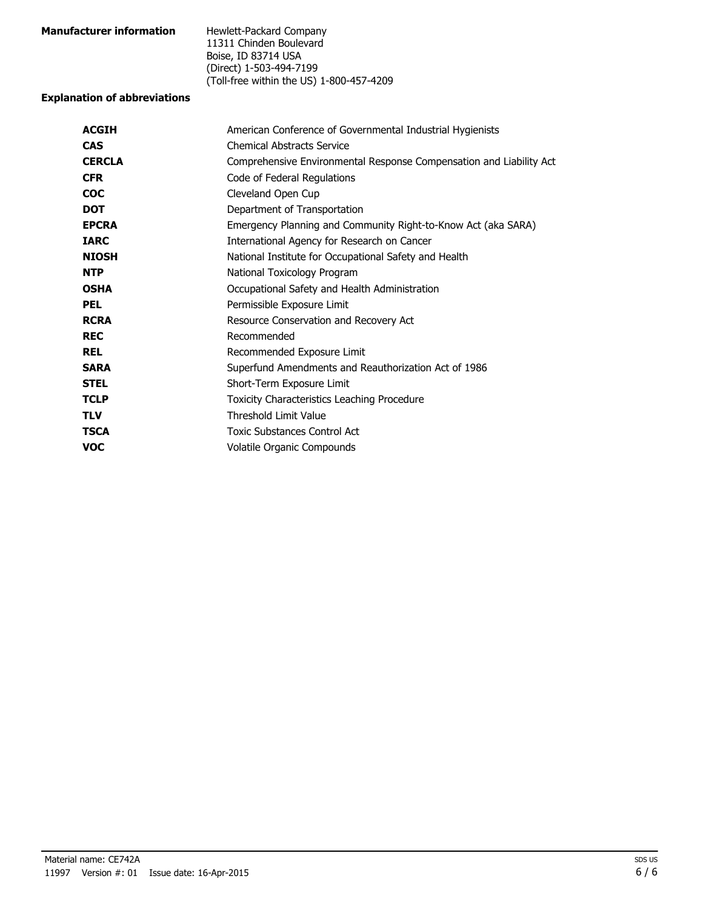| <b>Manufacturer information</b> | Hewlett-Packard Company                  |
|---------------------------------|------------------------------------------|
|                                 | 11311 Chinden Boulevard                  |
|                                 | Boise, ID 83714 USA                      |
|                                 | (Direct) 1-503-494-7199                  |
|                                 | (Toll-free within the US) 1-800-457-4209 |

#### **Explanation of abbreviations**

| American Conference of Governmental Industrial Hygienists           |
|---------------------------------------------------------------------|
| <b>Chemical Abstracts Service</b>                                   |
| Comprehensive Environmental Response Compensation and Liability Act |
| Code of Federal Regulations                                         |
| Cleveland Open Cup                                                  |
| Department of Transportation                                        |
| Emergency Planning and Community Right-to-Know Act (aka SARA)       |
| International Agency for Research on Cancer                         |
| National Institute for Occupational Safety and Health               |
| National Toxicology Program                                         |
| Occupational Safety and Health Administration                       |
| Permissible Exposure Limit                                          |
| Resource Conservation and Recovery Act                              |
| Recommended                                                         |
| Recommended Exposure Limit                                          |
| Superfund Amendments and Reauthorization Act of 1986                |
| Short-Term Exposure Limit                                           |
| Toxicity Characteristics Leaching Procedure                         |
| <b>Threshold Limit Value</b>                                        |
| Toxic Substances Control Act                                        |
| Volatile Organic Compounds                                          |
|                                                                     |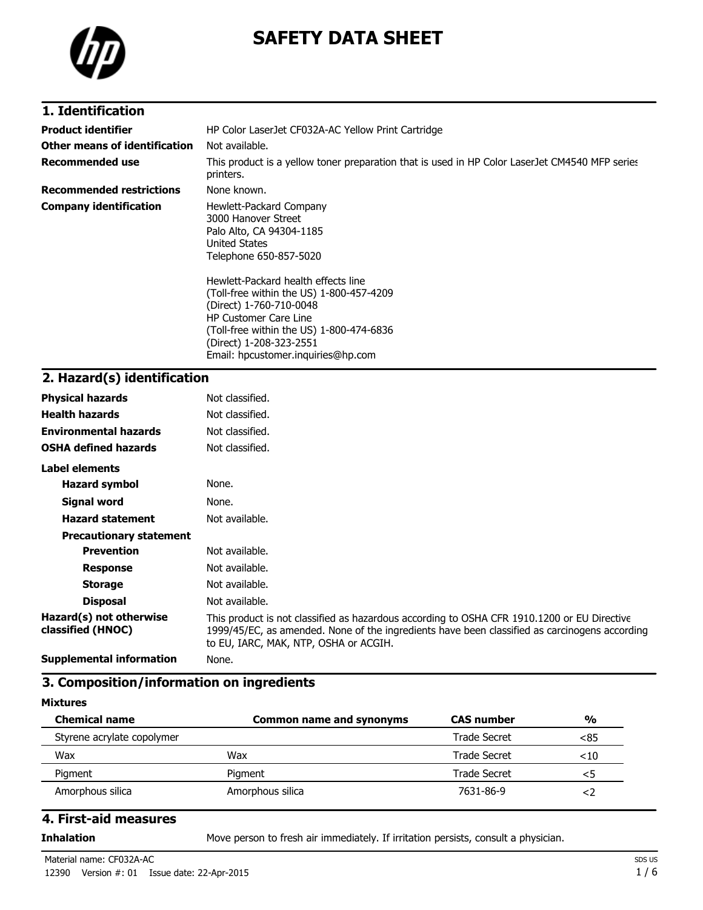

# **SAFETY DATA SHEET**

### **1. Identification**

| <b>Product identifier</b>       | HP Color LaserJet CF032A-AC Yellow Print Cartridge                                                                                                                                                                                                                                                                                                                               |
|---------------------------------|----------------------------------------------------------------------------------------------------------------------------------------------------------------------------------------------------------------------------------------------------------------------------------------------------------------------------------------------------------------------------------|
| Other means of identification   | Not available.                                                                                                                                                                                                                                                                                                                                                                   |
| <b>Recommended use</b>          | This product is a yellow toner preparation that is used in HP Color LaserJet CM4540 MFP series<br>printers.                                                                                                                                                                                                                                                                      |
| <b>Recommended restrictions</b> | None known.                                                                                                                                                                                                                                                                                                                                                                      |
| <b>Company identification</b>   | Hewlett-Packard Company<br>3000 Hanover Street<br>Palo Alto, CA 94304-1185<br>United States<br>Telephone 650-857-5020<br>Hewlett-Packard health effects line<br>(Toll-free within the US) 1-800-457-4209<br>(Direct) 1-760-710-0048<br><b>HP Customer Care Line</b><br>(Toll-free within the US) 1-800-474-6836<br>(Direct) 1-208-323-2551<br>Email: hpcustomer.inquiries@hp.com |

# **2. Hazard(s) identification**

| <b>Physical hazards</b>                      | Not classified.                                                                                                                                                                                                                       |
|----------------------------------------------|---------------------------------------------------------------------------------------------------------------------------------------------------------------------------------------------------------------------------------------|
| <b>Health hazards</b>                        | Not classified.                                                                                                                                                                                                                       |
| <b>Environmental hazards</b>                 | Not classified.                                                                                                                                                                                                                       |
| <b>OSHA defined hazards</b>                  | Not classified.                                                                                                                                                                                                                       |
| Label elements                               |                                                                                                                                                                                                                                       |
| <b>Hazard symbol</b>                         | None.                                                                                                                                                                                                                                 |
| Signal word                                  | None.                                                                                                                                                                                                                                 |
| <b>Hazard statement</b>                      | Not available.                                                                                                                                                                                                                        |
| <b>Precautionary statement</b>               |                                                                                                                                                                                                                                       |
| <b>Prevention</b>                            | Not available.                                                                                                                                                                                                                        |
| <b>Response</b>                              | Not available.                                                                                                                                                                                                                        |
| <b>Storage</b>                               | Not available.                                                                                                                                                                                                                        |
| <b>Disposal</b>                              | Not available.                                                                                                                                                                                                                        |
| Hazard(s) not otherwise<br>classified (HNOC) | This product is not classified as hazardous according to OSHA CFR 1910.1200 or EU Directive<br>1999/45/EC, as amended. None of the ingredients have been classified as carcinogens according<br>to EU, IARC, MAK, NTP, OSHA or ACGIH. |
| <b>Supplemental information</b>              | None.                                                                                                                                                                                                                                 |

### **3. Composition/information on ingredients**

#### **Mixtures**

| <b>Chemical name</b>       | <b>Common name and synonyms</b> | <b>CAS</b> number | $\frac{0}{0}$ |
|----------------------------|---------------------------------|-------------------|---------------|
| Styrene acrylate copolymer |                                 | Trade Secret      | <85           |
| Wax                        | Wax                             | Trade Secret      | $<$ 10        |
| Pigment                    | Piament                         | Trade Secret      | <5            |
| Amorphous silica           | Amorphous silica                | 7631-86-9         |               |

### **4. First-aid measures**

**Inhalation** Move person to fresh air immediately. If irritation persists, consult a physician.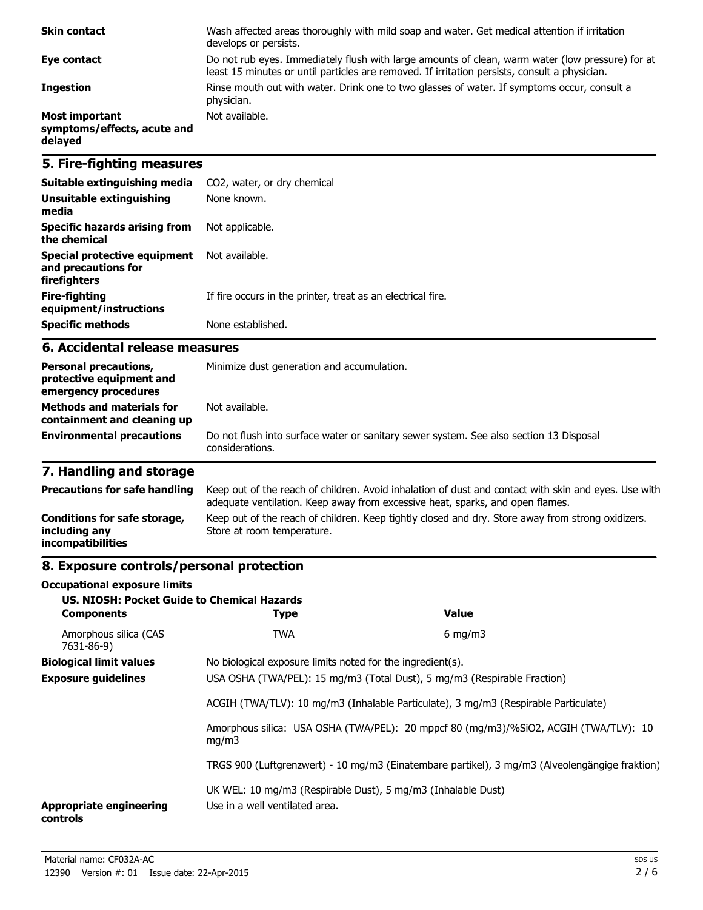| <b>Skin contact</b>                                      | Wash affected areas thoroughly with mild soap and water. Get medical attention if irritation<br>develops or persists.                                                                             |
|----------------------------------------------------------|---------------------------------------------------------------------------------------------------------------------------------------------------------------------------------------------------|
| Eye contact                                              | Do not rub eyes. Immediately flush with large amounts of clean, warm water (low pressure) for at<br>least 15 minutes or until particles are removed. If irritation persists, consult a physician. |
| <b>Ingestion</b>                                         | Rinse mouth out with water. Drink one to two glasses of water. If symptoms occur, consult a<br>physician.                                                                                         |
| Most important<br>symptoms/effects, acute and<br>delayed | Not available.                                                                                                                                                                                    |

### **5. Fire-fighting measures**

| Suitable extinguishing media                                        | CO2, water, or dry chemical                                 |
|---------------------------------------------------------------------|-------------------------------------------------------------|
| Unsuitable extinguishing<br>media                                   | None known.                                                 |
| Specific hazards arising from<br>the chemical                       | Not applicable.                                             |
| Special protective equipment<br>and precautions for<br>firefighters | Not available.                                              |
| Fire-fighting<br>equipment/instructions                             | If fire occurs in the printer, treat as an electrical fire. |
| <b>Specific methods</b>                                             | None established.                                           |

### **6. Accidental release measures**

| <b>Personal precautions,</b><br>protective equipment and<br>emergency procedures | Minimize dust generation and accumulation.                                                                |
|----------------------------------------------------------------------------------|-----------------------------------------------------------------------------------------------------------|
| <b>Methods and materials for</b><br>containment and cleaning up                  | Not available.                                                                                            |
| <b>Environmental precautions</b>                                                 | Do not flush into surface water or sanitary sewer system. See also section 13 Disposal<br>considerations. |

# **7. Handling and storage**

| <b>Precautions for safe handling</b>                                      | Keep out of the reach of children. Avoid inhalation of dust and contact with skin and eyes. Use with<br>adequate ventilation. Keep away from excessive heat, sparks, and open flames. |
|---------------------------------------------------------------------------|---------------------------------------------------------------------------------------------------------------------------------------------------------------------------------------|
| Conditions for safe storage,<br>including any<br><i>incompatibilities</i> | Keep out of the reach of children. Keep tightly closed and dry. Store away from strong oxidizers.<br>Store at room temperature.                                                       |

# **8. Exposure controls/personal protection**

#### **Occupational exposure limits**

| <b>US. NIOSH: Pocket Guide to Chemical Hazards</b><br><b>Components</b> | <b>Type</b>                                                                                    | <b>Value</b>                                               |  |  |
|-------------------------------------------------------------------------|------------------------------------------------------------------------------------------------|------------------------------------------------------------|--|--|
| Amorphous silica (CAS<br>7631-86-9)                                     | <b>TWA</b>                                                                                     | $6 \text{ mg/m}$                                           |  |  |
| <b>Biological limit values</b>                                          |                                                                                                | No biological exposure limits noted for the ingredient(s). |  |  |
| <b>Exposure guidelines</b>                                              | USA OSHA (TWA/PEL): 15 mg/m3 (Total Dust), 5 mg/m3 (Respirable Fraction)                       |                                                            |  |  |
|                                                                         | ACGIH (TWA/TLV): 10 mg/m3 (Inhalable Particulate), 3 mg/m3 (Respirable Particulate)            |                                                            |  |  |
| <b>Appropriate engineering</b><br>controls                              | Amorphous silica: USA OSHA (TWA/PEL): 20 mppcf 80 (mg/m3)/%SiO2, ACGIH (TWA/TLV): 10<br>mq/m3  |                                                            |  |  |
|                                                                         | TRGS 900 (Luftgrenzwert) - 10 mg/m3 (Einatembare partikel), 3 mg/m3 (Alveolengängige fraktion) |                                                            |  |  |
|                                                                         | UK WEL: 10 mg/m3 (Respirable Dust), 5 mg/m3 (Inhalable Dust)<br>Use in a well ventilated area. |                                                            |  |  |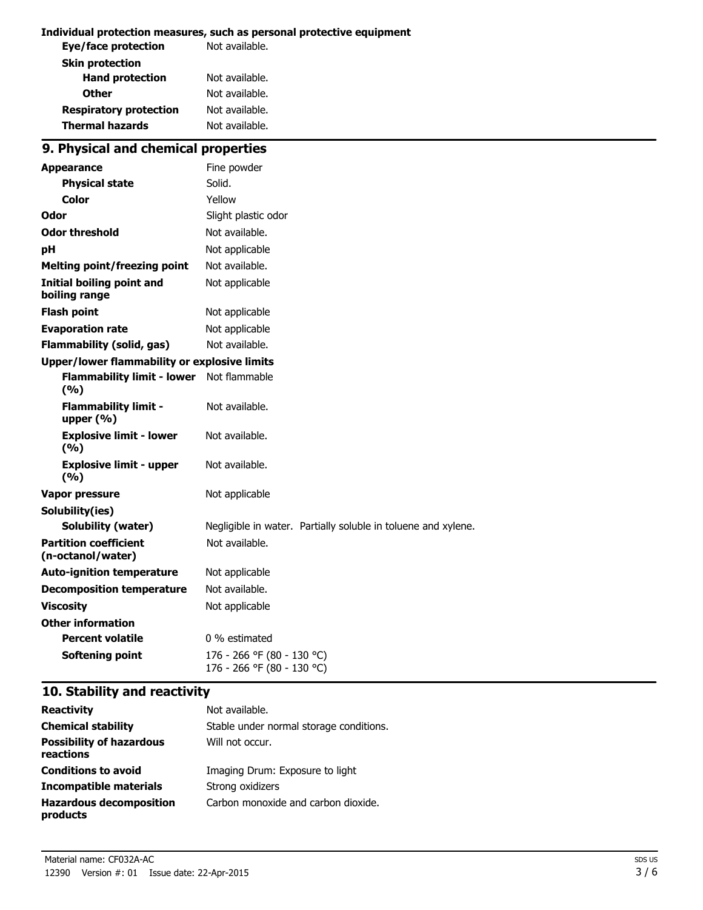#### **Individual protection measures, such as personal protective equipment**

| Eye/face protection           | Not available. |  |
|-------------------------------|----------------|--|
| <b>Skin protection</b>        |                |  |
| <b>Hand protection</b>        | Not available. |  |
| <b>Other</b>                  | Not available. |  |
| <b>Respiratory protection</b> | Not available. |  |
| <b>Thermal hazards</b>        | Not available. |  |
|                               |                |  |

# **9. Physical and chemical properties**

| <b>Appearance</b>                                   | Fine powder                                                   |  |
|-----------------------------------------------------|---------------------------------------------------------------|--|
| <b>Physical state</b>                               | Solid.                                                        |  |
| Color                                               | Yellow                                                        |  |
| Odor                                                | Slight plastic odor                                           |  |
| <b>Odor threshold</b>                               | Not available.                                                |  |
| рH                                                  | Not applicable                                                |  |
| <b>Melting point/freezing point</b>                 | Not available.                                                |  |
| <b>Initial boiling point and</b><br>boiling range   | Not applicable                                                |  |
| <b>Flash point</b>                                  | Not applicable                                                |  |
| <b>Evaporation rate</b>                             | Not applicable                                                |  |
| <b>Flammability (solid, gas)</b>                    | Not available.                                                |  |
| <b>Upper/lower flammability or explosive limits</b> |                                                               |  |
| <b>Flammability limit - lower</b><br>(9/6)          | Not flammable                                                 |  |
| <b>Flammability limit -</b><br>upper $(% )$         | Not available.                                                |  |
| <b>Explosive limit - lower</b><br>(9/6)             | Not available.                                                |  |
| <b>Explosive limit - upper</b><br>(%)               | Not available.                                                |  |
| Vapor pressure                                      | Not applicable                                                |  |
| Solubility(ies)                                     |                                                               |  |
| <b>Solubility (water)</b>                           | Negligible in water. Partially soluble in toluene and xylene. |  |
| <b>Partition coefficient</b><br>(n-octanol/water)   | Not available.                                                |  |
| <b>Auto-ignition temperature</b>                    | Not applicable                                                |  |
| <b>Decomposition temperature</b>                    | Not available.                                                |  |
| <b>Viscosity</b>                                    | Not applicable                                                |  |
| <b>Other information</b>                            |                                                               |  |
| <b>Percent volatile</b>                             | 0 % estimated                                                 |  |
| <b>Softening point</b>                              | 176 - 266 °F (80 - 130 °C)<br>176 - 266 °F (80 - 130 °C)      |  |

# **10. Stability and reactivity**

| <b>Reactivity</b>                            | Not available.                          |
|----------------------------------------------|-----------------------------------------|
| <b>Chemical stability</b>                    | Stable under normal storage conditions. |
| <b>Possibility of hazardous</b><br>reactions | Will not occur.                         |
| <b>Conditions to avoid</b>                   | Imaging Drum: Exposure to light         |
| Incompatible materials                       | Strong oxidizers                        |
| <b>Hazardous decomposition</b><br>products   | Carbon monoxide and carbon dioxide.     |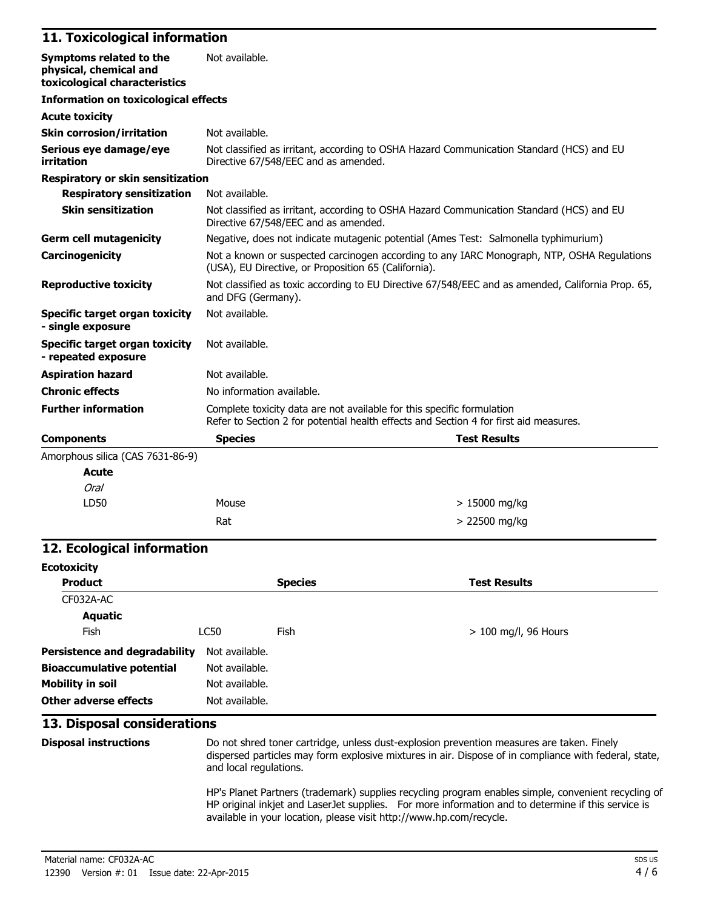### **11. Toxicological information**

| Symptoms related to the<br>physical, chemical and<br>toxicological characteristics | Not available.                                                                                                                                                  |  |  |
|------------------------------------------------------------------------------------|-----------------------------------------------------------------------------------------------------------------------------------------------------------------|--|--|
| <b>Information on toxicological effects</b>                                        |                                                                                                                                                                 |  |  |
| <b>Acute toxicity</b>                                                              |                                                                                                                                                                 |  |  |
| <b>Skin corrosion/irritation</b>                                                   | Not available.                                                                                                                                                  |  |  |
| Serious eye damage/eye<br>irritation                                               | Not classified as irritant, according to OSHA Hazard Communication Standard (HCS) and EU<br>Directive 67/548/EEC and as amended.                                |  |  |
| <b>Respiratory or skin sensitization</b>                                           |                                                                                                                                                                 |  |  |
| <b>Respiratory sensitization</b>                                                   | Not available.                                                                                                                                                  |  |  |
| <b>Skin sensitization</b>                                                          | Not classified as irritant, according to OSHA Hazard Communication Standard (HCS) and EU<br>Directive 67/548/EEC and as amended.                                |  |  |
| <b>Germ cell mutagenicity</b>                                                      | Negative, does not indicate mutagenic potential (Ames Test: Salmonella typhimurium)                                                                             |  |  |
| Carcinogenicity                                                                    | Not a known or suspected carcinogen according to any IARC Monograph, NTP, OSHA Regulations<br>(USA), EU Directive, or Proposition 65 (California).              |  |  |
| <b>Reproductive toxicity</b>                                                       | Not classified as toxic according to EU Directive 67/548/EEC and as amended, California Prop. 65,<br>and DFG (Germany).                                         |  |  |
| Specific target organ toxicity<br>- single exposure                                | Not available.                                                                                                                                                  |  |  |
| <b>Specific target organ toxicity</b><br>- repeated exposure                       | Not available.                                                                                                                                                  |  |  |
| <b>Aspiration hazard</b>                                                           | Not available.                                                                                                                                                  |  |  |
| <b>Chronic effects</b>                                                             | No information available.                                                                                                                                       |  |  |
| <b>Further information</b>                                                         | Complete toxicity data are not available for this specific formulation<br>Refer to Section 2 for potential health effects and Section 4 for first aid measures. |  |  |
| <b>Components</b>                                                                  | <b>Species</b><br><b>Test Results</b>                                                                                                                           |  |  |
| Amorphous silica (CAS 7631-86-9)                                                   |                                                                                                                                                                 |  |  |
| <b>Acute</b>                                                                       |                                                                                                                                                                 |  |  |
| Oral                                                                               |                                                                                                                                                                 |  |  |

### **12. Ecological information**

LD50 Mouse

| <b>Ecotoxicity</b>                   |                |                |                        |
|--------------------------------------|----------------|----------------|------------------------|
| <b>Product</b>                       |                | <b>Species</b> | <b>Test Results</b>    |
| CF032A-AC                            |                |                |                        |
| Aquatic                              |                |                |                        |
| Fish                                 | LC50           | Fish           | $> 100$ mg/l, 96 Hours |
| <b>Persistence and degradability</b> | Not available. |                |                        |
| <b>Bioaccumulative potential</b>     | Not available. |                |                        |
| <b>Mobility in soil</b>              | Not available. |                |                        |
| Other adverse effects                | Not available. |                |                        |

 $Rat$   $> 22500$  mg/kg

### **13. Disposal considerations**

**Disposal instructions** Do not shred toner cartridge, unless dust-explosion prevention measures are taken. Finely dispersed particles may form explosive mixtures in air. Dispose of in compliance with federal, state, and local regulations.

> 15000 mg/kg

HP's Planet Partners (trademark) supplies recycling program enables simple, convenient recycling of HP original inkjet and LaserJet supplies. For more information and to determine if this service is available in your location, please visit http://www.hp.com/recycle.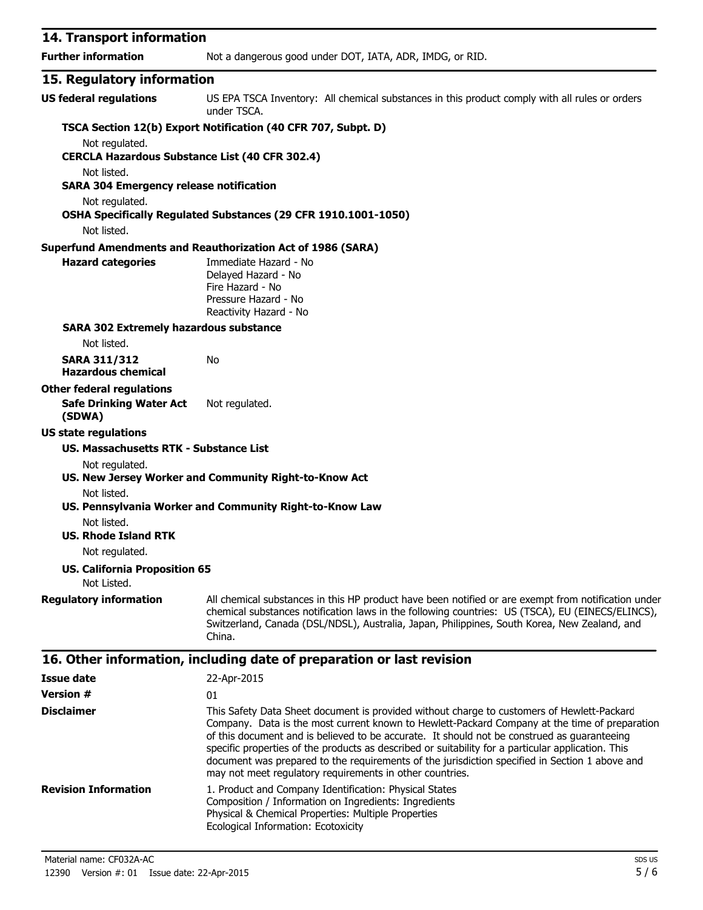| 14. Transport information                                               |                                                                                                                                                                                                                                                                                                                   |
|-------------------------------------------------------------------------|-------------------------------------------------------------------------------------------------------------------------------------------------------------------------------------------------------------------------------------------------------------------------------------------------------------------|
| <b>Further information</b>                                              | Not a dangerous good under DOT, IATA, ADR, IMDG, or RID.                                                                                                                                                                                                                                                          |
| 15. Regulatory information                                              |                                                                                                                                                                                                                                                                                                                   |
| <b>US federal regulations</b>                                           | US EPA TSCA Inventory: All chemical substances in this product comply with all rules or orders<br>under TSCA.                                                                                                                                                                                                     |
|                                                                         | TSCA Section 12(b) Export Notification (40 CFR 707, Subpt. D)                                                                                                                                                                                                                                                     |
| Not regulated.<br><b>CERCLA Hazardous Substance List (40 CFR 302.4)</b> |                                                                                                                                                                                                                                                                                                                   |
| Not listed.<br><b>SARA 304 Emergency release notification</b>           |                                                                                                                                                                                                                                                                                                                   |
| Not regulated.<br>Not listed.                                           | OSHA Specifically Regulated Substances (29 CFR 1910.1001-1050)                                                                                                                                                                                                                                                    |
|                                                                         | <b>Superfund Amendments and Reauthorization Act of 1986 (SARA)</b>                                                                                                                                                                                                                                                |
| <b>Hazard categories</b>                                                | Immediate Hazard - No<br>Delayed Hazard - No<br>Fire Hazard - No<br>Pressure Hazard - No<br>Reactivity Hazard - No                                                                                                                                                                                                |
| <b>SARA 302 Extremely hazardous substance</b>                           |                                                                                                                                                                                                                                                                                                                   |
| Not listed.                                                             |                                                                                                                                                                                                                                                                                                                   |
| <b>SARA 311/312</b><br><b>Hazardous chemical</b>                        | No                                                                                                                                                                                                                                                                                                                |
| <b>Other federal regulations</b>                                        |                                                                                                                                                                                                                                                                                                                   |
| <b>Safe Drinking Water Act</b><br>(SDWA)                                | Not regulated.                                                                                                                                                                                                                                                                                                    |
| <b>US state regulations</b>                                             |                                                                                                                                                                                                                                                                                                                   |
| US. Massachusetts RTK - Substance List                                  |                                                                                                                                                                                                                                                                                                                   |
| Not regulated.                                                          |                                                                                                                                                                                                                                                                                                                   |
|                                                                         | US. New Jersey Worker and Community Right-to-Know Act                                                                                                                                                                                                                                                             |
| Not listed.                                                             | US. Pennsylvania Worker and Community Right-to-Know Law                                                                                                                                                                                                                                                           |
| Not listed.                                                             |                                                                                                                                                                                                                                                                                                                   |
| <b>US. Rhode Island RTK</b>                                             |                                                                                                                                                                                                                                                                                                                   |
| Not regulated.                                                          |                                                                                                                                                                                                                                                                                                                   |
| <b>US. California Proposition 65</b><br>Not Listed.                     |                                                                                                                                                                                                                                                                                                                   |
| <b>Regulatory information</b>                                           | All chemical substances in this HP product have been notified or are exempt from notification under<br>chemical substances notification laws in the following countries: US (TSCA), EU (EINECS/ELINCS),<br>Switzerland, Canada (DSL/NDSL), Australia, Japan, Philippines, South Korea, New Zealand, and<br>China. |
|                                                                         | 16. Other information, including date of preparation or last revision                                                                                                                                                                                                                                             |
| <b>Issue date</b>                                                       | 22-Apr-2015                                                                                                                                                                                                                                                                                                       |
| <b>Version #</b>                                                        | 01                                                                                                                                                                                                                                                                                                                |
| <b>Disclaimer</b>                                                       | This Safety Data Sheet document is provided without charge to customers of Hewlett-Packard<br>Company. Data is the most current known to Hewlett-Packard Company at the time of preparation<br>of this document and is believed to be accurate. It should not be construed as quaranteeing                        |

specific properties of the products as described or suitability for a particular application. This document was prepared to the requirements of the jurisdiction specified in Section 1 above and

may not meet regulatory requirements in other countries.

Composition / Information on Ingredients: Ingredients Physical & Chemical Properties: Multiple Properties

**Revision Information** 1. Product and Company Identification: Physical States

Ecological Information: Ecotoxicity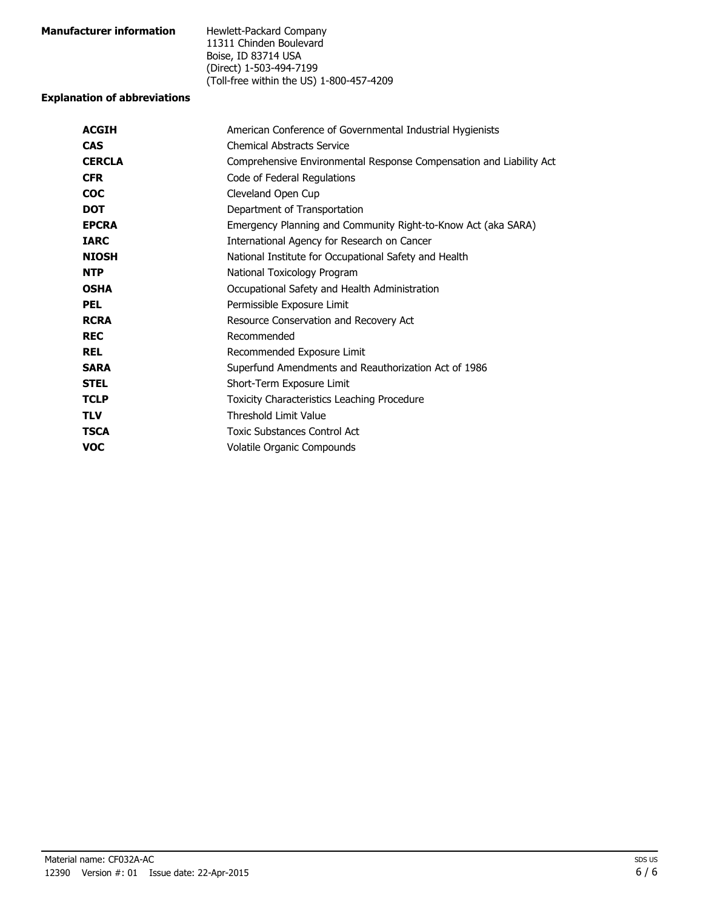| <b>Manufacturer information</b> | Hewlett-Packard Company                  |
|---------------------------------|------------------------------------------|
|                                 | 11311 Chinden Boulevard                  |
|                                 | Boise, ID 83714 USA                      |
|                                 | (Direct) 1-503-494-7199                  |
|                                 | (Toll-free within the US) 1-800-457-4209 |

### **Explanation of abbreviations**

| <b>ACGIH</b>  | American Conference of Governmental Industrial Hygienists           |
|---------------|---------------------------------------------------------------------|
| <b>CAS</b>    | <b>Chemical Abstracts Service</b>                                   |
| <b>CERCLA</b> | Comprehensive Environmental Response Compensation and Liability Act |
| <b>CFR</b>    | Code of Federal Regulations                                         |
| <b>COC</b>    | Cleveland Open Cup                                                  |
| <b>DOT</b>    | Department of Transportation                                        |
| <b>EPCRA</b>  | Emergency Planning and Community Right-to-Know Act (aka SARA)       |
| <b>IARC</b>   | International Agency for Research on Cancer                         |
| <b>NIOSH</b>  | National Institute for Occupational Safety and Health               |
| <b>NTP</b>    | National Toxicology Program                                         |
| <b>OSHA</b>   | Occupational Safety and Health Administration                       |
| <b>PEL</b>    | Permissible Exposure Limit                                          |
| <b>RCRA</b>   | Resource Conservation and Recovery Act                              |
| <b>REC</b>    | Recommended                                                         |
| <b>REL</b>    | Recommended Exposure Limit                                          |
| <b>SARA</b>   | Superfund Amendments and Reauthorization Act of 1986                |
| <b>STEL</b>   | Short-Term Exposure Limit                                           |
| <b>TCLP</b>   | Toxicity Characteristics Leaching Procedure                         |
| <b>TLV</b>    | <b>Threshold Limit Value</b>                                        |
| <b>TSCA</b>   | <b>Toxic Substances Control Act</b>                                 |
| <b>VOC</b>    | Volatile Organic Compounds                                          |
|               |                                                                     |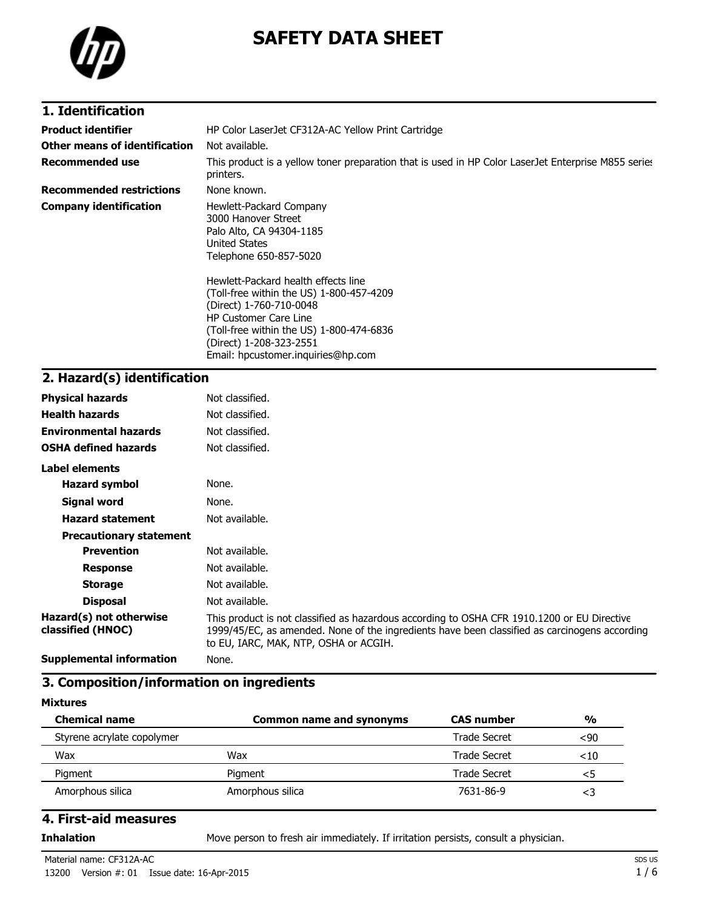

# **SAFETY DATA SHEET**

## **1. Identification**

| <b>Product identifier</b>       | HP Color LaserJet CF312A-AC Yellow Print Cartridge                                                                                                                                                                                                      |  |  |
|---------------------------------|---------------------------------------------------------------------------------------------------------------------------------------------------------------------------------------------------------------------------------------------------------|--|--|
| Other means of identification   | Not available.                                                                                                                                                                                                                                          |  |  |
| Recommended use                 | This product is a yellow toner preparation that is used in HP Color Laser Jet Enterprise M855 series<br>printers.                                                                                                                                       |  |  |
| <b>Recommended restrictions</b> | None known.                                                                                                                                                                                                                                             |  |  |
| <b>Company identification</b>   | Hewlett-Packard Company<br>3000 Hanover Street<br>Palo Alto, CA 94304-1185<br>United States<br>Telephone 650-857-5020                                                                                                                                   |  |  |
|                                 | Hewlett-Packard health effects line<br>(Toll-free within the US) 1-800-457-4209<br>(Direct) 1-760-710-0048<br><b>HP Customer Care Line</b><br>(Toll-free within the US) 1-800-474-6836<br>(Direct) 1-208-323-2551<br>Email: hpcustomer.inguiries@hp.com |  |  |

# **2. Hazard(s) identification**

| <b>Physical hazards</b>                      | Not classified.                                                                                                                                                                                                                       |
|----------------------------------------------|---------------------------------------------------------------------------------------------------------------------------------------------------------------------------------------------------------------------------------------|
| <b>Health hazards</b>                        | Not classified.                                                                                                                                                                                                                       |
| <b>Environmental hazards</b>                 | Not classified.                                                                                                                                                                                                                       |
| <b>OSHA defined hazards</b>                  | Not classified.                                                                                                                                                                                                                       |
| Label elements                               |                                                                                                                                                                                                                                       |
| <b>Hazard symbol</b>                         | None.                                                                                                                                                                                                                                 |
| Signal word                                  | None.                                                                                                                                                                                                                                 |
| <b>Hazard statement</b>                      | Not available.                                                                                                                                                                                                                        |
| <b>Precautionary statement</b>               |                                                                                                                                                                                                                                       |
| <b>Prevention</b>                            | Not available.                                                                                                                                                                                                                        |
| <b>Response</b>                              | Not available.                                                                                                                                                                                                                        |
| <b>Storage</b>                               | Not available.                                                                                                                                                                                                                        |
| <b>Disposal</b>                              | Not available.                                                                                                                                                                                                                        |
| Hazard(s) not otherwise<br>classified (HNOC) | This product is not classified as hazardous according to OSHA CFR 1910.1200 or EU Directive<br>1999/45/EC, as amended. None of the ingredients have been classified as carcinogens according<br>to EU, IARC, MAK, NTP, OSHA or ACGIH. |
| <b>Supplemental information</b>              | None.                                                                                                                                                                                                                                 |

### **3. Composition/information on ingredients**

#### **Mixtures**

| <b>Chemical name</b>       | Common name and synonyms | <b>CAS number</b>   | $\frac{0}{0}$ |
|----------------------------|--------------------------|---------------------|---------------|
| Styrene acrylate copolymer |                          | Trade Secret        | $90$          |
| Wax                        | Wax                      | Trade Secret        | $<$ 10        |
| Pigment                    | Pigment                  | <b>Trade Secret</b> | <5            |
| Amorphous silica           | Amorphous silica         | 7631-86-9           | <3            |

### **4. First-aid measures**

**Inhalation** Move person to fresh air immediately. If irritation persists, consult a physician.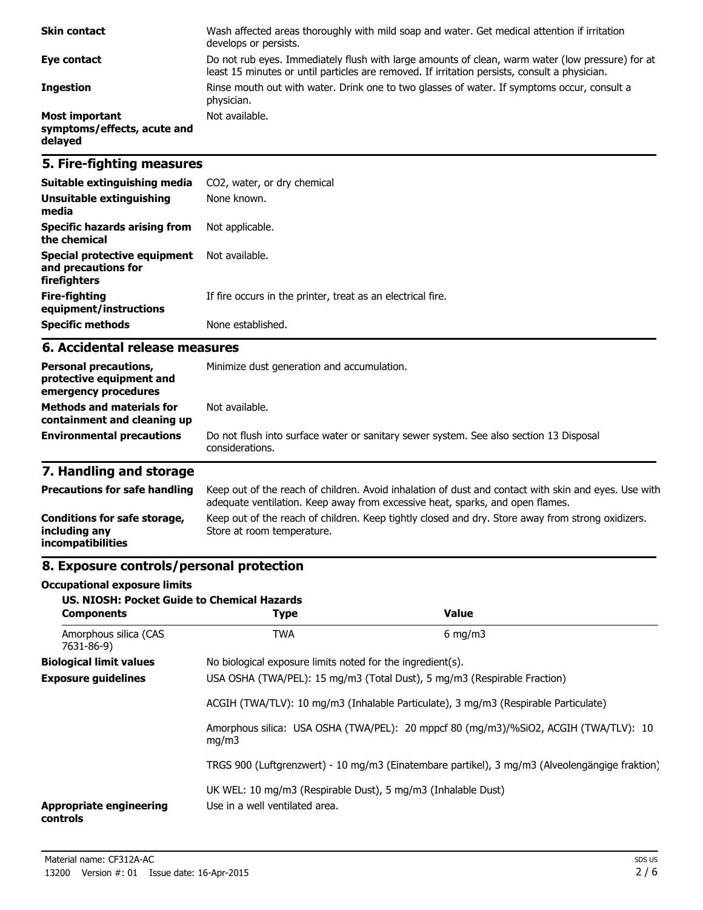| <b>Skin contact</b>                                      | Wash affected areas thoroughly with mild soap and water. Get medical attention if irritation<br>develops or persists.                                                                             |
|----------------------------------------------------------|---------------------------------------------------------------------------------------------------------------------------------------------------------------------------------------------------|
| Eye contact                                              | Do not rub eyes. Immediately flush with large amounts of clean, warm water (low pressure) for at<br>least 15 minutes or until particles are removed. If irritation persists, consult a physician. |
| <b>Ingestion</b>                                         | Rinse mouth out with water. Drink one to two glasses of water. If symptoms occur, consult a<br>physician.                                                                                         |
| Most important<br>symptoms/effects, acute and<br>delayed | Not available.                                                                                                                                                                                    |

### **5. Fire-fighting measures**

| Suitable extinguishing media                                        | CO2, water, or dry chemical                                 |
|---------------------------------------------------------------------|-------------------------------------------------------------|
| Unsuitable extinguishing<br>media                                   | None known.                                                 |
| Specific hazards arising from<br>the chemical                       | Not applicable.                                             |
| Special protective equipment<br>and precautions for<br>firefighters | Not available.                                              |
| Fire-fighting<br>equipment/instructions                             | If fire occurs in the printer, treat as an electrical fire. |
| <b>Specific methods</b>                                             | None established.                                           |

### **6. Accidental release measures**

| <b>Personal precautions,</b><br>protective equipment and<br>emergency procedures | Minimize dust generation and accumulation.                                                                |
|----------------------------------------------------------------------------------|-----------------------------------------------------------------------------------------------------------|
| <b>Methods and materials for</b><br>containment and cleaning up                  | Not available.                                                                                            |
| <b>Environmental precautions</b>                                                 | Do not flush into surface water or sanitary sewer system. See also section 13 Disposal<br>considerations. |

# **7. Handling and storage**

| <b>Precautions for safe handling</b>                                      | Keep out of the reach of children. Avoid inhalation of dust and contact with skin and eyes. Use with<br>adequate ventilation. Keep away from excessive heat, sparks, and open flames. |
|---------------------------------------------------------------------------|---------------------------------------------------------------------------------------------------------------------------------------------------------------------------------------|
| Conditions for safe storage,<br>including any<br><i>incompatibilities</i> | Keep out of the reach of children. Keep tightly closed and dry. Store away from strong oxidizers.<br>Store at room temperature.                                                       |

# **8. Exposure controls/personal protection**

#### **Occupational exposure limits**

| <b>US. NIOSH: Pocket Guide to Chemical Hazards</b><br><b>Components</b> | <b>Type</b>                                                                                                                                                     | <b>Value</b>                                                                                   |  |
|-------------------------------------------------------------------------|-----------------------------------------------------------------------------------------------------------------------------------------------------------------|------------------------------------------------------------------------------------------------|--|
| Amorphous silica (CAS<br>7631-86-9)                                     | <b>TWA</b>                                                                                                                                                      | $6 \text{ mg/m}$                                                                               |  |
| <b>Biological limit values</b>                                          | No biological exposure limits noted for the ingredient(s).                                                                                                      |                                                                                                |  |
| <b>Exposure guidelines</b>                                              | USA OSHA (TWA/PEL): 15 mg/m3 (Total Dust), 5 mg/m3 (Respirable Fraction)<br>ACGIH (TWA/TLV): 10 mg/m3 (Inhalable Particulate), 3 mg/m3 (Respirable Particulate) |                                                                                                |  |
|                                                                         |                                                                                                                                                                 |                                                                                                |  |
|                                                                         | mq/m3                                                                                                                                                           | Amorphous silica: USA OSHA (TWA/PEL): 20 mppcf 80 (mg/m3)/%SiO2, ACGIH (TWA/TLV): 10           |  |
|                                                                         |                                                                                                                                                                 | TRGS 900 (Luftgrenzwert) - 10 mg/m3 (Einatembare partikel), 3 mg/m3 (Alveolengängige fraktion) |  |
| <b>Appropriate engineering</b><br>controls                              | UK WEL: 10 mg/m3 (Respirable Dust), 5 mg/m3 (Inhalable Dust)<br>Use in a well ventilated area.                                                                  |                                                                                                |  |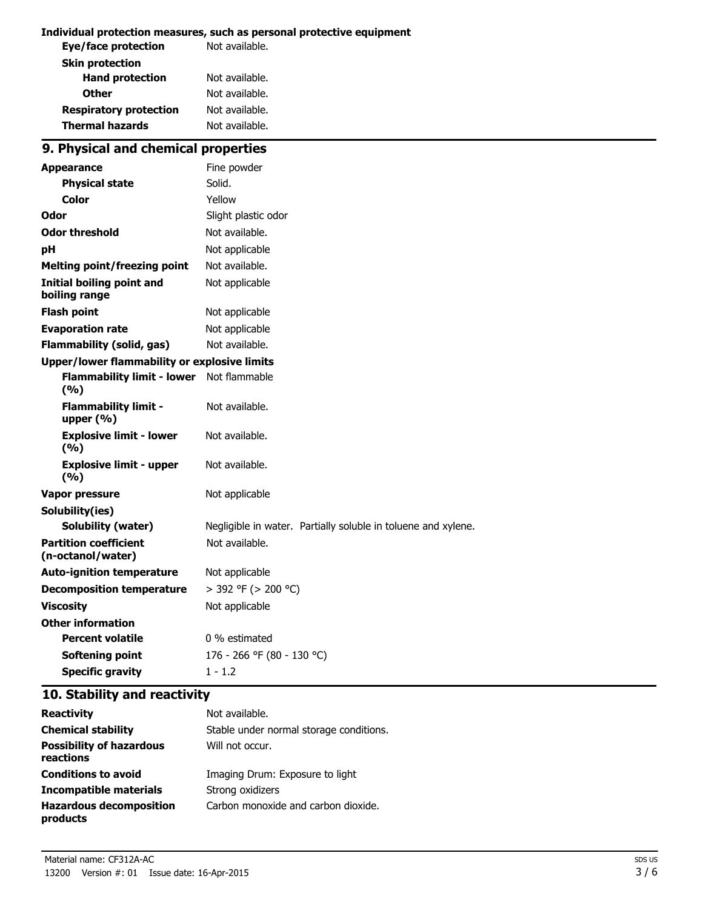#### **Individual protection measures, such as personal protective equipment**

| Not available. |
|----------------|
|                |
| Not available. |
| Not available. |
| Not available. |
| Not available. |
|                |

# **9. Physical and chemical properties**

| <b>Appearance</b>                                   | Fine powder                                                   |  |
|-----------------------------------------------------|---------------------------------------------------------------|--|
| <b>Physical state</b>                               | Solid.                                                        |  |
| Color                                               | Yellow                                                        |  |
| Odor                                                | Slight plastic odor                                           |  |
| <b>Odor threshold</b>                               | Not available.                                                |  |
| рH                                                  | Not applicable                                                |  |
| <b>Melting point/freezing point</b>                 | Not available.                                                |  |
| <b>Initial boiling point and</b><br>boiling range   | Not applicable                                                |  |
| <b>Flash point</b>                                  | Not applicable                                                |  |
| <b>Evaporation rate</b>                             | Not applicable                                                |  |
| <b>Flammability (solid, gas)</b>                    | Not available.                                                |  |
| <b>Upper/lower flammability or explosive limits</b> |                                                               |  |
| <b>Flammability limit - lower</b><br>(9/6)          | Not flammable                                                 |  |
| <b>Flammability limit -</b><br>upper $(% )$         | Not available.                                                |  |
| <b>Explosive limit - lower</b><br>(9/6)             | Not available.                                                |  |
| <b>Explosive limit - upper</b><br>(9/6)             | Not available.                                                |  |
| <b>Vapor pressure</b>                               | Not applicable                                                |  |
| Solubility(ies)                                     |                                                               |  |
| Solubility (water)                                  | Negligible in water. Partially soluble in toluene and xylene. |  |
| <b>Partition coefficient</b><br>(n-octanol/water)   | Not available.                                                |  |
| <b>Auto-ignition temperature</b>                    | Not applicable                                                |  |
| <b>Decomposition temperature</b>                    | > 392 °F (> 200 °C)                                           |  |
| <b>Viscosity</b>                                    | Not applicable                                                |  |
| <b>Other information</b>                            |                                                               |  |
| <b>Percent volatile</b>                             | 0 % estimated                                                 |  |
| <b>Softening point</b>                              | 176 - 266 °F (80 - 130 °C)                                    |  |
| <b>Specific gravity</b>                             | $1 - 1.2$                                                     |  |

# **10. Stability and reactivity**

| <b>Reactivity</b>                            | Not available.                          |
|----------------------------------------------|-----------------------------------------|
| <b>Chemical stability</b>                    | Stable under normal storage conditions. |
| <b>Possibility of hazardous</b><br>reactions | Will not occur.                         |
| <b>Conditions to avoid</b>                   | Imaging Drum: Exposure to light         |
| Incompatible materials                       | Strong oxidizers                        |
| <b>Hazardous decomposition</b><br>products   | Carbon monoxide and carbon dioxide.     |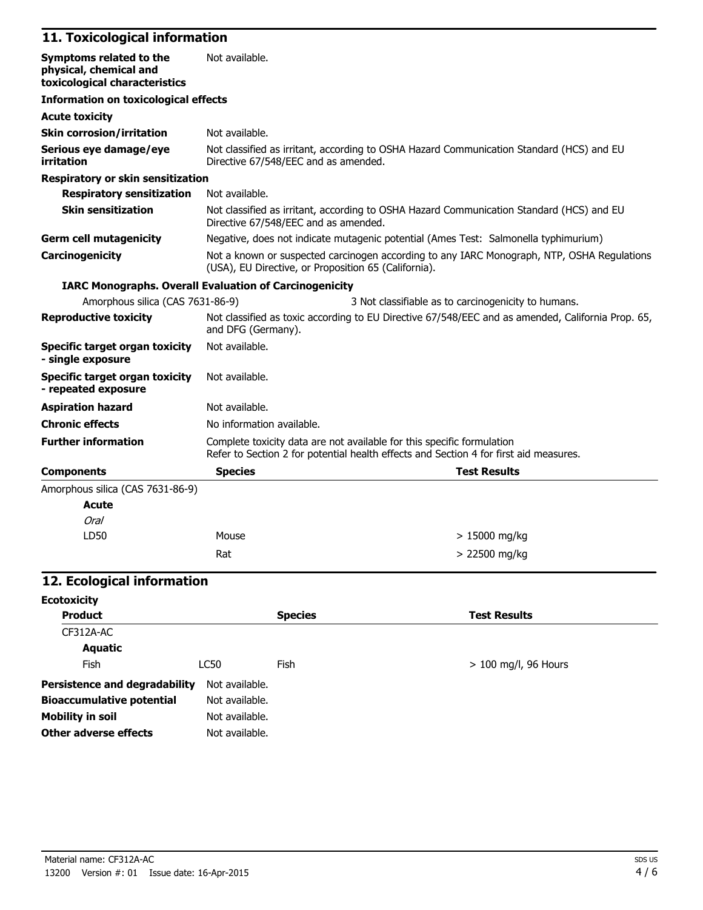# **11. Toxicological information**

| Symptoms related to the<br>physical, chemical and<br>toxicological characteristics | Not available.                                                                                                                                                  |                                                                                          |
|------------------------------------------------------------------------------------|-----------------------------------------------------------------------------------------------------------------------------------------------------------------|------------------------------------------------------------------------------------------|
| <b>Information on toxicological effects</b>                                        |                                                                                                                                                                 |                                                                                          |
| <b>Acute toxicity</b>                                                              |                                                                                                                                                                 |                                                                                          |
| <b>Skin corrosion/irritation</b>                                                   | Not available.                                                                                                                                                  |                                                                                          |
| Serious eye damage/eye<br>irritation                                               | Directive 67/548/EEC and as amended.                                                                                                                            | Not classified as irritant, according to OSHA Hazard Communication Standard (HCS) and EU |
| Respiratory or skin sensitization                                                  |                                                                                                                                                                 |                                                                                          |
| <b>Respiratory sensitization</b>                                                   | Not available.                                                                                                                                                  |                                                                                          |
| <b>Skin sensitization</b>                                                          | Not classified as irritant, according to OSHA Hazard Communication Standard (HCS) and EU<br>Directive 67/548/EEC and as amended.                                |                                                                                          |
| <b>Germ cell mutagenicity</b>                                                      | Negative, does not indicate mutagenic potential (Ames Test: Salmonella typhimurium)                                                                             |                                                                                          |
| Carcinogenicity                                                                    | Not a known or suspected carcinogen according to any IARC Monograph, NTP, OSHA Regulations<br>(USA), EU Directive, or Proposition 65 (California).              |                                                                                          |
|                                                                                    | <b>IARC Monographs. Overall Evaluation of Carcinogenicity</b>                                                                                                   |                                                                                          |
| Amorphous silica (CAS 7631-86-9)                                                   |                                                                                                                                                                 | 3 Not classifiable as to carcinogenicity to humans.                                      |
| <b>Reproductive toxicity</b>                                                       | Not classified as toxic according to EU Directive 67/548/EEC and as amended, California Prop. 65,<br>and DFG (Germany).                                         |                                                                                          |
| <b>Specific target organ toxicity</b><br>- single exposure                         | Not available.                                                                                                                                                  |                                                                                          |
| <b>Specific target organ toxicity</b><br>- repeated exposure                       | Not available.                                                                                                                                                  |                                                                                          |
| <b>Aspiration hazard</b>                                                           | Not available.                                                                                                                                                  |                                                                                          |
| <b>Chronic effects</b>                                                             | No information available.                                                                                                                                       |                                                                                          |
| <b>Further information</b>                                                         | Complete toxicity data are not available for this specific formulation<br>Refer to Section 2 for potential health effects and Section 4 for first aid measures. |                                                                                          |
| <b>Components</b>                                                                  | <b>Species</b>                                                                                                                                                  | <b>Test Results</b>                                                                      |
| Amorphous silica (CAS 7631-86-9)                                                   |                                                                                                                                                                 |                                                                                          |
| <b>Acute</b>                                                                       |                                                                                                                                                                 |                                                                                          |
| <b>Oral</b>                                                                        |                                                                                                                                                                 |                                                                                          |
| LD50                                                                               | Mouse                                                                                                                                                           | $> 15000$ mg/kg                                                                          |
|                                                                                    | Rat                                                                                                                                                             | > 22500 mg/kg                                                                            |

### **12. Ecological information**

| <b>Ecotoxicity</b>                   |                |                |                        |
|--------------------------------------|----------------|----------------|------------------------|
| <b>Product</b>                       |                | <b>Species</b> | <b>Test Results</b>    |
| CF312A-AC                            |                |                |                        |
| <b>Aquatic</b>                       |                |                |                        |
| Fish                                 | LC50           | Fish           | $> 100$ mg/l, 96 Hours |
| <b>Persistence and degradability</b> | Not available. |                |                        |
| <b>Bioaccumulative potential</b>     | Not available. |                |                        |
| <b>Mobility in soil</b>              | Not available. |                |                        |
| Other adverse effects                | Not available. |                |                        |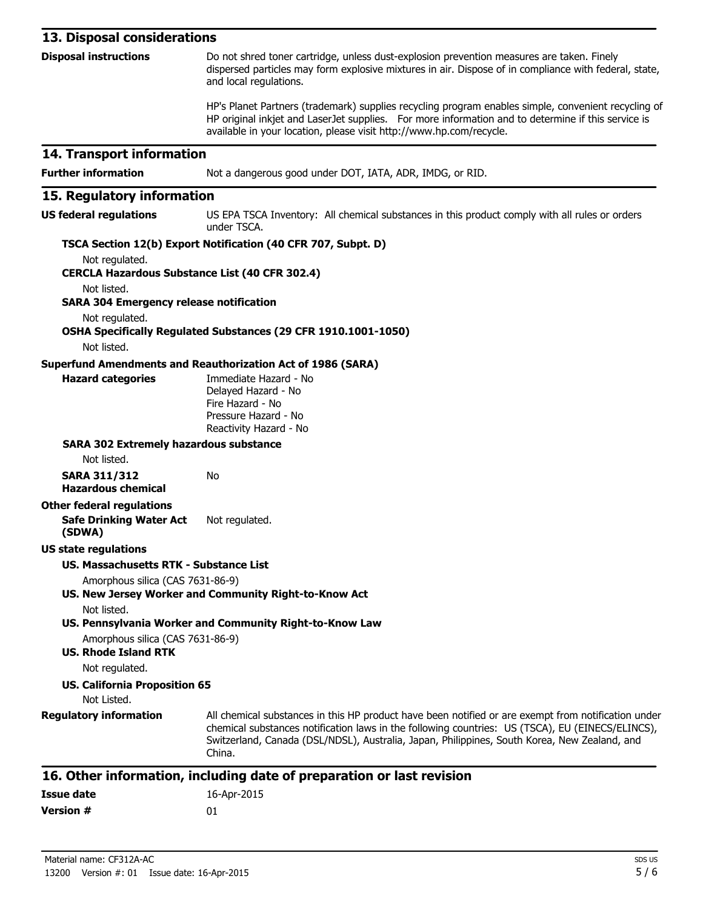| 13. Disposal considerations                                                  |                                                                                                                                                                                                                                                                                                                                                                                            |  |
|------------------------------------------------------------------------------|--------------------------------------------------------------------------------------------------------------------------------------------------------------------------------------------------------------------------------------------------------------------------------------------------------------------------------------------------------------------------------------------|--|
| <b>Disposal instructions</b>                                                 | Do not shred toner cartridge, unless dust-explosion prevention measures are taken. Finely<br>dispersed particles may form explosive mixtures in air. Dispose of in compliance with federal, state,<br>and local regulations.                                                                                                                                                               |  |
|                                                                              | HP's Planet Partners (trademark) supplies recycling program enables simple, convenient recycling of<br>HP original inkjet and LaserJet supplies. For more information and to determine if this service is<br>available in your location, please visit http://www.hp.com/recycle.                                                                                                           |  |
| 14. Transport information                                                    |                                                                                                                                                                                                                                                                                                                                                                                            |  |
| <b>Further information</b>                                                   | Not a dangerous good under DOT, IATA, ADR, IMDG, or RID.                                                                                                                                                                                                                                                                                                                                   |  |
| 15. Regulatory information                                                   |                                                                                                                                                                                                                                                                                                                                                                                            |  |
| <b>US federal regulations</b>                                                | US EPA TSCA Inventory: All chemical substances in this product comply with all rules or orders<br>under TSCA.                                                                                                                                                                                                                                                                              |  |
|                                                                              | TSCA Section 12(b) Export Notification (40 CFR 707, Subpt. D)                                                                                                                                                                                                                                                                                                                              |  |
| Not regulated.<br><b>CERCLA Hazardous Substance List (40 CFR 302.4)</b>      |                                                                                                                                                                                                                                                                                                                                                                                            |  |
| Not listed.<br><b>SARA 304 Emergency release notification</b>                |                                                                                                                                                                                                                                                                                                                                                                                            |  |
| Not regulated.                                                               | OSHA Specifically Regulated Substances (29 CFR 1910.1001-1050)                                                                                                                                                                                                                                                                                                                             |  |
| Not listed.                                                                  |                                                                                                                                                                                                                                                                                                                                                                                            |  |
| <b>Hazard categories</b>                                                     | <b>Superfund Amendments and Reauthorization Act of 1986 (SARA)</b><br>Immediate Hazard - No<br>Delayed Hazard - No<br>Fire Hazard - No<br>Pressure Hazard - No<br>Reactivity Hazard - No                                                                                                                                                                                                   |  |
| <b>SARA 302 Extremely hazardous substance</b>                                |                                                                                                                                                                                                                                                                                                                                                                                            |  |
| Not listed.                                                                  |                                                                                                                                                                                                                                                                                                                                                                                            |  |
| <b>SARA 311/312</b><br><b>Hazardous chemical</b>                             | No                                                                                                                                                                                                                                                                                                                                                                                         |  |
| <b>Other federal regulations</b><br><b>Safe Drinking Water Act</b><br>(SDWA) | Not regulated.                                                                                                                                                                                                                                                                                                                                                                             |  |
| <b>US state regulations</b>                                                  |                                                                                                                                                                                                                                                                                                                                                                                            |  |
| <b>US. Massachusetts RTK - Substance List</b>                                |                                                                                                                                                                                                                                                                                                                                                                                            |  |
| Amorphous silica (CAS 7631-86-9)<br>Not listed.                              | US. New Jersey Worker and Community Right-to-Know Act                                                                                                                                                                                                                                                                                                                                      |  |
|                                                                              | US. Pennsylvania Worker and Community Right-to-Know Law                                                                                                                                                                                                                                                                                                                                    |  |
| Amorphous silica (CAS 7631-86-9)<br><b>US. Rhode Island RTK</b>              |                                                                                                                                                                                                                                                                                                                                                                                            |  |
| Not regulated.<br><b>US. California Proposition 65</b>                       |                                                                                                                                                                                                                                                                                                                                                                                            |  |
| Not Listed.<br><b>Regulatory information</b>                                 | All chemical substances in this HP product have been notified or are exempt from notification under<br>chemical substances notification laws in the following countries: US (TSCA), EU (EINECS/ELINCS),<br>Switzerland, Canada (DSL/NDSL), Australia, Japan, Philippines, South Korea, New Zealand, and<br>China.<br>16. Other information, including date of preparation or last revision |  |

#### **16. Other information, including date of preparation or last revision**

| Issue date       | 16-Apr-2015 |
|------------------|-------------|
| <b>Version #</b> | 01          |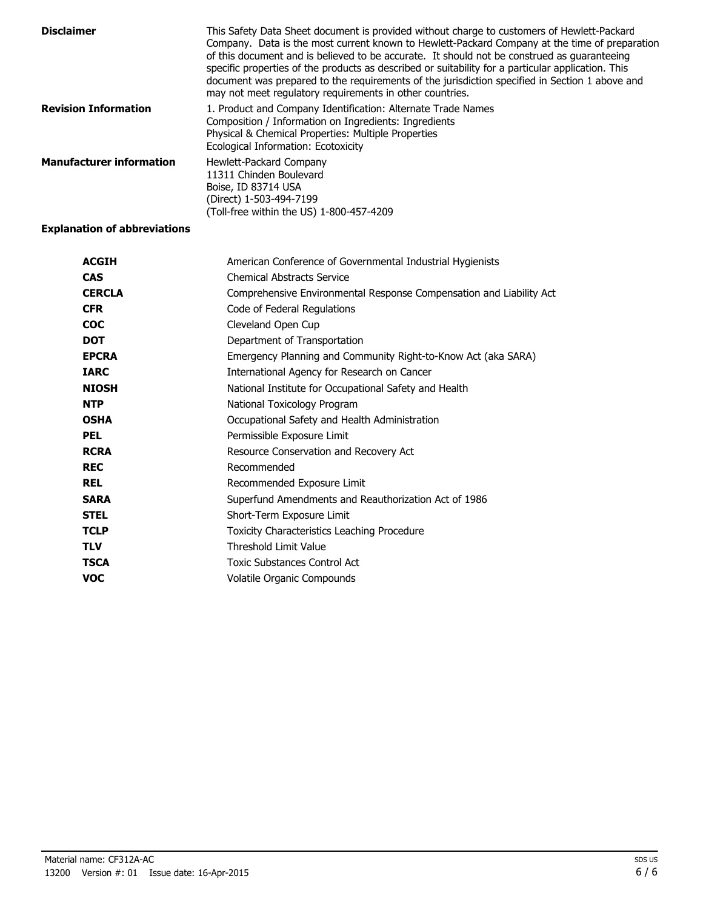| <b>Disclaimer</b>               | This Safety Data Sheet document is provided without charge to customers of Hewlett-Packard<br>Company. Data is the most current known to Hewlett-Packard Company at the time of preparation<br>of this document and is believed to be accurate. It should not be construed as guaranteeing<br>specific properties of the products as described or suitability for a particular application. This<br>document was prepared to the requirements of the jurisdiction specified in Section 1 above and<br>may not meet regulatory requirements in other countries. |
|---------------------------------|----------------------------------------------------------------------------------------------------------------------------------------------------------------------------------------------------------------------------------------------------------------------------------------------------------------------------------------------------------------------------------------------------------------------------------------------------------------------------------------------------------------------------------------------------------------|
| <b>Revision Information</b>     | 1. Product and Company Identification: Alternate Trade Names<br>Composition / Information on Ingredients: Ingredients<br>Physical & Chemical Properties: Multiple Properties<br>Ecological Information: Ecotoxicity                                                                                                                                                                                                                                                                                                                                            |
| <b>Manufacturer information</b> | Hewlett-Packard Company<br>11311 Chinden Boulevard<br>Boise, ID 83714 USA<br>(Direct) 1-503-494-7199<br>(Toll-free within the US) 1-800-457-4209                                                                                                                                                                                                                                                                                                                                                                                                               |

#### **Explanation of abbreviations**

| <b>ACGIH</b>  | American Conference of Governmental Industrial Hygienists           |
|---------------|---------------------------------------------------------------------|
| <b>CAS</b>    | <b>Chemical Abstracts Service</b>                                   |
| <b>CERCLA</b> | Comprehensive Environmental Response Compensation and Liability Act |
| <b>CFR</b>    | Code of Federal Regulations                                         |
| <b>COC</b>    | Cleveland Open Cup                                                  |
| <b>DOT</b>    | Department of Transportation                                        |
| <b>EPCRA</b>  | Emergency Planning and Community Right-to-Know Act (aka SARA)       |
| <b>IARC</b>   | International Agency for Research on Cancer                         |
| <b>NIOSH</b>  | National Institute for Occupational Safety and Health               |
| <b>NTP</b>    | National Toxicology Program                                         |
| <b>OSHA</b>   | Occupational Safety and Health Administration                       |
| <b>PEL</b>    | Permissible Exposure Limit                                          |
| <b>RCRA</b>   | Resource Conservation and Recovery Act                              |
| <b>REC</b>    | Recommended                                                         |
| <b>REL</b>    | Recommended Exposure Limit                                          |
| <b>SARA</b>   | Superfund Amendments and Reauthorization Act of 1986                |
| <b>STEL</b>   | Short-Term Exposure Limit                                           |
| <b>TCLP</b>   | Toxicity Characteristics Leaching Procedure                         |
| <b>TLV</b>    | Threshold Limit Value                                               |
| <b>TSCA</b>   | <b>Toxic Substances Control Act</b>                                 |
| <b>VOC</b>    | Volatile Organic Compounds                                          |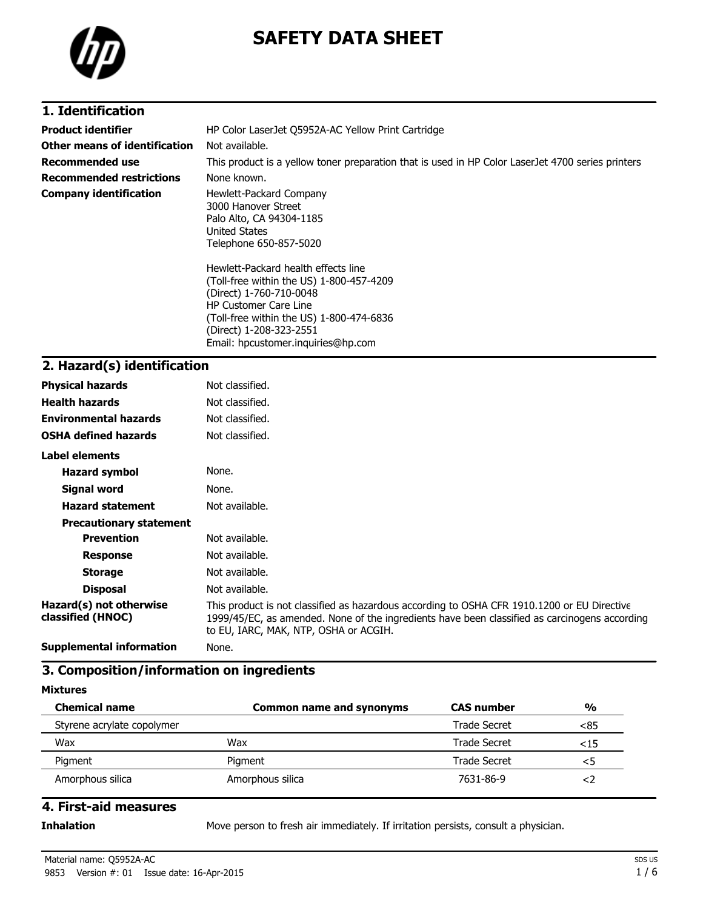

# **SAFETY DATA SHEET**

### **1. Identification**

| <b>Product identifier</b>       | HP Color LaserJet Q5952A-AC Yellow Print Cartridge                                                                                         |  |
|---------------------------------|--------------------------------------------------------------------------------------------------------------------------------------------|--|
| Other means of identification   | Not available.                                                                                                                             |  |
| <b>Recommended use</b>          | This product is a yellow toner preparation that is used in HP Color LaserJet 4700 series printers                                          |  |
| <b>Recommended restrictions</b> | None known.                                                                                                                                |  |
| <b>Company identification</b>   | Hewlett-Packard Company<br>3000 Hanover Street<br>Palo Alto, CA 94304-1185<br>United States<br>Telephone 650-857-5020                      |  |
|                                 | Hewlett-Packard health effects line<br>(Toll-free within the US) 1-800-457-4209<br>(Direct) 1-760-710-0048<br><b>HP Customer Care Line</b> |  |

(Toll-free within the US) 1-800-474-6836 (Direct) 1-208-323-2551 Email: hpcustomer.inquiries@hp.com

#### **2. Hazard(s) identification**

| <b>Physical hazards</b>                      | Not classified.                                                                                                                                                                                                                       |
|----------------------------------------------|---------------------------------------------------------------------------------------------------------------------------------------------------------------------------------------------------------------------------------------|
| <b>Health hazards</b>                        | Not classified.                                                                                                                                                                                                                       |
| <b>Environmental hazards</b>                 | Not classified.                                                                                                                                                                                                                       |
| <b>OSHA defined hazards</b>                  | Not classified.                                                                                                                                                                                                                       |
| Label elements                               |                                                                                                                                                                                                                                       |
| <b>Hazard symbol</b>                         | None.                                                                                                                                                                                                                                 |
| Signal word                                  | None.                                                                                                                                                                                                                                 |
| <b>Hazard statement</b>                      | Not available.                                                                                                                                                                                                                        |
| <b>Precautionary statement</b>               |                                                                                                                                                                                                                                       |
| <b>Prevention</b>                            | Not available.                                                                                                                                                                                                                        |
| <b>Response</b>                              | Not available.                                                                                                                                                                                                                        |
| <b>Storage</b>                               | Not available.                                                                                                                                                                                                                        |
| <b>Disposal</b>                              | Not available.                                                                                                                                                                                                                        |
| Hazard(s) not otherwise<br>classified (HNOC) | This product is not classified as hazardous according to OSHA CFR 1910.1200 or EU Directive<br>1999/45/EC, as amended. None of the ingredients have been classified as carcinogens according<br>to EU, IARC, MAK, NTP, OSHA or ACGIH. |
| Cunnismental information                     | <b>B B B B B B B</b>                                                                                                                                                                                                                  |

**Supplemental information** None.

## **3. Composition/information on ingredients**

**Mixtures**

| <b>Chemical name</b>       | <b>Common name and synonyms</b> | <b>CAS</b> number   | $\frac{0}{0}$ |
|----------------------------|---------------------------------|---------------------|---------------|
| Styrene acrylate copolymer |                                 | Trade Secret        | <85           |
| Wax                        | Wax                             | <b>Trade Secret</b> | <15           |
| Pigment                    | Pigment                         | Trade Secret        | <5            |
| Amorphous silica           | Amorphous silica                | 7631-86-9           | ≺∠            |

### **4. First-aid measures**

**Inhalation** Move person to fresh air immediately. If irritation persists, consult a physician.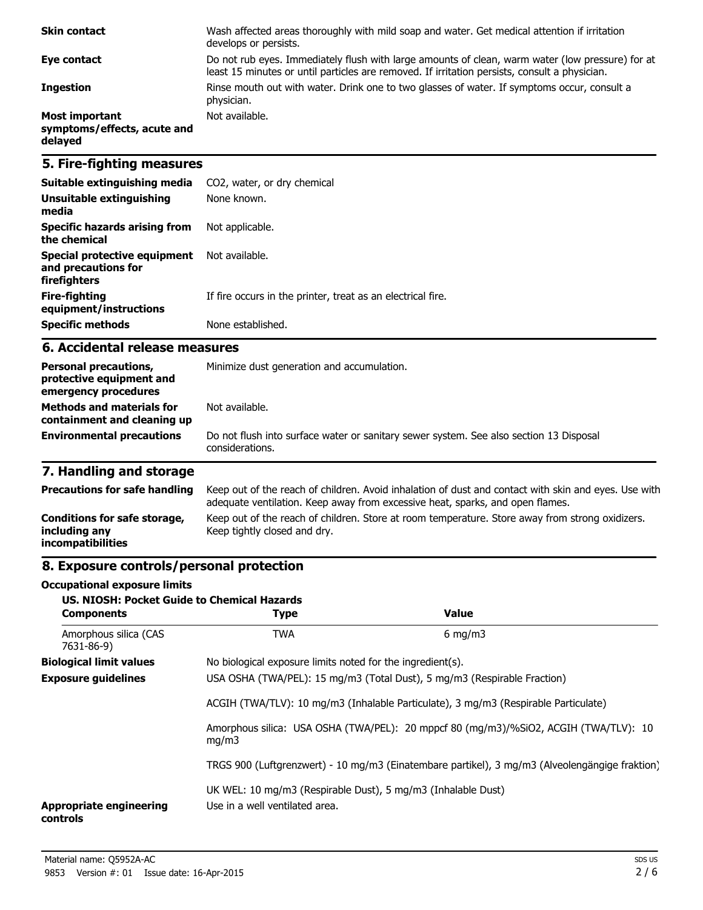| <b>Skin contact</b>                                      | Wash affected areas thoroughly with mild soap and water. Get medical attention if irritation<br>develops or persists.                                                                             |
|----------------------------------------------------------|---------------------------------------------------------------------------------------------------------------------------------------------------------------------------------------------------|
| Eye contact                                              | Do not rub eyes. Immediately flush with large amounts of clean, warm water (low pressure) for at<br>least 15 minutes or until particles are removed. If irritation persists, consult a physician. |
| <b>Ingestion</b>                                         | Rinse mouth out with water. Drink one to two glasses of water. If symptoms occur, consult a<br>physician.                                                                                         |
| Most important<br>symptoms/effects, acute and<br>delayed | Not available.                                                                                                                                                                                    |

## **5. Fire-fighting measures**

| Suitable extinguishing media                                        | CO2, water, or dry chemical                                 |
|---------------------------------------------------------------------|-------------------------------------------------------------|
| Unsuitable extinguishing<br>media                                   | None known.                                                 |
| Specific hazards arising from<br>the chemical                       | Not applicable.                                             |
| Special protective equipment<br>and precautions for<br>firefighters | Not available.                                              |
| Fire-fighting<br>equipment/instructions                             | If fire occurs in the printer, treat as an electrical fire. |
| <b>Specific methods</b>                                             | None established.                                           |

#### **6. Accidental release measures**

| <b>Personal precautions,</b><br>protective equipment and<br>emergency procedures | Minimize dust generation and accumulation.                                                                |  |
|----------------------------------------------------------------------------------|-----------------------------------------------------------------------------------------------------------|--|
| <b>Methods and materials for</b><br>containment and cleaning up                  | Not available.                                                                                            |  |
| <b>Environmental precautions</b>                                                 | Do not flush into surface water or sanitary sewer system. See also section 13 Disposal<br>considerations. |  |

# **7. Handling and storage**

| <b>Precautions for safe handling</b>                                      | Keep out of the reach of children. Avoid inhalation of dust and contact with skin and eyes. Use with<br>adequate ventilation. Keep away from excessive heat, sparks, and open flames. |
|---------------------------------------------------------------------------|---------------------------------------------------------------------------------------------------------------------------------------------------------------------------------------|
| Conditions for safe storage,<br>including any<br><i>incompatibilities</i> | Keep out of the reach of children. Store at room temperature. Store away from strong oxidizers.<br>Keep tightly closed and dry.                                                       |

## **8. Exposure controls/personal protection**

#### **Occupational exposure limits**

| <b>US. NIOSH: Pocket Guide to Chemical Hazards</b><br><b>Components</b>                                                                                                                                | <b>Type</b>                                                                                    | Value                                                                                          |
|--------------------------------------------------------------------------------------------------------------------------------------------------------------------------------------------------------|------------------------------------------------------------------------------------------------|------------------------------------------------------------------------------------------------|
| Amorphous silica (CAS<br>7631-86-9)                                                                                                                                                                    | <b>TWA</b>                                                                                     | $6 \text{ mg/m}$                                                                               |
| <b>Biological limit values</b>                                                                                                                                                                         | No biological exposure limits noted for the ingredient(s).                                     |                                                                                                |
| USA OSHA (TWA/PEL): 15 mg/m3 (Total Dust), 5 mg/m3 (Respirable Fraction)<br><b>Exposure guidelines</b><br>ACGIH (TWA/TLV): 10 mg/m3 (Inhalable Particulate), 3 mg/m3 (Respirable Particulate)<br>mq/m3 |                                                                                                |                                                                                                |
|                                                                                                                                                                                                        |                                                                                                |                                                                                                |
|                                                                                                                                                                                                        | Amorphous silica: USA OSHA (TWA/PEL): 20 mppcf 80 (mg/m3)/%SiO2, ACGIH (TWA/TLV): 10           |                                                                                                |
|                                                                                                                                                                                                        |                                                                                                | TRGS 900 (Luftgrenzwert) - 10 mg/m3 (Einatembare partikel), 3 mg/m3 (Alveolengängige fraktion) |
| <b>Appropriate engineering</b><br>controls                                                                                                                                                             | UK WEL: 10 mg/m3 (Respirable Dust), 5 mg/m3 (Inhalable Dust)<br>Use in a well ventilated area. |                                                                                                |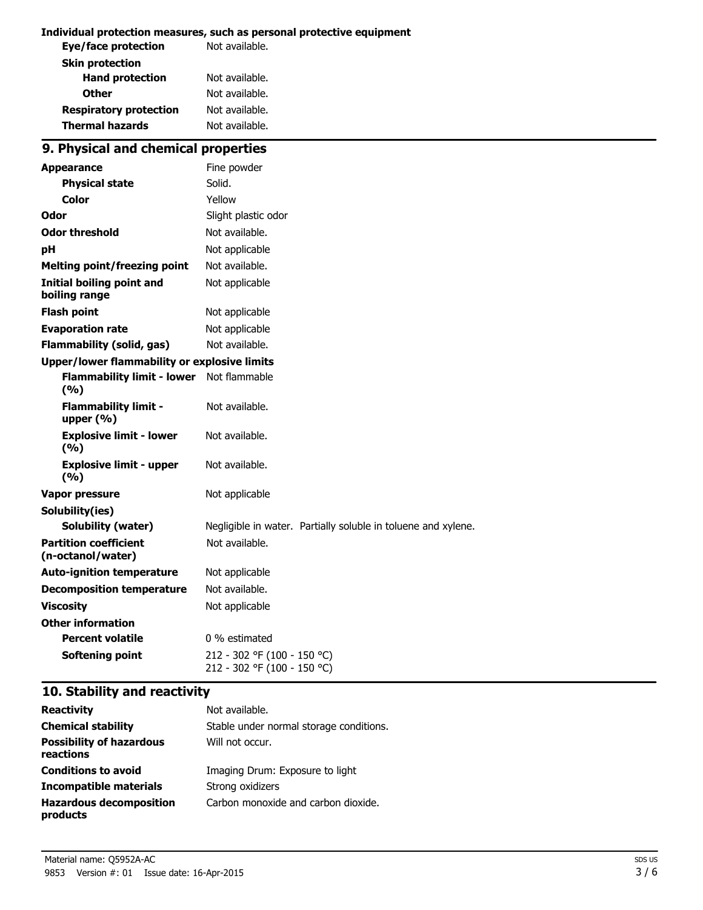#### **Individual protection measures, such as personal protective equipment**

| Not available. |
|----------------|
|                |
| Not available. |
| Not available. |
| Not available. |
| Not available. |
|                |

# **9. Physical and chemical properties**

| <b>Appearance</b>                                 | Fine powder                                                   |
|---------------------------------------------------|---------------------------------------------------------------|
| <b>Physical state</b>                             | Solid.                                                        |
| Color                                             | Yellow                                                        |
| Odor                                              | Slight plastic odor                                           |
| <b>Odor threshold</b>                             | Not available.                                                |
| рH                                                | Not applicable                                                |
| <b>Melting point/freezing point</b>               | Not available.                                                |
| Initial boiling point and<br>boiling range        | Not applicable                                                |
| <b>Flash point</b>                                | Not applicable                                                |
| <b>Evaporation rate</b>                           | Not applicable                                                |
| <b>Flammability (solid, gas)</b>                  | Not available.                                                |
| Upper/lower flammability or explosive limits      |                                                               |
| <b>Flammability limit - lower</b><br>(9/6)        | Not flammable                                                 |
| <b>Flammability limit -</b><br>upper (%)          | Not available.                                                |
| <b>Explosive limit - lower</b><br>(%)             | Not available.                                                |
| <b>Explosive limit - upper</b><br>(9/6)           | Not available.                                                |
| <b>Vapor pressure</b>                             | Not applicable                                                |
| Solubility(ies)                                   |                                                               |
| <b>Solubility (water)</b>                         | Negligible in water. Partially soluble in toluene and xylene. |
| <b>Partition coefficient</b><br>(n-octanol/water) | Not available.                                                |
| <b>Auto-ignition temperature</b>                  | Not applicable                                                |
| <b>Decomposition temperature</b>                  | Not available.                                                |
| <b>Viscosity</b>                                  | Not applicable                                                |
| <b>Other information</b>                          |                                                               |
| <b>Percent volatile</b>                           | 0 % estimated                                                 |
| <b>Softening point</b>                            | 212 - 302 °F (100 - 150 °C)<br>212 - 302 °F (100 - 150 °C)    |

## **10. Stability and reactivity**

| <b>Reactivity</b>                            | Not available.                          |
|----------------------------------------------|-----------------------------------------|
| <b>Chemical stability</b>                    | Stable under normal storage conditions. |
| <b>Possibility of hazardous</b><br>reactions | Will not occur.                         |
| <b>Conditions to avoid</b>                   | Imaging Drum: Exposure to light         |
| Incompatible materials                       | Strong oxidizers                        |
| <b>Hazardous decomposition</b><br>products   | Carbon monoxide and carbon dioxide.     |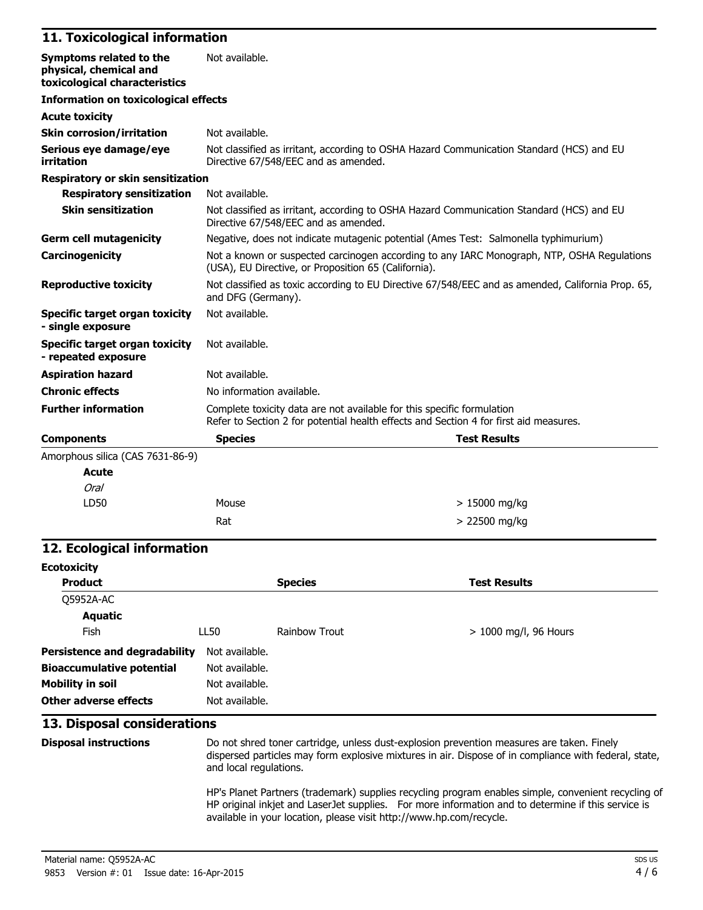#### **11. Toxicological information**

| Symptoms related to the<br>physical, chemical and<br>toxicological characteristics | Not available.                                                                                                                                                  |  |
|------------------------------------------------------------------------------------|-----------------------------------------------------------------------------------------------------------------------------------------------------------------|--|
| <b>Information on toxicological effects</b>                                        |                                                                                                                                                                 |  |
| <b>Acute toxicity</b>                                                              |                                                                                                                                                                 |  |
| <b>Skin corrosion/irritation</b>                                                   | Not available.                                                                                                                                                  |  |
| Serious eye damage/eye<br>irritation                                               | Not classified as irritant, according to OSHA Hazard Communication Standard (HCS) and EU<br>Directive 67/548/EEC and as amended.                                |  |
| <b>Respiratory or skin sensitization</b>                                           |                                                                                                                                                                 |  |
| <b>Respiratory sensitization</b>                                                   | Not available.                                                                                                                                                  |  |
| <b>Skin sensitization</b>                                                          | Not classified as irritant, according to OSHA Hazard Communication Standard (HCS) and EU<br>Directive 67/548/EEC and as amended.                                |  |
| <b>Germ cell mutagenicity</b>                                                      | Negative, does not indicate mutagenic potential (Ames Test: Salmonella typhimurium)                                                                             |  |
| Carcinogenicity                                                                    | Not a known or suspected carcinogen according to any IARC Monograph, NTP, OSHA Regulations<br>(USA), EU Directive, or Proposition 65 (California).              |  |
| <b>Reproductive toxicity</b>                                                       | Not classified as toxic according to EU Directive 67/548/EEC and as amended, California Prop. 65,<br>and DFG (Germany).                                         |  |
| Specific target organ toxicity<br>- single exposure                                | Not available.                                                                                                                                                  |  |
| <b>Specific target organ toxicity</b><br>- repeated exposure                       | Not available.                                                                                                                                                  |  |
| <b>Aspiration hazard</b>                                                           | Not available.                                                                                                                                                  |  |
| <b>Chronic effects</b>                                                             | No information available.                                                                                                                                       |  |
| <b>Further information</b>                                                         | Complete toxicity data are not available for this specific formulation<br>Refer to Section 2 for potential health effects and Section 4 for first aid measures. |  |
| <b>Components</b>                                                                  | <b>Species</b><br><b>Test Results</b>                                                                                                                           |  |
| Amorphous silica (CAS 7631-86-9)                                                   |                                                                                                                                                                 |  |
| <b>Acute</b>                                                                       |                                                                                                                                                                 |  |
| Oral                                                                               |                                                                                                                                                                 |  |

#### **12. Ecological information**

LD50 Mouse

| <b>Ecotoxicity</b>                   |                |                |                         |
|--------------------------------------|----------------|----------------|-------------------------|
| <b>Product</b>                       |                | <b>Species</b> | <b>Test Results</b>     |
| Q5952A-AC                            |                |                |                         |
| <b>Aquatic</b>                       |                |                |                         |
| Fish                                 | <b>LL50</b>    | Rainbow Trout  | $> 1000$ mg/l, 96 Hours |
| <b>Persistence and degradability</b> | Not available. |                |                         |
| <b>Bioaccumulative potential</b>     | Not available. |                |                         |
| <b>Mobility in soil</b>              | Not available. |                |                         |
| Other adverse effects                | Not available. |                |                         |

 $Rat$   $> 22500$  mg/kg

#### **13. Disposal considerations**

**Disposal instructions** Do not shred toner cartridge, unless dust-explosion prevention measures are taken. Finely dispersed particles may form explosive mixtures in air. Dispose of in compliance with federal, state, and local regulations.

> 15000 mg/kg

HP's Planet Partners (trademark) supplies recycling program enables simple, convenient recycling of HP original inkjet and LaserJet supplies. For more information and to determine if this service is available in your location, please visit http://www.hp.com/recycle.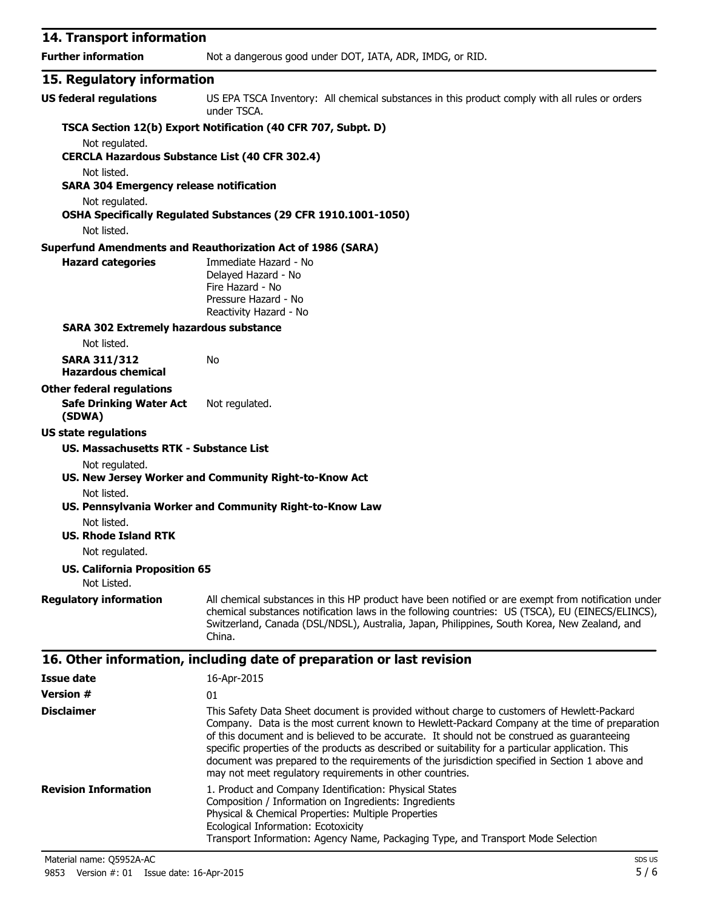| 14. Transport information                                     |                                                                                                                                                                                                                                                                                                                                                                                                  |
|---------------------------------------------------------------|--------------------------------------------------------------------------------------------------------------------------------------------------------------------------------------------------------------------------------------------------------------------------------------------------------------------------------------------------------------------------------------------------|
| <b>Further information</b>                                    | Not a dangerous good under DOT, IATA, ADR, IMDG, or RID.                                                                                                                                                                                                                                                                                                                                         |
| 15. Regulatory information                                    |                                                                                                                                                                                                                                                                                                                                                                                                  |
| <b>US federal regulations</b>                                 | US EPA TSCA Inventory: All chemical substances in this product comply with all rules or orders<br>under TSCA.                                                                                                                                                                                                                                                                                    |
|                                                               | TSCA Section 12(b) Export Notification (40 CFR 707, Subpt. D)                                                                                                                                                                                                                                                                                                                                    |
| Not regulated.                                                |                                                                                                                                                                                                                                                                                                                                                                                                  |
| <b>CERCLA Hazardous Substance List (40 CFR 302.4)</b>         |                                                                                                                                                                                                                                                                                                                                                                                                  |
| Not listed.<br><b>SARA 304 Emergency release notification</b> |                                                                                                                                                                                                                                                                                                                                                                                                  |
| Not regulated.                                                |                                                                                                                                                                                                                                                                                                                                                                                                  |
|                                                               | OSHA Specifically Regulated Substances (29 CFR 1910.1001-1050)                                                                                                                                                                                                                                                                                                                                   |
| Not listed.                                                   |                                                                                                                                                                                                                                                                                                                                                                                                  |
|                                                               | <b>Superfund Amendments and Reauthorization Act of 1986 (SARA)</b>                                                                                                                                                                                                                                                                                                                               |
| <b>Hazard categories</b>                                      | Immediate Hazard - No<br>Delayed Hazard - No<br>Fire Hazard - No<br>Pressure Hazard - No<br>Reactivity Hazard - No                                                                                                                                                                                                                                                                               |
| <b>SARA 302 Extremely hazardous substance</b>                 |                                                                                                                                                                                                                                                                                                                                                                                                  |
| Not listed.                                                   |                                                                                                                                                                                                                                                                                                                                                                                                  |
| <b>SARA 311/312</b><br><b>Hazardous chemical</b>              | No                                                                                                                                                                                                                                                                                                                                                                                               |
| <b>Other federal regulations</b>                              |                                                                                                                                                                                                                                                                                                                                                                                                  |
| <b>Safe Drinking Water Act</b><br>(SDWA)                      | Not regulated.                                                                                                                                                                                                                                                                                                                                                                                   |
| <b>US state regulations</b>                                   |                                                                                                                                                                                                                                                                                                                                                                                                  |
| US. Massachusetts RTK - Substance List                        |                                                                                                                                                                                                                                                                                                                                                                                                  |
| Not regulated.                                                | US. New Jersey Worker and Community Right-to-Know Act                                                                                                                                                                                                                                                                                                                                            |
| Not listed.                                                   | US. Pennsylvania Worker and Community Right-to-Know Law                                                                                                                                                                                                                                                                                                                                          |
| Not listed.<br><b>US. Rhode Island RTK</b>                    |                                                                                                                                                                                                                                                                                                                                                                                                  |
| Not regulated.                                                |                                                                                                                                                                                                                                                                                                                                                                                                  |
| <b>US. California Proposition 65</b><br>Not Listed.           |                                                                                                                                                                                                                                                                                                                                                                                                  |
|                                                               |                                                                                                                                                                                                                                                                                                                                                                                                  |
| <b>Regulatory information</b>                                 | All chemical substances in this HP product have been notified or are exempt from notification under<br>chemical substances notification laws in the following countries: US (TSCA), EU (EINECS/ELINCS),<br>Switzerland, Canada (DSL/NDSL), Australia, Japan, Philippines, South Korea, New Zealand, and<br>China.                                                                                |
|                                                               | 16. Other information, including date of preparation or last revision                                                                                                                                                                                                                                                                                                                            |
| <b>Issue date</b>                                             | 16-Apr-2015                                                                                                                                                                                                                                                                                                                                                                                      |
| <b>Version #</b>                                              | 01                                                                                                                                                                                                                                                                                                                                                                                               |
| <b>Disclaimer</b>                                             | This Safety Data Sheet document is provided without charge to customers of Hewlett-Packard<br>Company. Data is the most current known to Hewlett-Packard Company at the time of preparation<br>of this document and is believed to be accurate. It should not be construed as guaranteeing<br>specific properties of the products as described or suitability for a particular application. This |

document was prepared to the requirements of the jurisdiction specified in Section 1 above and may not meet regulatory requirements in other countries. **Revision Information** 1. Product and Company Identification: Physical States Composition / Information on Ingredients: Ingredients Physical & Chemical Properties: Multiple Properties Ecological Information: Ecotoxicity Transport Information: Agency Name, Packaging Type, and Transport Mode Selection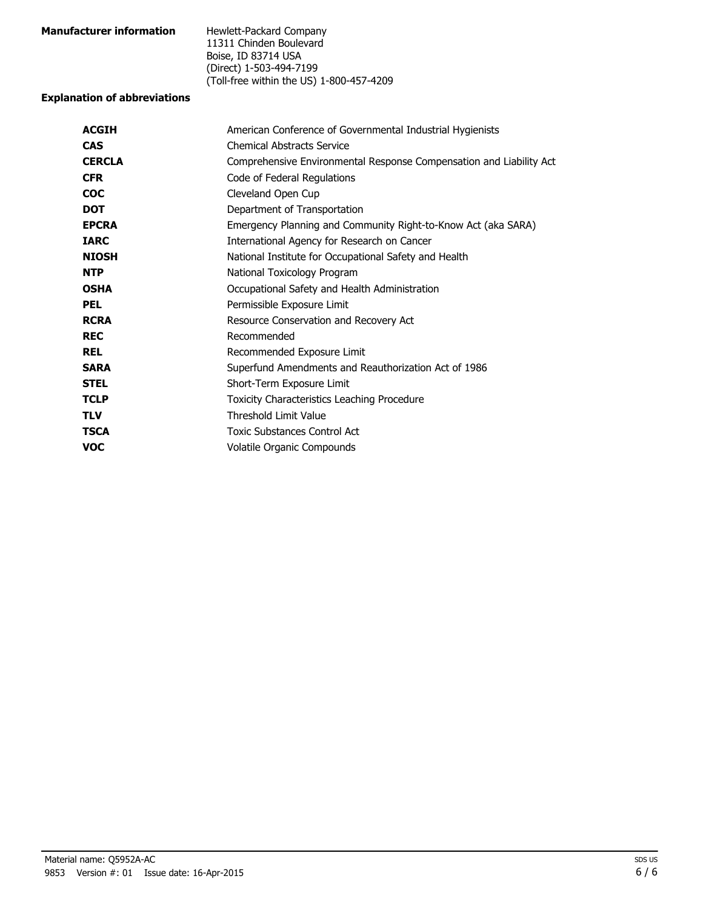| <b>Manufacturer information</b> | Hewlett-Packard Company                  |
|---------------------------------|------------------------------------------|
|                                 | 11311 Chinden Boulevard                  |
|                                 | Boise, ID 83714 USA                      |
|                                 | (Direct) 1-503-494-7199                  |
|                                 | (Toll-free within the US) 1-800-457-4209 |

#### **Explanation of abbreviations**

| American Conference of Governmental Industrial Hygienists           |  |  |
|---------------------------------------------------------------------|--|--|
| <b>Chemical Abstracts Service</b>                                   |  |  |
| Comprehensive Environmental Response Compensation and Liability Act |  |  |
| Code of Federal Regulations                                         |  |  |
| Cleveland Open Cup                                                  |  |  |
| Department of Transportation                                        |  |  |
| Emergency Planning and Community Right-to-Know Act (aka SARA)       |  |  |
| International Agency for Research on Cancer                         |  |  |
| National Institute for Occupational Safety and Health               |  |  |
| National Toxicology Program                                         |  |  |
| Occupational Safety and Health Administration                       |  |  |
| Permissible Exposure Limit                                          |  |  |
| Resource Conservation and Recovery Act                              |  |  |
| Recommended                                                         |  |  |
| Recommended Exposure Limit                                          |  |  |
| Superfund Amendments and Reauthorization Act of 1986                |  |  |
| Short-Term Exposure Limit                                           |  |  |
| Toxicity Characteristics Leaching Procedure                         |  |  |
| <b>Threshold Limit Value</b>                                        |  |  |
| <b>Toxic Substances Control Act</b>                                 |  |  |
| Volatile Organic Compounds                                          |  |  |
|                                                                     |  |  |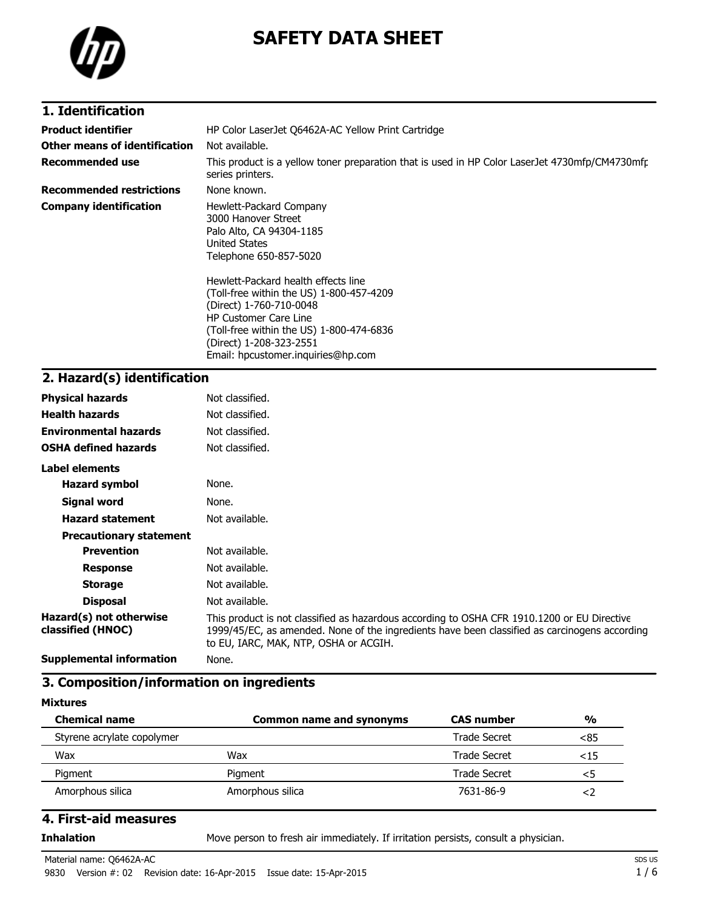

# **SAFETY DATA SHEET**

## **1. Identification**

| <b>Product identifier</b>       | HP Color LaserJet Q6462A-AC Yellow Print Cartridge                                                                                                                                                                                                      |  |  |
|---------------------------------|---------------------------------------------------------------------------------------------------------------------------------------------------------------------------------------------------------------------------------------------------------|--|--|
| Other means of identification   | Not available.                                                                                                                                                                                                                                          |  |  |
| <b>Recommended use</b>          | This product is a yellow toner preparation that is used in HP Color LaserJet 4730mfp/CM4730mfr<br>series printers.                                                                                                                                      |  |  |
| <b>Recommended restrictions</b> | None known.                                                                                                                                                                                                                                             |  |  |
| <b>Company identification</b>   | Hewlett-Packard Company<br>3000 Hanover Street<br>Palo Alto, CA 94304-1185<br>United States<br>Telephone 650-857-5020                                                                                                                                   |  |  |
|                                 | Hewlett-Packard health effects line<br>(Toll-free within the US) 1-800-457-4209<br>(Direct) 1-760-710-0048<br><b>HP Customer Care Line</b><br>(Toll-free within the US) 1-800-474-6836<br>(Direct) 1-208-323-2551<br>Email: hpcustomer.inquiries@hp.com |  |  |

# **2. Hazard(s) identification**

| <b>Physical hazards</b>                      | Not classified.                                                                                                                                                                                                                       |
|----------------------------------------------|---------------------------------------------------------------------------------------------------------------------------------------------------------------------------------------------------------------------------------------|
| <b>Health hazards</b>                        | Not classified.                                                                                                                                                                                                                       |
| <b>Environmental hazards</b>                 | Not classified.                                                                                                                                                                                                                       |
| <b>OSHA defined hazards</b>                  | Not classified.                                                                                                                                                                                                                       |
| Label elements                               |                                                                                                                                                                                                                                       |
| <b>Hazard symbol</b>                         | None.                                                                                                                                                                                                                                 |
| <b>Signal word</b>                           | None.                                                                                                                                                                                                                                 |
| <b>Hazard statement</b>                      | Not available.                                                                                                                                                                                                                        |
| <b>Precautionary statement</b>               |                                                                                                                                                                                                                                       |
| <b>Prevention</b>                            | Not available.                                                                                                                                                                                                                        |
| <b>Response</b>                              | Not available.                                                                                                                                                                                                                        |
| <b>Storage</b>                               | Not available.                                                                                                                                                                                                                        |
| <b>Disposal</b>                              | Not available.                                                                                                                                                                                                                        |
| Hazard(s) not otherwise<br>classified (HNOC) | This product is not classified as hazardous according to OSHA CFR 1910.1200 or EU Directive<br>1999/45/EC, as amended. None of the ingredients have been classified as carcinogens according<br>to EU, IARC, MAK, NTP, OSHA or ACGIH. |
| <b>Supplemental information</b>              | None.                                                                                                                                                                                                                                 |

#### **3. Composition/information on ingredients**

#### **Mixtures**

| <b>Chemical name</b>       | <b>Common name and synonyms</b> | <b>CAS number</b> | $\frac{0}{0}$ |
|----------------------------|---------------------------------|-------------------|---------------|
| Styrene acrylate copolymer |                                 | Trade Secret      | <85           |
| Wax                        | Wax                             | Trade Secret      | ${<}15$       |
| Pigment                    | Pigment                         | Trade Secret      | <5            |
| Amorphous silica           | Amorphous silica                | 7631-86-9         |               |

#### **4. First-aid measures**

**Inhalation** Move person to fresh air immediately. If irritation persists, consult a physician.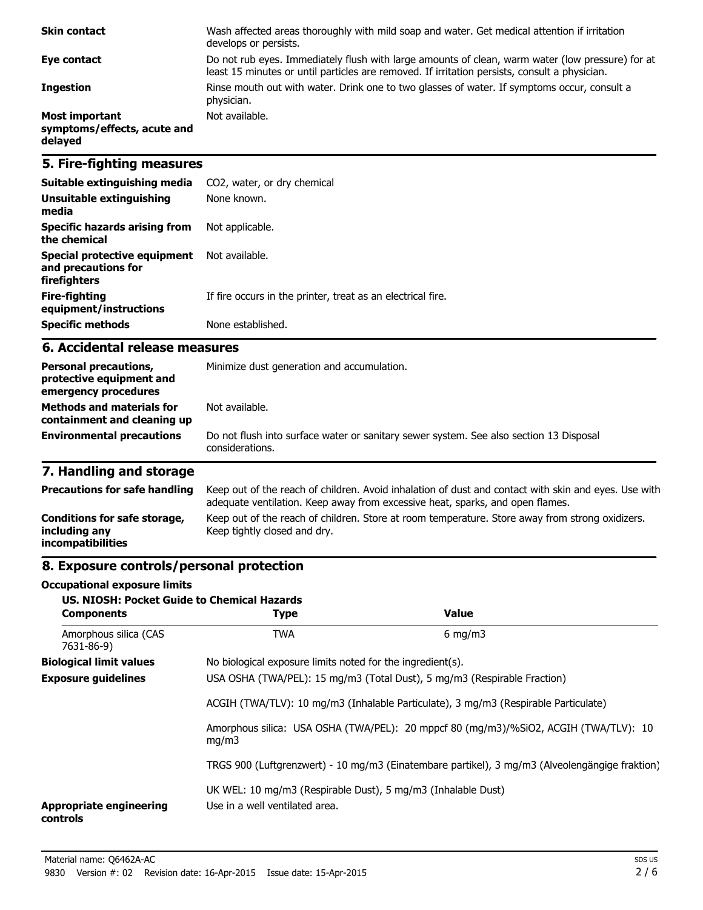| <b>Skin contact</b>                                             | Wash affected areas thoroughly with mild soap and water. Get medical attention if irritation<br>develops or persists.                                                                             |
|-----------------------------------------------------------------|---------------------------------------------------------------------------------------------------------------------------------------------------------------------------------------------------|
| Eye contact                                                     | Do not rub eyes. Immediately flush with large amounts of clean, warm water (low pressure) for at<br>least 15 minutes or until particles are removed. If irritation persists, consult a physician. |
| <b>Ingestion</b>                                                | Rinse mouth out with water. Drink one to two glasses of water. If symptoms occur, consult a<br>physician.                                                                                         |
| <b>Most important</b><br>symptoms/effects, acute and<br>delayed | Not available.                                                                                                                                                                                    |

## **5. Fire-fighting measures**

| Suitable extinguishing media                                        | CO2, water, or dry chemical                                 |
|---------------------------------------------------------------------|-------------------------------------------------------------|
| Unsuitable extinguishing<br>media                                   | None known.                                                 |
| Specific hazards arising from<br>the chemical                       | Not applicable.                                             |
| Special protective equipment<br>and precautions for<br>firefighters | Not available.                                              |
| Fire-fighting<br>equipment/instructions                             | If fire occurs in the printer, treat as an electrical fire. |
| <b>Specific methods</b>                                             | None established.                                           |

#### **6. Accidental release measures**

| <b>Personal precautions,</b><br>protective equipment and<br>emergency procedures | Minimize dust generation and accumulation.                                                                |  |
|----------------------------------------------------------------------------------|-----------------------------------------------------------------------------------------------------------|--|
| <b>Methods and materials for</b><br>containment and cleaning up                  | Not available.                                                                                            |  |
| <b>Environmental precautions</b>                                                 | Do not flush into surface water or sanitary sewer system. See also section 13 Disposal<br>considerations. |  |

# **7. Handling and storage**

| <b>Precautions for safe handling</b>                                      | Keep out of the reach of children. Avoid inhalation of dust and contact with skin and eyes. Use with<br>adequate ventilation. Keep away from excessive heat, sparks, and open flames. |
|---------------------------------------------------------------------------|---------------------------------------------------------------------------------------------------------------------------------------------------------------------------------------|
| Conditions for safe storage,<br>including any<br><i>incompatibilities</i> | Keep out of the reach of children. Store at room temperature. Store away from strong oxidizers.<br>Keep tightly closed and dry.                                                       |

## **8. Exposure controls/personal protection**

#### **Occupational exposure limits**

| <b>US. NIOSH: Pocket Guide to Chemical Hazards</b><br><b>Components</b> | <b>Type</b>                                                                                    | Value            |  |
|-------------------------------------------------------------------------|------------------------------------------------------------------------------------------------|------------------|--|
| Amorphous silica (CAS<br>7631-86-9)                                     | <b>TWA</b>                                                                                     | $6 \text{ mg/m}$ |  |
| <b>Biological limit values</b>                                          | No biological exposure limits noted for the ingredient(s).                                     |                  |  |
| <b>Exposure guidelines</b>                                              | USA OSHA (TWA/PEL): 15 mg/m3 (Total Dust), 5 mg/m3 (Respirable Fraction)                       |                  |  |
|                                                                         | ACGIH (TWA/TLV): 10 mg/m3 (Inhalable Particulate), 3 mg/m3 (Respirable Particulate)            |                  |  |
|                                                                         | Amorphous silica: USA OSHA (TWA/PEL): 20 mppcf 80 (mg/m3)/%SiO2, ACGIH (TWA/TLV): 10<br>mq/m3  |                  |  |
|                                                                         | TRGS 900 (Luftgrenzwert) - 10 mg/m3 (Einatembare partikel), 3 mg/m3 (Alveolengängige fraktion) |                  |  |
| <b>Appropriate engineering</b><br>controls                              | UK WEL: 10 mg/m3 (Respirable Dust), 5 mg/m3 (Inhalable Dust)<br>Use in a well ventilated area. |                  |  |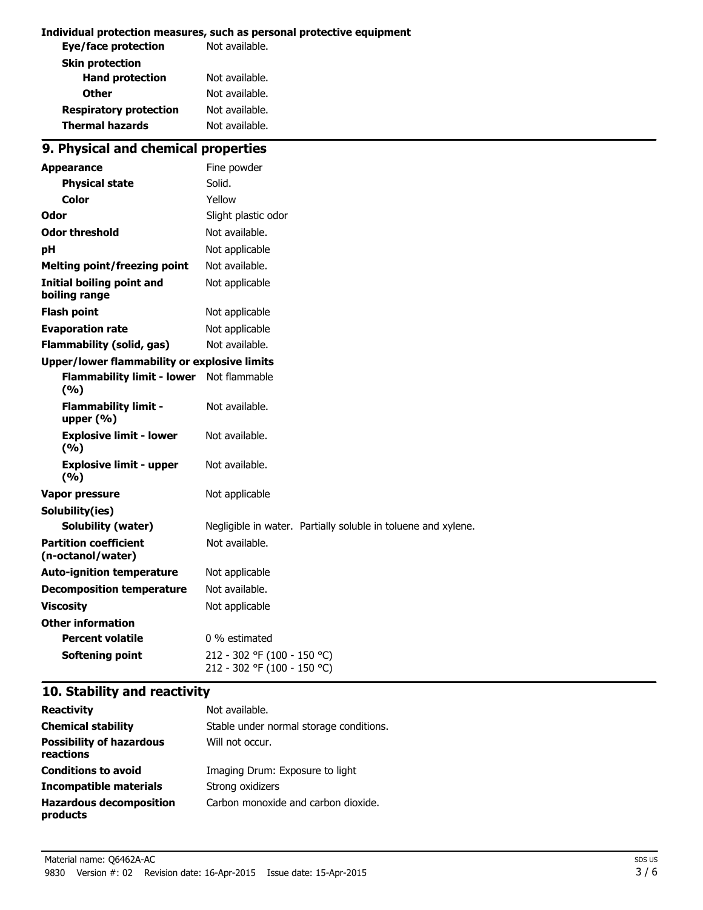#### **Individual protection measures, such as personal protective equipment**

| Not available. |
|----------------|
|                |
| Not available. |
| Not available. |
| Not available. |
| Not available. |
|                |

# **9. Physical and chemical properties**

| <b>Appearance</b>                                 | Fine powder                                                   |
|---------------------------------------------------|---------------------------------------------------------------|
| <b>Physical state</b>                             | Solid.                                                        |
| Color                                             | Yellow                                                        |
| Odor                                              | Slight plastic odor                                           |
| <b>Odor threshold</b>                             | Not available.                                                |
| рH                                                | Not applicable                                                |
| <b>Melting point/freezing point</b>               | Not available.                                                |
| <b>Initial boiling point and</b><br>boiling range | Not applicable                                                |
| <b>Flash point</b>                                | Not applicable                                                |
| <b>Evaporation rate</b>                           | Not applicable                                                |
| <b>Flammability (solid, gas)</b>                  | Not available.                                                |
| Upper/lower flammability or explosive limits      |                                                               |
| <b>Flammability limit - lower</b><br>(9/6)        | Not flammable                                                 |
| <b>Flammability limit -</b><br>upper $(% )$       | Not available.                                                |
| <b>Explosive limit - lower</b><br>(9/6)           | Not available.                                                |
| <b>Explosive limit - upper</b><br>(%)             | Not available.                                                |
| Vapor pressure                                    | Not applicable                                                |
| Solubility(ies)                                   |                                                               |
| <b>Solubility (water)</b>                         | Negligible in water. Partially soluble in toluene and xylene. |
| <b>Partition coefficient</b><br>(n-octanol/water) | Not available.                                                |
| <b>Auto-ignition temperature</b>                  | Not applicable                                                |
| <b>Decomposition temperature</b>                  | Not available.                                                |
| <b>Viscosity</b>                                  | Not applicable                                                |
| <b>Other information</b>                          |                                                               |
| <b>Percent volatile</b>                           | 0 % estimated                                                 |
| <b>Softening point</b>                            | 212 - 302 °F (100 - 150 °C)<br>212 - 302 °F (100 - 150 °C)    |

## **10. Stability and reactivity**

| <b>Reactivity</b>                            | Not available.                          |
|----------------------------------------------|-----------------------------------------|
| <b>Chemical stability</b>                    | Stable under normal storage conditions. |
| <b>Possibility of hazardous</b><br>reactions | Will not occur.                         |
| <b>Conditions to avoid</b>                   | Imaging Drum: Exposure to light         |
| Incompatible materials                       | Strong oxidizers                        |
| <b>Hazardous decomposition</b><br>products   | Carbon monoxide and carbon dioxide.     |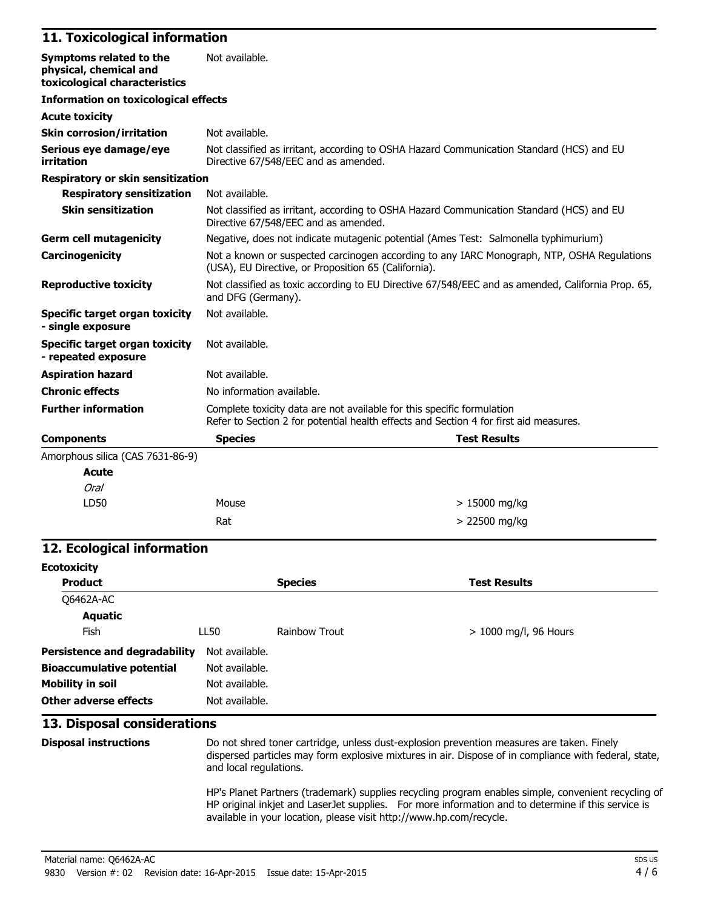#### **11. Toxicological information**

| Symptoms related to the<br>physical, chemical and<br>toxicological characteristics | Not available.                                                                                                                                                  |  |
|------------------------------------------------------------------------------------|-----------------------------------------------------------------------------------------------------------------------------------------------------------------|--|
| <b>Information on toxicological effects</b>                                        |                                                                                                                                                                 |  |
| <b>Acute toxicity</b>                                                              |                                                                                                                                                                 |  |
| <b>Skin corrosion/irritation</b>                                                   | Not available.                                                                                                                                                  |  |
| Serious eye damage/eye<br>irritation                                               | Not classified as irritant, according to OSHA Hazard Communication Standard (HCS) and EU<br>Directive 67/548/EEC and as amended.                                |  |
| Respiratory or skin sensitization                                                  |                                                                                                                                                                 |  |
| <b>Respiratory sensitization</b>                                                   | Not available.                                                                                                                                                  |  |
| <b>Skin sensitization</b>                                                          | Not classified as irritant, according to OSHA Hazard Communication Standard (HCS) and EU<br>Directive 67/548/EEC and as amended.                                |  |
| <b>Germ cell mutagenicity</b>                                                      | Negative, does not indicate mutagenic potential (Ames Test: Salmonella typhimurium)                                                                             |  |
| Carcinogenicity                                                                    | Not a known or suspected carcinogen according to any IARC Monograph, NTP, OSHA Regulations<br>(USA), EU Directive, or Proposition 65 (California).              |  |
| <b>Reproductive toxicity</b>                                                       | Not classified as toxic according to EU Directive 67/548/EEC and as amended, California Prop. 65,<br>and DFG (Germany).                                         |  |
| Specific target organ toxicity<br>- single exposure                                | Not available.                                                                                                                                                  |  |
| Specific target organ toxicity<br>- repeated exposure                              | Not available.                                                                                                                                                  |  |
| <b>Aspiration hazard</b>                                                           | Not available.                                                                                                                                                  |  |
| <b>Chronic effects</b>                                                             | No information available.                                                                                                                                       |  |
| <b>Further information</b>                                                         | Complete toxicity data are not available for this specific formulation<br>Refer to Section 2 for potential health effects and Section 4 for first aid measures. |  |
| <b>Components</b>                                                                  | <b>Species</b><br><b>Test Results</b>                                                                                                                           |  |
| Amorphous silica (CAS 7631-86-9)                                                   |                                                                                                                                                                 |  |
| <b>Acute</b>                                                                       |                                                                                                                                                                 |  |
| Oral                                                                               |                                                                                                                                                                 |  |

#### **12. Ecological information**

LD50 Mouse

| <b>Ecotoxicity</b>                   |                |                |                         |
|--------------------------------------|----------------|----------------|-------------------------|
| <b>Product</b>                       |                | <b>Species</b> | <b>Test Results</b>     |
| Q6462A-AC                            |                |                |                         |
| <b>Aquatic</b>                       |                |                |                         |
| <b>Fish</b>                          | LL50           | Rainbow Trout  | $> 1000$ mg/l, 96 Hours |
| <b>Persistence and degradability</b> | Not available. |                |                         |
| <b>Bioaccumulative potential</b>     | Not available. |                |                         |
| <b>Mobility in soil</b>              | Not available. |                |                         |
| Other adverse effects                | Not available. |                |                         |

 $Rat$   $> 22500$  mg/kg

#### **13. Disposal considerations**

**Disposal instructions** Do not shred toner cartridge, unless dust-explosion prevention measures are taken. Finely dispersed particles may form explosive mixtures in air. Dispose of in compliance with federal, state, and local regulations. HP's Planet Partners (trademark) supplies recycling program enables simple, convenient recycling of

HP original inkjet and LaserJet supplies. For more information and to determine if this service is available in your location, please visit http://www.hp.com/recycle.

> 15000 mg/kg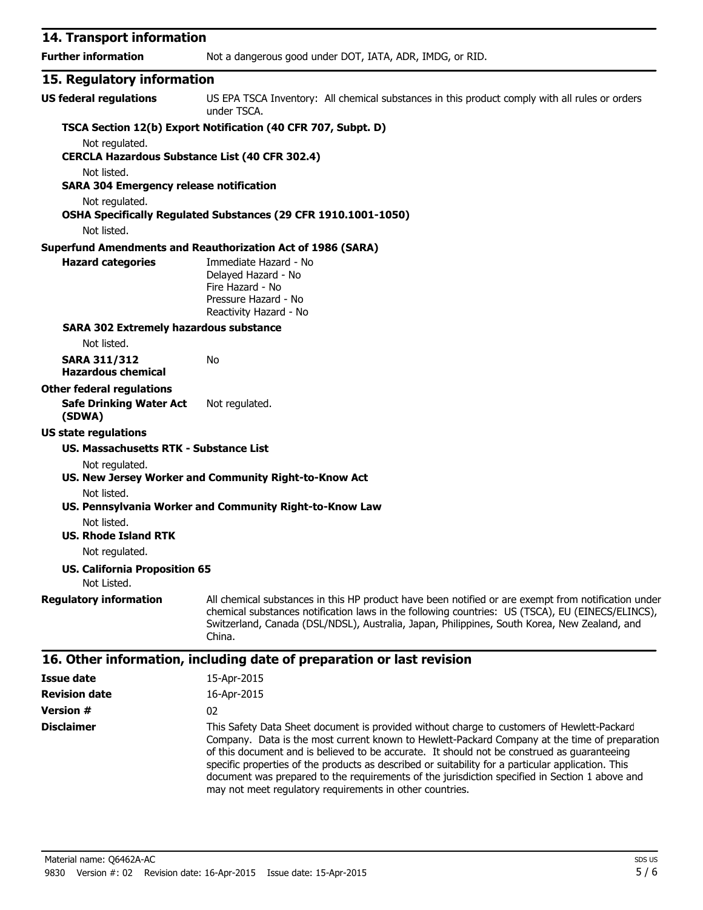| 14. Transport information                                               |                                                                                                                                                                                                                                                                                                                   |
|-------------------------------------------------------------------------|-------------------------------------------------------------------------------------------------------------------------------------------------------------------------------------------------------------------------------------------------------------------------------------------------------------------|
| <b>Further information</b>                                              | Not a dangerous good under DOT, IATA, ADR, IMDG, or RID.                                                                                                                                                                                                                                                          |
| 15. Regulatory information                                              |                                                                                                                                                                                                                                                                                                                   |
| <b>US federal regulations</b>                                           | US EPA TSCA Inventory: All chemical substances in this product comply with all rules or orders<br>under TSCA.                                                                                                                                                                                                     |
| Not regulated.<br><b>CERCLA Hazardous Substance List (40 CFR 302.4)</b> | TSCA Section 12(b) Export Notification (40 CFR 707, Subpt. D)                                                                                                                                                                                                                                                     |
| Not listed.<br><b>SARA 304 Emergency release notification</b>           |                                                                                                                                                                                                                                                                                                                   |
| Not regulated.                                                          | OSHA Specifically Regulated Substances (29 CFR 1910.1001-1050)                                                                                                                                                                                                                                                    |
| Not listed.                                                             |                                                                                                                                                                                                                                                                                                                   |
|                                                                         | <b>Superfund Amendments and Reauthorization Act of 1986 (SARA)</b>                                                                                                                                                                                                                                                |
| <b>Hazard categories</b>                                                | Immediate Hazard - No<br>Delayed Hazard - No<br>Fire Hazard - No<br>Pressure Hazard - No<br>Reactivity Hazard - No                                                                                                                                                                                                |
| <b>SARA 302 Extremely hazardous substance</b>                           |                                                                                                                                                                                                                                                                                                                   |
| Not listed.                                                             |                                                                                                                                                                                                                                                                                                                   |
| <b>SARA 311/312</b><br><b>Hazardous chemical</b>                        | No                                                                                                                                                                                                                                                                                                                |
| <b>Other federal regulations</b>                                        |                                                                                                                                                                                                                                                                                                                   |
| <b>Safe Drinking Water Act</b><br>(SDWA)                                | Not regulated.                                                                                                                                                                                                                                                                                                    |
| <b>US state regulations</b>                                             |                                                                                                                                                                                                                                                                                                                   |
| US. Massachusetts RTK - Substance List                                  |                                                                                                                                                                                                                                                                                                                   |
| Not regulated.                                                          | US. New Jersey Worker and Community Right-to-Know Act                                                                                                                                                                                                                                                             |
| Not listed.                                                             | US. Pennsylvania Worker and Community Right-to-Know Law                                                                                                                                                                                                                                                           |
| Not listed.<br><b>US. Rhode Island RTK</b>                              |                                                                                                                                                                                                                                                                                                                   |
| Not regulated.                                                          |                                                                                                                                                                                                                                                                                                                   |
| <b>US. California Proposition 65</b><br>Not Listed.                     |                                                                                                                                                                                                                                                                                                                   |
| <b>Regulatory information</b>                                           | All chemical substances in this HP product have been notified or are exempt from notification under<br>chemical substances notification laws in the following countries: US (TSCA), EU (EINECS/ELINCS),<br>Switzerland, Canada (DSL/NDSL), Australia, Japan, Philippines, South Korea, New Zealand, and<br>China. |

| Issue date           | 15-Apr-2015                                                                                                                                                                                                                                                                                                                                                                                                                                                                                                                                                    |
|----------------------|----------------------------------------------------------------------------------------------------------------------------------------------------------------------------------------------------------------------------------------------------------------------------------------------------------------------------------------------------------------------------------------------------------------------------------------------------------------------------------------------------------------------------------------------------------------|
| <b>Revision date</b> | 16-Apr-2015                                                                                                                                                                                                                                                                                                                                                                                                                                                                                                                                                    |
| <b>Version #</b>     | 02                                                                                                                                                                                                                                                                                                                                                                                                                                                                                                                                                             |
| <b>Disclaimer</b>    | This Safety Data Sheet document is provided without charge to customers of Hewlett-Packard<br>Company. Data is the most current known to Hewlett-Packard Company at the time of preparation<br>of this document and is believed to be accurate. It should not be construed as guaranteeing<br>specific properties of the products as described or suitability for a particular application. This<br>document was prepared to the requirements of the jurisdiction specified in Section 1 above and<br>may not meet regulatory requirements in other countries. |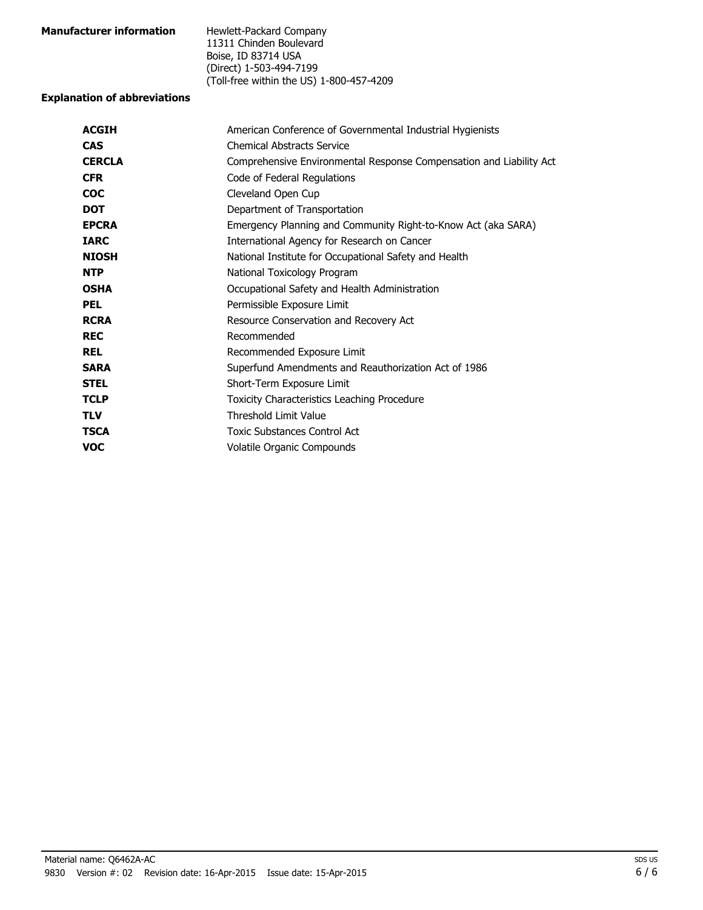| <b>Manufacturer information</b> | Hewlett-Packard Company                  |
|---------------------------------|------------------------------------------|
|                                 | 11311 Chinden Boulevard                  |
|                                 | Boise, ID 83714 USA                      |
|                                 | (Direct) 1-503-494-7199                  |
|                                 | (Toll-free within the US) 1-800-457-4209 |

#### **Explanation of abbreviations**

| <b>ACGIH</b>  | American Conference of Governmental Industrial Hygienists           |
|---------------|---------------------------------------------------------------------|
| <b>CAS</b>    | <b>Chemical Abstracts Service</b>                                   |
| <b>CERCLA</b> | Comprehensive Environmental Response Compensation and Liability Act |
| <b>CFR</b>    | Code of Federal Regulations                                         |
| <b>COC</b>    | Cleveland Open Cup                                                  |
| <b>DOT</b>    | Department of Transportation                                        |
| <b>EPCRA</b>  | Emergency Planning and Community Right-to-Know Act (aka SARA)       |
| <b>IARC</b>   | International Agency for Research on Cancer                         |
| <b>NIOSH</b>  | National Institute for Occupational Safety and Health               |
| <b>NTP</b>    | National Toxicology Program                                         |
| <b>OSHA</b>   | Occupational Safety and Health Administration                       |
| <b>PEL</b>    | Permissible Exposure Limit                                          |
| <b>RCRA</b>   | Resource Conservation and Recovery Act                              |
| <b>REC</b>    | Recommended                                                         |
| <b>REL</b>    | Recommended Exposure Limit                                          |
| <b>SARA</b>   | Superfund Amendments and Reauthorization Act of 1986                |
| <b>STEL</b>   | Short-Term Exposure Limit                                           |
| <b>TCLP</b>   | <b>Toxicity Characteristics Leaching Procedure</b>                  |
| <b>TLV</b>    | <b>Threshold Limit Value</b>                                        |
| <b>TSCA</b>   | Toxic Substances Control Act                                        |
| <b>VOC</b>    | Volatile Organic Compounds                                          |
|               |                                                                     |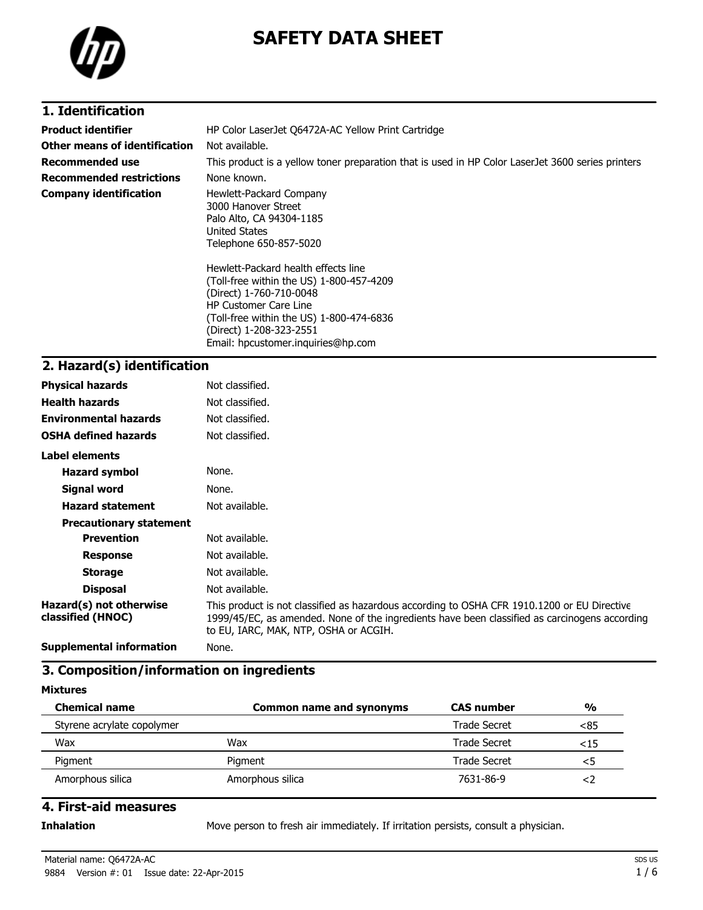

# **SAFETY DATA SHEET**

### **1. Identification**

| <b>Product identifier</b>       | HP Color LaserJet Q6472A-AC Yellow Print Cartridge                                                                                         |
|---------------------------------|--------------------------------------------------------------------------------------------------------------------------------------------|
| Other means of identification   | Not available.                                                                                                                             |
| <b>Recommended use</b>          | This product is a yellow toner preparation that is used in HP Color LaserJet 3600 series printers                                          |
| <b>Recommended restrictions</b> | None known.                                                                                                                                |
| <b>Company identification</b>   | Hewlett-Packard Company<br>3000 Hanover Street<br>Palo Alto, CA 94304-1185<br><b>United States</b><br>Telephone 650-857-5020               |
|                                 | Hewlett-Packard health effects line<br>(Toll-free within the US) 1-800-457-4209<br>(Direct) 1-760-710-0048<br><b>HP Customer Care Line</b> |

(Toll-free within the US) 1-800-474-6836 (Direct) 1-208-323-2551 Email: hpcustomer.inquiries@hp.com

#### **2. Hazard(s) identification**

| <b>Physical hazards</b>                      | Not classified.                                                                                                                                                                                                                       |
|----------------------------------------------|---------------------------------------------------------------------------------------------------------------------------------------------------------------------------------------------------------------------------------------|
| <b>Health hazards</b>                        | Not classified.                                                                                                                                                                                                                       |
| <b>Environmental hazards</b>                 | Not classified.                                                                                                                                                                                                                       |
| <b>OSHA defined hazards</b>                  | Not classified.                                                                                                                                                                                                                       |
| Label elements                               |                                                                                                                                                                                                                                       |
| <b>Hazard symbol</b>                         | None.                                                                                                                                                                                                                                 |
| Signal word                                  | None.                                                                                                                                                                                                                                 |
| <b>Hazard statement</b>                      | Not available.                                                                                                                                                                                                                        |
| <b>Precautionary statement</b>               |                                                                                                                                                                                                                                       |
| <b>Prevention</b>                            | Not available.                                                                                                                                                                                                                        |
| <b>Response</b>                              | Not available.                                                                                                                                                                                                                        |
| <b>Storage</b>                               | Not available.                                                                                                                                                                                                                        |
| <b>Disposal</b>                              | Not available.                                                                                                                                                                                                                        |
| Hazard(s) not otherwise<br>classified (HNOC) | This product is not classified as hazardous according to OSHA CFR 1910.1200 or EU Directive<br>1999/45/EC, as amended. None of the ingredients have been classified as carcinogens according<br>to EU, IARC, MAK, NTP, OSHA or ACGIH. |
| Constant and an Information                  | $\cdots$                                                                                                                                                                                                                              |

**Supplemental information** None.

## **3. Composition/information on ingredients**

**Mixtures**

| <b>Chemical name</b>       | <b>Common name and synonyms</b> | <b>CAS number</b> | $\frac{0}{0}$ |
|----------------------------|---------------------------------|-------------------|---------------|
| Styrene acrylate copolymer |                                 | Trade Secret      | <85           |
| Wax                        | Wax                             | Trade Secret      | <15           |
| Pigment                    | Pigment                         | Trade Secret      | כ.            |
| Amorphous silica           | Amorphous silica                | 7631-86-9         |               |

### **4. First-aid measures**

**Inhalation** Move person to fresh air immediately. If irritation persists, consult a physician.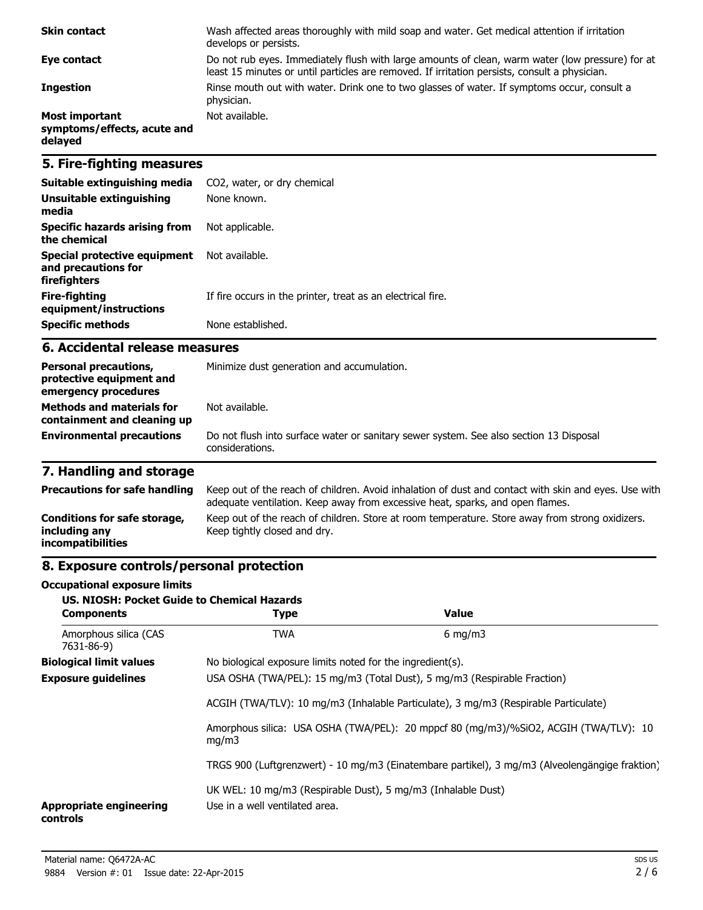| <b>Skin contact</b>                                             | Wash affected areas thoroughly with mild soap and water. Get medical attention if irritation<br>develops or persists.                                                                             |
|-----------------------------------------------------------------|---------------------------------------------------------------------------------------------------------------------------------------------------------------------------------------------------|
| Eye contact                                                     | Do not rub eyes. Immediately flush with large amounts of clean, warm water (low pressure) for at<br>least 15 minutes or until particles are removed. If irritation persists, consult a physician. |
| <b>Ingestion</b>                                                | Rinse mouth out with water. Drink one to two glasses of water. If symptoms occur, consult a<br>physician.                                                                                         |
| <b>Most important</b><br>symptoms/effects, acute and<br>delayed | Not available.                                                                                                                                                                                    |

## **5. Fire-fighting measures**

| Suitable extinguishing media                                        | CO2, water, or dry chemical                                 |
|---------------------------------------------------------------------|-------------------------------------------------------------|
| Unsuitable extinguishing<br>media                                   | None known.                                                 |
| Specific hazards arising from<br>the chemical                       | Not applicable.                                             |
| Special protective equipment<br>and precautions for<br>firefighters | Not available.                                              |
| Fire-fighting<br>equipment/instructions                             | If fire occurs in the printer, treat as an electrical fire. |
| <b>Specific methods</b>                                             | None established.                                           |

#### **6. Accidental release measures**

| <b>Personal precautions,</b><br>protective equipment and<br>emergency procedures | Minimize dust generation and accumulation.                                                                |  |
|----------------------------------------------------------------------------------|-----------------------------------------------------------------------------------------------------------|--|
| <b>Methods and materials for</b><br>containment and cleaning up                  | Not available.                                                                                            |  |
| <b>Environmental precautions</b>                                                 | Do not flush into surface water or sanitary sewer system. See also section 13 Disposal<br>considerations. |  |

# **7. Handling and storage**

| <b>Precautions for safe handling</b>                                      | Keep out of the reach of children. Avoid inhalation of dust and contact with skin and eyes. Use with<br>adequate ventilation. Keep away from excessive heat, sparks, and open flames. |
|---------------------------------------------------------------------------|---------------------------------------------------------------------------------------------------------------------------------------------------------------------------------------|
| Conditions for safe storage,<br>including any<br><i>incompatibilities</i> | Keep out of the reach of children. Store at room temperature. Store away from strong oxidizers.<br>Keep tightly closed and dry.                                                       |

## **8. Exposure controls/personal protection**

#### **Occupational exposure limits**

| <b>US. NIOSH: Pocket Guide to Chemical Hazards</b><br><b>Components</b> | <b>Type</b>                                                                                    | Value                                                                    |  |  |
|-------------------------------------------------------------------------|------------------------------------------------------------------------------------------------|--------------------------------------------------------------------------|--|--|
| Amorphous silica (CAS<br>7631-86-9)                                     | <b>TWA</b>                                                                                     | $6 \text{ mg/m}$                                                         |  |  |
| <b>Biological limit values</b>                                          | No biological exposure limits noted for the ingredient(s).                                     |                                                                          |  |  |
| <b>Exposure guidelines</b>                                              |                                                                                                | USA OSHA (TWA/PEL): 15 mg/m3 (Total Dust), 5 mg/m3 (Respirable Fraction) |  |  |
|                                                                         | ACGIH (TWA/TLV): 10 mg/m3 (Inhalable Particulate), 3 mg/m3 (Respirable Particulate)            |                                                                          |  |  |
|                                                                         | Amorphous silica: USA OSHA (TWA/PEL): 20 mppcf 80 (mg/m3)/%SiO2, ACGIH (TWA/TLV): 10<br>mq/m3  |                                                                          |  |  |
|                                                                         | TRGS 900 (Luftgrenzwert) - 10 mg/m3 (Einatembare partikel), 3 mg/m3 (Alveolengängige fraktion) |                                                                          |  |  |
| <b>Appropriate engineering</b><br>controls                              | UK WEL: 10 mg/m3 (Respirable Dust), 5 mg/m3 (Inhalable Dust)<br>Use in a well ventilated area. |                                                                          |  |  |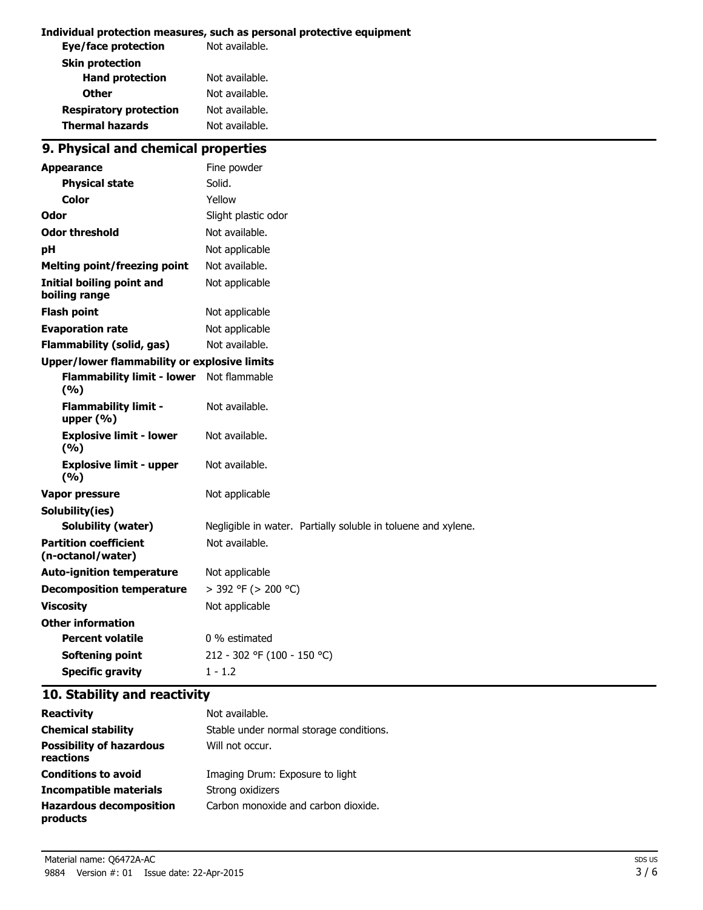#### **Individual protection measures, such as personal protective equipment**

| Not available. |
|----------------|
|                |
| Not available. |
| Not available. |
| Not available. |
| Not available. |
|                |

# **9. Physical and chemical properties**

| <b>Appearance</b>                                   | Fine powder                                                   |
|-----------------------------------------------------|---------------------------------------------------------------|
| <b>Physical state</b>                               | Solid.                                                        |
| Color                                               | Yellow                                                        |
| Odor                                                | Slight plastic odor                                           |
| <b>Odor threshold</b>                               | Not available.                                                |
| рH                                                  | Not applicable                                                |
| <b>Melting point/freezing point</b>                 | Not available.                                                |
| <b>Initial boiling point and</b><br>boiling range   | Not applicable                                                |
| <b>Flash point</b>                                  | Not applicable                                                |
| <b>Evaporation rate</b>                             | Not applicable                                                |
| <b>Flammability (solid, gas)</b>                    | Not available.                                                |
| <b>Upper/lower flammability or explosive limits</b> |                                                               |
| <b>Flammability limit - lower</b><br>(9/6)          | Not flammable                                                 |
| <b>Flammability limit -</b><br>upper (%)            | Not available.                                                |
| <b>Explosive limit - lower</b><br>(9/6)             | Not available.                                                |
| <b>Explosive limit - upper</b><br>(9/6)             | Not available.                                                |
| <b>Vapor pressure</b>                               | Not applicable                                                |
| Solubility(ies)                                     |                                                               |
| Solubility (water)                                  | Negligible in water. Partially soluble in toluene and xylene. |
| <b>Partition coefficient</b><br>(n-octanol/water)   | Not available.                                                |
| <b>Auto-ignition temperature</b>                    | Not applicable                                                |
| <b>Decomposition temperature</b>                    | > 392 °F (> 200 °C)                                           |
| <b>Viscosity</b>                                    | Not applicable                                                |
| <b>Other information</b>                            |                                                               |
| <b>Percent volatile</b>                             | 0 % estimated                                                 |
| <b>Softening point</b>                              | 212 - 302 °F (100 - 150 °C)                                   |
| <b>Specific gravity</b>                             | $1 - 1.2$                                                     |

# **10. Stability and reactivity**

| <b>Reactivity</b>                            | Not available.                          |
|----------------------------------------------|-----------------------------------------|
| <b>Chemical stability</b>                    | Stable under normal storage conditions. |
| <b>Possibility of hazardous</b><br>reactions | Will not occur.                         |
| <b>Conditions to avoid</b>                   | Imaging Drum: Exposure to light         |
| Incompatible materials                       | Strong oxidizers                        |
| <b>Hazardous decomposition</b><br>products   | Carbon monoxide and carbon dioxide.     |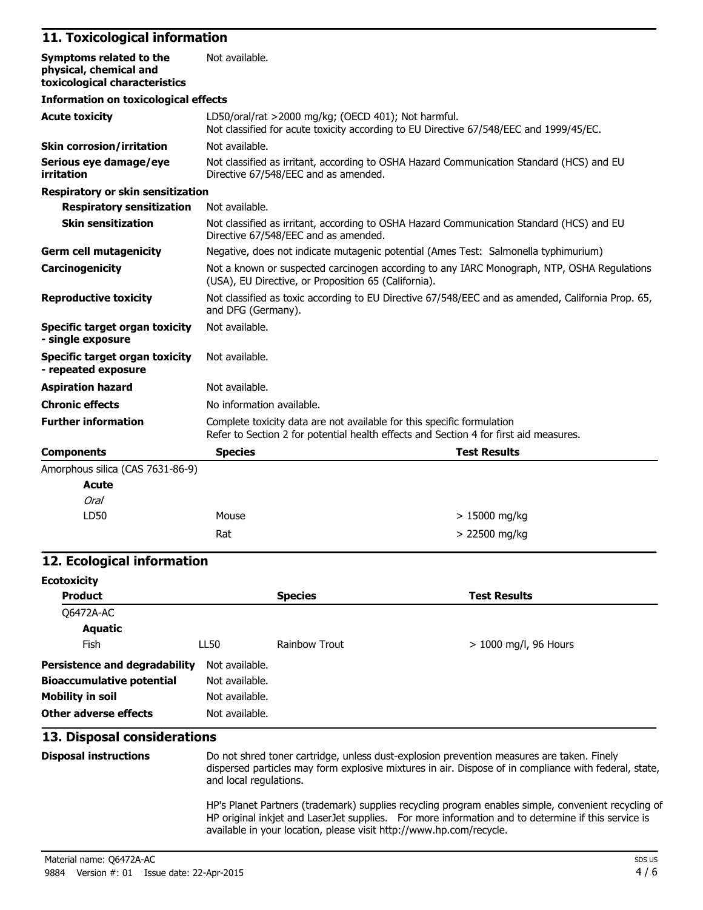# **11. Toxicological information**

| Symptoms related to the<br>physical, chemical and<br>toxicological characteristics | Not available.                                                                                                                                                  |                                                                                     |  |
|------------------------------------------------------------------------------------|-----------------------------------------------------------------------------------------------------------------------------------------------------------------|-------------------------------------------------------------------------------------|--|
| <b>Information on toxicological effects</b>                                        |                                                                                                                                                                 |                                                                                     |  |
| <b>Acute toxicity</b>                                                              | LD50/oral/rat >2000 mg/kg; (OECD 401); Not harmful.<br>Not classified for acute toxicity according to EU Directive 67/548/EEC and 1999/45/EC.                   |                                                                                     |  |
| <b>Skin corrosion/irritation</b>                                                   | Not available.                                                                                                                                                  |                                                                                     |  |
| Serious eye damage/eye<br>irritation                                               | Not classified as irritant, according to OSHA Hazard Communication Standard (HCS) and EU<br>Directive 67/548/EEC and as amended.                                |                                                                                     |  |
| <b>Respiratory or skin sensitization</b>                                           |                                                                                                                                                                 |                                                                                     |  |
| <b>Respiratory sensitization</b>                                                   | Not available.                                                                                                                                                  |                                                                                     |  |
| <b>Skin sensitization</b>                                                          | Not classified as irritant, according to OSHA Hazard Communication Standard (HCS) and EU<br>Directive 67/548/EEC and as amended.                                |                                                                                     |  |
| <b>Germ cell mutagenicity</b>                                                      |                                                                                                                                                                 | Negative, does not indicate mutagenic potential (Ames Test: Salmonella typhimurium) |  |
| Carcinogenicity                                                                    | Not a known or suspected carcinogen according to any IARC Monograph, NTP, OSHA Regulations<br>(USA), EU Directive, or Proposition 65 (California).              |                                                                                     |  |
| <b>Reproductive toxicity</b>                                                       | Not classified as toxic according to EU Directive 67/548/EEC and as amended, California Prop. 65,<br>and DFG (Germany).                                         |                                                                                     |  |
| <b>Specific target organ toxicity</b><br>- single exposure                         | Not available.                                                                                                                                                  |                                                                                     |  |
| <b>Specific target organ toxicity</b><br>- repeated exposure                       | Not available.                                                                                                                                                  |                                                                                     |  |
| <b>Aspiration hazard</b>                                                           | Not available.                                                                                                                                                  |                                                                                     |  |
| <b>Chronic effects</b>                                                             | No information available.                                                                                                                                       |                                                                                     |  |
| <b>Further information</b>                                                         | Complete toxicity data are not available for this specific formulation<br>Refer to Section 2 for potential health effects and Section 4 for first aid measures. |                                                                                     |  |
| <b>Components</b>                                                                  | <b>Species</b>                                                                                                                                                  | <b>Test Results</b>                                                                 |  |
| Amorphous silica (CAS 7631-86-9)                                                   |                                                                                                                                                                 |                                                                                     |  |
| <b>Acute</b>                                                                       |                                                                                                                                                                 |                                                                                     |  |
| Oral                                                                               |                                                                                                                                                                 |                                                                                     |  |
| LD50                                                                               | Mouse                                                                                                                                                           | $>15000$ mg/kg                                                                      |  |
|                                                                                    | Rat                                                                                                                                                             | > 22500 mg/kg                                                                       |  |

#### **12. Ecological information**

| <b>Ecotoxicity</b>                   |                |                      |                       |  |
|--------------------------------------|----------------|----------------------|-----------------------|--|
| <b>Product</b>                       |                | <b>Species</b>       | <b>Test Results</b>   |  |
| Q6472A-AC                            |                |                      |                       |  |
| <b>Aquatic</b>                       |                |                      |                       |  |
| Fish                                 | LL50           | <b>Rainbow Trout</b> | > 1000 mg/l, 96 Hours |  |
| <b>Persistence and degradability</b> | Not available. |                      |                       |  |
| <b>Bioaccumulative potential</b>     | Not available. |                      |                       |  |
| <b>Mobility in soil</b>              | Not available. |                      |                       |  |
| Other adverse effects                | Not available. |                      |                       |  |

# **13. Disposal considerations**

| <b>Disposal instructions</b> | Do not shred toner cartridge, unless dust-explosion prevention measures are taken. Finely<br>dispersed particles may form explosive mixtures in air. Dispose of in compliance with federal, state,<br>and local regulations.                                                      |
|------------------------------|-----------------------------------------------------------------------------------------------------------------------------------------------------------------------------------------------------------------------------------------------------------------------------------|
|                              | HP's Planet Partners (trademark) supplies recycling program enables simple, convenient recycling of<br>HP original inkjet and Laser Jet supplies. For more information and to determine if this service is<br>available in your location, please visit http://www.hp.com/recycle. |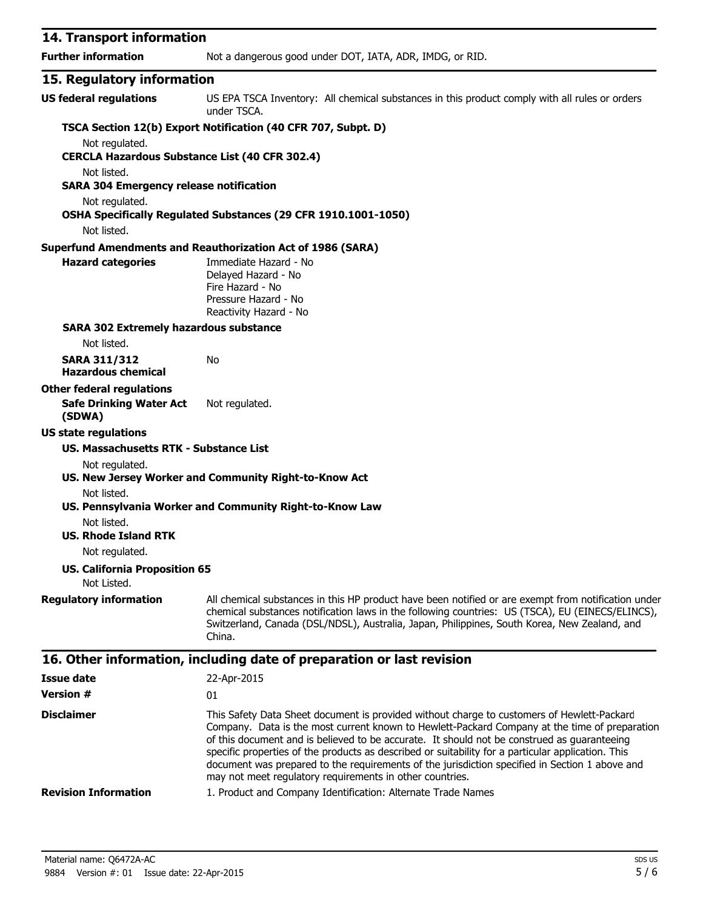| 14. Transport information                                               |                                                                                                                                                                                                                                                                                                                   |
|-------------------------------------------------------------------------|-------------------------------------------------------------------------------------------------------------------------------------------------------------------------------------------------------------------------------------------------------------------------------------------------------------------|
| <b>Further information</b>                                              | Not a dangerous good under DOT, IATA, ADR, IMDG, or RID.                                                                                                                                                                                                                                                          |
| 15. Regulatory information                                              |                                                                                                                                                                                                                                                                                                                   |
| <b>US federal regulations</b>                                           | US EPA TSCA Inventory: All chemical substances in this product comply with all rules or orders<br>under TSCA.                                                                                                                                                                                                     |
|                                                                         | TSCA Section 12(b) Export Notification (40 CFR 707, Subpt. D)                                                                                                                                                                                                                                                     |
| Not regulated.<br><b>CERCLA Hazardous Substance List (40 CFR 302.4)</b> |                                                                                                                                                                                                                                                                                                                   |
| Not listed.<br><b>SARA 304 Emergency release notification</b>           |                                                                                                                                                                                                                                                                                                                   |
| Not regulated.                                                          | OSHA Specifically Regulated Substances (29 CFR 1910.1001-1050)                                                                                                                                                                                                                                                    |
| Not listed.                                                             |                                                                                                                                                                                                                                                                                                                   |
|                                                                         | <b>Superfund Amendments and Reauthorization Act of 1986 (SARA)</b>                                                                                                                                                                                                                                                |
| <b>Hazard categories</b>                                                | Immediate Hazard - No<br>Delayed Hazard - No<br>Fire Hazard - No<br>Pressure Hazard - No<br>Reactivity Hazard - No                                                                                                                                                                                                |
| <b>SARA 302 Extremely hazardous substance</b>                           |                                                                                                                                                                                                                                                                                                                   |
| Not listed.                                                             |                                                                                                                                                                                                                                                                                                                   |
| <b>SARA 311/312</b><br><b>Hazardous chemical</b>                        | No                                                                                                                                                                                                                                                                                                                |
| <b>Other federal regulations</b><br><b>Safe Drinking Water Act</b>      | Not regulated.                                                                                                                                                                                                                                                                                                    |
| (SDWA)                                                                  |                                                                                                                                                                                                                                                                                                                   |
| <b>US state regulations</b>                                             |                                                                                                                                                                                                                                                                                                                   |
| US. Massachusetts RTK - Substance List                                  |                                                                                                                                                                                                                                                                                                                   |
| Not regulated.                                                          | US. New Jersey Worker and Community Right-to-Know Act                                                                                                                                                                                                                                                             |
| Not listed.                                                             | US. Pennsylvania Worker and Community Right-to-Know Law                                                                                                                                                                                                                                                           |
| Not listed.<br><b>US. Rhode Island RTK</b>                              |                                                                                                                                                                                                                                                                                                                   |
| Not regulated.                                                          |                                                                                                                                                                                                                                                                                                                   |
| <b>US. California Proposition 65</b><br>Not Listed.                     |                                                                                                                                                                                                                                                                                                                   |
| <b>Regulatory information</b>                                           | All chemical substances in this HP product have been notified or are exempt from notification under<br>chemical substances notification laws in the following countries: US (TSCA), EU (EINECS/ELINCS),<br>Switzerland, Canada (DSL/NDSL), Australia, Japan, Philippines, South Korea, New Zealand, and<br>China. |
|                                                                         | 16. Other information, including date of preparation or last revision                                                                                                                                                                                                                                             |
| <b>Issue date</b>                                                       | 22-Apr-2015                                                                                                                                                                                                                                                                                                       |
| <b>Version #</b>                                                        | 01                                                                                                                                                                                                                                                                                                                |
| <b>Disclaimer</b>                                                       | This Safety Data Sheet document is provided without charge to customers of Hewlett-Packard                                                                                                                                                                                                                        |

Company. Data is the most current known to Hewlett-Packard Company at the time of preparation of this document and is believed to be accurate. It should not be construed as guaranteeing specific properties of the products as described or suitability for a particular application. This document was prepared to the requirements of the jurisdiction specified in Section 1 above and may not meet regulatory requirements in other countries.

#### **Revision Information** 1. Product and Company Identification: Alternate Trade Names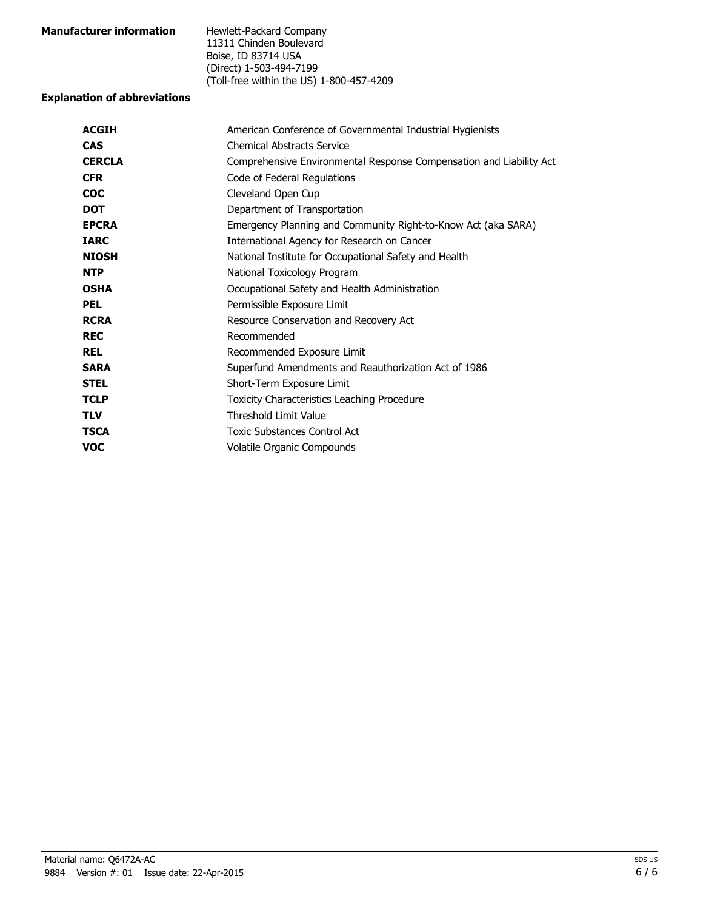| <b>Manufacturer information</b> | Hewlett-Packard Company                  |
|---------------------------------|------------------------------------------|
|                                 | 11311 Chinden Boulevard                  |
|                                 | Boise, ID 83714 USA                      |
|                                 | (Direct) 1-503-494-7199                  |
|                                 | (Toll-free within the US) 1-800-457-4209 |

#### **Explanation of abbreviations**

| American Conference of Governmental Industrial Hygienists           |
|---------------------------------------------------------------------|
| <b>Chemical Abstracts Service</b>                                   |
| Comprehensive Environmental Response Compensation and Liability Act |
| Code of Federal Regulations                                         |
| Cleveland Open Cup                                                  |
| Department of Transportation                                        |
| Emergency Planning and Community Right-to-Know Act (aka SARA)       |
| International Agency for Research on Cancer                         |
| National Institute for Occupational Safety and Health               |
| National Toxicology Program                                         |
| Occupational Safety and Health Administration                       |
| Permissible Exposure Limit                                          |
| Resource Conservation and Recovery Act                              |
| Recommended                                                         |
| Recommended Exposure Limit                                          |
| Superfund Amendments and Reauthorization Act of 1986                |
| Short-Term Exposure Limit                                           |
| Toxicity Characteristics Leaching Procedure                         |
| <b>Threshold Limit Value</b>                                        |
| Toxic Substances Control Act                                        |
| Volatile Organic Compounds                                          |
|                                                                     |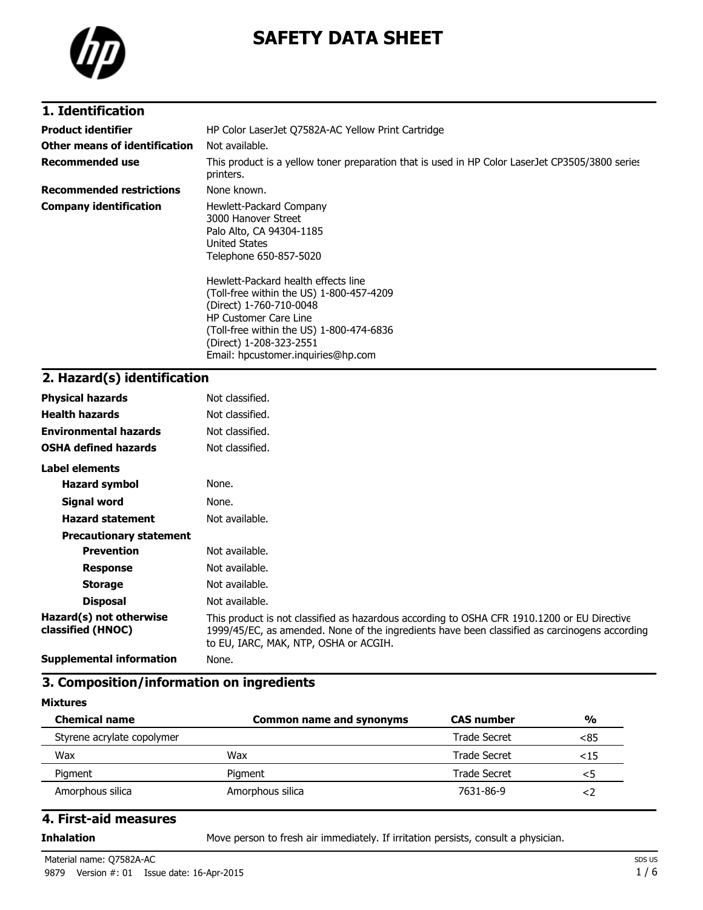

# **SAFETY DATA SHEET**

## **1. Identification**

| <b>Product identifier</b>       | HP Color LaserJet Q7582A-AC Yellow Print Cartridge                                                                                                                                                                                                                                                                                                                               |  |
|---------------------------------|----------------------------------------------------------------------------------------------------------------------------------------------------------------------------------------------------------------------------------------------------------------------------------------------------------------------------------------------------------------------------------|--|
| Other means of identification   | Not available.                                                                                                                                                                                                                                                                                                                                                                   |  |
| <b>Recommended use</b>          | This product is a yellow toner preparation that is used in HP Color LaserJet CP3505/3800 series<br>printers.                                                                                                                                                                                                                                                                     |  |
| <b>Recommended restrictions</b> | None known.                                                                                                                                                                                                                                                                                                                                                                      |  |
| <b>Company identification</b>   | Hewlett-Packard Company<br>3000 Hanover Street<br>Palo Alto, CA 94304-1185<br>United States<br>Telephone 650-857-5020<br>Hewlett-Packard health effects line<br>(Toll-free within the US) 1-800-457-4209<br>(Direct) 1-760-710-0048<br><b>HP Customer Care Line</b><br>(Toll-free within the US) 1-800-474-6836<br>(Direct) 1-208-323-2551<br>Email: hpcustomer.inguiries@hp.com |  |

# **2. Hazard(s) identification**

| <b>Physical hazards</b>                      | Not classified.                                                                                                                                                                                                                       |
|----------------------------------------------|---------------------------------------------------------------------------------------------------------------------------------------------------------------------------------------------------------------------------------------|
| <b>Health hazards</b>                        | Not classified.                                                                                                                                                                                                                       |
| <b>Environmental hazards</b>                 | Not classified.                                                                                                                                                                                                                       |
| <b>OSHA defined hazards</b>                  | Not classified.                                                                                                                                                                                                                       |
| Label elements                               |                                                                                                                                                                                                                                       |
| <b>Hazard symbol</b>                         | None.                                                                                                                                                                                                                                 |
| <b>Signal word</b>                           | None.                                                                                                                                                                                                                                 |
| <b>Hazard statement</b>                      | Not available.                                                                                                                                                                                                                        |
| <b>Precautionary statement</b>               |                                                                                                                                                                                                                                       |
| <b>Prevention</b>                            | Not available.                                                                                                                                                                                                                        |
| <b>Response</b>                              | Not available.                                                                                                                                                                                                                        |
| <b>Storage</b>                               | Not available.                                                                                                                                                                                                                        |
| <b>Disposal</b>                              | Not available.                                                                                                                                                                                                                        |
| Hazard(s) not otherwise<br>classified (HNOC) | This product is not classified as hazardous according to OSHA CFR 1910.1200 or EU Directive<br>1999/45/EC, as amended. None of the ingredients have been classified as carcinogens according<br>to EU, IARC, MAK, NTP, OSHA or ACGIH. |
| <b>Supplemental information</b>              | None.                                                                                                                                                                                                                                 |

#### **3. Composition/information on ingredients**

#### **Mixtures**

| <b>Chemical name</b>       | <b>Common name and synonyms</b> | <b>CAS</b> number | $\frac{0}{0}$ |
|----------------------------|---------------------------------|-------------------|---------------|
| Styrene acrylate copolymer |                                 | Trade Secret      | <85           |
| Wax                        | Wax                             | Trade Secret      | ${<}15$       |
| Pigment                    | Piament                         | Trade Secret      | <5            |
| Amorphous silica           | Amorphous silica                | 7631-86-9         |               |

#### **4. First-aid measures**

**Inhalation** Move person to fresh air immediately. If irritation persists, consult a physician.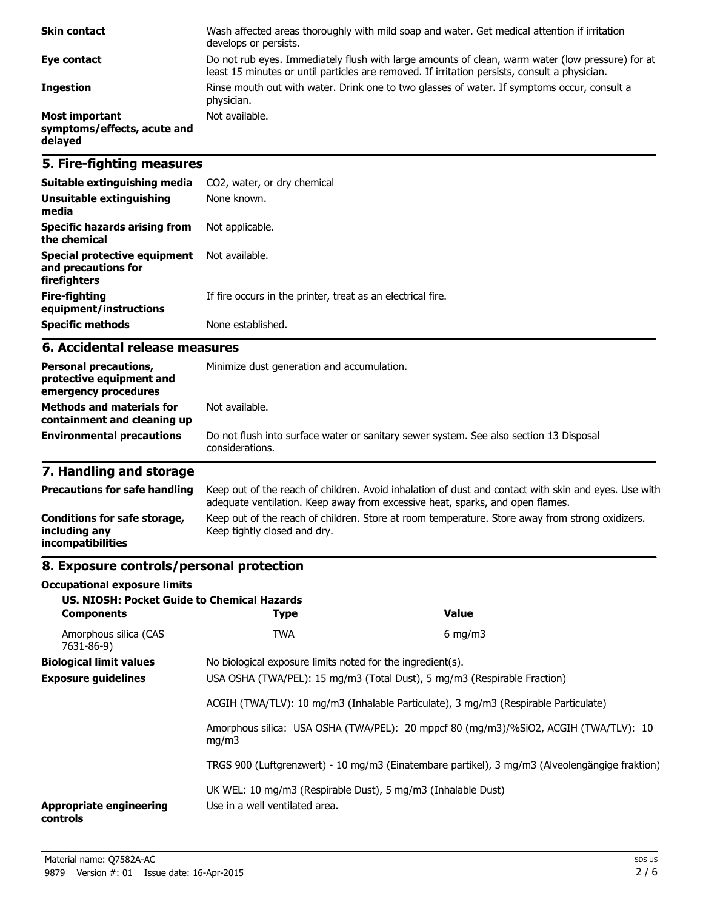| <b>Skin contact</b>                                             | Wash affected areas thoroughly with mild soap and water. Get medical attention if irritation<br>develops or persists.                                                                             |
|-----------------------------------------------------------------|---------------------------------------------------------------------------------------------------------------------------------------------------------------------------------------------------|
| Eye contact                                                     | Do not rub eyes. Immediately flush with large amounts of clean, warm water (low pressure) for at<br>least 15 minutes or until particles are removed. If irritation persists, consult a physician. |
| <b>Ingestion</b>                                                | Rinse mouth out with water. Drink one to two glasses of water. If symptoms occur, consult a<br>physician.                                                                                         |
| <b>Most important</b><br>symptoms/effects, acute and<br>delayed | Not available.                                                                                                                                                                                    |

## **5. Fire-fighting measures**

| Suitable extinguishing media                                        | CO2, water, or dry chemical                                 |
|---------------------------------------------------------------------|-------------------------------------------------------------|
| Unsuitable extinguishing<br>media                                   | None known.                                                 |
| Specific hazards arising from<br>the chemical                       | Not applicable.                                             |
| Special protective equipment<br>and precautions for<br>firefighters | Not available.                                              |
| Fire-fighting<br>equipment/instructions                             | If fire occurs in the printer, treat as an electrical fire. |
| <b>Specific methods</b>                                             | None established.                                           |

#### **6. Accidental release measures**

| <b>Personal precautions,</b><br>protective equipment and<br>emergency procedures | Minimize dust generation and accumulation.                                                                |  |
|----------------------------------------------------------------------------------|-----------------------------------------------------------------------------------------------------------|--|
| <b>Methods and materials for</b><br>containment and cleaning up                  | Not available.                                                                                            |  |
| <b>Environmental precautions</b>                                                 | Do not flush into surface water or sanitary sewer system. See also section 13 Disposal<br>considerations. |  |

# **7. Handling and storage**

| <b>Precautions for safe handling</b>                                      | Keep out of the reach of children. Avoid inhalation of dust and contact with skin and eyes. Use with<br>adequate ventilation. Keep away from excessive heat, sparks, and open flames. |
|---------------------------------------------------------------------------|---------------------------------------------------------------------------------------------------------------------------------------------------------------------------------------|
| Conditions for safe storage,<br>including any<br><i>incompatibilities</i> | Keep out of the reach of children. Store at room temperature. Store away from strong oxidizers.<br>Keep tightly closed and dry.                                                       |

## **8. Exposure controls/personal protection**

#### **Occupational exposure limits**

| <b>US. NIOSH: Pocket Guide to Chemical Hazards</b><br><b>Components</b> | <b>Type</b>                                                                                                                                                                          | Value            |
|-------------------------------------------------------------------------|--------------------------------------------------------------------------------------------------------------------------------------------------------------------------------------|------------------|
| Amorphous silica (CAS<br>7631-86-9)                                     | <b>TWA</b>                                                                                                                                                                           | $6 \text{ mg/m}$ |
| <b>Biological limit values</b>                                          | No biological exposure limits noted for the ingredient(s).                                                                                                                           |                  |
| <b>Exposure guidelines</b>                                              | USA OSHA (TWA/PEL): 15 mg/m3 (Total Dust), 5 mg/m3 (Respirable Fraction)                                                                                                             |                  |
|                                                                         | ACGIH (TWA/TLV): 10 mg/m3 (Inhalable Particulate), 3 mg/m3 (Respirable Particulate)<br>Amorphous silica: USA OSHA (TWA/PEL): 20 mppcf 80 (mg/m3)/%SiO2, ACGIH (TWA/TLV): 10<br>mq/m3 |                  |
|                                                                         |                                                                                                                                                                                      |                  |
|                                                                         | TRGS 900 (Luftgrenzwert) - 10 mg/m3 (Einatembare partikel), 3 mg/m3 (Alveolengängige fraktion)                                                                                       |                  |
| <b>Appropriate engineering</b><br>controls                              | UK WEL: 10 mg/m3 (Respirable Dust), 5 mg/m3 (Inhalable Dust)<br>Use in a well ventilated area.                                                                                       |                  |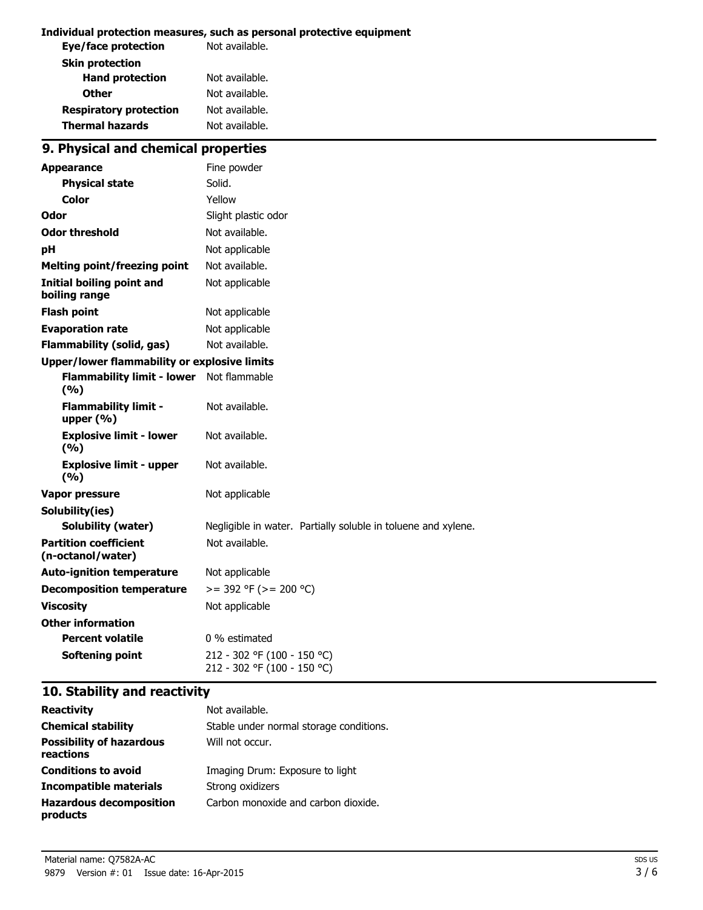#### **Individual protection measures, such as personal protective equipment**

| Not available. |
|----------------|
|                |
| Not available. |
| Not available. |
| Not available. |
| Not available. |
|                |

# **9. Physical and chemical properties**

| <b>Appearance</b>                                   | Fine powder                                                   |  |
|-----------------------------------------------------|---------------------------------------------------------------|--|
| <b>Physical state</b>                               | Solid.                                                        |  |
| Color                                               | Yellow                                                        |  |
| Odor                                                | Slight plastic odor                                           |  |
| <b>Odor threshold</b>                               | Not available.                                                |  |
| рH                                                  | Not applicable                                                |  |
| <b>Melting point/freezing point</b>                 | Not available.                                                |  |
| <b>Initial boiling point and</b><br>boiling range   | Not applicable                                                |  |
| <b>Flash point</b>                                  | Not applicable                                                |  |
| <b>Evaporation rate</b>                             | Not applicable                                                |  |
| <b>Flammability (solid, gas)</b>                    | Not available.                                                |  |
| <b>Upper/lower flammability or explosive limits</b> |                                                               |  |
| <b>Flammability limit - lower</b><br>(%)            | Not flammable                                                 |  |
| <b>Flammability limit -</b><br>upper $(% )$         | Not available.                                                |  |
| <b>Explosive limit - lower</b><br>(9/6)             | Not available.                                                |  |
| <b>Explosive limit - upper</b><br>(9/6)             | Not available.                                                |  |
| <b>Vapor pressure</b>                               | Not applicable                                                |  |
| Solubility(ies)                                     |                                                               |  |
| <b>Solubility (water)</b>                           | Negligible in water. Partially soluble in toluene and xylene. |  |
| <b>Partition coefficient</b><br>(n-octanol/water)   | Not available.                                                |  |
| <b>Auto-ignition temperature</b>                    | Not applicable                                                |  |
| <b>Decomposition temperature</b>                    | $>=$ 392 °F ( $>=$ 200 °C)                                    |  |
| <b>Viscosity</b>                                    | Not applicable                                                |  |
| <b>Other information</b>                            |                                                               |  |
| <b>Percent volatile</b>                             | 0 % estimated                                                 |  |
| Softening point                                     | 212 - 302 °F (100 - 150 °C)<br>212 - 302 °F (100 - 150 °C)    |  |

# **10. Stability and reactivity**

| <b>Reactivity</b>                            | Not available.                          |
|----------------------------------------------|-----------------------------------------|
| <b>Chemical stability</b>                    | Stable under normal storage conditions. |
| <b>Possibility of hazardous</b><br>reactions | Will not occur.                         |
| <b>Conditions to avoid</b>                   | Imaging Drum: Exposure to light         |
| Incompatible materials                       | Strong oxidizers                        |
| <b>Hazardous decomposition</b><br>products   | Carbon monoxide and carbon dioxide.     |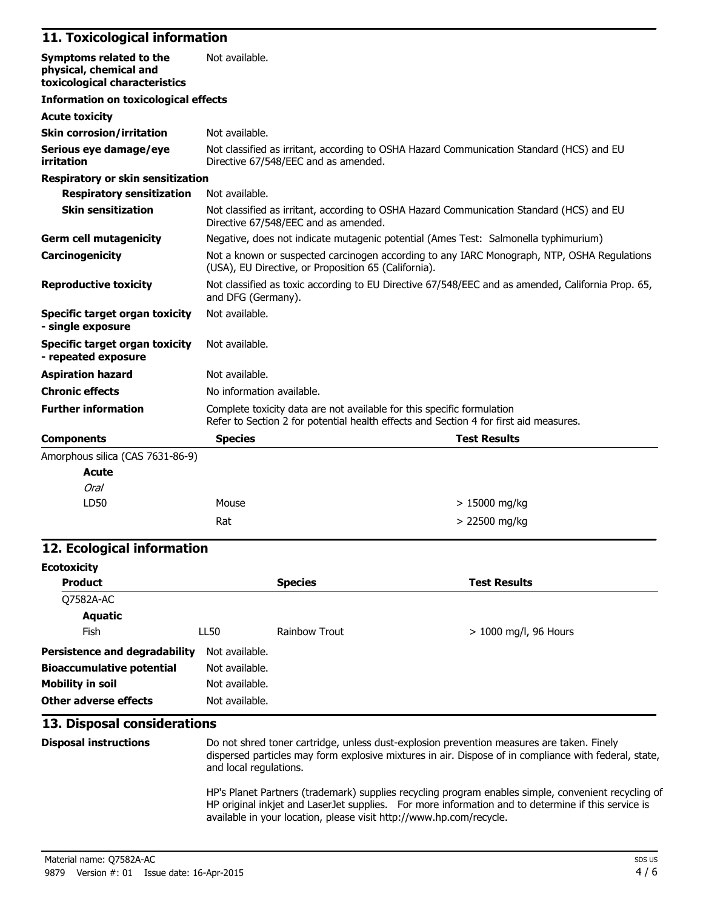#### **11. Toxicological information**

| Symptoms related to the<br>physical, chemical and<br>toxicological characteristics | Not available.                                                                                                                                                  |  |  |
|------------------------------------------------------------------------------------|-----------------------------------------------------------------------------------------------------------------------------------------------------------------|--|--|
| <b>Information on toxicological effects</b>                                        |                                                                                                                                                                 |  |  |
| <b>Acute toxicity</b>                                                              |                                                                                                                                                                 |  |  |
| <b>Skin corrosion/irritation</b>                                                   | Not available.                                                                                                                                                  |  |  |
| Serious eye damage/eye<br>irritation                                               | Not classified as irritant, according to OSHA Hazard Communication Standard (HCS) and EU<br>Directive 67/548/EEC and as amended.                                |  |  |
| <b>Respiratory or skin sensitization</b>                                           |                                                                                                                                                                 |  |  |
| <b>Respiratory sensitization</b>                                                   | Not available.                                                                                                                                                  |  |  |
| <b>Skin sensitization</b>                                                          | Not classified as irritant, according to OSHA Hazard Communication Standard (HCS) and EU<br>Directive 67/548/EEC and as amended.                                |  |  |
| <b>Germ cell mutagenicity</b>                                                      | Negative, does not indicate mutagenic potential (Ames Test: Salmonella typhimurium)                                                                             |  |  |
| Carcinogenicity                                                                    | Not a known or suspected carcinogen according to any IARC Monograph, NTP, OSHA Regulations<br>(USA), EU Directive, or Proposition 65 (California).              |  |  |
| <b>Reproductive toxicity</b>                                                       | Not classified as toxic according to EU Directive 67/548/EEC and as amended, California Prop. 65,<br>and DFG (Germany).                                         |  |  |
| Specific target organ toxicity<br>- single exposure                                | Not available.                                                                                                                                                  |  |  |
| <b>Specific target organ toxicity</b><br>- repeated exposure                       | Not available.                                                                                                                                                  |  |  |
| <b>Aspiration hazard</b>                                                           | Not available.                                                                                                                                                  |  |  |
| <b>Chronic effects</b>                                                             | No information available.                                                                                                                                       |  |  |
| <b>Further information</b>                                                         | Complete toxicity data are not available for this specific formulation<br>Refer to Section 2 for potential health effects and Section 4 for first aid measures. |  |  |
| <b>Components</b>                                                                  | <b>Test Results</b><br><b>Species</b>                                                                                                                           |  |  |
| Amorphous silica (CAS 7631-86-9)                                                   |                                                                                                                                                                 |  |  |
| <b>Acute</b>                                                                       |                                                                                                                                                                 |  |  |
| Oral                                                                               |                                                                                                                                                                 |  |  |

#### **12. Ecological information**

LD50 Mouse

| <b>Ecotoxicity</b>                   |                |                      |                         |  |  |
|--------------------------------------|----------------|----------------------|-------------------------|--|--|
| <b>Product</b>                       |                | <b>Species</b>       | <b>Test Results</b>     |  |  |
| Q7582A-AC                            |                |                      |                         |  |  |
| Aquatic                              |                |                      |                         |  |  |
| Fish                                 | LL50           | <b>Rainbow Trout</b> | $> 1000$ mg/l, 96 Hours |  |  |
| <b>Persistence and degradability</b> | Not available. |                      |                         |  |  |
| <b>Bioaccumulative potential</b>     | Not available. |                      |                         |  |  |
| <b>Mobility in soil</b>              | Not available. |                      |                         |  |  |
| Other adverse effects                | Not available. |                      |                         |  |  |

 $Rat$   $> 22500$  mg/kg

#### **13. Disposal considerations**

**Disposal instructions** Do not shred toner cartridge, unless dust-explosion prevention measures are taken. Finely dispersed particles may form explosive mixtures in air. Dispose of in compliance with federal, state, and local regulations.

> 15000 mg/kg

HP's Planet Partners (trademark) supplies recycling program enables simple, convenient recycling of HP original inkjet and LaserJet supplies. For more information and to determine if this service is available in your location, please visit http://www.hp.com/recycle.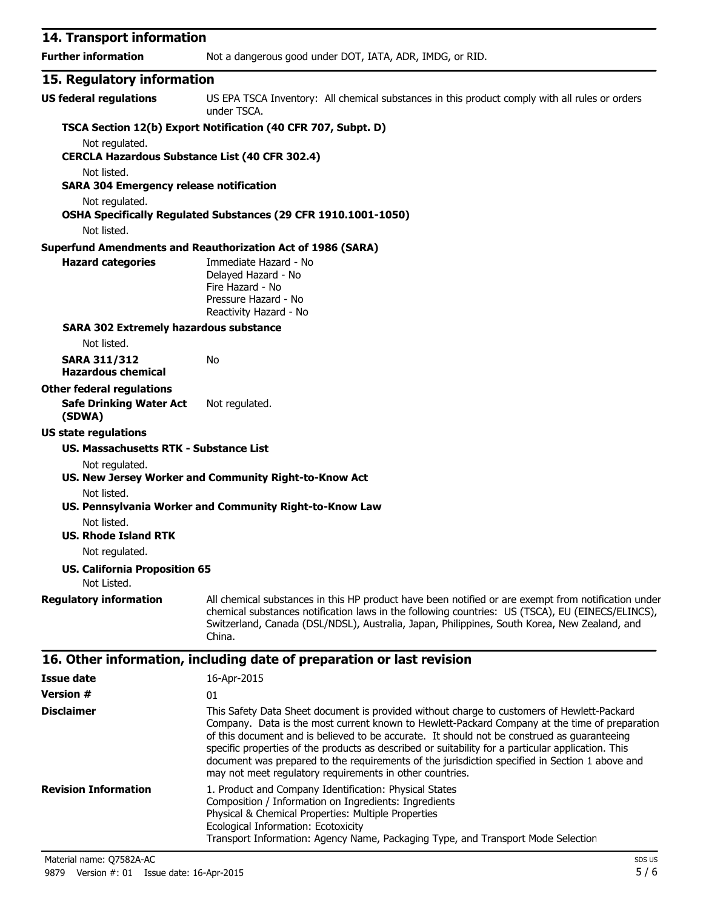| 14. Transport information                                     |                                                                                                                                                                                                                                                                                                                                                                                                  |
|---------------------------------------------------------------|--------------------------------------------------------------------------------------------------------------------------------------------------------------------------------------------------------------------------------------------------------------------------------------------------------------------------------------------------------------------------------------------------|
| <b>Further information</b>                                    | Not a dangerous good under DOT, IATA, ADR, IMDG, or RID.                                                                                                                                                                                                                                                                                                                                         |
| 15. Regulatory information                                    |                                                                                                                                                                                                                                                                                                                                                                                                  |
| <b>US federal regulations</b>                                 | US EPA TSCA Inventory: All chemical substances in this product comply with all rules or orders<br>under TSCA.                                                                                                                                                                                                                                                                                    |
|                                                               | TSCA Section 12(b) Export Notification (40 CFR 707, Subpt. D)                                                                                                                                                                                                                                                                                                                                    |
| Not regulated.                                                |                                                                                                                                                                                                                                                                                                                                                                                                  |
| <b>CERCLA Hazardous Substance List (40 CFR 302.4)</b>         |                                                                                                                                                                                                                                                                                                                                                                                                  |
| Not listed.<br><b>SARA 304 Emergency release notification</b> |                                                                                                                                                                                                                                                                                                                                                                                                  |
| Not regulated.                                                |                                                                                                                                                                                                                                                                                                                                                                                                  |
|                                                               | OSHA Specifically Regulated Substances (29 CFR 1910.1001-1050)                                                                                                                                                                                                                                                                                                                                   |
| Not listed.                                                   |                                                                                                                                                                                                                                                                                                                                                                                                  |
|                                                               | <b>Superfund Amendments and Reauthorization Act of 1986 (SARA)</b>                                                                                                                                                                                                                                                                                                                               |
| <b>Hazard categories</b>                                      | Immediate Hazard - No<br>Delayed Hazard - No<br>Fire Hazard - No<br>Pressure Hazard - No<br>Reactivity Hazard - No                                                                                                                                                                                                                                                                               |
| <b>SARA 302 Extremely hazardous substance</b>                 |                                                                                                                                                                                                                                                                                                                                                                                                  |
| Not listed.                                                   |                                                                                                                                                                                                                                                                                                                                                                                                  |
| <b>SARA 311/312</b><br><b>Hazardous chemical</b>              | No                                                                                                                                                                                                                                                                                                                                                                                               |
| <b>Other federal regulations</b>                              |                                                                                                                                                                                                                                                                                                                                                                                                  |
| <b>Safe Drinking Water Act</b><br>(SDWA)                      | Not regulated.                                                                                                                                                                                                                                                                                                                                                                                   |
| <b>US state regulations</b>                                   |                                                                                                                                                                                                                                                                                                                                                                                                  |
| US. Massachusetts RTK - Substance List                        |                                                                                                                                                                                                                                                                                                                                                                                                  |
| Not regulated.                                                | US. New Jersey Worker and Community Right-to-Know Act                                                                                                                                                                                                                                                                                                                                            |
| Not listed.                                                   | US. Pennsylvania Worker and Community Right-to-Know Law                                                                                                                                                                                                                                                                                                                                          |
| Not listed.<br><b>US. Rhode Island RTK</b>                    |                                                                                                                                                                                                                                                                                                                                                                                                  |
| Not regulated.                                                |                                                                                                                                                                                                                                                                                                                                                                                                  |
| <b>US. California Proposition 65</b><br>Not Listed.           |                                                                                                                                                                                                                                                                                                                                                                                                  |
|                                                               |                                                                                                                                                                                                                                                                                                                                                                                                  |
| <b>Regulatory information</b>                                 | All chemical substances in this HP product have been notified or are exempt from notification under<br>chemical substances notification laws in the following countries: US (TSCA), EU (EINECS/ELINCS),<br>Switzerland, Canada (DSL/NDSL), Australia, Japan, Philippines, South Korea, New Zealand, and<br>China.                                                                                |
|                                                               | 16. Other information, including date of preparation or last revision                                                                                                                                                                                                                                                                                                                            |
| <b>Issue date</b>                                             | 16-Apr-2015                                                                                                                                                                                                                                                                                                                                                                                      |
| <b>Version #</b>                                              | 01                                                                                                                                                                                                                                                                                                                                                                                               |
| <b>Disclaimer</b>                                             | This Safety Data Sheet document is provided without charge to customers of Hewlett-Packard<br>Company. Data is the most current known to Hewlett-Packard Company at the time of preparation<br>of this document and is believed to be accurate. It should not be construed as guaranteeing<br>specific properties of the products as described or suitability for a particular application. This |

document was prepared to the requirements of the jurisdiction specified in Section 1 above and may not meet regulatory requirements in other countries. **Revision Information** 1. Product and Company Identification: Physical States Composition / Information on Ingredients: Ingredients Physical & Chemical Properties: Multiple Properties Ecological Information: Ecotoxicity Transport Information: Agency Name, Packaging Type, and Transport Mode Selection